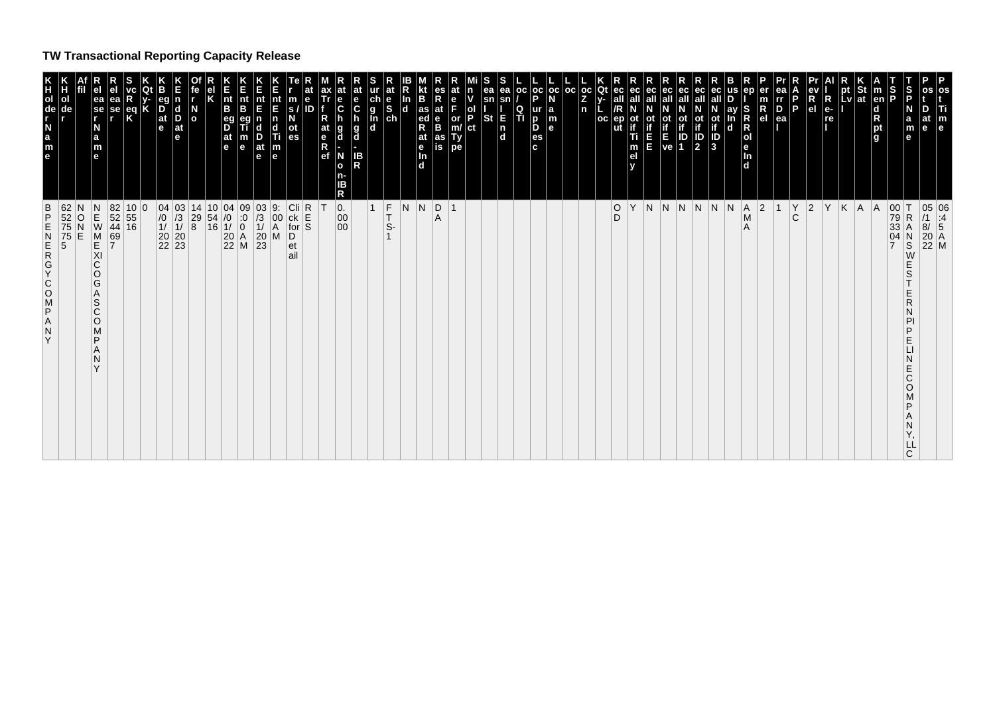## **TW Transactional Reporting Capacity Release**

|                                                                                                                               | 05 06<br>/1 :4<br>8/ 5<br>20 A<br>22 M                                                                                                                                            |
|-------------------------------------------------------------------------------------------------------------------------------|-----------------------------------------------------------------------------------------------------------------------------------------------------------------------------------|
| S<br>P<br>D<br>a<br>m<br>е<br>e                                                                                               | S<br>$\mathsf{R}$<br>PI<br>P<br>E<br>$\sqcup$<br>Ε<br>C<br>O<br>M<br>LL<br>$\mathsf{C}$                                                                                           |
|                                                                                                                               | $\begin{array}{c c} 00 & T \\ 79 & R \\ 33 & A \end{array}$<br>04<br>S<br>W<br>E<br>E<br>P                                                                                        |
| $\vert$ m<br>en<br>$\mathsf d$<br>R<br>pt<br>g                                                                                | A                                                                                                                                                                                 |
| at                                                                                                                            | A                                                                                                                                                                                 |
| <b>EV</b>                                                                                                                     | K                                                                                                                                                                                 |
| $R_{e}$<br>re                                                                                                                 | Y                                                                                                                                                                                 |
| ev<br>R<br>el                                                                                                                 | $ 2\rangle$                                                                                                                                                                       |
| <b>P</b>                                                                                                                      | Υ<br>$\mathbf C$                                                                                                                                                                  |
| rr<br>D<br>ea                                                                                                                 | $\overline{1}$                                                                                                                                                                    |
| $\mathsf R$<br>e <sub>1</sub>                                                                                                 | $ 2\rangle$                                                                                                                                                                       |
| R<br> o <br>e<br>In<br>d                                                                                                      | $\overline{A}$<br>$\mathsf{M}% _{T}=\mathsf{M}_{T}\!\left( a,b\right) ,\ \mathsf{M}_{T}=\mathsf{M}_{T}\!\left( a,b\right) ,$<br>$\overline{A}$                                    |
| ay<br>In<br>d                                                                                                                 | N                                                                                                                                                                                 |
| <b>ot</b><br>$\frac{1}{3}$                                                                                                    | $\vert N \vert$                                                                                                                                                                   |
| ID<br> 2                                                                                                                      |                                                                                                                                                                                   |
|                                                                                                                               | N N                                                                                                                                                                               |
| <b>Alip</b>                                                                                                                   | $\overline{N}$                                                                                                                                                                    |
| ec<br>all<br>E                                                                                                                | N.                                                                                                                                                                                |
| if<br>Ti<br>m<br>el<br>$\mathbf v$                                                                                            | Υ                                                                                                                                                                                 |
| Qt<br>ec<br><b>OC</b><br>ep                                                                                                   | $\overline{D}$                                                                                                                                                                    |
|                                                                                                                               |                                                                                                                                                                                   |
| $\begin{array}{ c c c }\n\hline\n\text{oc} & \text{oc} & \text{oc} \\ \mid \text{a} & \mid & \text{n} \\ \hline\n\end{array}$ |                                                                                                                                                                                   |
| $\begin{array}{c}\nN \\ a \\ b\n\end{array}$                                                                                  |                                                                                                                                                                                   |
| p <sub>e</sub><br>ur<br>p<br>Б<br>es<br>c                                                                                     |                                                                                                                                                                                   |
| l oc<br>Q<br>п                                                                                                                |                                                                                                                                                                                   |
| ea<br>sn<br>sn<br>$\begin{array}{c} \n\overline{E} \\ n \end{array}$<br><b>St</b>                                             |                                                                                                                                                                                   |
| $\frac{1}{P}$<br>$ ct\rangle$                                                                                                 |                                                                                                                                                                                   |
| or<br>m/<br>Ty<br>pe                                                                                                          | $\overline{1}$                                                                                                                                                                    |
| es<br>R<br>at<br>e<br>as<br>is                                                                                                | D <br>Α                                                                                                                                                                           |
| Kt<br> B<br>as<br>ed<br>R<br>at<br>$\frac{e}{\ln}$<br>d                                                                       | N                                                                                                                                                                                 |
| In                                                                                                                            | N                                                                                                                                                                                 |
| at<br>$\frac{\mathsf{ch}}{\mathsf{g}}$<br>$\frac{e}{s}$<br>In<br>$\mathbf d$                                                  | $\vert_{T}^{F}$<br>$\overline{1}$<br>s.                                                                                                                                           |
| $\frac{e}{C}$<br>$\frac{g}{d}$<br>IB<br>R                                                                                     |                                                                                                                                                                                   |
| $\overset{\mathbf{e}}{\mathbf{c}}$<br>g<br>d<br>N<br>$\mathbf{o}$<br>n-<br>R                                                  | 0.<br>$\begin{matrix} 00 \\ 00 \end{matrix}$                                                                                                                                      |
| at<br>$\frac{e}{R}$<br>ef                                                                                                     | Т                                                                                                                                                                                 |
| $\frac{m}{s}$<br>ID<br>ot<br>es                                                                                               | Cli R<br>ck E<br>for S<br>D<br>et<br>ail                                                                                                                                          |
| $\vert_{E}^{nt}$<br>n<br>d<br>Ti<br> m <br>l el                                                                               | 9.<br>$\begin{bmatrix} 00 \\ A \\ M \end{bmatrix}$                                                                                                                                |
| nt<br>E<br>$\frac{D}{at}$<br>le.                                                                                              | $\begin{array}{c cc} 10 & 04 & 09 & 03 \\ 54 & /0 & :0 & /3 \\ 16 & 1/ & 0 & 1/ \\ 20 & A & 20 \\ 22 & M & 23 \end{array}$                                                        |
| E<br>nt<br>B<br>$\vert e \vert$                                                                                               |                                                                                                                                                                                   |
| nt<br>B<br>eg<br>D<br>at<br>e                                                                                                 |                                                                                                                                                                                   |
| $\overline{\overline{\phantom{a}}\phantom{a}}$                                                                                |                                                                                                                                                                                   |
| n<br>l d<br>D<br>at<br>e                                                                                                      | 04 03 14<br>$\begin{array}{ c c c }\n04 & 03 & 14 \\ \hline\n10 & 13 & 29 \\ \hline\n11 & 10 & 8\n\end{array}$<br>$\begin{array}{c} 76 \\ 10 \\ 11 \\ 20 \\ 22 \\ 23 \end{array}$ |
| eg<br>at<br>e                                                                                                                 |                                                                                                                                                                                   |
|                                                                                                                               | $\begin{array}{ c} 10 & 0 \\ 55 & \\ 16 & \end{array}$                                                                                                                            |
| ea<br>se<br>eq<br>Κ                                                                                                           | 82<br>52<br>44<br>69                                                                                                                                                              |
| ea<br>se<br>a<br>m<br>$\mathbf{e}$                                                                                            | メモストリ<br>$\overline{7}$<br>С<br>O<br>G<br>$\mathsf A$<br>S<br>C<br>O<br>M<br>P<br>A<br>N                                                                                          |
|                                                                                                                               |                                                                                                                                                                                   |
| $\begin{array}{c} H \\ 0 \\ \text{de} \end{array}$                                                                            | 62 N<br>52 O<br>75 N<br>75 E<br>5                                                                                                                                                 |
| KHOLE N<br>$\mathbf{m}_{\mathbf{e}}$                                                                                          | В<br>D<br>N<br>N<br>O<br>O<br>A<br>N<br>N<br>N<br>N<br>D<br>N<br>D<br>N<br>N<br>D<br>N<br>D<br>D<br>D<br>D<br>D<br>X<br>0<br>X<br>$\mathsf A$<br>$\frac{N}{Y}$                    |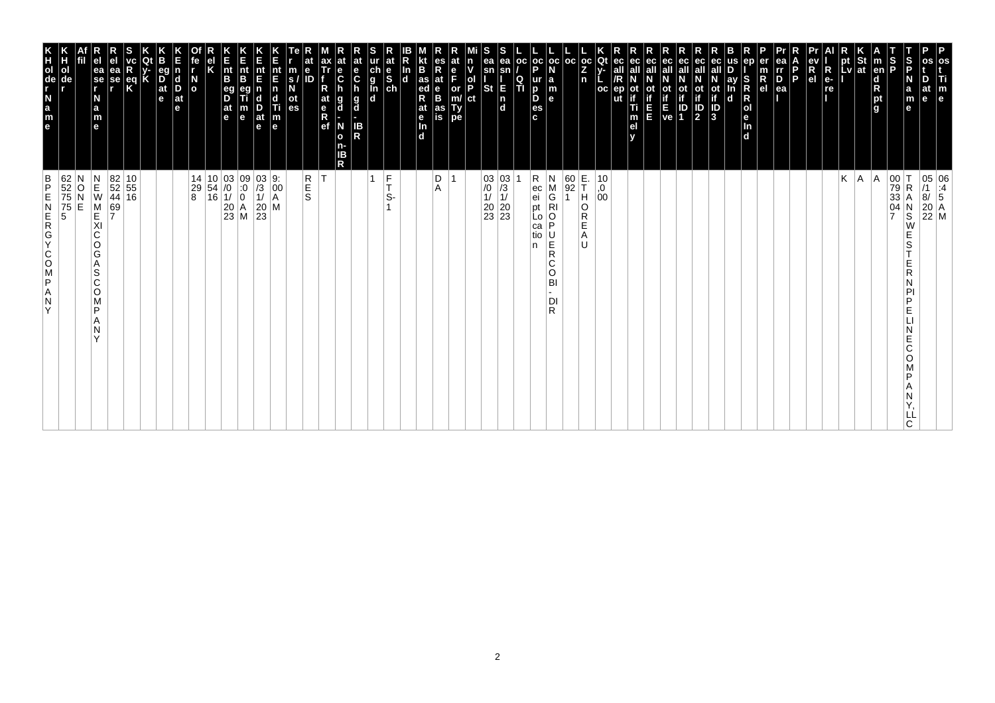| os<br>Ti<br>$\mathbb{F}_{\mathsf{e}}$                                                                                                                                  | 05 06<br>/1 :4<br>8/ 5<br>20 A<br>22 M                                                                                                |
|------------------------------------------------------------------------------------------------------------------------------------------------------------------------|---------------------------------------------------------------------------------------------------------------------------------------|
| os<br>D<br>at<br>e                                                                                                                                                     |                                                                                                                                       |
| $\frac{S}{P}$<br>S<br>P<br>N<br>a<br>m<br>$\mathbf{e}$                                                                                                                 | 00 T<br>79 R<br>33 A<br>04 N<br>7 S<br>R<br>Α<br>$\frac{N}{S}$<br>W<br>E<br>S<br>Е<br>R<br>P<br>D<br>E<br>E<br>С<br>O<br>D<br>LL<br>C |
| $\vert$ m<br>en<br>ight <sub>a</sub>                                                                                                                                   | A                                                                                                                                     |
| $\frac{St}{at}$                                                                                                                                                        | A                                                                                                                                     |
| pt<br>Lv                                                                                                                                                               | Κ                                                                                                                                     |
| R<br>$e-$<br>re                                                                                                                                                        |                                                                                                                                       |
| R<br>e <sub>l</sub>                                                                                                                                                    |                                                                                                                                       |
| ea<br>$\overline{p}$<br>$\overline{p}$<br>$\overline{p}$<br>$\overline{q}$<br>P                                                                                        |                                                                                                                                       |
| er<br>R<br>el                                                                                                                                                          |                                                                                                                                       |
| ep<br>S<br>R<br>R<br>R<br>R<br>R<br>R<br>R<br>R<br>R<br>R<br>R<br>R<br>$\mathbf d$                                                                                     |                                                                                                                                       |
| ay<br>$\mathbf d$                                                                                                                                                      |                                                                                                                                       |
| ec<br>$\overrightarrow{a}$<br>$\overrightarrow{a}$<br>$\overrightarrow{b}$<br>$\overrightarrow{a}$                                                                     |                                                                                                                                       |
| ec<br>ec<br>ot<br>if<br>ID<br>2<br>οt<br>IP<br>1                                                                                                                       |                                                                                                                                       |
| ec<br>ot<br>if<br>E<br>ve                                                                                                                                              |                                                                                                                                       |
| ec<br>ot<br>if<br>П<br>Ξ                                                                                                                                               |                                                                                                                                       |
| ec<br>ot<br>:<br>Ti<br>m<br>el                                                                                                                                         |                                                                                                                                       |
| ec<br>all<br>ер<br>ut                                                                                                                                                  |                                                                                                                                       |
| $\begin{bmatrix} \overline{0}c & \overline{Q}t \\ \overline{Z} & \overline{Y} \\ n & \overline{L} \end{bmatrix}$<br>oc                                                 | E.<br>T<br>$^{10}_{,0}$<br>$^{0}_{00}$<br>H<br>O<br>R<br>Е<br>Α<br>IJ                                                                 |
|                                                                                                                                                                        | $\frac{60}{92}$                                                                                                                       |
| ∣a<br>$\vert_{\mathsf{e}}^{\mathsf{m}}$                                                                                                                                | N<br>$\begin{array}{c}\nM \\ G \\ R\n\end{array}$<br>$\mathsf O$<br>P<br>U<br>Ě<br>R<br>C<br>O<br>BI<br>DI<br>R                       |
| $\left \begin{array}{c c} \texttt{oc} & \texttt{oc} & \texttt{oc} \\ \texttt{P} & \texttt{N} & \end{array}\right $<br>ur<br>$\overline{p}$<br>D<br>es<br>c.            | R<br>$\begin{vmatrix} ec \\ ei \\ pt \end{vmatrix}$<br>Lo<br>ca<br>tio<br>n                                                           |
| ea<br>$\mathsf{sn}$<br>$\frac{Q}{T}$<br>E<br>In<br>Id                                                                                                                  |                                                                                                                                       |
| s<br>ea<br>sn<br><b>St</b>                                                                                                                                             | $\begin{array}{c c} 03 & 03 \\ \hline \hline 10 & 13 \\ 11 & 11 \\ 20 & 20 \\ 23 & 23 \end{array}$                                    |
| n<br>v<br>ol<br>P<br>ct                                                                                                                                                |                                                                                                                                       |
| at<br>$\frac{e}{F}$<br>or<br>m/<br>Ty<br>pe                                                                                                                            | 1                                                                                                                                     |
| <b>KE</b><br>as<br>R<br>R<br>es<br>R<br>at<br>e<br>B<br>as<br>is                                                                                                       | D<br>Α                                                                                                                                |
| ln<br>d<br>at<br>$\frac{e}{\ln}$<br>d                                                                                                                                  |                                                                                                                                       |
| ur at<br>g<br>g<br>d<br>d<br>d<br>d                                                                                                                                    | $\frac{F}{T}$<br>S-                                                                                                                   |
|                                                                                                                                                                        | $\mathbf{1}$                                                                                                                          |
| at<br>e<br>C<br>h<br>$\frac{g}{d}$<br>IB<br>R<br>n-<br>IΒ                                                                                                              |                                                                                                                                       |
| at<br>ax<br>Tr<br>$\frac{e}{C}$<br>R<br>h<br>at<br>g<br>d<br>$\begin{array}{c} \n\overline{e} \\ \overline{R} \\ \overline{e}f\n\end{array}$<br>N<br>$\mathbf{o}$<br>R | T                                                                                                                                     |
| at<br>$\mathbf e$<br>ID                                                                                                                                                | R<br>S<br>S                                                                                                                           |
| m<br>$\overline{\mathbf{s}}$<br>ot<br>es                                                                                                                               |                                                                                                                                       |
| nt<br>E<br>$\begin{array}{c} \n\overline{n} \\ \overline{d} \\ \overline{n} \\ \overline{e}\n\end{array}$                                                              | $\begin{bmatrix} 9. \\ 00 \\ A \end{bmatrix}$<br>M                                                                                    |
| IL<br>Int<br>E<br>nt<br>E<br>D<br>m<br>e<br>at<br>$\mathbf e$                                                                                                          | $\begin{array}{c} 03 \\ 73 \\ 11 \\ 20 \\ 23 \end{array}$                                                                             |
| nt<br>B<br>$\frac{eg}{D}$<br>$\frac{at}{e}$                                                                                                                            |                                                                                                                                       |
|                                                                                                                                                                        | $\begin{array}{c cc} 14 & 10 & 03 & 09 \\ 29 & 54 & /0 & 0 \\ 8 & 16 & 1/ & 0 \\ & & 20 & A \\ & & 23 & M \\ \end{array}$             |
| te<br>$\overline{a}$                                                                                                                                                   |                                                                                                                                       |
| n<br>$\begin{array}{c}\n\mathbf{d} \\ \mathbf{D} \\ \mathbf{a}\mathbf{t}\n\end{array}$<br>le.                                                                          |                                                                                                                                       |
| eg<br>D<br>at<br>e                                                                                                                                                     |                                                                                                                                       |
| R<br>$\mathbf{R}$                                                                                                                                                      |                                                                                                                                       |
| ea<br>se                                                                                                                                                               | $\begin{array}{ c c }\n 82 & 10 \\  52 & 55 \\  44 & 16\n\end{array}$<br>69<br>7                                                      |
| ea<br>se<br>r<br>N<br>$\frac{a}{m}$<br>$\mathbf{e}$                                                                                                                    | $\begin{array}{c} N \\ E \\ W \end{array}$<br>M<br>KI<br>C<br>O<br>G<br>Α<br>ls<br>C<br>O<br>M<br>P<br>A<br>N<br>$\checkmark$         |
| ol<br>de                                                                                                                                                               | 62<br>52<br>75<br>75<br>5<br>5<br>N<br>OZO                                                                                            |
| e a z - g o H K                                                                                                                                                        | $\frac{B}{P}$<br>ZAPSOCYCOMEN<br>Y                                                                                                    |
|                                                                                                                                                                        |                                                                                                                                       |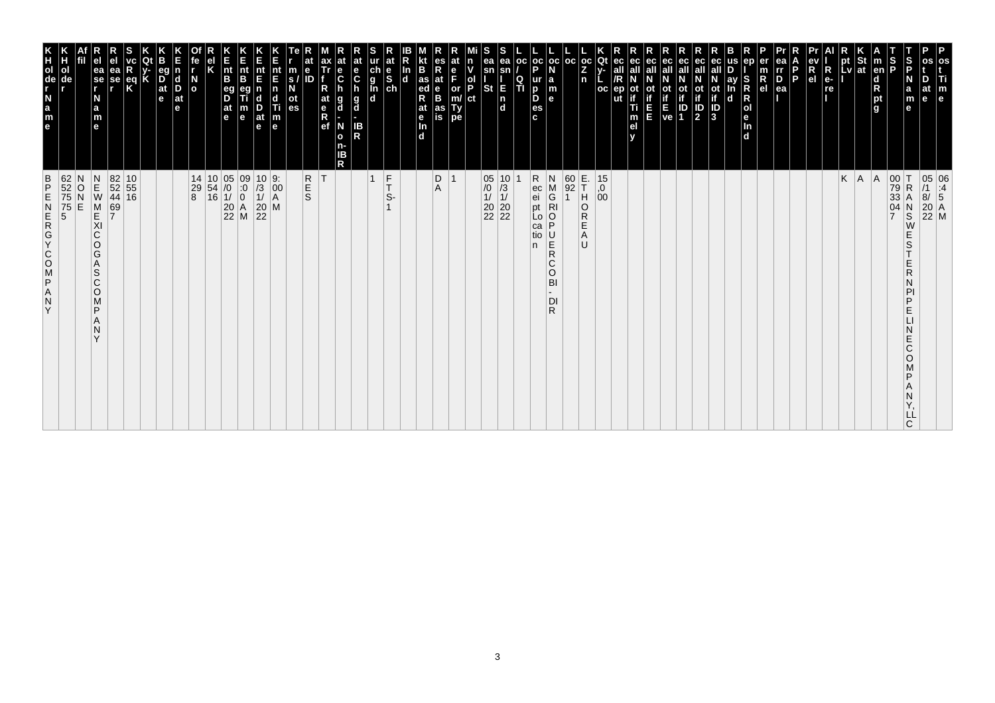| 62<br>52<br>75<br>75<br>5<br>$\frac{B}{P}$<br>Ε<br>ZDJZOOKOZWZ<br>Y                                                                                                  | T<br>O<br>O<br>O<br>O<br>O<br>O<br>O<br>O<br>O<br>O<br>O<br>O<br>O<br><br>O<br><br><br>$\Box$<br>ol<br>de          |
|----------------------------------------------------------------------------------------------------------------------------------------------------------------------|--------------------------------------------------------------------------------------------------------------------|
| N<br>$\frac{0}{N}$<br>E                                                                                                                                              |                                                                                                                    |
| $\begin{array}{c} N \\ E \\ W \end{array}$<br>M<br>KI<br>C<br>O<br>G<br>Α<br>S<br>C<br>$\circ$<br>M<br>P<br>N<br>$\checkmark$                                        | ea<br>se<br>r<br>N<br>$\frac{a}{m}$<br>e                                                                           |
| $\begin{array}{ c c }\n 82 & 10 \\  52 & 55 \\  44 & 16\n\end{array}$<br>69<br>7                                                                                     | еа<br>se                                                                                                           |
|                                                                                                                                                                      | eq<br>K                                                                                                            |
|                                                                                                                                                                      |                                                                                                                    |
|                                                                                                                                                                      | $\overline{D}$ <sub>at</sub><br>e                                                                                  |
|                                                                                                                                                                      | <b>d</b><br>D<br>$ $ at<br>e                                                                                       |
| $\begin{array}{c cc} 14 & 10 & 05 & 09 \\ 29 & 54 & /0 & :0 \\ 8 & 16 & 1/ & 0 \\ & & 20 & A \\ & & 22 & M \\ \end{array}$                                           | N<br>O                                                                                                             |
|                                                                                                                                                                      |                                                                                                                    |
|                                                                                                                                                                      | nt<br>B<br>$\frac{eg}{D}$<br> at<br>le.                                                                            |
|                                                                                                                                                                      | $rac{E}{n}$<br>B<br>m<br>e                                                                                         |
| $\begin{array}{ c c }\n 10 & 9: \\  \hline\n 13 & 00 \\  11 & A\n\end{array}$<br>$\begin{array}{c} 20 \\ 22 \end{array}$                                             | nt<br>E<br>D<br>at<br>$\mathbf e$                                                                                  |
| M                                                                                                                                                                    | $\frac{nt}{F}$<br>n<br>c<br>Ш<br>$\vert_{\mathsf{e}}^{\mathsf{m}}$                                                 |
|                                                                                                                                                                      | m<br>s.<br>οt<br>es                                                                                                |
| R<br>S<br>S                                                                                                                                                          | $\ddot{\textbf{e}}$<br>ID                                                                                          |
| ΙT                                                                                                                                                                   | at<br>$\frac{e}{R}$                                                                                                |
|                                                                                                                                                                      | е<br>$\ddot{\mathbf{c}}$<br>g<br>d<br>N<br>$\mathbf{o}$<br>ΙB<br>R                                                 |
|                                                                                                                                                                      | $rac{e}{C}$<br>$\frac{g}{d}$<br>IB<br>R                                                                            |
| $\frac{F}{T}$<br>$\overline{1}$                                                                                                                                      | $\begin{array}{c}\n\ddot{c} \\ \ddot{g} \\ \hline\n\ddot{d}\n\end{array}$                                          |
| S-                                                                                                                                                                   | at<br>$\frac{e}{s}$                                                                                                |
|                                                                                                                                                                      | In<br>$\mathbf d$                                                                                                  |
|                                                                                                                                                                      | B<br>as<br>ed<br>R<br>at<br>e<br>Tn.<br>d                                                                          |
| D<br>$\overline{1}$<br>A                                                                                                                                             | $R_{at}$<br>e<br>B<br>as<br>is                                                                                     |
|                                                                                                                                                                      | e<br>F<br>or<br>m/<br>Ty<br>pe                                                                                     |
|                                                                                                                                                                      | ol<br>P<br>ct                                                                                                      |
| $\begin{array}{c c} 05 & 10 \\ \hline \end{array} \hspace{-1.5mm} \begin{array}{c} 10 \\ 13 \\ 11 \\ 20 \\ 22 \\ 22 \\ \end{array}$                                  | ea<br>sn<br><b>St</b>                                                                                              |
|                                                                                                                                                                      | ea<br>sn<br>Е<br>$\frac{ \mathsf{n} }{ \mathsf{d} }$                                                               |
|                                                                                                                                                                      | l oc<br>Q<br>TI                                                                                                    |
| R<br>ec<br>ei<br>pt<br>Lo<br>ca<br>tio<br>n.                                                                                                                         | oc oc <br>D<br>ur<br>b<br>D<br>es<br>c.                                                                            |
| N<br>$\frac{M}{G}$<br>$\frac{1}{2}$<br>$\begin{array}{c} \n\overline{C} \\ \overline{R}\n\end{array}$<br>С<br>$\circ$<br>BI<br>DI<br>R                               | l a<br>m<br>l el                                                                                                   |
| $\begin{array}{ c c }\n 60 & E. \\  92 & T\n\end{array}$                                                                                                             | l oc                                                                                                               |
| H<br>O<br>R<br>Е<br>Α<br>U                                                                                                                                           | $_{\rm oc}$<br>Z<br>n                                                                                              |
| $^{15}_{,0}$<br>00                                                                                                                                                   | Qt<br>$_{\rm oc}$                                                                                                  |
|                                                                                                                                                                      | ut                                                                                                                 |
|                                                                                                                                                                      | ec<br>οt<br>Ti<br>m<br>el                                                                                          |
|                                                                                                                                                                      | ec<br>ш                                                                                                            |
|                                                                                                                                                                      | Ot<br>$\frac{1}{E}$<br>ve                                                                                          |
|                                                                                                                                                                      | ec<br>$\frac{\text{ot}}{\text{if}}$<br>Οt<br>$\sqrt{\frac{D}{2}}$<br>ID<br>1                                       |
|                                                                                                                                                                      | ec<br>all<br>ot<br>if<br>$\frac{1}{3}$                                                                             |
|                                                                                                                                                                      | ay<br>d                                                                                                            |
|                                                                                                                                                                      | S<br>$\overline{\mathbf{d}}$                                                                                       |
|                                                                                                                                                                      | $\mathsf R$<br>e <sub>l</sub>                                                                                      |
|                                                                                                                                                                      | ea<br>rr<br>$\frac{D}{ea}$                                                                                         |
|                                                                                                                                                                      | P                                                                                                                  |
|                                                                                                                                                                      | R<br>el                                                                                                            |
|                                                                                                                                                                      | R<br>$e-$<br>re                                                                                                    |
| K                                                                                                                                                                    | pt<br>Lv                                                                                                           |
| A                                                                                                                                                                    | St<br> at                                                                                                          |
| A                                                                                                                                                                    | $\vert$ m<br>en<br>$\begin{array}{c}\n\mathbf{d} \\ \mathbf{R} \\ \mathbf{p}\mathbf{t} \\ \mathbf{g}\n\end{array}$ |
| $\begin{array}{c c} 00 & T \\ 79 & R \\ 33 & A \end{array}$<br>$\mathsf R$<br>Α<br>$\frac{04}{7}$<br>$\frac{N}{S}$<br>E<br>S<br>R<br>D<br>Е<br>E<br>Ć<br>O<br>ם<br>C | S<br>P<br>S<br>P<br>N<br>a<br>m<br>e                                                                               |
| LL                                                                                                                                                                   | at<br>e                                                                                                            |
| 05 06<br>/1 :4<br>8/ 5<br>20 A<br>22 M                                                                                                                               | P<br>os<br>Τi<br>m<br>e                                                                                            |
|                                                                                                                                                                      |                                                                                                                    |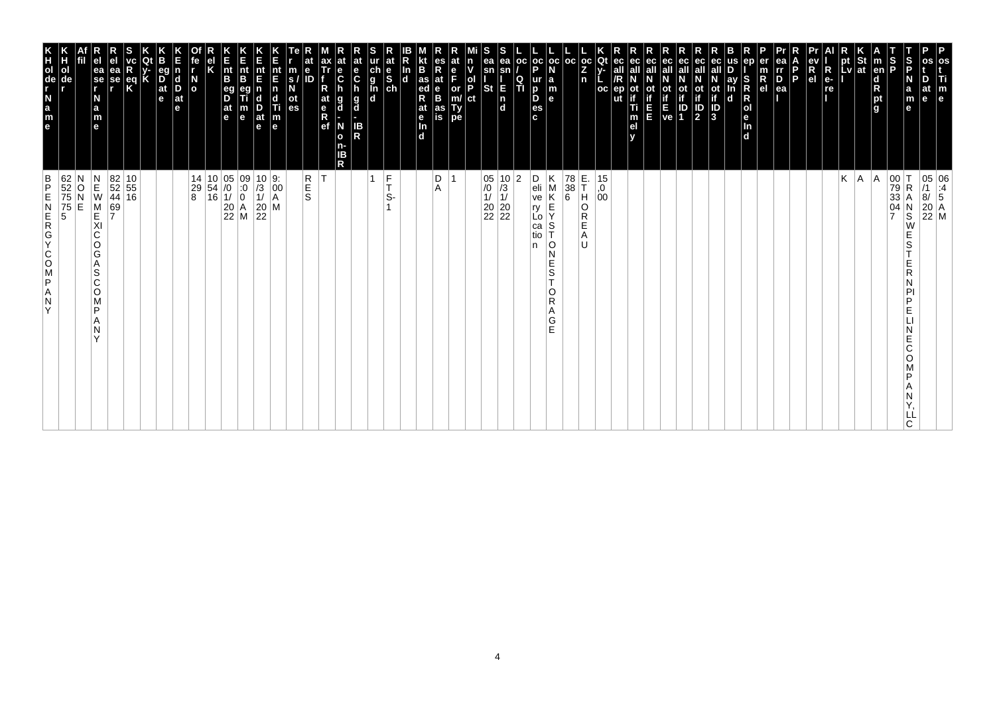| P<br>os<br>Ti<br>at<br>m<br>e<br>e                                                                                              | $\begin{array}{ c c } \hline 05 & 06 \\ \hline \end{array} \begin{array}{ c c } \hline 11 & 06 \\ \hline 8/ & 5 \end{array}$<br>$\begin{bmatrix} 20 \\ 22 \\ M \end{bmatrix}$ M |
|---------------------------------------------------------------------------------------------------------------------------------|---------------------------------------------------------------------------------------------------------------------------------------------------------------------------------|
| S<br>P<br>N<br>$\mathbf a$<br>m<br>e                                                                                            | R<br>$_\mathrm{S}^\mathrm{N}$<br>W<br>E<br>S<br>R<br>D<br>E<br>E<br>Ć<br>O<br>D<br>ᄔ<br>C                                                                                       |
| S<br>P                                                                                                                          | $\begin{array}{c c} 00 & T \\ 79 & R \\ 33 & A \end{array}$<br>$\frac{04}{7}$                                                                                                   |
| St<br>$\vert$ m<br>en<br> at<br>$\begin{array}{c}\n\mathbf{d} \\ \mathbf{R} \\ \mathbf{p}\mathbf{t} \\ \mathbf{g}\n\end{array}$ | A                                                                                                                                                                               |
| pt<br>Lv                                                                                                                        | Κ<br> A                                                                                                                                                                         |
| $R_{e}$<br>re                                                                                                                   |                                                                                                                                                                                 |
| R<br>e <sub>1</sub>                                                                                                             |                                                                                                                                                                                 |
| P                                                                                                                               |                                                                                                                                                                                 |
| ea<br>rr<br>$\overline{P}_{ea}$                                                                                                 |                                                                                                                                                                                 |
| en<br>er<br>$\overline{R}$ el<br>S<br>R<br>R<br>O<br>e<br>In<br>d                                                               |                                                                                                                                                                                 |
| ay<br>n<br>$\mathbf d$                                                                                                          |                                                                                                                                                                                 |
| ot<br>if<br>$\overline{\frac{1}{3}}$                                                                                            |                                                                                                                                                                                 |
| ec<br>all<br>ot<br>if<br>$\frac{1}{2}$                                                                                          |                                                                                                                                                                                 |
| ec<br>οt<br>ID<br>1                                                                                                             |                                                                                                                                                                                 |
| ot<br>if<br>E<br>ve                                                                                                             |                                                                                                                                                                                 |
| ec<br>all<br>ш                                                                                                                  |                                                                                                                                                                                 |
| ec<br>οt<br>Ti<br>m<br>el                                                                                                       |                                                                                                                                                                                 |
| Qt<br><b>OC</b><br>ut                                                                                                           | $^{15}_{,0}$<br>00                                                                                                                                                              |
| $\frac{OC}{Z}$<br>n                                                                                                             | E.<br>T<br>Η<br>O<br>R<br>Е<br>A<br>IJ                                                                                                                                          |
| l oc                                                                                                                            | 78<br>38<br>$\boldsymbol{6}$                                                                                                                                                    |
| $ oc $ oc<br>p<br>ur<br>la<br>D<br>m<br>D<br>le.<br>es<br>c.                                                                    | Κ<br>D<br>eli<br>ve<br>М<br>Κ<br>$\frac{\mathsf{E}}{\mathsf{Y}}$<br>ŗy<br>Lo<br>S<br>ca<br>tio<br>O<br>N<br>Е<br>S<br>T<br>O<br>R<br>Α<br>G<br>Ė                                |
| <b>OC</b><br>$\frac{Q}{T}$                                                                                                      | n                                                                                                                                                                               |
| ea<br>sn<br>E<br>$\frac{\mathsf{n}}{\mathsf{d}}$                                                                                | $\begin{array}{ c c }\n 05 & 10 & 2 \\ \hline\n 10 & 3 & \\  11 & 11 & \\ \end{array}$<br>$\begin{array}{ c c }\n 20 & 20 \\  22 & 22\n \end{array}$                            |
| ea<br>sn<br><b>St</b>                                                                                                           |                                                                                                                                                                                 |
| n<br>ol<br>P<br>ct                                                                                                              |                                                                                                                                                                                 |
| e<br>F<br>or<br>m/<br>Ty<br>pe                                                                                                  | $\overline{1}$                                                                                                                                                                  |
| es<br>Rat<br>B<br>B<br>as<br>ed<br>R<br>at<br>as<br>İS<br>$\frac{e}{\ln}$                                                       | D<br>A                                                                                                                                                                          |
| B<br>In<br>$\overline{\mathbf{d}}$<br>$\overline{d}$                                                                            |                                                                                                                                                                                 |
| at                                                                                                                              | $\frac{F}{T}$<br>S-                                                                                                                                                             |
|                                                                                                                                 | $\mathbf{1}$                                                                                                                                                                    |
| at<br>e<br>C<br>$\frac{e}{C}$<br>$\frac{g}{d}$<br>g<br>d<br>IB<br>R<br>N<br>o<br>n-<br>ΙB<br>R                                  |                                                                                                                                                                                 |
| ax<br>Tr<br>at<br>$\frac{e}{R}$                                                                                                 | İΤ                                                                                                                                                                              |
| e<br>ID                                                                                                                         | R<br>S<br>S                                                                                                                                                                     |
| nt<br>E<br>m<br>$\mathbf{s}$<br>οt<br>es                                                                                        |                                                                                                                                                                                 |
| nt<br>E<br>$\overline{p}$<br>c<br>Ti<br>$\frac{D}{at}$<br>$\vert_{\mathsf{e}}^{\mathsf{m}}$<br>$\mathbf e$                      | $\begin{array}{ c c c }\n 10 & 9 \\  \hline\n 13 & 00 \\  11 & A\n\end{array}$<br>$\frac{20}{22}$<br>M                                                                          |
| n<br>Ent<br>B<br>m<br>$\mathbf e$                                                                                               | $\begin{array}{ c c c c c } \hline 10 & 05 & 09 \\ 54 & /0 & 0 \\ 16 & 1/ & 0 \\ \hline \end{array}$                                                                            |
| $\vert_{\mathsf{B}}^{\mathsf{nt}}$<br>eg<br>D<br> at<br>$\vert$ e                                                               | $\begin{array}{ c c }\n 20 & A \\  22 & M\n\end{array}$                                                                                                                         |
|                                                                                                                                 |                                                                                                                                                                                 |
| fe<br>$\overline{a}$                                                                                                            | 14<br>29<br>8                                                                                                                                                                   |
| l d<br>D<br>$ $ at<br>e                                                                                                         |                                                                                                                                                                                 |
| eq<br>$\frac{D}{at}$<br>e                                                                                                       |                                                                                                                                                                                 |
| Κ<br>$\frac{eq}{K}$                                                                                                             |                                                                                                                                                                                 |
| ea<br>se<br>r                                                                                                                   | $\begin{array}{ c c }\n 82 & 10 \\  52 & 55 \\  44 & 16\n\end{array}$<br>$\frac{69}{7}$                                                                                         |
| ea<br>se<br>r<br>N<br>a<br>m<br>e                                                                                               | $\begin{array}{c} N \\ E \\ W \end{array}$<br>M<br>KI<br>C<br>O<br>G<br>A<br>S<br>C<br>O<br>M<br>P<br>А<br>N<br>$\checkmark$                                                    |
|                                                                                                                                 | O<br>E                                                                                                                                                                          |
| ol<br>de                                                                                                                        | 62<br>52<br>75<br>5<br>5                                                                                                                                                        |
| e m = m = m = m =                                                                                                               | $\frac{B}{P}$<br>Ε<br>ZDVOOKONEZ<br>Y                                                                                                                                           |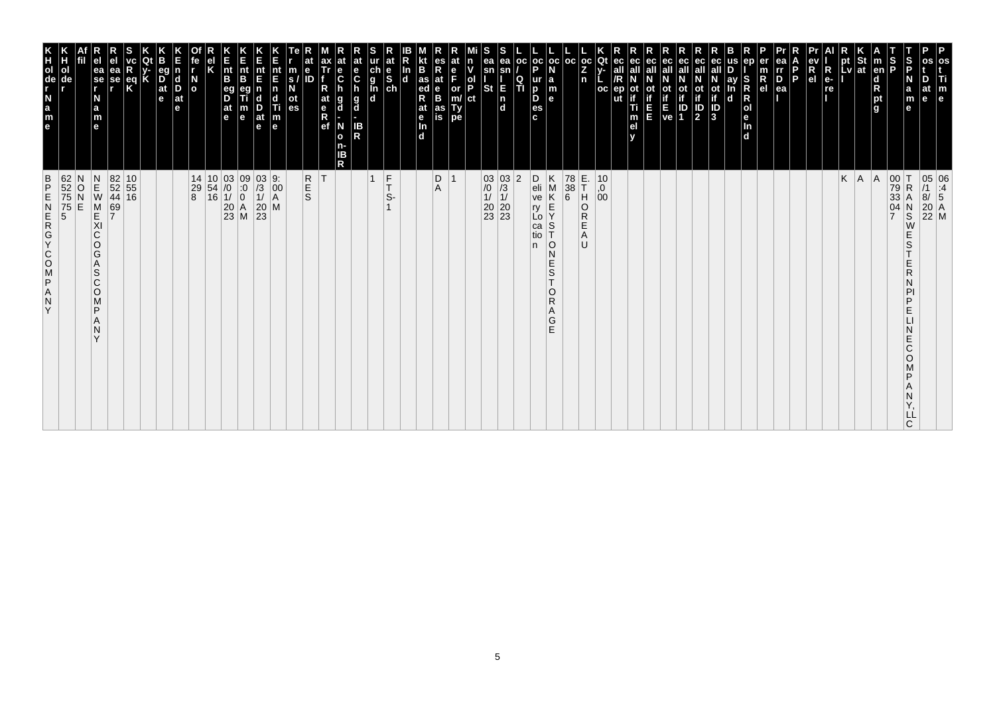| 62<br>52<br>75<br>75<br>5<br>5<br>$\frac{B}{P}$<br>ZAPSOOKGAN<br>Y                                                                                                   | K<br>TOUR LEB<br>ol                                                            |
|----------------------------------------------------------------------------------------------------------------------------------------------------------------------|--------------------------------------------------------------------------------|
| N<br>O<br>Ň<br>E                                                                                                                                                     | de                                                                             |
| $\begin{array}{c}\nN \\ E \\ W\n\end{array}$<br>M<br>E<br>XI<br>C<br>O<br>G<br>A<br>S<br>$\mathsf{C}$<br>$\circ$<br>M<br>P<br>N<br>$\checkmark$                      | ea<br>$ \mathbf{\hat{s}}\mathbf{e} $<br>N<br>a<br>m<br>$\mathbf{e}$            |
| 69<br>7                                                                                                                                                              | еа<br>se                                                                       |
| $\begin{array}{ c c }\n 82 & 10 \\  52 & 55 \\  44 & 16\n\end{array}$                                                                                                | $rac{eq}{K}$                                                                   |
|                                                                                                                                                                      |                                                                                |
|                                                                                                                                                                      | eq<br>$\overline{D}$ <sub>at</sub><br>e                                        |
|                                                                                                                                                                      | $\vert$ d<br>D<br>$ $ at<br>le.                                                |
| $\begin{array}{c cc} 14 & 10 & 03 & 09 \\ 29 & 54 & /0 & :0 \\ 8 & 16 & 1/ & 0 \\ & & 20 & A \\ & & 23 & M \\ \end{array}$                                           | $\overline{a}$                                                                 |
|                                                                                                                                                                      |                                                                                |
|                                                                                                                                                                      | $\vert_{\mathsf{B}}^{\mathsf{nt}}$<br>eg<br>D<br>$ $ at<br>l e                 |
|                                                                                                                                                                      | Ê<br>nt<br>B<br>m<br>$\mathbf e$                                               |
| $\frac{03}{1}$<br>$\frac{1}{20}$<br>$\frac{20}{23}$                                                                                                                  | nt<br>E<br>$\frac{D}{at}$<br>$\mathbf e$                                       |
| 9:<br>$\left  \begin{smallmatrix} 0 & 0 \\ 0 & 0 \\ A & A \end{smallmatrix} \right $<br>M                                                                            | nt<br>E<br>n<br>c<br>Ti<br>$\frac{\mathsf{m}}{\mathsf{e}}$                     |
|                                                                                                                                                                      | m<br>S.<br>οt<br>es                                                            |
| <b>R</b><br>S                                                                                                                                                        | е<br>ID                                                                        |
| ΙT                                                                                                                                                                   | ax<br>Tr<br>at<br>$R$ ef                                                       |
|                                                                                                                                                                      | at<br>е<br>$\ddot{\mathbf{c}}$<br>g<br>d<br>N<br>$\mathbf{o}$<br>n-<br>ΙB<br>R |
|                                                                                                                                                                      | at<br>e<br>$\mathbf c$<br>$\frac{g}{d}$<br>IB<br>R                             |
| $\frac{F}{T}$<br>$\overline{1}$                                                                                                                                      | ch<br>g<br>g<br>d<br>d                                                         |
| S-                                                                                                                                                                   | at<br>$\begin{bmatrix} 1 & b \\ c & d \end{bmatrix}$                           |
|                                                                                                                                                                      | B<br>In<br>$\mathbf d$<br>$\frac{e}{\ln}$<br>d.                                |
|                                                                                                                                                                      | $\frac{1}{4}$ as<br>R<br>at                                                    |
| D<br>$\overline{1}$<br>Α                                                                                                                                             | es<br>R<br>at<br>B<br>B<br>F<br>as<br>is                                       |
|                                                                                                                                                                      | at<br>n<br>ol<br>P<br>or<br>Ty<br>pe                                           |
|                                                                                                                                                                      | ct                                                                             |
| $\begin{array}{c c} 03 & 03 \\ \hline 10 & 73 \\ 11 & 11 \\ 20 & 20 \\ 23 & 23 \end{array}$                                                                          | ea<br>sn<br>St<br>$\frac{1}{d}$                                                |
| $ 2\rangle$                                                                                                                                                          | ea<br>Q<br>TI<br>E                                                             |
|                                                                                                                                                                      | oc                                                                             |
| D<br>eli<br>ve<br>$\frac{\mathsf{E}}{\mathsf{Y}}$<br>ry<br>Lo<br>$\mathbb S$<br>ca<br>tio<br>10<br>n.<br>N<br>Ε<br>$\frac{{\mathsf S}}{{\mathsf T}}$<br>$\circ$<br>Α | oc oc <br>p<br>ur<br>la<br>D<br>D<br>$\mathbf{e}$<br>es<br>c.                  |
| Κ<br>M<br>Κ<br>R<br>G<br>E                                                                                                                                           | m                                                                              |
| 78<br>$\begin{array}{c} 38 \\ 6 \end{array}$                                                                                                                         | l oc                                                                           |
| E.<br>T<br>H<br>O<br>R<br>Ε<br>Α<br>U                                                                                                                                | $ oc $ Qt<br>Z<br>n                                                            |
| 10<br>0,<br>00                                                                                                                                                       | oc<br>ut                                                                       |
|                                                                                                                                                                      | ec<br>ec<br>οt<br>Ti<br>m<br>el                                                |
|                                                                                                                                                                      | ec<br>Ш                                                                        |
|                                                                                                                                                                      | ot<br>if<br>ve                                                                 |
|                                                                                                                                                                      | eс<br>οt<br>ID<br>1                                                            |
|                                                                                                                                                                      | ec<br>all<br><b>ot</b><br>$\frac{1}{2}$                                        |
|                                                                                                                                                                      | ot<br>if<br>3                                                                  |
|                                                                                                                                                                      | ay<br>$\mathbf d$                                                              |
|                                                                                                                                                                      | ep<br>S<br>$\mathsf R$<br>R<br>Jen<br>d                                        |
|                                                                                                                                                                      | $\overline{R}_{el}$                                                            |
|                                                                                                                                                                      | ea<br>rr<br>$\overline{P}_{ea}$<br>P                                           |
|                                                                                                                                                                      |                                                                                |
|                                                                                                                                                                      | $\overline{\mathsf{R}}$<br>R<br>e <sub>1</sub><br>$e-$<br>re                   |
| K                                                                                                                                                                    | pt<br>Lv                                                                       |
| A                                                                                                                                                                    | St<br> at                                                                      |
| A                                                                                                                                                                    | $\vert$ m<br>en<br>d<br>pt<br>g                                                |
| 00<br>79<br>33<br>04<br>$\overline{7}$                                                                                                                               | $\frac{1}{2}$                                                                  |
| ΙT<br>$\mathsf R$<br>А<br>$_{\rm S}^{\rm N}$<br>W<br>E<br>S<br>Ε<br>R<br>D<br>Ε<br>E<br>Ć<br>O<br>D<br>LL<br>C                                                       | S<br>P<br>N<br>a<br>m<br>$\mathbf e$                                           |
| 05 06<br>/1 :4<br>8/ 5<br>20 A<br>22 M                                                                                                                               | at<br>$\mathbf e$                                                              |
|                                                                                                                                                                      | os<br>Ti<br>m<br>e                                                             |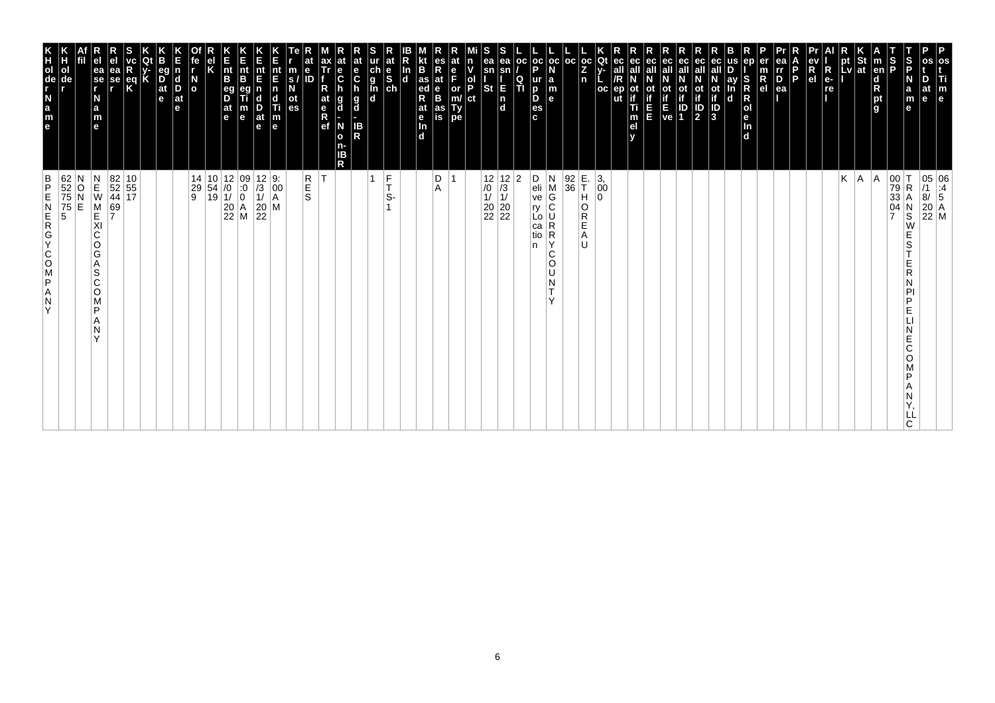| os<br>Ti<br>$\mathbb{F}_{\mathsf{e}}$                                                                                                                                             | 05 06<br>/1 :4<br>8/ 5<br>20 A<br>22 M                                                                                                          |
|-----------------------------------------------------------------------------------------------------------------------------------------------------------------------------------|-------------------------------------------------------------------------------------------------------------------------------------------------|
| os<br>D<br>at<br>e                                                                                                                                                                |                                                                                                                                                 |
| $\frac{S}{P}$<br>S<br>P<br>$\begin{bmatrix} N \\ a \\ m \end{bmatrix}$<br>$\mathbf{e}$                                                                                            | 00 T<br>79 R<br>33 A<br>04 N<br>7 S<br>$\mathsf R$<br>Α<br>$\frac{N}{S}$<br>W<br>E<br>S<br>Е<br>R<br>P<br>D<br>E<br>E<br>C<br>O<br>D<br>LL<br>C |
| $\vert$ m<br>en<br>$\begin{array}{c}\n\overrightarrow{a} \\ \overrightarrow{R} \\ \overrightarrow{p} \\ \overrightarrow{q}\n\end{array}$                                          | A                                                                                                                                               |
| $\frac{1}{1}$ st                                                                                                                                                                  | A.                                                                                                                                              |
| pt<br>Lv                                                                                                                                                                          | Κ                                                                                                                                               |
| R<br>$e-$<br>re                                                                                                                                                                   |                                                                                                                                                 |
| R<br>e <sub>1</sub>                                                                                                                                                               |                                                                                                                                                 |
| ea<br>$\overline{p}$<br>$\overline{p}$<br>$\overline{p}$<br>$\overline{q}$<br>P                                                                                                   |                                                                                                                                                 |
| er<br>R<br>el                                                                                                                                                                     |                                                                                                                                                 |
| ep<br>S<br>R<br>R<br>R<br>R<br>R<br>R<br>R<br>R<br>R<br>R<br>R<br>R<br>$\mathbf d$                                                                                                |                                                                                                                                                 |
| ay<br>$\mathbf d$                                                                                                                                                                 |                                                                                                                                                 |
| ec<br>N<br>ot<br>if<br>D<br>3                                                                                                                                                     |                                                                                                                                                 |
| ec<br>ec<br>ot<br>if<br>ID<br>2<br>Οt                                                                                                                                             |                                                                                                                                                 |
| ec<br>ot<br>if<br>E<br>ve<br>IP<br>1                                                                                                                                              |                                                                                                                                                 |
| ec<br>ot<br>if<br>E<br>E                                                                                                                                                          |                                                                                                                                                 |
| ec<br>ot<br>:<br>Ti<br>m<br>el                                                                                                                                                    |                                                                                                                                                 |
| ec<br>all<br>ер<br>ut                                                                                                                                                             |                                                                                                                                                 |
| $\begin{bmatrix} \bar{c} & \bar{c} \\ Z & Y \\ n & L \end{bmatrix}$<br>oc                                                                                                         | E.<br>T<br>$\left  \begin{smallmatrix} 3 \\ 0 \\ 0 \end{smallmatrix} \right $<br>н<br>0<br>O<br>R<br>Е<br>Α<br>IJ                               |
|                                                                                                                                                                                   | $\frac{92}{36}$                                                                                                                                 |
| a<br>$\vert_{\mathsf{e}}^{\mathsf{m}}$                                                                                                                                            | N<br>M<br>$\overline{G}$<br>U<br>R<br>R<br>Y<br>C<br>O<br>U<br>N<br>T.<br>Y                                                                     |
| $\left \begin{array}{c c} \texttt{oc} & \texttt{oc} & \texttt{oc} \\ \texttt{P} & \texttt{N} & \end{array}\right $<br>ur<br>$\overline{p}$<br>D<br>es<br>c.                       | D<br>eli<br>ve<br>ry<br>Lo<br>ca<br>tio<br>n                                                                                                    |
| ea<br>$\mathsf{sn}$<br>$\frac{Q}{T}$<br>E<br>In<br>Id                                                                                                                             | 2                                                                                                                                               |
| s<br>ea<br>sn<br><b>St</b>                                                                                                                                                        | $\begin{array}{c c} 12 & 12 \\ \hline 10 & 13 \\ 11 & 11 \\ 20 & 20 \\ 22 & 22 \end{array}$                                                     |
| n<br>v<br>ol<br>P<br>ct                                                                                                                                                           |                                                                                                                                                 |
| at<br>$\frac{e}{F}$<br>or<br>m/<br>Ty<br>pe                                                                                                                                       | 1                                                                                                                                               |
| <b>R</b><br><b>R</b><br><b>R</b><br><b>R</b><br>es<br>R<br>at<br>e<br>B<br>as<br>is                                                                                               | D<br>Α                                                                                                                                          |
| $\frac{\ln}{d}$<br>at<br>$\frac{e}{\ln}$<br>$\overline{d}$                                                                                                                        |                                                                                                                                                 |
| ur at<br>g<br>g<br>d<br>d<br>d<br>d                                                                                                                                               | $\frac{F}{T}$<br>S-                                                                                                                             |
|                                                                                                                                                                                   | $\mathbf{1}$                                                                                                                                    |
| at<br>e<br>C<br>h<br>$\frac{g}{d}$<br>IB<br>R<br>IΒ                                                                                                                               |                                                                                                                                                 |
| at<br>ax<br>Tr<br>f<br>$\frac{e}{C}$<br>R<br>h<br>at<br>g<br>d<br>$\begin{array}{c} \n\overline{e} \\ \overline{R} \\ \overline{e}f\n\end{array}$<br>N<br>$\mathbf{o}$<br>n-<br>R | T                                                                                                                                               |
| at<br>e<br>ID                                                                                                                                                                     | R<br>S<br>S                                                                                                                                     |
| m<br>$\overline{\mathbf{s}}$<br>N<br>ot<br>es                                                                                                                                     |                                                                                                                                                 |
| nt<br>E<br>$\begin{array}{c} \n\overline{n} \\ \overline{d} \\ \overline{n} \\ \overline{e}\n\end{array}$                                                                         | $\begin{array}{c} 12 & 9: \\ /3 & 00 \\ 1/ & A \\ 20 & M \\ 22 \end{array}$                                                                     |
| IL<br>Int<br>E<br>nt<br>E<br>D<br>m<br>e<br>at<br>$\mathbf e$                                                                                                                     |                                                                                                                                                 |
| nt<br>B<br>$\frac{eg}{D}$<br>$\frac{at}{e}$                                                                                                                                       |                                                                                                                                                 |
|                                                                                                                                                                                   | $\begin{array}{c cc} 14 & 10 & 12 & 09 \\ 29 & 54 & /0 & :0 \\ 9 & 19 & 1/ & 0 \\ & & 20 & A \\ & & 22 & M \\ \end{array}$                      |
| fe<br>r<br>$\frac{N}{2}$                                                                                                                                                          |                                                                                                                                                 |
| n<br>$\begin{array}{c}\n\mathbf{d} \\ \mathbf{D} \\ \mathbf{a}\mathbf{t}\n\end{array}$<br>le.                                                                                     |                                                                                                                                                 |
| В<br>eg<br>D<br>at<br>e                                                                                                                                                           |                                                                                                                                                 |
| R<br>$\mathbf{R}$                                                                                                                                                                 |                                                                                                                                                 |
| ea<br>se                                                                                                                                                                          | $\begin{array}{ c c }\n 82 & 10 \\  52 & 55 \\  44 & 17\n\end{array}$<br>69<br>7                                                                |
| ea<br>se<br>r<br>N<br>$\frac{a}{m}$<br>$\mathbf{e}$                                                                                                                               | $\begin{array}{c} N \\ E \\ W \end{array}$<br>M<br>KI<br>C<br>O<br>G<br>Α<br>ls<br>C<br>O<br>M<br>$\mathsf{P}$<br>A<br>N<br>$\checkmark$        |
|                                                                                                                                                                                   | N<br>$\frac{0}{E}$                                                                                                                              |
| e a z - \$ c r x<br>ol<br>de                                                                                                                                                      | 62<br>52<br>75<br>75<br>5<br>5                                                                                                                  |
|                                                                                                                                                                                   | $\frac{B}{P}$<br>ZAPSOCYCREN<br>Y                                                                                                               |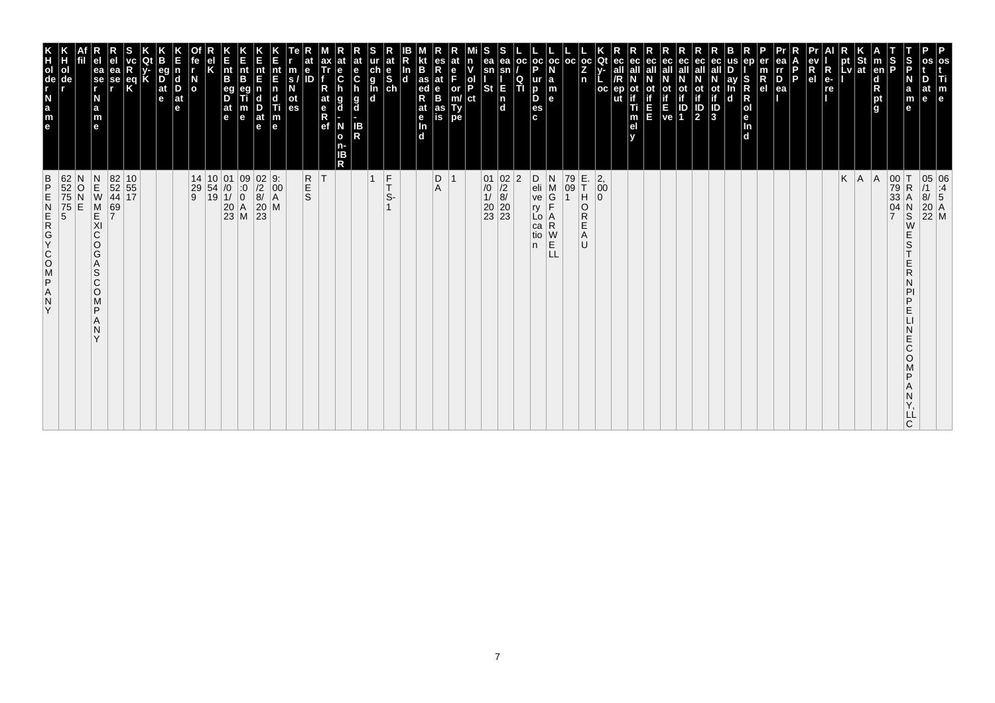| $\frac{B}{P}$<br>ZAPSOOKGAN<br>Y                                                                                                         | K<br>TOUR LEB                                                                                         |
|------------------------------------------------------------------------------------------------------------------------------------------|-------------------------------------------------------------------------------------------------------|
| 62<br>52<br>75<br>75<br>5<br>5<br>N<br>O<br>E                                                                                            | ol<br>de                                                                                              |
| $\begin{array}{c} N \\ E \\ W \end{array}$<br>M<br>KI<br>C<br>O<br>G<br>Α<br>S<br>$\mathsf{C}$<br>$\circ$<br>M<br>P<br>N<br>$\checkmark$ | ea<br>$\overline{\phantom{a}}$ se<br>N<br>a<br>m<br>$\mathbf{e}$                                      |
| $\begin{array}{c} 69 \\ 7 \end{array}$                                                                                                   | еа<br>se                                                                                              |
| 82 10<br>52 55<br>44 17                                                                                                                  | $\frac{eq}{K}$                                                                                        |
|                                                                                                                                          |                                                                                                       |
|                                                                                                                                          | eq<br>$\overrightarrow{D}$ <sub>at</sub><br>e                                                         |
|                                                                                                                                          | $\vert_{\mathsf{D}}^{\mathsf{d}}$<br>$ $ at<br>le.                                                    |
|                                                                                                                                          | $\overline{a}$                                                                                        |
| $\begin{array}{c c c} 14 & 10 & 01 \\ 29 & 54 & /0 \\ 9 & 19 & 1/ \end{array}$                                                           |                                                                                                       |
|                                                                                                                                          | $\vert_{\mathsf{B}}^{\mathsf{nt}}$<br>eg<br>D<br>$\frac{at}{e}$                                       |
| $\begin{array}{c c} 01 & 09 \\ \hline 10 & 0 \\ 11 & 0 \\ 20 & A \\ 23 & M \end{array}$                                                  | Ê<br>nt<br>B<br>m<br>$\mathbf e$                                                                      |
| $\begin{array}{c} 02 \ 9: \\ /2 \ 00 \\ 8/ \  \  \, \textrm{A} \\ 20 \  \  \, \textrm{M} \\ 23 \end{array}$                              | nt<br>E<br>$\frac{D}{at}$<br>$\mathbf e$                                                              |
|                                                                                                                                          | nt<br>E<br>n<br>d<br>Ti<br>m<br>e                                                                     |
|                                                                                                                                          | m<br>S.<br>οt<br>es                                                                                   |
| <b>R</b><br>S                                                                                                                            | е<br>ID                                                                                               |
| ΙT                                                                                                                                       | ax<br>Tr<br>at<br>$\begin{array}{c} e \\ R \\ e f \end{array}$                                        |
|                                                                                                                                          | at<br>е<br>$\ddot{\mathbf{c}}$<br>g<br>d<br>N<br>$\mathbf{o}$<br>n-<br>ΙB<br>R                        |
|                                                                                                                                          | at<br>e<br>$\mathbf c$<br>$\frac{g}{d}$<br><b>IB</b><br>R                                             |
| $\overline{1}$                                                                                                                           | $\begin{array}{c}\n\stackrel{\mathsf{d}}{\mathsf{e}}\n\stackrel{\mathsf{d}}{\mathsf{e}}\n\end{array}$ |
| $\frac{F}{T}$<br>S-                                                                                                                      | at                                                                                                    |
|                                                                                                                                          | In<br>$\mathbf d$                                                                                     |
|                                                                                                                                          | B<br>$\frac{1}{4}$ as<br>R<br>at<br>$\frac{e}{\ln}$<br>d.                                             |
| D<br>$\overline{1}$<br>Α                                                                                                                 | es<br>R<br>at<br>B<br>B<br>as<br>is                                                                   |
|                                                                                                                                          | at<br>F<br>or<br>Ty<br>pe                                                                             |
|                                                                                                                                          | n<br>ol<br>P<br>ct                                                                                    |
| $\begin{array}{c c} 01 & 02 \\ \hline /0 & /2 \\ 1/ & 8/ \\ 20 & 20 \\ 23 & 23 \end{array}$                                              | ea<br>sn<br>St                                                                                        |
|                                                                                                                                          | ea<br>E<br>$\frac{1}{d}$                                                                              |
| $ 2\rangle$                                                                                                                              | oc <br>Q<br>ΤÌ                                                                                        |
| D<br>eli<br>ve<br>ry<br>Lo<br>ca<br>tio<br>n                                                                                             | oc oc <br>p<br>ur<br>D<br>D<br>es<br>c.                                                               |
| N<br>M<br>G<br>Ē<br>A<br>R<br>W<br>E<br>LL                                                                                               | la<br>m<br>$\mathbf{e}$                                                                               |
| 79<br>09                                                                                                                                 | l oc                                                                                                  |
| E.<br>T<br>H<br>O<br>R<br>Е<br>Α<br>U                                                                                                    | $ oc $ Qt<br>Z<br>n                                                                                   |
| $\left  \begin{smallmatrix} 2 \ 0 \end{smallmatrix} \right $<br>$\mathbf 0$                                                              | oc                                                                                                    |
|                                                                                                                                          | ec<br>ut                                                                                              |
|                                                                                                                                          | ec<br>οt<br>Ti<br>m<br>el                                                                             |
|                                                                                                                                          | ec<br>Ш                                                                                               |
|                                                                                                                                          | ot<br>if<br>ve                                                                                        |
|                                                                                                                                          | eс<br><b>ot</b><br>οt<br>$\overline{\frac{10}{2}}$<br>ID<br>1                                         |
|                                                                                                                                          | ec<br>all<br>ot<br>if<br>3                                                                            |
|                                                                                                                                          | ay<br>$\mathbf d$                                                                                     |
|                                                                                                                                          | ep<br>S<br>$\mathsf R$<br>R<br>Jen<br>d                                                               |
|                                                                                                                                          | $\overline{R}_{el}$                                                                                   |
|                                                                                                                                          | ea<br>rr<br>$\overline{P}_{ea}$                                                                       |
|                                                                                                                                          | P                                                                                                     |
|                                                                                                                                          | $\overline{\mathsf{R}}$<br>R<br>e <sub>1</sub><br>$e-$<br>re                                          |
| K                                                                                                                                        | pt<br>Lv                                                                                              |
| A                                                                                                                                        | St<br><b>Iat</b>                                                                                      |
| A                                                                                                                                        | $\vert$ m<br>en<br>d<br>pt<br>g                                                                       |
| 00<br>79<br>33<br>04<br>$\overline{7}$                                                                                                   | $\frac{1}{2}$                                                                                         |
| İΤ<br>$\mathsf R$<br>А<br>$_{\rm S}^{\rm N}$<br>W<br>Ε<br>S<br>Ε<br>R<br>D<br>Ε<br>E<br>Ć<br>O<br>D<br>LL<br>C                           | S<br>P<br>N<br>a<br>m<br>$\mathbf e$                                                                  |
|                                                                                                                                          | os<br>at<br>$\mathbf{e}$                                                                              |
| 05 06<br>/1 :4<br>8/ 5<br>20 A<br>22 M                                                                                                   | os<br>Ti<br>m<br>e                                                                                    |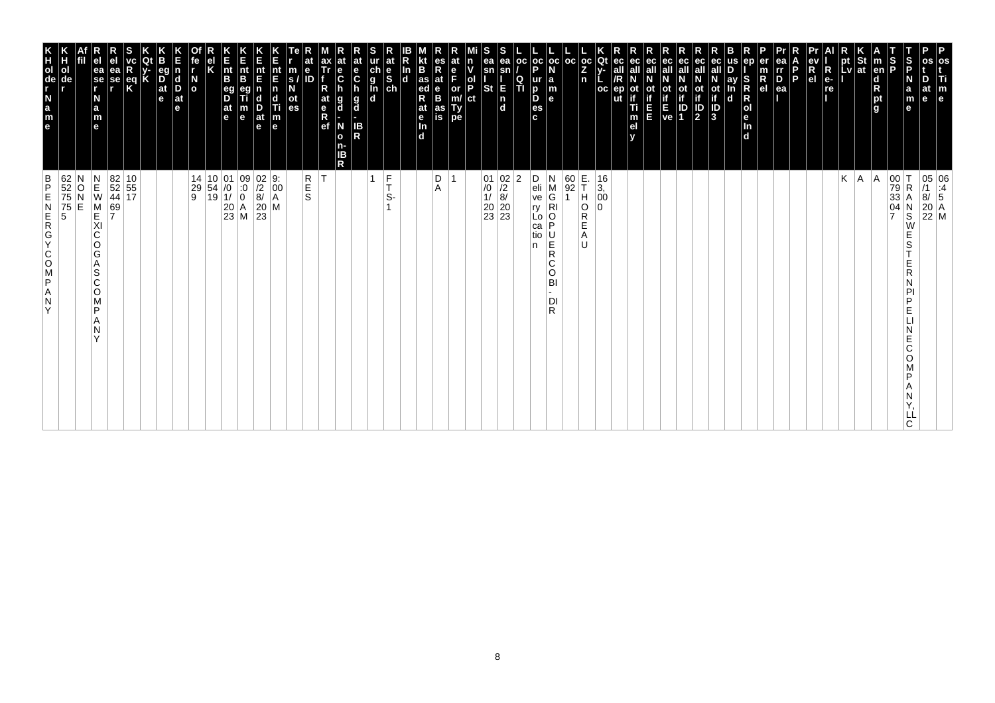| 62<br>52<br>75<br>75<br>5<br>5<br>O<br>E                                                                                                                         | Н<br>ol<br>de                                                                                                    |
|------------------------------------------------------------------------------------------------------------------------------------------------------------------|------------------------------------------------------------------------------------------------------------------|
| $\begin{array}{c} N \\ E \\ W \end{array}$<br>$\begin{array}{c} M \\ E \end{array}$<br>XI<br>C<br>O<br>G<br>Α<br>S<br>C<br>O<br>M<br>P<br>A<br>N<br>$\checkmark$ | e <sub>1</sub><br>ea<br>se<br>r<br>N<br>$\frac{a}{m}$<br>$\mathbf{e}$                                            |
| $\frac{69}{7}$                                                                                                                                                   | ea<br>se<br>r                                                                                                    |
| $\begin{array}{ c c }\n 82 & 10 \\  52 & 55 \\  44 & 17\n\end{array}$                                                                                            | eq<br>K                                                                                                          |
|                                                                                                                                                                  | K                                                                                                                |
|                                                                                                                                                                  | eg<br>$\overrightarrow{D}$ <sub>at</sub><br>e                                                                    |
|                                                                                                                                                                  | n<br>$\vert_{\mathsf{D}}^{\mathsf{d}}$<br>$ $ at<br>le.                                                          |
|                                                                                                                                                                  | fe<br>$\overline{a}$                                                                                             |
| $\begin{array}{ c c c c }\n 14 & 10 & 01 \\  29 & 54 & 0 \\  9 & 19 & 1\n\end{array}$                                                                            |                                                                                                                  |
| $\begin{vmatrix} 20 \\ 23 \end{vmatrix}$ M                                                                                                                       | $\vert_{\mathsf{B}}^{\mathsf{nt}}$<br>$\frac{eg}{D}$<br>$\frac{at}{e}$                                           |
| $\begin{matrix} 09 \\ .0 \\ 0 \end{matrix}$                                                                                                                      | n<br>Ent<br>m<br>$\mathbf e$                                                                                     |
| $\begin{array}{c} 02 \ 22 \\ 200 \\ 8/4 \\ 20 \\ 23 \end{array}$                                                                                                 | nt<br>E<br>$\frac{D}{at}$<br>$\mathbf e$                                                                         |
|                                                                                                                                                                  | nt<br>E<br>$\overline{\mathsf{n}}$<br>$\mathsf{d}$<br>Ti<br>m<br>e                                               |
|                                                                                                                                                                  | m<br>$\mathbf{s}$<br>ot<br>es                                                                                    |
| R<br>S<br>S                                                                                                                                                      | at<br>e<br>ID                                                                                                    |
| İΤ                                                                                                                                                               | ax<br>Tr<br>R<br>at<br>$\begin{matrix} e \\ R \\ R \end{matrix}$                                                 |
| R                                                                                                                                                                | at<br>$\frac{e}{C}$<br>g<br>d<br>N<br>$\mathbf{o}$<br>n-<br>ΙB                                                   |
|                                                                                                                                                                  | at<br>e<br>C<br>h<br>$\frac{g}{d}$<br>IB<br>R                                                                    |
| $\frac{F}{T}$<br>S-                                                                                                                                              | S<br>ur at<br>g<br>g<br>d<br>d<br>d<br>d                                                                         |
|                                                                                                                                                                  |                                                                                                                  |
|                                                                                                                                                                  | kt<br>B<br>ln<br> d<br>at<br>$\frac{e}{\ln}$<br>$\overline{d}$                                                   |
| D<br>Α                                                                                                                                                           | es<br>R<br>at<br>e<br>B<br>$\frac{1}{4}$ as<br>R                                                                 |
| -1                                                                                                                                                               | at<br>$_{F}^{\mathrm{e}}$<br>as<br>is                                                                            |
|                                                                                                                                                                  | n<br>ol<br>P<br>or<br>m/<br>Type<br>ct                                                                           |
|                                                                                                                                                                  | S                                                                                                                |
| $\begin{array}{c c} 01 & 02 \\ \hline /0 & /2 \\ 1/ & 8/ \\ 20 & 20 \\ 23 & 23 \end{array}$                                                                      | ea<br>ea<br>sn<br>E<br><b>St</b><br>$\frac{1}{d}$                                                                |
| 2                                                                                                                                                                | oc <br>$\mathsf{sn}$<br>$\frac{Q}{T}$                                                                            |
| D<br>ry<br>n                                                                                                                                                     | þ<br>D<br>c.                                                                                                     |
| N<br>eli<br>ve<br>M<br>G<br>$\overline{R}$ l<br>Lo<br>P<br>ca<br>tio<br>U<br>Ě<br>R<br>C<br>O<br>BI<br>DI<br>R                                                   | $\left \begin{array}{c} \texttt{oc} \\ \texttt{P} \end{array}\right $ $\mathbf{N}$<br>ur<br>∣a<br>m<br>le.<br>es |
|                                                                                                                                                                  |                                                                                                                  |
| E.<br>T<br>$\frac{60}{92}$<br>H<br>O<br>Е<br>Α<br>IJ                                                                                                             | oc <br>n                                                                                                         |
| $\left  \begin{smallmatrix} 3 \\ 0 \\ 0 \end{smallmatrix} \right $<br>$\Omega$<br>R                                                                              | $\left \begin{smallmatrix} \texttt{oc} \ \texttt{Qt} \ \texttt{Z} \end{smallmatrix} \right $ y-<br><b>OC</b>     |
| $16\,$                                                                                                                                                           | ec<br>ep<br>ut                                                                                                   |
|                                                                                                                                                                  | ec<br>οt<br>Ti<br>m<br>el                                                                                        |
|                                                                                                                                                                  | ec<br>all<br>Ξ                                                                                                   |
|                                                                                                                                                                  | ec<br>all<br>ot<br>if<br>ve                                                                                      |
|                                                                                                                                                                  | ec<br>all<br>ot<br>ID<br>1                                                                                       |
|                                                                                                                                                                  | ec<br>all<br>ot<br>if<br>$\frac{1}{2}$                                                                           |
|                                                                                                                                                                  | all<br>Ñ<br>ot<br>if<br>ID<br>3                                                                                  |
|                                                                                                                                                                  | ay<br>S<br>R<br>$\mathbf d$                                                                                      |
|                                                                                                                                                                  | ep<br>er<br>m<br>$\overline{R}$ el                                                                               |
|                                                                                                                                                                  | ea<br>I<br>P<br>ea                                                                                               |
|                                                                                                                                                                  | P                                                                                                                |
|                                                                                                                                                                  | R<br>e <sub>1</sub>                                                                                              |
|                                                                                                                                                                  | $ {\bf R} $<br>$e-$<br>re                                                                                        |
| Κ                                                                                                                                                                | pt<br>Lv                                                                                                         |
| A                                                                                                                                                                | $\frac{St}{at}$                                                                                                  |
| A                                                                                                                                                                | $\vert$ m<br>en<br>d<br>pt<br>g                                                                                  |
| 00 T<br>79 R<br>33 A<br>04 N<br>7 S<br>$\mathsf R$<br>Е                                                                                                          | $\frac{S}{P}$                                                                                                    |
| Α<br>$_\mathrm{S}^\mathrm{N}$<br>W<br>E<br>S<br>R<br>P<br>D<br>E<br>E<br>C<br>O<br>D<br>ᄔ<br>C                                                                   | S<br>P<br>N<br>a<br>m<br>D<br>at<br>le.<br>$\mathbf{e}$                                                          |
| 05 06<br>/1 :4<br>8/ 5<br>20 A<br>22 M                                                                                                                           | os<br>os<br>Ti<br>$\begin{bmatrix} m \\ e \end{bmatrix}$                                                         |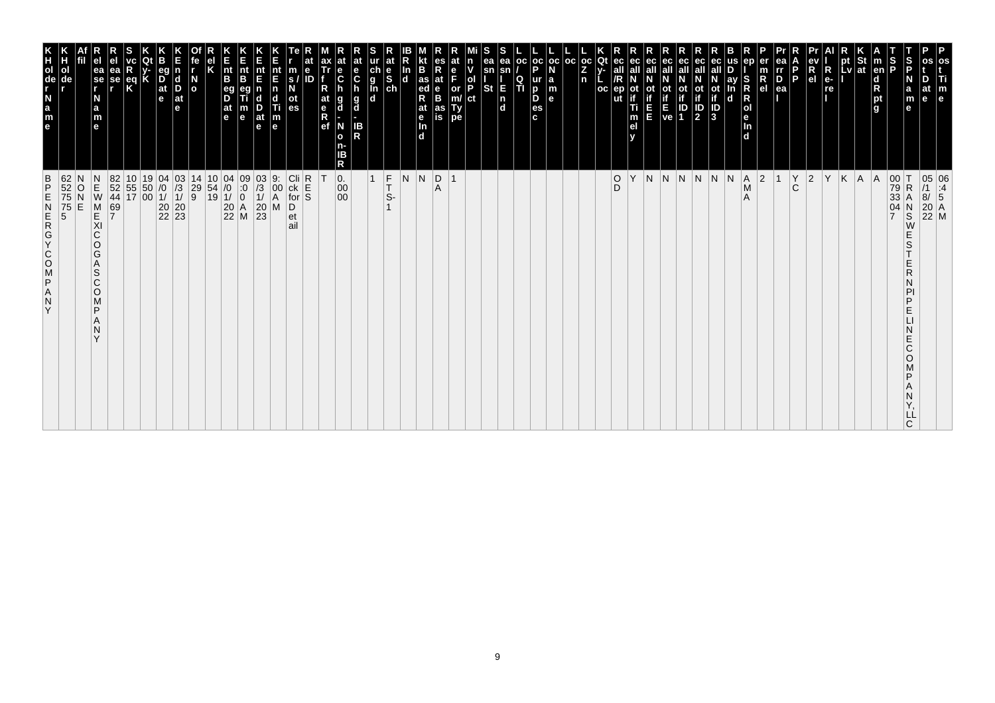| 62<br>52<br>75<br>$\frac{B}{P}$<br>Ε<br>ZDJZOOKOZWZ<br>$\frac{75}{5}$<br>Y                                                               | $\frac{H}{d}$<br>ol<br>de<br>$\begin{array}{c} \n\cdot \\ \cdot \\ \cdot \\ \cdot\n\end{array}$                                                                                                                                                                                                                                                                                                                               |
|------------------------------------------------------------------------------------------------------------------------------------------|-------------------------------------------------------------------------------------------------------------------------------------------------------------------------------------------------------------------------------------------------------------------------------------------------------------------------------------------------------------------------------------------------------------------------------|
| О                                                                                                                                        |                                                                                                                                                                                                                                                                                                                                                                                                                               |
| $\begin{array}{c} N \\ E \\ W \end{array}$<br>M<br>E<br>XI<br>C<br>$\circ$<br>G<br>A<br>S<br>C<br>$\circ$<br>M<br>P<br>N<br>$\checkmark$ | ea<br>se<br>r<br>N<br>$\frac{a}{m}$<br>e                                                                                                                                                                                                                                                                                                                                                                                      |
| 82<br>52<br>44<br>69<br>7                                                                                                                | se                                                                                                                                                                                                                                                                                                                                                                                                                            |
| $\begin{array}{ c c }\n10 & 19 \\ 55 & 50 \\ 17 & 00\n\end{array}$                                                                       | eq<br>K                                                                                                                                                                                                                                                                                                                                                                                                                       |
|                                                                                                                                          |                                                                                                                                                                                                                                                                                                                                                                                                                               |
| $\begin{array}{c c} 04 & 03 \\ \hline /0 & 3 \\ 1/ & 1/ \\ 20 & 20 \\ 22 & 23 \end{array}$                                               | $\frac{D}{at}$<br>e                                                                                                                                                                                                                                                                                                                                                                                                           |
|                                                                                                                                          | <b>d</b><br>D<br>$ $ at<br>e                                                                                                                                                                                                                                                                                                                                                                                                  |
| 14<br>$\begin{array}{c} 29 \\ 9 \end{array}$                                                                                             | $\overline{a}$                                                                                                                                                                                                                                                                                                                                                                                                                |
| $\begin{array}{ c c c }\n 10 & 04 \\  54 & /0 \\  19 & 1/ \\ \end{array}$                                                                |                                                                                                                                                                                                                                                                                                                                                                                                                               |
| $\begin{array}{c c} 04 & 09 \\ \hline 10 & 0 \\ 1/ & 0 \\ 20 & A \\ 22 & M \end{array}$                                                  | nt<br>B<br>eg<br>D<br> at<br>le.                                                                                                                                                                                                                                                                                                                                                                                              |
|                                                                                                                                          | nt<br>В<br>e                                                                                                                                                                                                                                                                                                                                                                                                                  |
| $\begin{array}{c} 03 \\ /3 \\ 1 \end{array}$<br>$\begin{array}{c} 20 \\ 23 \end{array}$                                                  | π<br>at<br>le.                                                                                                                                                                                                                                                                                                                                                                                                                |
| 9.<br>00<br>A<br>M                                                                                                                       | nt<br>E<br>n<br>т<br>$\vert_{\mathsf{e}}^{\mathsf{m}}$                                                                                                                                                                                                                                                                                                                                                                        |
| $\begin{array}{c c}\n\text{Cli} & \text{R} \\ \text{ck} & \text{E} \\ \text{for} & \text{S}\n\end{array}$<br>D<br>et<br>ail              | m<br>es                                                                                                                                                                                                                                                                                                                                                                                                                       |
|                                                                                                                                          | ID                                                                                                                                                                                                                                                                                                                                                                                                                            |
|                                                                                                                                          | at<br>e<br>R<br>ef                                                                                                                                                                                                                                                                                                                                                                                                            |
| $\overline{0}$ .<br>00<br>00 <sup>°</sup>                                                                                                | C<br>g<br>d<br>N<br>o<br>Б<br>R                                                                                                                                                                                                                                                                                                                                                                                               |
|                                                                                                                                          | at<br>e<br>$\mathbf c$<br>g<br>d<br>IB<br>R                                                                                                                                                                                                                                                                                                                                                                                   |
| $\overline{1}$                                                                                                                           |                                                                                                                                                                                                                                                                                                                                                                                                                               |
| $\frac{F}{T}$                                                                                                                            | at<br>$\begin{array}{c} \n\ddot{c} \\ \dot{c} \\ \dot{d} \\ \dot{c} \\ \dot{c} \\ \dot{c} \\ \dot{c} \\ \dot{c} \\ \dot{c} \\ \dot{c} \\ \dot{c} \\ \dot{c} \\ \dot{c} \\ \dot{c} \\ \dot{c} \\ \dot{c} \\ \dot{c} \\ \dot{c} \\ \dot{c} \\ \dot{c} \\ \dot{c} \\ \dot{c} \\ \dot{c} \\ \dot{c} \\ \dot{c} \\ \dot{c} \\ \dot{c} \\ \dot{c} \\ \dot{c} \\ \dot{c} \\ \dot{c} \\ \dot{c} \\ \dot{c} \\ \dot{c} \\ \dot{c} \\ $ |
| N                                                                                                                                        | In<br>$\mathbf d$                                                                                                                                                                                                                                                                                                                                                                                                             |
| N                                                                                                                                        | B<br>as<br>ed<br>R<br>at<br><b>P</b><br>In<br>d                                                                                                                                                                                                                                                                                                                                                                               |
| $\left  \begin{smallmatrix} 0 \\ A \end{smallmatrix} \right $                                                                            | $R_{at}$<br>e<br>B<br>as<br>is                                                                                                                                                                                                                                                                                                                                                                                                |
| $\overline{1}$                                                                                                                           | or<br>m/<br>Ty<br>pe                                                                                                                                                                                                                                                                                                                                                                                                          |
|                                                                                                                                          | ol<br>P<br>ct                                                                                                                                                                                                                                                                                                                                                                                                                 |
|                                                                                                                                          | ea<br>sn<br><b>St</b>                                                                                                                                                                                                                                                                                                                                                                                                         |
|                                                                                                                                          | ea<br>Е<br>$\frac{\mathsf{n}}{\mathsf{d}}$                                                                                                                                                                                                                                                                                                                                                                                    |
|                                                                                                                                          | oс<br>Q<br>TI                                                                                                                                                                                                                                                                                                                                                                                                                 |
|                                                                                                                                          | $ oc $ oc<br>D<br>ur<br>b<br>D<br>es<br>c.                                                                                                                                                                                                                                                                                                                                                                                    |
|                                                                                                                                          | l a<br>m<br>l el                                                                                                                                                                                                                                                                                                                                                                                                              |
|                                                                                                                                          | l oc                                                                                                                                                                                                                                                                                                                                                                                                                          |
|                                                                                                                                          | $_{\rm oc}$<br>Z<br>n                                                                                                                                                                                                                                                                                                                                                                                                         |
|                                                                                                                                          | Οt<br>oc                                                                                                                                                                                                                                                                                                                                                                                                                      |
| $_{\rm D}^{\rm O}$                                                                                                                       | ut                                                                                                                                                                                                                                                                                                                                                                                                                            |
| Υ                                                                                                                                        | m<br>el                                                                                                                                                                                                                                                                                                                                                                                                                       |
| N N N                                                                                                                                    | ec<br>ш                                                                                                                                                                                                                                                                                                                                                                                                                       |
|                                                                                                                                          | $\frac{1}{2}$<br>$\frac{1}{2}$                                                                                                                                                                                                                                                                                                                                                                                                |
|                                                                                                                                          | Οt<br>$\frac{1}{2}$<br>IP<br>1                                                                                                                                                                                                                                                                                                                                                                                                |
| N                                                                                                                                        | ot<br>if<br>$\frac{1}{3}$                                                                                                                                                                                                                                                                                                                                                                                                     |
| N                                                                                                                                        | d                                                                                                                                                                                                                                                                                                                                                                                                                             |
| A <br>$\overline{\mathsf{M}}$<br>$\overline{A}$                                                                                          | S<br>$\begin{array}{c}\nR \\ R \\ R\n\end{array}$<br>$\vert_{\mathsf{In}}^{\mathsf{e}}$<br>$\mathbf d$                                                                                                                                                                                                                                                                                                                        |
| $ 2\rangle$                                                                                                                              | $\mathsf R$<br>e <sub>l</sub>                                                                                                                                                                                                                                                                                                                                                                                                 |
| $\overline{1}$                                                                                                                           | rr<br>$\overline{P}_{ea}$                                                                                                                                                                                                                                                                                                                                                                                                     |
| $\begin{matrix} Y \\ C \end{matrix}$                                                                                                     | P                                                                                                                                                                                                                                                                                                                                                                                                                             |
| $ 2\rangle$                                                                                                                              | R<br>el                                                                                                                                                                                                                                                                                                                                                                                                                       |
| İΥ                                                                                                                                       | $R_{e}$<br>re                                                                                                                                                                                                                                                                                                                                                                                                                 |
| K                                                                                                                                        | pt<br>Lv                                                                                                                                                                                                                                                                                                                                                                                                                      |
| A                                                                                                                                        | at                                                                                                                                                                                                                                                                                                                                                                                                                            |
| A                                                                                                                                        | $\vert$ m<br>en<br>$\begin{array}{c}\n\mathbf{d} \\ \mathbf{R} \\ \mathbf{p}\mathbf{t} \\ \mathbf{g}\n\end{array}$                                                                                                                                                                                                                                                                                                            |
| $\begin{array}{c c} 00 & T \\ 79 & R \\ 33 & A \end{array}$<br>$\mathsf R$<br>04<br>$\frac{N}{S}$<br>S<br>D<br>E<br>E<br>Ć<br>O          | S<br>P<br>S<br>P<br>N<br>a<br>e                                                                                                                                                                                                                                                                                                                                                                                               |
| C                                                                                                                                        | m<br>e                                                                                                                                                                                                                                                                                                                                                                                                                        |
| 05 06<br>/1 :4<br>8/ 5<br>20 A<br>22 M                                                                                                   | m<br>e                                                                                                                                                                                                                                                                                                                                                                                                                        |
|                                                                                                                                          |                                                                                                                                                                                                                                                                                                                                                                                                                               |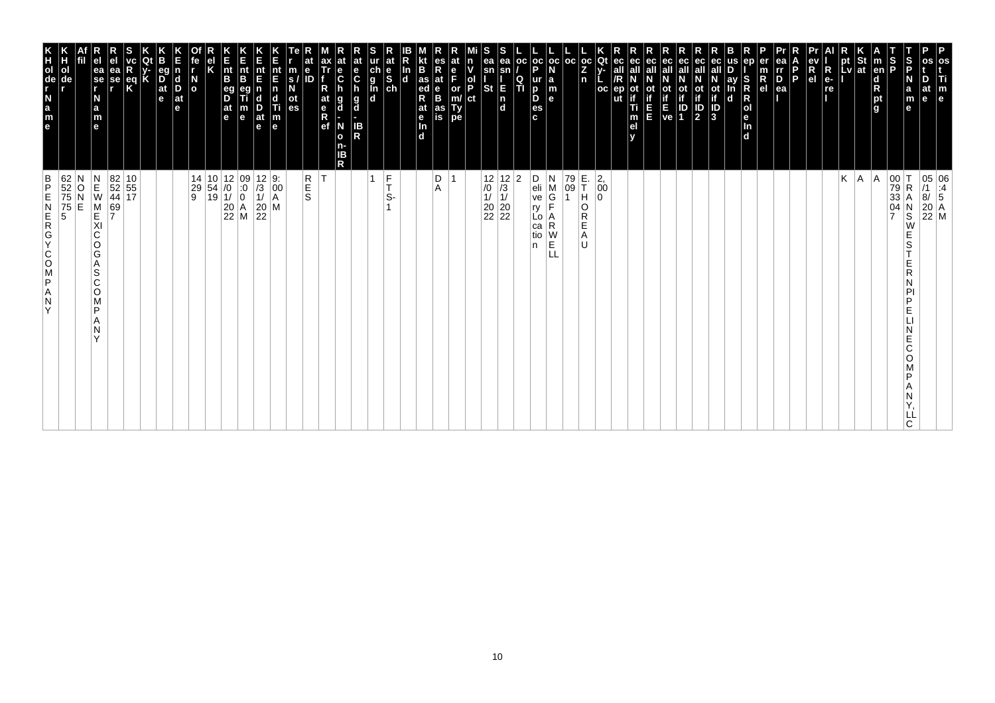| os<br>Ti<br>m<br>e                                                                                                                                                                    | 05 06<br>/1 :4<br>8/ 5<br>20 A<br>22 M                                                                                                                            |
|---------------------------------------------------------------------------------------------------------------------------------------------------------------------------------------|-------------------------------------------------------------------------------------------------------------------------------------------------------------------|
| D<br>at<br>le.                                                                                                                                                                        | LL                                                                                                                                                                |
| S<br>P<br>$\frac{S}{P}$<br>N<br>a<br>m<br>е                                                                                                                                           | 00<br>79<br>33<br>04<br>7<br>$\mathsf R$<br>Α<br>N<br>S<br>W<br>Е<br>S<br>Ε<br>R<br>N<br>PI<br>P<br>Е<br>Е<br>C<br>O<br>P<br>Α<br>N<br>C.                         |
| $\vert$ m<br>en<br>d<br>R<br>pt<br>g                                                                                                                                                  | A                                                                                                                                                                 |
|                                                                                                                                                                                       | A.                                                                                                                                                                |
| $\left \begin{array}{c}\npt\\ pt\end{array}\right $ at<br>$\blacksquare$                                                                                                              | Κ                                                                                                                                                                 |
| R<br>e-<br>re                                                                                                                                                                         |                                                                                                                                                                   |
| ev<br>R<br>el                                                                                                                                                                         |                                                                                                                                                                   |
| l P                                                                                                                                                                                   |                                                                                                                                                                   |
| ea<br>Ir<br>D<br>$\frac{m}{R}$<br>ea                                                                                                                                                  |                                                                                                                                                                   |
| ep<br>er<br>S<br>R<br>$\mathsf R$<br> o <br>le.<br>In<br>d                                                                                                                            |                                                                                                                                                                   |
| us<br>ay<br>In<br>d                                                                                                                                                                   |                                                                                                                                                                   |
| eс<br>ot<br>if<br>J<br>3                                                                                                                                                              |                                                                                                                                                                   |
| ec<br>all<br>$\mathbb{P}$                                                                                                                                                             |                                                                                                                                                                   |
| ec<br>οt                                                                                                                                                                              |                                                                                                                                                                   |
| ec<br>all<br>$\begin{bmatrix} \mathbf{i} \\ \mathbf{f} \\ \mathbf{E} \\ \mathbf{ve} \end{bmatrix} \begin{bmatrix} \mathbf{i} \\ \mathbf{i} \\ \mathbf{D} \\ \mathbf{1} \end{bmatrix}$ |                                                                                                                                                                   |
| ec<br>all<br>Ε<br>E                                                                                                                                                                   |                                                                                                                                                                   |
| ec<br>ot<br>if<br>Ti<br>m<br>el<br>v                                                                                                                                                  |                                                                                                                                                                   |
| Qt<br>ec<br>v-<br>all<br>oc<br>ep                                                                                                                                                     | $^{2,}_{00}$                                                                                                                                                      |
| $ {}_{Z}^{\rm oc} $<br>n                                                                                                                                                              | E.<br>T<br>H<br>0<br>O<br>R<br>E<br>Α<br>U                                                                                                                        |
| oc                                                                                                                                                                                    | 79<br>09<br>$\mathbf{1}$                                                                                                                                          |
| $_{\rm oc}$<br>N<br>$\begin{array}{c} \mathsf{a} \\ \mathsf{m} \\ \mathsf{e} \end{array}$                                                                                             | N<br>M<br>F<br>∣A<br>R<br>W<br>E                                                                                                                                  |
| $\frac{1}{P}$<br>  OC<br>$\frac{Q}{T}$<br>ur<br>D<br>D<br>es<br>c                                                                                                                     | D<br>$\frac{e}{ve}$<br>ry<br>Lo  <br>ca<br>tio<br>n                                                                                                               |
| ea<br>sn<br>E<br>$\begin{bmatrix} n \\ d \end{bmatrix}$                                                                                                                               | 2                                                                                                                                                                 |
| S<br>ea<br>sn<br><b>St</b>                                                                                                                                                            | $\begin{array}{c c} 12 & 12 \\ \hline \end{array} \begin{array}{c} 12 \\ \hline \end{array} \begin{array}{c} 12 \\ \hline 11 \\ 11 \\ 20 \\ 22 \\ 22 \end{array}$ |
| n<br>v<br>$\frac{1}{P}$<br>ct                                                                                                                                                         |                                                                                                                                                                   |
| at<br>e<br>F<br>or<br>m/<br>Ty<br>pe                                                                                                                                                  |                                                                                                                                                                   |
| es<br>R<br>at<br>$\frac{e}{B}$<br>as<br>is                                                                                                                                            | D<br>Α                                                                                                                                                            |
| B<br>as<br>ed<br>at<br>e<br>$\frac{\ln{}}{\ln{}}$<br>In<br>$\overline{d}$                                                                                                             |                                                                                                                                                                   |
| at<br>$\frac{e}{s}$                                                                                                                                                                   | $\frac{F}{T}$<br>S-                                                                                                                                               |
| ch<br>g<br>l<br>d<br>d                                                                                                                                                                | 1                                                                                                                                                                 |
| at<br>e<br>$\mathbf c$<br>g<br>d<br>IB<br>R                                                                                                                                           |                                                                                                                                                                   |
| $\ddot{\mathbf{c}}$<br>h<br>g<br>d<br>N<br>$\mathbf{o}$<br>n-<br>IΒ<br>R                                                                                                              |                                                                                                                                                                   |
| ax<br>Tr<br>R<br>at<br>e<br>R<br>ef                                                                                                                                                   | İΤ                                                                                                                                                                |
| е<br>m<br>s/<br>N<br>ID<br>ot<br>es                                                                                                                                                   | R<br>E<br>S                                                                                                                                                       |
| nt<br>E<br>$\begin{array}{c} \n\mathbf{n} \\ \n\mathbf{d} \\ \n\mathbf{m} \\ \n\mathbf{e} \n\end{array}$                                                                              | $\left  \begin{smallmatrix} 0 & 0 \\ 0 & 0 \\ A & A \end{smallmatrix} \right $<br>M                                                                               |
| Ε<br>nt<br>E<br>$\frac{D}{at}$<br>e                                                                                                                                                   | $\begin{array}{ c c }\n 12 & 9: \\  \hline\n 13 & 00 \\  11 & A\n\end{array}$<br>$\begin{array}{c} 20 \\ 22 \end{array}$                                          |
| K<br>Ent<br>B<br>m<br>e                                                                                                                                                               | $\begin{array}{ c c c } \hline 10 & 12 & 09 \\ 54 & /0 & 0 \\ 19 & 1/ & 0 \\ 20 & A & 22 \\ \hline \end{array}$                                                   |
| $\frac{nt}{B}$<br>eg<br>D<br>$\frac{at}{e}$                                                                                                                                           |                                                                                                                                                                   |
| fe<br>Κ                                                                                                                                                                               | 14<br>29<br>9                                                                                                                                                     |
| r<br>$\overline{a}$                                                                                                                                                                   |                                                                                                                                                                   |
| eg<br>n<br>$\overline{D}$ at $\overline{e}$<br>$\vert_{\mathrm{D}}^{\mathrm{d}}$<br>$ $ at<br>e                                                                                       |                                                                                                                                                                   |
| K                                                                                                                                                                                     |                                                                                                                                                                   |
| $\frac{eq}{K}$                                                                                                                                                                        |                                                                                                                                                                   |
| ea<br>se<br>,                                                                                                                                                                         | $\begin{array}{ c c }\n 82 & 10 \\  52 & 55 \\  44 & 17\n\end{array}$<br>69<br>7                                                                                  |
| e <sub>1</sub><br>ea<br>se<br>r<br>N<br>$\frac{a}{m}$<br>e                                                                                                                            | $\begin{array}{c}\nN \\ E \\ W\n\end{array}$<br>M<br>E<br>XI<br>$\mathsf C$<br>O<br>G<br>Α<br>S<br>C<br>O<br>M<br>P<br>Α<br>N<br>Y                                |
|                                                                                                                                                                                       | $_\mathrm{N}^\mathrm{O}$<br>E                                                                                                                                     |
| e a z - de r x<br>Н<br>ol<br>de                                                                                                                                                       | 62<br>52<br>75<br>75<br>5                                                                                                                                         |
|                                                                                                                                                                                       | $\frac{B}{P}$<br>ZAPSOCYCREN<br>Y                                                                                                                                 |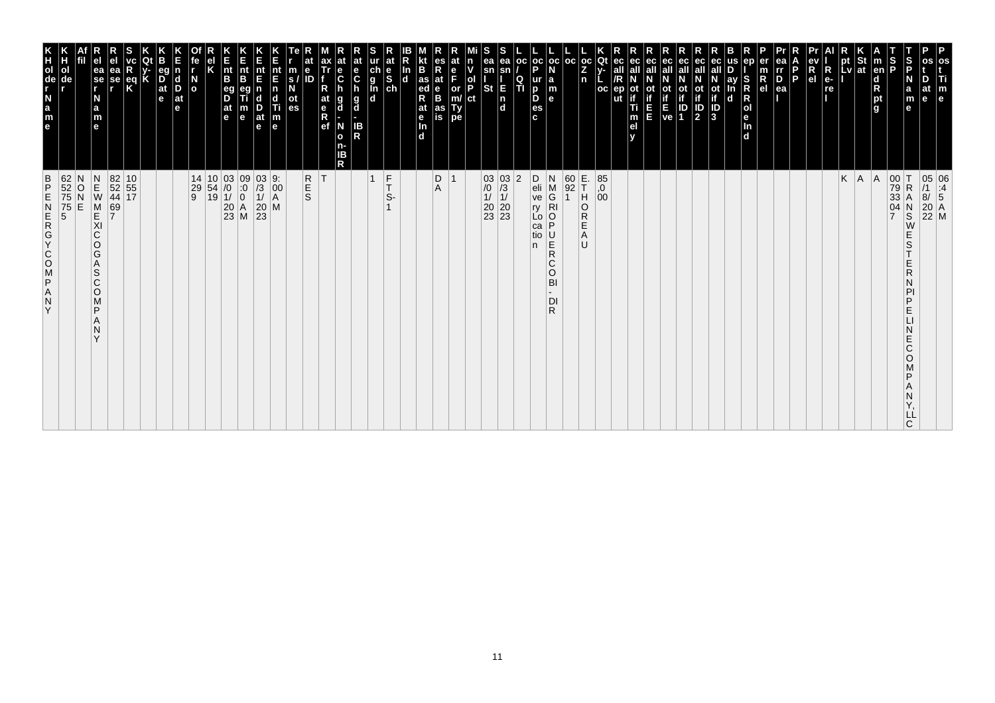| 62<br>52<br>75<br>75<br>5<br>5<br>$\frac{B}{P}$<br>ZAPSOOKGAN<br>Y                                                                       | K<br>TOUR LEB<br>ol<br>de                                                      |
|------------------------------------------------------------------------------------------------------------------------------------------|--------------------------------------------------------------------------------|
| N<br>O<br>E                                                                                                                              |                                                                                |
| $\begin{array}{c} N \\ E \\ W \end{array}$<br>M<br>KI<br>C<br>O<br>G<br>Α<br>S<br>$\mathsf{C}$<br>$\circ$<br>M<br>P<br>N<br>$\checkmark$ | ea<br>$ \mathbf{\hat{s}}\mathbf{e} $<br>N<br>a<br>m<br>$\mathbf{e}$            |
| 69<br>7                                                                                                                                  | еа<br>se                                                                       |
| 82 10<br>52 55<br>44 17                                                                                                                  | $\frac{eq}{K}$                                                                 |
|                                                                                                                                          |                                                                                |
|                                                                                                                                          | eq<br>$\overline{D}$ <sub>at</sub><br>e                                        |
|                                                                                                                                          | $\vert$ d<br>D<br>$ $ at<br>le.                                                |
| $\begin{array}{c cc} 14 & 10 & 03 & 09 \\ 29 & 54 & /0 & :0 \\ 9 & 19 & 1/ & 0 \\ & & 20 & A \\ & & 23 & M \\ \end{array}$               | $\frac{N}{2}$                                                                  |
|                                                                                                                                          |                                                                                |
|                                                                                                                                          | $\vert_{\mathsf{B}}^{\mathsf{nt}}$<br>eg<br>D<br>$ $ at<br>l e                 |
|                                                                                                                                          | Ê<br>nt<br>B<br>m<br>$\mathbf e$                                               |
| $\frac{03}{1}$<br>$\frac{1}{20}$<br>$\frac{20}{23}$                                                                                      | nt<br>E<br>$\frac{D}{at}$<br>$\mathbf e$                                       |
| 9:<br>$\left  \begin{smallmatrix} 0 & 0 \\ 0 & 0 \\ A & A \end{smallmatrix} \right $<br>M                                                | nt<br>E<br>n<br>c<br>Ti<br>$\frac{\mathsf{m}}{\mathsf{e}}$                     |
|                                                                                                                                          | m<br>S.<br>οt<br>es                                                            |
| <b>R</b><br>S                                                                                                                            | е<br>ID                                                                        |
| ΙT                                                                                                                                       | ax<br>Tr<br>at<br>$R$ ef                                                       |
|                                                                                                                                          | at<br>е<br>$\ddot{\mathbf{c}}$<br>g<br>d<br>N<br>$\mathbf{o}$<br>n-<br>ΙB<br>R |
|                                                                                                                                          | at<br>e<br>$\mathbf c$<br>$\frac{g}{d}$<br>IB<br>R                             |
| $\frac{F}{T}$<br>$\overline{1}$<br>S-                                                                                                    | at<br>ch<br>g<br>g<br>d<br>d<br>$\frac{e}{sh}$                                 |
|                                                                                                                                          | In<br>$\mathbf d$                                                              |
|                                                                                                                                          | B<br>as<br>ed<br>R<br>at<br>$\frac{e}{\ln}$<br>d.                              |
| D<br>Α                                                                                                                                   | es<br>$R_{at}$<br>$\frac{e}{B}$<br>as<br>is                                    |
| $\overline{1}$                                                                                                                           | at<br>F<br>or<br>Ty<br>pe                                                      |
|                                                                                                                                          | n<br>ol<br>P<br>ct                                                             |
|                                                                                                                                          | ea<br>sn<br>St                                                                 |
| $\begin{array}{c c} 03 & 03 \\ \hline 10 & 73 \\ 11 & 11 \\ 20 & 20 \\ 23 & 23 \end{array}$                                              | ea<br>E<br>$\frac{1}{d}$                                                       |
| $ 2\rangle$                                                                                                                              | oc <br>Q<br>TI                                                                 |
| D<br>$\frac{e}{ve}$<br>ry<br>Lo<br>ca<br>tio<br>n.                                                                                       | p<br>ur<br>D<br>D<br>es<br>c.                                                  |
| N<br>M<br>G<br>$\overline{R}$<br>P<br>U<br>R<br>R<br>$\mathsf{C}$<br>$\circ$<br>BI<br>DI<br>R                                            | oc oc <br>la<br>m<br>$\mathbf{e}$                                              |
| $\begin{array}{ c} 60 \\ 92 \end{array}$                                                                                                 | l oc                                                                           |
| E.<br>T<br> H <br>O<br>R<br>Ε<br>Α<br>U                                                                                                  | $ oc $ Qt<br>Z<br>n                                                            |
| $^{85}_{,0}$<br>00                                                                                                                       | oc                                                                             |
|                                                                                                                                          | ec<br>ut                                                                       |
|                                                                                                                                          | ec<br>οt<br>Ti<br>m<br>el                                                      |
|                                                                                                                                          | ec<br>Ш                                                                        |
|                                                                                                                                          | ot<br>if<br>ve                                                                 |
|                                                                                                                                          | ec<br>οt<br>ID<br>1                                                            |
|                                                                                                                                          | ec<br>all<br>ot<br>if<br>3<br><b>ot</b><br>$\overline{\mathbf{P}}$             |
|                                                                                                                                          | ay<br>$\mathbf d$                                                              |
|                                                                                                                                          | ep<br>S<br>$\mathsf R$<br>R<br>Jen<br>d                                        |
|                                                                                                                                          | $\frac{R}{e}$                                                                  |
|                                                                                                                                          | ea<br>rr<br>$\overline{P}_{ea}$                                                |
|                                                                                                                                          | P                                                                              |
|                                                                                                                                          | R<br>e <sub>1</sub>                                                            |
|                                                                                                                                          | $\overline{\mathsf{R}}$<br>$e-$<br>re                                          |
| K                                                                                                                                        | pt<br>Lv                                                                       |
| A <br> A                                                                                                                                 | St<br> at                                                                      |
| $\overline{7}$                                                                                                                           | $\frac{1}{2}$<br>$\vert$ m<br>en<br>d<br>pt<br>g                               |
| 00<br>79<br>33<br>ΙT<br>$\mathsf R$<br>А<br>04<br>$_{\rm S}^{\rm N}$<br>W<br>E<br>S<br>Ε<br>R<br>D<br>Ε<br>E<br>Ć<br>O<br>D<br>C         | S<br>P<br>N<br>a<br>m<br>$\mathbf e$                                           |
| LL                                                                                                                                       | at<br>$\mathbf{e}$                                                             |
| 05 06<br>/1 :4<br>8/ 5<br>20 A<br>22 M                                                                                                   | os<br>Ti<br>m<br>e                                                             |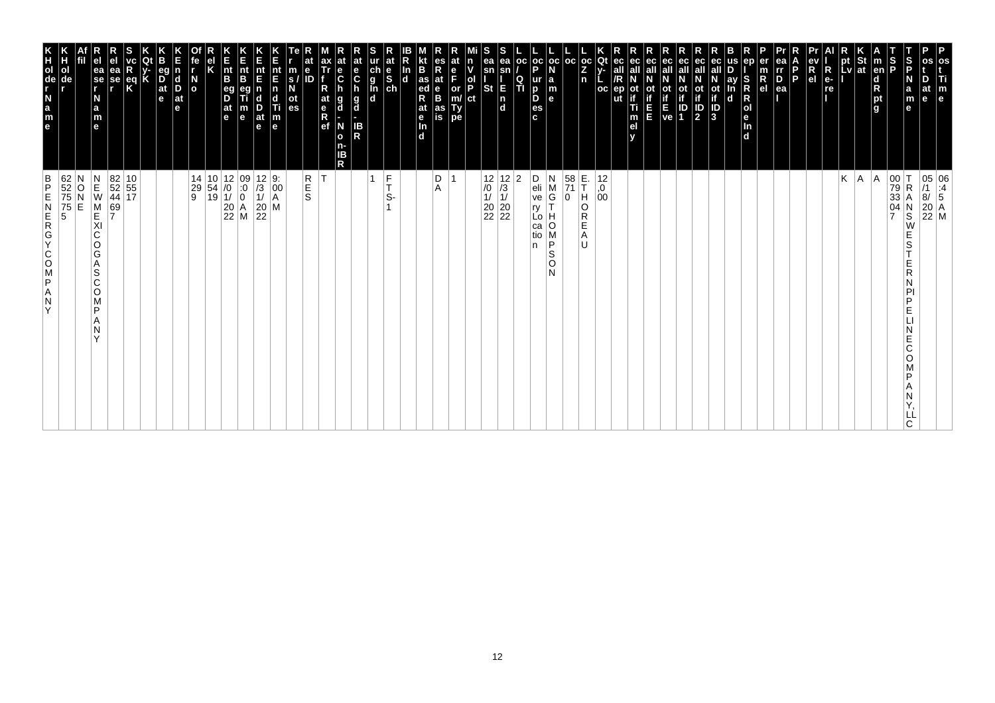| os<br>Ti<br>m<br>e                                                                                                                                                                          | 05 06<br>/1 :4<br>8/ 5<br>20 A<br>22 M                                                                                                                            |
|---------------------------------------------------------------------------------------------------------------------------------------------------------------------------------------------|-------------------------------------------------------------------------------------------------------------------------------------------------------------------|
| D<br>at<br>le.                                                                                                                                                                              |                                                                                                                                                                   |
| S<br>P<br>$\frac{S}{P}$<br>N<br>a<br>m<br>е                                                                                                                                                 | 00<br>79<br>33<br>04<br>7<br>$\mathsf R$<br>Α<br>N<br>S<br>W<br>Е<br>S<br>Ε<br>R<br>N<br>PI<br>P<br>Е<br>Е<br>C<br>O<br>P<br>Α<br>N<br>LL<br>C.                   |
| $\vert$ m<br>en<br>d<br>R<br>pt<br>g                                                                                                                                                        | A                                                                                                                                                                 |
| $\left \begin{array}{c}\npt\\ pt\\ lv\n\end{array}\right $ at                                                                                                                               | A.                                                                                                                                                                |
| $\blacksquare$                                                                                                                                                                              | Κ                                                                                                                                                                 |
| R<br>e-<br>re                                                                                                                                                                               |                                                                                                                                                                   |
| ev<br>R<br>el                                                                                                                                                                               |                                                                                                                                                                   |
| l P<br>ea                                                                                                                                                                                   |                                                                                                                                                                   |
| ea<br>Ir<br>D<br>er<br>$\frac{m}{R}$                                                                                                                                                        |                                                                                                                                                                   |
| ep<br>S<br>R<br>$\mathsf R$<br> o <br>le.<br>In<br>d                                                                                                                                        |                                                                                                                                                                   |
| us<br>ay<br>In<br>d                                                                                                                                                                         |                                                                                                                                                                   |
| eс<br>ot<br>if<br>J<br>3                                                                                                                                                                    |                                                                                                                                                                   |
| ec<br>ec<br>all<br>$\mathbb{P}$                                                                                                                                                             |                                                                                                                                                                   |
| ec<br>all<br>οt<br>$\begin{bmatrix} \mathbf{i} \\ \mathbf{f} \\ \mathbf{E} \\ \mathbf{ve} \end{bmatrix} \begin{bmatrix} \mathbf{i} \\ \mathbf{i} \\ \mathbf{D} \\ \mathbf{1} \end{bmatrix}$ |                                                                                                                                                                   |
| ec<br>all<br>Ε<br>E                                                                                                                                                                         |                                                                                                                                                                   |
| ec<br>ot<br>if<br>Ti<br>m<br>el<br>v                                                                                                                                                        |                                                                                                                                                                   |
| Qt<br>ec<br>v-<br>all<br>oc<br>ep                                                                                                                                                           | 12<br>0,<br>00                                                                                                                                                    |
| $ {}_{Z}^{\rm oc} $<br>n                                                                                                                                                                    | E.<br>T<br>H<br>O<br>R<br>E<br>Α<br>U                                                                                                                             |
| oc                                                                                                                                                                                          | $\begin{array}{ c c }\n 58 \\  \hline\n 71\n \end{array}$<br>0                                                                                                    |
| $\frac{1}{P}$<br>oc<br>N<br>$\begin{array}{c} \mathsf{a} \\ \mathsf{m} \\ \mathsf{e} \end{array}$<br>ur<br>D<br>D<br>es<br>c                                                                | D<br>N<br>eli<br>$\frac{M}{G}$<br>ve<br>$\bar{\mathsf{T}}$<br>ry<br>н<br>Lo  <br>O<br>ca<br>M<br>tio<br>P<br>n<br>S<br>O<br>N                                     |
| OC<br>$\frac{Q}{T}$                                                                                                                                                                         | 2                                                                                                                                                                 |
| ea<br>sn<br>E<br>$\begin{bmatrix} n \\ d \end{bmatrix}$                                                                                                                                     | $\begin{array}{c c} 12 & 12 \\ \hline \end{array} \begin{array}{c} 12 \\ \hline \end{array} \begin{array}{c} 12 \\ \hline 11 \\ 11 \\ 20 \\ 22 \\ 22 \end{array}$ |
| S<br>ea<br>sn<br><b>St</b>                                                                                                                                                                  |                                                                                                                                                                   |
| at<br>n<br>v<br>e<br>F<br>$\frac{1}{P}$<br>or<br>m/<br>Ty<br>pe<br>ct                                                                                                                       |                                                                                                                                                                   |
| es<br>R<br>at<br>$\frac{e}{B}$<br>as<br>is                                                                                                                                                  | D<br>Α                                                                                                                                                            |
| B<br>as<br>ed<br>at<br>e<br>$\overline{\mathbf{m}}$<br>$\overline{d}$                                                                                                                       |                                                                                                                                                                   |
| $\frac{\ln{}}{\ln{}}$<br>$\frac{e}{s}$                                                                                                                                                      |                                                                                                                                                                   |
| at<br>ch<br>g<br>l<br>d<br>d                                                                                                                                                                | $\frac{F}{T}$<br>1<br>S-                                                                                                                                          |
| at<br>e<br>$\mathbf c$<br>g<br>d<br>IB<br>R                                                                                                                                                 |                                                                                                                                                                   |
| $\ddot{\mathbf{c}}$<br>h<br>g<br>d<br>N<br>$\mathbf{o}$<br>n-<br>IΒ<br>R                                                                                                                    |                                                                                                                                                                   |
| ax<br>Tr<br>R<br>at<br>e<br>R<br>ef                                                                                                                                                         | İΤ                                                                                                                                                                |
| m<br>s/<br>N<br>е<br>ID<br>ot<br>es                                                                                                                                                         | R<br>E<br>S                                                                                                                                                       |
| nt<br>E<br>$\begin{array}{c} \n\mathbf{n} \\ \n\mathbf{d} \\ \n\mathbf{m} \\ \n\mathbf{e} \n\end{array}$                                                                                    | $\begin{array}{ c c }\n 12 & 9: \\  \hline\n 13 & 00 \\  11 & A\n\end{array}$<br>$\left  \begin{matrix} 0 & 0 \\ 0 & 0 \\ 0 & 0 \end{matrix} \right $<br>M        |
| Ε<br>nt<br>E<br>$\frac{D}{at}$<br>e                                                                                                                                                         | $\begin{array}{c} 20 \\ 22 \end{array}$                                                                                                                           |
| K<br>Ent<br>B<br>$\frac{nt}{B}$<br>eg<br>D<br>$\frac{at}{e}$<br>m<br>e                                                                                                                      | $\begin{array}{ c c c } \hline 10 & 12 & 09 \\ 54 & /0 & 0 \\ 19 & 1/ & 0 \\ 20 & A & 22 \\ \hline \end{array}$                                                   |
| Κ                                                                                                                                                                                           |                                                                                                                                                                   |
| fe<br>r<br>$\overline{a}$                                                                                                                                                                   | 14<br>29<br>9                                                                                                                                                     |
| n<br>$\vert_{\mathrm{D}}^{\mathrm{d}}$<br>$ $ at<br>e                                                                                                                                       |                                                                                                                                                                   |
| eg<br>$\overline{D}$ at $\overline{e}$<br>K                                                                                                                                                 |                                                                                                                                                                   |
| $\frac{eq}{K}$                                                                                                                                                                              |                                                                                                                                                                   |
| ea<br>se<br>,                                                                                                                                                                               | $\begin{array}{ c c }\n 82 & 10 \\  52 & 55 \\  44 & 17\n\end{array}$<br>69<br>7                                                                                  |
| e <sub>1</sub><br>ea<br>se<br>r<br>N<br>$\frac{a}{m}$<br>e                                                                                                                                  | $\begin{array}{c}\nN \\ E \\ W\n\end{array}$<br>M<br>E<br>XI<br>$\mathsf C$<br>O<br>G<br>Α<br>S<br>C<br>O<br>M<br>P<br>Α<br>N<br>Y                                |
| ol<br>de                                                                                                                                                                                    | 62<br>52<br>75<br>75<br>5<br>O<br>E                                                                                                                               |
| e a z - de r x<br>Н                                                                                                                                                                         | $\frac{B}{P}$<br>ZAPSOCYCREN<br>Y                                                                                                                                 |
|                                                                                                                                                                                             |                                                                                                                                                                   |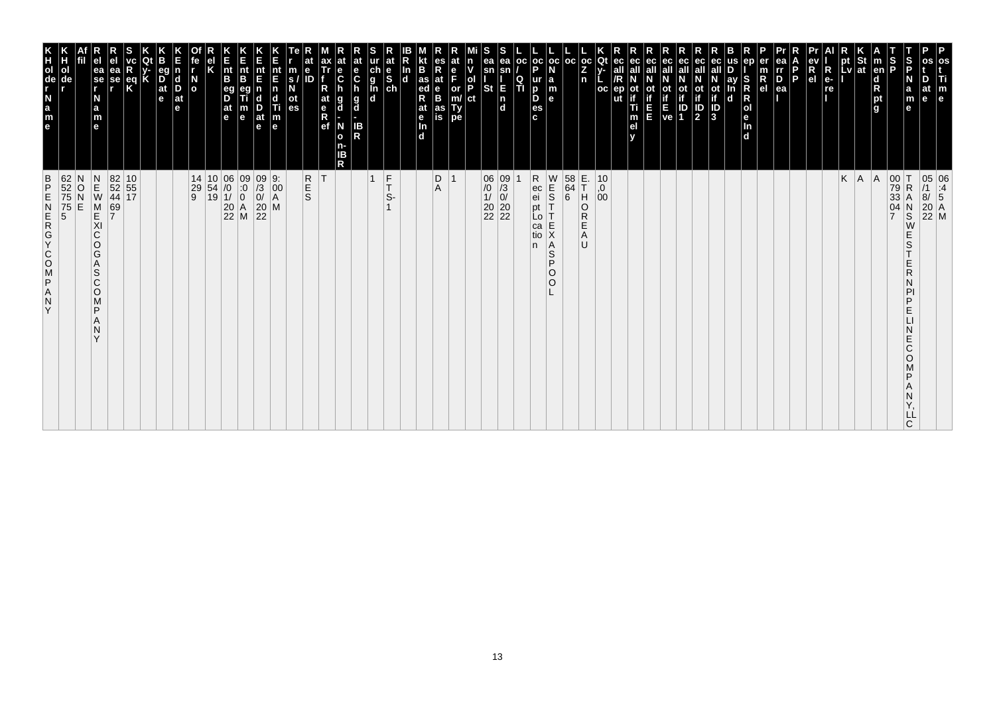| 62<br>52<br>75<br>75<br>5<br>$\frac{B}{P}$<br>ZAPSOOKGAN<br>Y                                                                       | e a z d e E<br>ol                                                                                                                   |
|-------------------------------------------------------------------------------------------------------------------------------------|-------------------------------------------------------------------------------------------------------------------------------------|
| N<br>$\frac{0}{N}$<br>E                                                                                                             | de                                                                                                                                  |
| $\begin{array}{c} N \\ E \\ W \end{array}$<br>M<br>KI<br>C<br>$\circ$<br>G<br>A<br>S<br>C<br>$\circ$<br>M<br>P<br>N<br>$\checkmark$ | ea<br>se<br>r<br>N<br>a<br>m<br>e                                                                                                   |
| 82 10<br>52 55<br>44 17<br>69<br>7                                                                                                  | еа<br>se                                                                                                                            |
|                                                                                                                                     | eq<br>K                                                                                                                             |
|                                                                                                                                     |                                                                                                                                     |
|                                                                                                                                     | eq<br>$\overline{D}$ <sub>at</sub><br>e                                                                                             |
|                                                                                                                                     | <b>d</b><br>D<br>$ $ at<br>e                                                                                                        |
| 14<br>$\begin{array}{c} 29 \\ 9 \end{array}$                                                                                        | N<br>O                                                                                                                              |
|                                                                                                                                     |                                                                                                                                     |
| $\begin{array}{c c} 10 & 06 & 09 \\ 54 & /0 & 0 \\ 19 & 1/ & 0 \\ 20 & A & 22 \\ \hline \end{array}$                                | nt<br>B<br>$\frac{eg}{D}$<br> at<br>le.                                                                                             |
|                                                                                                                                     | $rac{E}{n}$<br>B<br>m<br>$\mathbf e$                                                                                                |
| $\begin{vmatrix} 09 \\ 73 \\ 0 \end{vmatrix}$<br>$\begin{array}{c} 20 \\ 22 \end{array}$<br>M                                       | nt<br>E<br>n<br>c<br>D<br>at<br>$\mathbf e$                                                                                         |
| $\begin{bmatrix} 9: \\ 00 \\ A \end{bmatrix}$                                                                                       | $\frac{nt}{F}$<br>Ш<br>$\vert_{\mathsf{e}}^{\mathsf{m}}$                                                                            |
| R<br>S<br>S                                                                                                                         | $\ddot{\textbf{e}}$<br>m<br>ID<br>s.<br>οt<br>es                                                                                    |
| ΙT                                                                                                                                  | at<br>$\frac{e}{R}$                                                                                                                 |
|                                                                                                                                     | е<br>$\ddot{\mathbf{c}}$<br>g<br>d<br>N<br>$\mathbf{o}$<br>ΙB<br>R                                                                  |
|                                                                                                                                     | at<br>e<br>C<br>$\frac{g}{d}$<br>IB<br>R                                                                                            |
| $\overline{1}$                                                                                                                      | $\begin{array}{c}\n\ddot{c} \\ \ddot{g} \\ \hline\n\ddot{d}\n\end{array}$                                                           |
| $\frac{F}{T}$<br>S-                                                                                                                 | at<br>$\frac{e}{s}$                                                                                                                 |
|                                                                                                                                     | In<br>$\mathbf d$                                                                                                                   |
|                                                                                                                                     | B<br>as<br>ed<br>R<br>at<br>e<br>Tn.<br>d                                                                                           |
| D<br>A                                                                                                                              | es<br>Rat<br>B<br>as<br>is                                                                                                          |
| $\overline{1}$                                                                                                                      | e<br>F<br>or<br>m/<br>Ty<br>pe                                                                                                      |
|                                                                                                                                     | ol<br>P<br>ct                                                                                                                       |
| $\begin{array}{c} 06 \\ 70 \\ 1 \end{array}$<br>$\begin{array}{ c c }\n 20 & 20 \\  22 & 22\n \end{array}$                          | ea<br>sn<br><b>St</b>                                                                                                               |
| $\begin{vmatrix} 09 \\ 73 \\ 0 \end{vmatrix}$                                                                                       | ea<br>sn<br>E<br>$\frac{ \mathsf{n} }{ \mathsf{d} }$                                                                                |
|                                                                                                                                     | l oc<br>Q<br>TI                                                                                                                     |
| $R$ ec ei<br>pt<br>Lo<br>ca<br>tio<br>n.                                                                                            | $ oc $ oc<br>D<br>ur<br>b<br>D<br>es<br>c.                                                                                          |
| $\begin{array}{c}\nW \\ E \\ S\n\end{array}$<br>Ť<br>E<br>X<br> A<br>$\mathsf S$<br>P<br>$\circ$<br>O                               | l a<br>m<br>l el                                                                                                                    |
| $\begin{array}{c} 58 \\ 64 \\ 6 \end{array}$                                                                                        | l oc                                                                                                                                |
| E.<br>T<br>H<br>O<br>R<br>Е<br>A<br>U                                                                                               | $_{\rm oc}$<br>Z<br>n                                                                                                               |
| $\mathop{.}\limits^{10}_{,0}$<br>00                                                                                                 | Qt<br>$_{\rm oc}$                                                                                                                   |
|                                                                                                                                     | οt<br>ut<br>Ti<br>m<br>el                                                                                                           |
|                                                                                                                                     | ec<br>Ш                                                                                                                             |
|                                                                                                                                     | ec<br>ot<br>if<br>E<br>ve                                                                                                           |
|                                                                                                                                     | ec<br>οt<br>IP<br>1                                                                                                                 |
|                                                                                                                                     | ec<br>all<br>$\frac{\text{ot}}{\text{if}}$<br>$\frac{1}{2}$                                                                         |
|                                                                                                                                     | ot<br>if<br>$\frac{1}{3}$                                                                                                           |
|                                                                                                                                     | ay<br>$\mathbf d$                                                                                                                   |
|                                                                                                                                     | S<br>R<br>O<br>O<br>O<br>O<br>O<br>O<br>O<br>O<br>O<br>O<br>O<br>O<br>O<br>O<br>I<br>O<br>I<br>O<br>D<br>I<br>D<br>$\Box$<br>$\Box$ |
|                                                                                                                                     | $\mathsf R$<br>e <sub>l</sub>                                                                                                       |
|                                                                                                                                     | ea<br>rr<br>$\frac{D}{ea}$<br>P                                                                                                     |
|                                                                                                                                     | el                                                                                                                                  |
|                                                                                                                                     | R<br>$ {\bf R} $<br>$e-$<br>re                                                                                                      |
| K                                                                                                                                   | pt<br>Lv                                                                                                                            |
| A                                                                                                                                   | St<br> at                                                                                                                           |
| A                                                                                                                                   | $\vert$ m<br>en<br>$\begin{array}{c}\n\mathbf{d} \\ \mathbf{R} \\ \mathbf{p}\mathbf{t} \\ \mathbf{g}\n\end{array}$                  |
| $\begin{array}{c c} 00 & T \\ 79 & R \\ 33 & A \end{array}$<br>$\frac{04}{7}$                                                       | S<br>P                                                                                                                              |
| $\mathsf R$<br>Α<br>$\frac{N}{S}$<br>E<br>S<br>R<br>D<br>Е<br>E<br>Ć<br>O<br>ם<br>LL<br>C                                           | S<br>P<br>N<br>a<br>m<br>e                                                                                                          |
| 05 06<br>/1 :4<br>8/ 5<br>20 A<br>22 M                                                                                              | P<br>Τi<br>at<br>e<br>e                                                                                                             |
|                                                                                                                                     | os<br>m                                                                                                                             |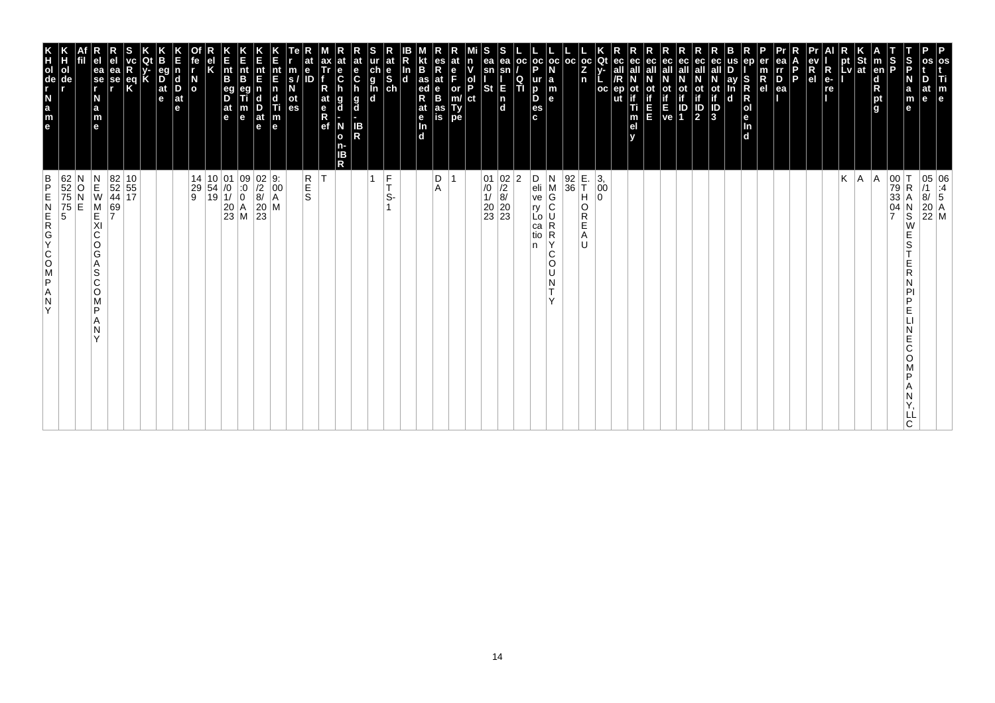| os<br>Ti<br>m<br>e                                                                                                                                                                   | 05 06<br>/1 :4<br>8/ 5<br>20 A<br>22 M                                                                                                          |
|--------------------------------------------------------------------------------------------------------------------------------------------------------------------------------------|-------------------------------------------------------------------------------------------------------------------------------------------------|
| D<br>at<br>le.                                                                                                                                                                       |                                                                                                                                                 |
| S<br>P<br>$\frac{S}{P}$<br>N<br>a<br>m<br>е                                                                                                                                          | 00<br>79<br>33<br>04<br>7<br>$\mathsf R$<br>Α<br>N<br>S<br>W<br>Е<br>S<br>Ε<br>R<br>N<br>PI<br>P<br>Е<br>Е<br>C<br>O<br>P<br>Α<br>N<br>LL<br>C. |
| $\vert$ m<br>en<br>d<br>R<br>pt<br>g                                                                                                                                                 | A                                                                                                                                               |
|                                                                                                                                                                                      | A.                                                                                                                                              |
| $\left \begin{array}{c}\npt\\ pt\end{array}\right $ at                                                                                                                               | Κ                                                                                                                                               |
| R<br>e-<br>re                                                                                                                                                                        |                                                                                                                                                 |
| ev<br>R<br>el                                                                                                                                                                        |                                                                                                                                                 |
| l P                                                                                                                                                                                  |                                                                                                                                                 |
| ea<br>Ir<br>D<br>er<br>$\frac{m}{R}$<br>ea                                                                                                                                           |                                                                                                                                                 |
| ep<br>S<br>R<br>$\mathsf R$<br> o <br>le.<br>In<br>d                                                                                                                                 |                                                                                                                                                 |
| us<br>ay<br>In<br>d                                                                                                                                                                  |                                                                                                                                                 |
| ec<br>ot<br>if<br>J<br>3                                                                                                                                                             |                                                                                                                                                 |
| ec<br>all<br>$\mathbb{P}$                                                                                                                                                            |                                                                                                                                                 |
| ec<br>οt<br>$\begin{bmatrix} \mathbf{i} \\ \mathbf{f} \\ \mathbf{E} \\ \mathbf{ve} \end{bmatrix} \begin{bmatrix} \mathbf{i} \\ \mathbf{i} \\ \mathbf{D} \\ \mathbf{1} \end{bmatrix}$ |                                                                                                                                                 |
| ec<br>all                                                                                                                                                                            |                                                                                                                                                 |
| ec<br>all<br>Ε<br>E                                                                                                                                                                  |                                                                                                                                                 |
| ec<br>ec<br>all<br>ot<br>if<br>ep<br>Ti<br>m<br>el<br>v                                                                                                                              |                                                                                                                                                 |
| Qt<br>v-<br>oc                                                                                                                                                                       | 3,<br>00<br>0                                                                                                                                   |
| $ {}_{Z}^{\rm oc} $<br>n                                                                                                                                                             | E.<br>T<br>H<br>O<br>R<br>E<br>Α<br>U                                                                                                           |
| oc<br> oc<br>N<br>$\begin{array}{c} \mathsf{a} \\ \mathsf{m} \\ \mathsf{e} \end{array}$                                                                                              | $\begin{array}{ c} 92 \\ 36 \end{array}$<br>$\vert$ M<br>G<br>C<br>R<br>R<br>С                                                                  |
| $\frac{1}{P}$<br>ur<br>D<br>D<br>es<br>c                                                                                                                                             | N<br>D<br>eli<br>ve<br>ry<br>Lo I<br>са<br>tio<br>Y<br>n<br>O<br>$\mathsf{L}$<br>N<br>T.<br>$\vee$                                              |
| OC<br>$\frac{Q}{T}$                                                                                                                                                                  | 2                                                                                                                                               |
| ea<br>sn<br>Ε<br>$\begin{bmatrix} n \\ d \end{bmatrix}$                                                                                                                              | $\begin{array}{c c} 01 & 02 \\ \hline /0 & /2 \\ 1/ & 8/ \\ 20 & 20 \\ 23 & 23 \end{array}$                                                     |
| S<br>ea<br>sn<br>$\frac{1}{P}$<br><b>St</b><br>ct                                                                                                                                    |                                                                                                                                                 |
| at<br>n<br>v<br>e<br>F<br>or<br>m/<br>Ty<br>pe                                                                                                                                       |                                                                                                                                                 |
| es<br>R<br>at<br>$\frac{e}{B}$<br>as<br>is                                                                                                                                           | D<br>Α                                                                                                                                          |
| B<br>as<br>ed<br>at<br>e<br>In<br>$\overline{d}$                                                                                                                                     |                                                                                                                                                 |
| $\frac{\ln{}}{\ln{}}$                                                                                                                                                                |                                                                                                                                                 |
| at<br>ch<br>g<br>l<br>d<br>d<br>$\frac{e}{s}$                                                                                                                                        | $\frac{F}{T}$<br>1<br>S-                                                                                                                        |
| at<br>e<br>$\mathbf c$<br>g<br>d<br>IB<br>R                                                                                                                                          |                                                                                                                                                 |
| $\ddot{\mathbf{c}}$<br>h<br>g<br>d<br>N<br>$\mathbf{o}$<br>n-<br>IΒ<br>R                                                                                                             |                                                                                                                                                 |
| ax<br>Tr<br>R<br>at<br>e<br>R<br>ef                                                                                                                                                  | İΤ                                                                                                                                              |
| е<br>m<br>s/<br>N<br>ID<br>ot<br>es                                                                                                                                                  | R<br>E<br>S                                                                                                                                     |
| nt<br>E<br>$\begin{array}{c} \n\mathbf{n} \\ \n\mathbf{d} \\ \n\mathbf{m} \\ \n\mathbf{e} \n\end{array}$                                                                             | 9:<br>$\left  \begin{matrix} 0 & 0 \\ 0 & 0 \\ 0 & 0 \end{matrix} \right $<br>M                                                                 |
| Ε<br>nt<br>E<br>$\frac{D}{at}$<br>e                                                                                                                                                  | $\begin{vmatrix} 0 & 2 \\ 2 & 8 \end{vmatrix}$<br>$\begin{bmatrix} 20 \\ 23 \end{bmatrix}$                                                      |
| K<br>Ent<br>B<br>$\frac{nt}{B}$<br>eg<br>D<br>$\frac{at}{e}$<br>m<br>e                                                                                                               | $\begin{array}{c c} 01 & 09 \\ \hline 10 & 0 \\ 11 & 0 \\ 20 & A \\ 23 & M \end{array}$                                                         |
| Κ                                                                                                                                                                                    | $\begin{array}{ c c }\n10 & 01 \\ 54 & /0 \\ 19 & 1\n\end{array}$                                                                               |
| fe<br>r<br>$\overline{a}$                                                                                                                                                            | 14<br>29<br>9                                                                                                                                   |
| n<br>$\vert_{\mathrm{D}}^{\mathrm{d}}$<br>$ $ at<br>e                                                                                                                                |                                                                                                                                                 |
| eg<br>$\overline{D}$ at $\overline{e}$                                                                                                                                               |                                                                                                                                                 |
| K<br>$\frac{eq}{K}$                                                                                                                                                                  |                                                                                                                                                 |
| ea<br>se<br>,                                                                                                                                                                        | $\begin{array}{ c c }\n 82 & 10 \\  52 & 55 \\  44 & 17\n\end{array}$<br>69<br>7                                                                |
| e <sub>1</sub><br>ea<br>se<br>r<br>N<br>$\frac{a}{m}$<br>e                                                                                                                           | $\begin{array}{c}\nN \\ E \\ W\n\end{array}$<br>M<br>E<br>XI<br>$\mathsf C$<br>O<br>G<br>Α<br>S<br>C<br>O<br>M<br>P<br>Α<br>N<br>Y              |
|                                                                                                                                                                                      | $_\mathrm{N}^\mathrm{O}$<br>Ë                                                                                                                   |
| n<br>H<br>ol<br>de                                                                                                                                                                   | 62<br>52<br>75<br>75<br>5                                                                                                                       |
| e a z - de r x                                                                                                                                                                       | $\frac{B}{P}$<br>ZAPSOCYCREN<br>Y                                                                                                               |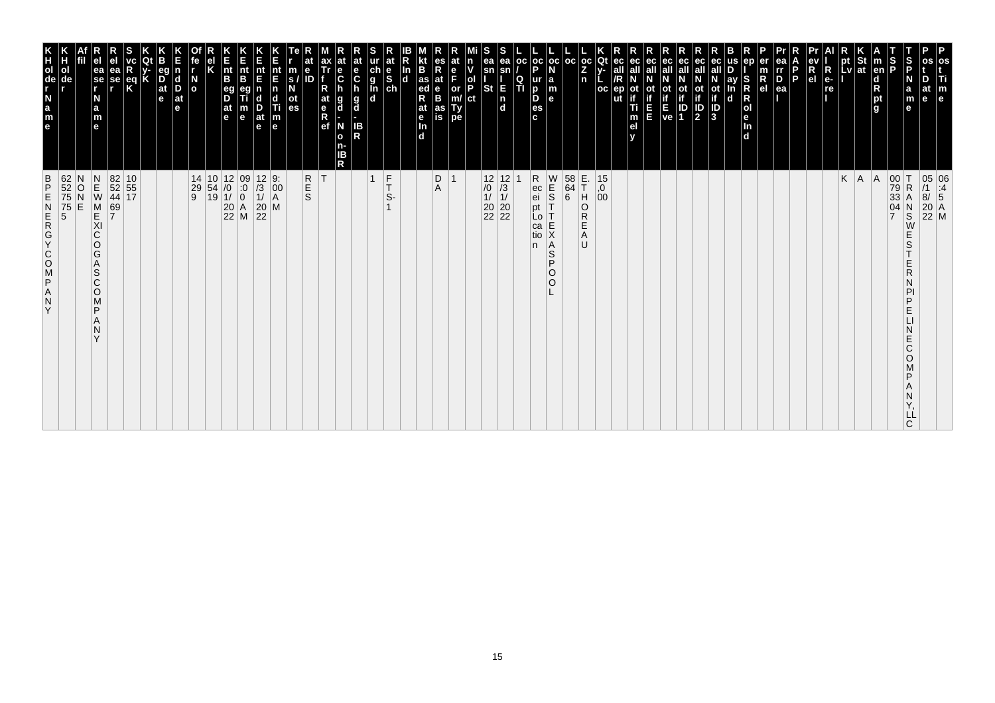| 62<br>52<br>75<br>75<br>5<br>5<br>$\frac{B}{P}$<br>ZAPSOOKGAN<br>Y                                                                         | K<br>TOUR LEB<br>ol                                                 |
|--------------------------------------------------------------------------------------------------------------------------------------------|---------------------------------------------------------------------|
| N<br>O<br>E                                                                                                                                | de                                                                  |
| $\begin{array}{c}\nN \\ E \\ W\n\end{array}$<br>M<br>KI<br>C<br>O<br>G<br>A<br>S<br>$\mathsf{C}$<br>$\circ$<br>M<br>P<br>N<br>$\checkmark$ | ea<br>$\overline{\phantom{a}}$ se<br>N<br>a<br>m<br>$\mathbf{e}$    |
| 69<br>7                                                                                                                                    | еа<br>se                                                            |
| 82 10<br>52 55<br>44 17                                                                                                                    | $rac{eq}{K}$                                                        |
|                                                                                                                                            |                                                                     |
|                                                                                                                                            | eq<br>$\overrightarrow{D}$ <sub>at</sub><br>e                       |
|                                                                                                                                            | $\vert$ d<br>D<br>$ $ at<br>le.                                     |
| $\begin{array}{c cc} 14 & 10 & 12 & 09 \\ 29 & 54 & /0 & :0 \\ 9 & 19 & 1/ & 0 \\ & & 20 & A \\ & & 22 & M \\ \end{array}$                 | $\overline{a}$                                                      |
|                                                                                                                                            |                                                                     |
|                                                                                                                                            | $\vert_{\mathsf{B}}^{\mathsf{nt}}$<br>eg<br>D<br>$ $ at<br>l e      |
|                                                                                                                                            | Ê<br>nt<br>B<br>m<br>$\mathbf e$                                    |
| $\begin{array}{c cc} 12 & 9: \\ /3 & 00 \\ 1/ & A \\ 20 & M \\ 22 & \end{array}$                                                           | nt<br>E<br>$\frac{D}{at}$<br>$\mathbf e$                            |
| $\left  \begin{smallmatrix} 0 & 0 \\ 0 & 0 \\ A & A \end{smallmatrix} \right $                                                             | nt<br>E<br>n<br>d<br>Ti<br>m<br>e                                   |
|                                                                                                                                            | m<br>S.<br>οt<br>es                                                 |
| <b>R</b><br>S                                                                                                                              | е<br>ID                                                             |
| ΙT                                                                                                                                         | ax<br>Tr<br>at<br>$\begin{array}{c} e \\ R \\ e f \end{array}$      |
|                                                                                                                                            | at<br>$\frac{e}{C}$<br>g<br>d<br>N<br>$\mathbf{o}$<br>n-<br>ΙB<br>R |
|                                                                                                                                            | at<br>e<br>$\mathbf c$<br>$\frac{g}{d}$<br>IB<br>R                  |
| $\frac{F}{T}$<br>$\overline{1}$                                                                                                            | ch<br>g<br>g<br>d<br>d                                              |
| S-                                                                                                                                         | at<br>$\begin{bmatrix} 1 & b \\ c & d \end{bmatrix}$                |
|                                                                                                                                            | In<br>$\mathbf d$<br>d.                                             |
|                                                                                                                                            | B<br>$\frac{1}{4}$ as<br>R<br>at<br>$\frac{e}{\ln}$                 |
| D<br>$\overline{1}$<br>Α                                                                                                                   | es<br>R<br>at<br>B<br>as<br>is                                      |
|                                                                                                                                            | at<br>n<br>F<br>or<br>Ty<br>pe                                      |
|                                                                                                                                            | ol<br>P<br>ct                                                       |
| $\begin{array}{c c} 12 & 12 \\ \hline 10 & 13 \\ 11 & 11 \\ 20 & 20 \\ 22 & 22 \end{array}$                                                | ea<br>sn<br>E<br>St<br>$\frac{1}{d}$                                |
|                                                                                                                                            | ea<br>Q<br>ΤÌ                                                       |
| pt<br>n.                                                                                                                                   | oc <br>p<br>D                                                       |
| R<br>ec<br>ei<br>W<br>$\frac{1}{5}$<br>Lo<br>E<br>ca<br>Χ<br>tio<br>A<br>S<br>P<br>$\circ$<br>O                                            | oc oc <br>ur<br>la<br>m<br>D<br>$\mathbf{e}$<br>es<br>c.            |
|                                                                                                                                            |                                                                     |
| E.<br>T<br>H<br>$\begin{array}{c} 58 \\ 64 \\ 6 \end{array}$<br>U                                                                          | l oc<br>Z                                                           |
| O<br>R<br>Ε<br>Α                                                                                                                           | $ oc $ Qt<br>n                                                      |
| $^{15}_{,0}$<br>$^{0}_{00}$                                                                                                                | ec<br>oc<br>ut                                                      |
|                                                                                                                                            | ec<br>οt<br>Ti<br>m<br>el                                           |
|                                                                                                                                            | ec<br>Ш                                                             |
|                                                                                                                                            | ot<br>if<br>ve                                                      |
|                                                                                                                                            | eс<br>οt<br>ID<br>1                                                 |
|                                                                                                                                            | ec<br>all<br><b>ot</b><br>$\overline{\mathbf{P}}$                   |
|                                                                                                                                            | ot<br>if<br>3                                                       |
|                                                                                                                                            | S<br>ay<br>$\mathsf R$<br>$\mathbf d$                               |
|                                                                                                                                            | ep<br>$\overline{R}_{el}$<br>R<br>Jen<br>d                          |
|                                                                                                                                            | ea<br>rr<br>$\overline{D}$ ea                                       |
|                                                                                                                                            | P                                                                   |
|                                                                                                                                            | R<br>e <sub>1</sub>                                                 |
|                                                                                                                                            | $\overline{\mathsf{R}}$<br>$e-$<br>re                               |
| K                                                                                                                                          | pt<br>Lv                                                            |
| A                                                                                                                                          | St<br> at                                                           |
| A                                                                                                                                          | $\vert$ m<br>en<br>d<br>pt<br>g                                     |
| 00<br>79<br>33<br>İΤ<br>04<br>$\overline{7}$                                                                                               | $\frac{1}{2}$                                                       |
| $\mathsf R$<br>А<br>$_{\rm S}^{\rm N}$<br>W<br>Ε<br>S<br>Ε<br>R<br>D<br>Ε<br>E<br>Ć<br>O<br>D<br>LL<br>C                                   | S<br>P<br>N<br>a<br>m<br>$\mathbf e$                                |
| 05 06<br>/1 :4<br>8/ 5<br>20 A<br>22 M                                                                                                     | os<br>os<br>Ti<br>at<br>m<br>e<br>$\mathbf{e}$                      |
|                                                                                                                                            |                                                                     |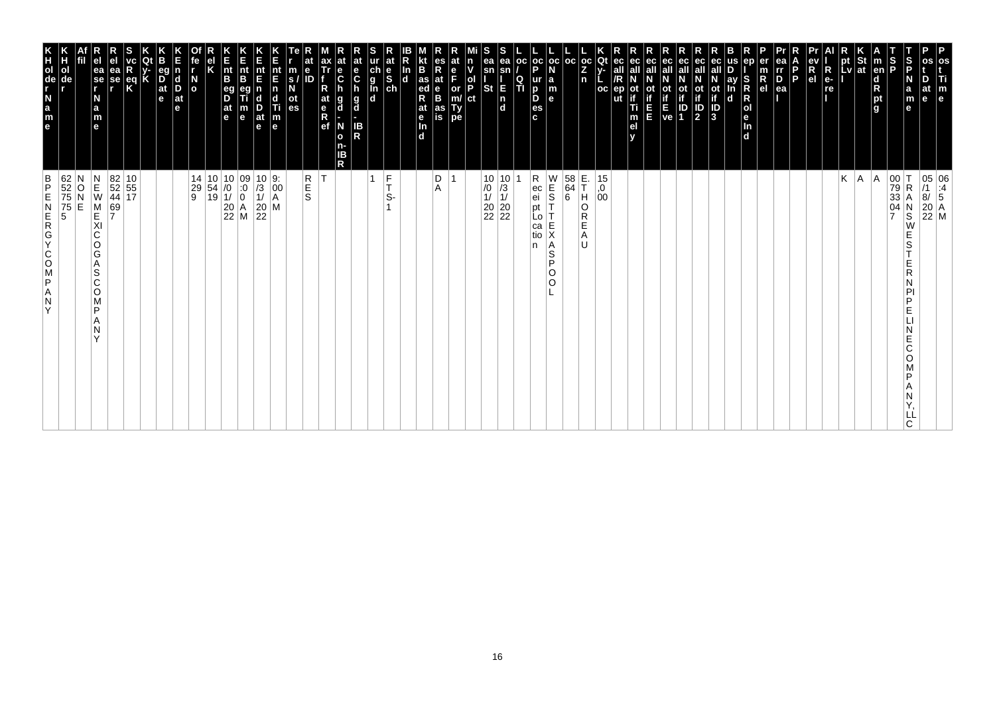| os<br>Ti<br>m<br>e                                                                                                                                                             | 05 06<br>/1 :4<br>8/ 5<br>20 A<br>22 M                                                                                                                                 |
|--------------------------------------------------------------------------------------------------------------------------------------------------------------------------------|------------------------------------------------------------------------------------------------------------------------------------------------------------------------|
| os<br>D<br>at<br>le.                                                                                                                                                           |                                                                                                                                                                        |
| S<br>P<br>$\frac{S}{P}$<br>N<br>a<br>m<br>е                                                                                                                                    | 00<br>79<br>33<br>04<br>7<br>$\mathsf R$<br>Α<br>N<br>S<br>W<br>Е<br>S<br>Ε<br>R<br>N<br>PI<br>P<br>Е<br>Е<br>C<br>O<br>P<br>Α<br>N<br>LL<br>C.                        |
| $\vert$ m<br>en<br>d<br>R<br>pt<br>g                                                                                                                                           | A                                                                                                                                                                      |
|                                                                                                                                                                                | A.                                                                                                                                                                     |
| $\left \begin{array}{c}\npt\\ pt\\ lv\n\end{array}\right $ at<br>$\blacksquare$                                                                                                | Κ                                                                                                                                                                      |
| R<br>e-<br>re                                                                                                                                                                  |                                                                                                                                                                        |
| ev<br>R<br>el                                                                                                                                                                  |                                                                                                                                                                        |
| l P<br>ea                                                                                                                                                                      |                                                                                                                                                                        |
| ea<br>Ir<br>D<br>er<br>$\frac{m}{R}$                                                                                                                                           |                                                                                                                                                                        |
| ep<br>S<br>R<br>$\mathsf R$<br> o <br>le.<br>In<br>d                                                                                                                           |                                                                                                                                                                        |
| us<br>ay<br>In<br>d                                                                                                                                                            |                                                                                                                                                                        |
| eс<br>ot<br>if<br>J<br>3                                                                                                                                                       |                                                                                                                                                                        |
| ec<br>ec<br>all<br>$\mathbb{P}$                                                                                                                                                |                                                                                                                                                                        |
| οt<br>$\begin{bmatrix} \mathbf{i} \\ \mathbf{f} \\ \mathbf{E} \\ \mathbf{ve} \end{bmatrix} \begin{bmatrix} \mathbf{i} \\ \mathbf{i} \\ \mathbf{D} \\ \mathbf{1} \end{bmatrix}$ |                                                                                                                                                                        |
| ec<br>all<br>ec<br>all<br>Ε<br>E                                                                                                                                               |                                                                                                                                                                        |
| ec<br>ot<br>if<br>Ti<br>m<br>el<br>v                                                                                                                                           |                                                                                                                                                                        |
| ec<br>all<br>ep                                                                                                                                                                |                                                                                                                                                                        |
| Qt<br>v-<br>oc                                                                                                                                                                 | 15<br>,0<br>00                                                                                                                                                         |
| $ {}_{Z}^{\rm oc} $<br> oc<br>n                                                                                                                                                | E.<br>T<br>H<br>$\begin{bmatrix} 58 \\ 64 \\ 6 \end{bmatrix}$<br>O<br>R<br>E<br>Α<br>U                                                                                 |
| $_{\rm oc}$<br>N<br>$\begin{array}{c} \mathsf{a} \\ \mathsf{m} \\ \mathsf{e} \end{array}$                                                                                      | $\begin{array}{c} 0 \\ 0 \\ 0 \end{array}$<br>Ť<br>Τ<br>E<br>X<br>Α<br>$\mathsf S$<br>P<br>O<br>$\circ$                                                                |
| $\frac{1}{P}$<br>ur<br>D<br>D<br>es<br>c                                                                                                                                       | Rec<br>ei<br>pt<br>Lo<br>ca<br>tio<br>n                                                                                                                                |
| OC<br>$\frac{Q}{T}$                                                                                                                                                            |                                                                                                                                                                        |
| S<br>ea<br>ea<br>sn<br>sn<br><b>St</b><br>E<br>$\begin{bmatrix} n \\ d \end{bmatrix}$                                                                                          | $\begin{array}{c c} 10 & 10 \\ \hline \end{array} \begin{array}{c} 10 & 3 \\ \hline 1/ & 1/ \\ \hline 20 & 20 \\ \hline 22 & 22 \end{array}$                           |
| n<br>v<br>$\frac{1}{P}$<br>ct                                                                                                                                                  |                                                                                                                                                                        |
| at<br>e<br>F<br>or<br>m/<br>Ty<br>pe                                                                                                                                           |                                                                                                                                                                        |
| es<br>R<br>at<br>e<br>B<br>as<br>is                                                                                                                                            | D<br>Α                                                                                                                                                                 |
| B<br>as<br>ed<br>at<br>e<br>$\frac{\ln{}}{\ln{}}$<br>In<br>$\overline{d}$                                                                                                      |                                                                                                                                                                        |
| at<br>$\frac{e}{s}$                                                                                                                                                            | $\frac{F}{T}$<br>S-                                                                                                                                                    |
| ur<br>ch<br>g<br>l<br>d<br>d                                                                                                                                                   | 1                                                                                                                                                                      |
| at<br>e<br>$\mathbf c$<br>h<br>g<br>d<br>н<br>IB<br>R                                                                                                                          |                                                                                                                                                                        |
| $\frac{e}{C}$<br>h<br>g<br>d<br>N<br>$\mathbf{o}$<br>n-<br>IΒ<br>R                                                                                                             |                                                                                                                                                                        |
| at<br>ax<br>Tr<br>e<br>ID<br>R<br>at<br>e<br>R<br>ef                                                                                                                           | R<br>E<br>S<br>İΤ                                                                                                                                                      |
| m<br>s/<br>N<br>ot<br>es                                                                                                                                                       |                                                                                                                                                                        |
| nt<br>E<br>$\begin{array}{c} \n\mathbf{n} \\ \n\mathbf{d} \\ \n\mathbf{m} \\ \n\mathbf{e} \n\end{array}$                                                                       | $\begin{array}{ c c c }\n 10 & 9: \\  \hline\n 13 & 00 \\  11 & A\n\end{array}$<br>$\left  \begin{smallmatrix} 0 & 0 \\ 0 & 0 \\ A & A \end{smallmatrix} \right $<br>M |
| Ε<br>nt<br>E<br>$\frac{D}{at}$<br>e                                                                                                                                            | $\begin{array}{c} 20 \\ 22 \end{array}$                                                                                                                                |
| K<br>Ent<br>B<br>$\frac{nt}{B}$<br>eg<br>D<br>$\frac{at}{e}$<br>m<br>e                                                                                                         | $\begin{array}{ c c c } \hline 10 & 10 & 09 \\ 54 & /0 & 0 \\ 19 & 1/ & 0 \\ 20 & A & 22 \\ Z2 & M & \\\hline \end{array}$                                             |
| Κ                                                                                                                                                                              |                                                                                                                                                                        |
| fe<br>$\mathbf{r}$<br>$\frac{N}{\alpha}$                                                                                                                                       | 14<br>29<br>9                                                                                                                                                          |
| n<br>$\vert_{\mathrm{D}}^{\mathrm{d}}$<br>$ $ at<br>e                                                                                                                          |                                                                                                                                                                        |
| eg<br>$\overline{D}$ at $\overline{e}$                                                                                                                                         |                                                                                                                                                                        |
| K<br>$\frac{eq}{K}$                                                                                                                                                            |                                                                                                                                                                        |
| ea<br>se<br>,                                                                                                                                                                  | $\begin{array}{ c c }\n 82 & 10 \\  52 & 55 \\  44 & 17\n\end{array}$<br>69<br>7                                                                                       |
| e<br>ea<br>se<br>r<br>N<br>$\frac{a}{m}$<br>e                                                                                                                                  | $\begin{array}{c}\nN \\ E \\ W\n\end{array}$<br>M<br>E<br>XI<br>$\mathsf C$<br>O<br>G<br>Α<br>S<br>C<br>O<br>M<br>P<br>Α<br>N<br>Y                                     |
|                                                                                                                                                                                | Ν<br>O<br>E                                                                                                                                                            |
| n<br>H<br>ol<br>de                                                                                                                                                             | 62<br>52<br>75<br>75<br>5                                                                                                                                              |
| e a z - de r x                                                                                                                                                                 | $\frac{B}{P}$<br>ZAPSOCYCREN<br>Y                                                                                                                                      |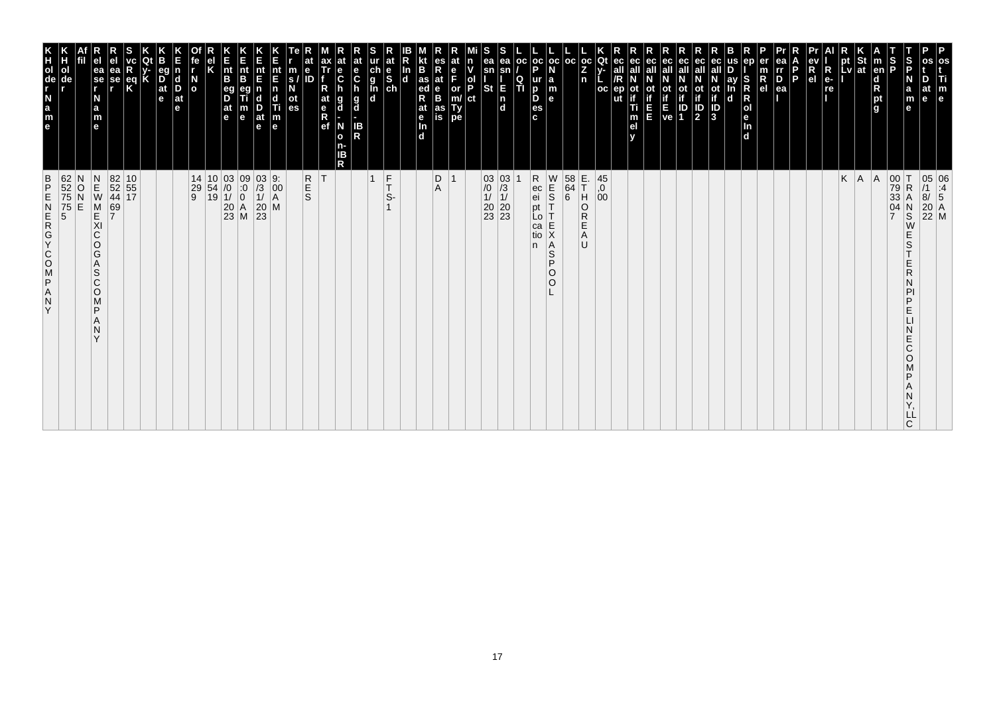| 62<br>52<br>75<br>75<br>5<br>5<br>$\frac{B}{P}$<br>ZAPSOOKGAN<br>Y                                                                       | K<br>TOUR LEB<br>ol                                                            |
|------------------------------------------------------------------------------------------------------------------------------------------|--------------------------------------------------------------------------------|
| N<br>O<br>E                                                                                                                              | de                                                                             |
| $\begin{array}{c} N \\ E \\ W \end{array}$<br>M<br>KI<br>C<br>O<br>G<br>A<br>S<br>$\mathsf{C}$<br>$\circ$<br>M<br>P<br>N<br>$\checkmark$ | ea<br>$\overline{\phantom{a}}$ se<br>N<br>a<br>m<br>$\mathbf{e}$               |
| 69<br>7                                                                                                                                  | еа<br>se                                                                       |
| 82 10<br>52 55<br>44 17                                                                                                                  | $\frac{eq}{K}$                                                                 |
|                                                                                                                                          |                                                                                |
|                                                                                                                                          | eq<br>$\overline{D}$ <sub>at</sub><br>e                                        |
|                                                                                                                                          | $\vert$ d<br>D<br>$ $ at<br>le.                                                |
| $\begin{array}{c cc} 14 & 10 & 03 & 09 \\ 29 & 54 & /0 & :0 \\ 9 & 19 & 1/ & 0 \\ & & 20 & A \\ & & 23 & M \\ \end{array}$               | $\frac{N}{2}$                                                                  |
|                                                                                                                                          |                                                                                |
|                                                                                                                                          | $\vert_{\mathsf{B}}^{\mathsf{nt}}$<br>eg<br>D<br>$ $ at<br>l e                 |
|                                                                                                                                          | Ê<br>nt<br>B<br>m<br>$\mathbf e$                                               |
| $\frac{03}{1}$<br>$\frac{1}{20}$<br>$\frac{20}{23}$                                                                                      | nt<br>E<br>$\frac{D}{at}$<br>$\mathbf e$                                       |
| 9:<br>$\left  \begin{smallmatrix} 0 & 0 \\ 0 & 0 \\ A & A \end{smallmatrix} \right $<br>M                                                | nt<br>E<br>n<br>d<br>Ti<br>m<br>e                                              |
|                                                                                                                                          | m<br>S.<br>οt<br>es                                                            |
| <b>R</b><br>S                                                                                                                            | е<br>ID                                                                        |
| ΙT                                                                                                                                       | ax<br>Tr<br>at<br>$\begin{array}{c} e \\ R \\ e f \end{array}$                 |
|                                                                                                                                          | at<br>е<br>$\ddot{\mathbf{c}}$<br>g<br>d<br>N<br>$\mathbf{o}$<br>n-<br>ΙB<br>R |
|                                                                                                                                          | at<br>e<br>$\mathbf c$<br>$\frac{g}{d}$<br>IB<br>R                             |
| $\frac{F}{T}$<br>$\overline{1}$                                                                                                          | ch<br>g<br>g<br>d<br>d                                                         |
| S-                                                                                                                                       | at<br>$\begin{bmatrix} 1 & b \\ c & d \end{bmatrix}$                           |
|                                                                                                                                          | B<br>In<br>$\mathbf d$<br>$\frac{e}{\ln}$<br>d.                                |
| D                                                                                                                                        | R<br>at<br>B<br>B<br>$\frac{1}{4}$ as<br>R<br>at                               |
| $\overline{1}$<br>Α                                                                                                                      | es<br>at<br>F<br>as<br>is                                                      |
|                                                                                                                                          | n<br>ol<br>P<br>or<br>Ty<br>pe                                                 |
|                                                                                                                                          | ct                                                                             |
| $\begin{array}{c c} 03 & 03 \\ \hline \end{array} \begin{array}{c} 03 \\ \hline 13 \\ 11 \\ 20 \\ 23 \\ 23 \\ \end{array}$               | ea<br>sn<br>E<br>St<br>$\frac{1}{d}$                                           |
|                                                                                                                                          | ea<br> oc <br>Q<br>ΤÌ                                                          |
| R<br>ec<br>ei<br>pt<br>n.                                                                                                                | p<br>ur<br>D<br>D<br>c.                                                        |
| W<br>$\frac{1}{5}$<br>Lo<br>E<br>ca<br>Χ<br>tio<br>A<br>S<br>P<br>$\circ$<br>O                                                           | oc oc <br>la<br>m<br>$\mathbf{e}$<br>es                                        |
| $\begin{array}{c} 58 \\ 64 \\ 6 \end{array}$                                                                                             | l oc                                                                           |
| E.<br>T<br>H<br>O<br>R<br>Ε<br>Α<br>U                                                                                                    | Z<br>n                                                                         |
| $^{45}_{,0}$<br>00                                                                                                                       | $ oc $ Qt<br>oc                                                                |
|                                                                                                                                          | ec<br>ut                                                                       |
|                                                                                                                                          | ec<br>οt<br>Ti<br>m<br>el                                                      |
|                                                                                                                                          | ec<br>Ш                                                                        |
|                                                                                                                                          | ot<br>if<br>ve                                                                 |
|                                                                                                                                          | eс<br>οt<br>ID<br>1                                                            |
|                                                                                                                                          | ec<br>all<br><b>ot</b><br>$\overline{\mathbf{P}}$                              |
|                                                                                                                                          | ot<br>if<br>3                                                                  |
|                                                                                                                                          | ay<br>S<br>$\mathbf d$                                                         |
|                                                                                                                                          | ep<br>$\overline{R}_{el}$<br>$\mathsf R$<br>R<br>Jen<br>d                      |
|                                                                                                                                          | ea<br>rr<br>$\overline{P}_{ea}$                                                |
|                                                                                                                                          | P                                                                              |
|                                                                                                                                          | R<br>e <sub>1</sub>                                                            |
|                                                                                                                                          | $\overline{\mathsf{R}}$<br>$e-$<br>re                                          |
| K                                                                                                                                        | pt<br>Lv                                                                       |
| A                                                                                                                                        | St<br><b>at</b>                                                                |
| A                                                                                                                                        | $\vert$ m<br>en<br>d<br>pt<br>g                                                |
| 00<br>79<br>33<br>ΙT<br>$\mathsf R$<br>04<br>$\overline{7}$<br>Ε<br>Ε<br>Ε<br>E<br>D                                                     | $\frac{1}{2}$                                                                  |
| А<br>$_{\rm S}^{\rm N}$<br>W<br>S<br>R<br>D<br>Ć<br>O<br>LL<br>C                                                                         | S<br>P<br>N<br>a<br>m<br>at<br>$\mathbf{e}$<br>$\mathbf e$                     |
| 05 06<br>/1 :4<br>8/ 5<br>20 A<br>22 M                                                                                                   | os<br>os<br>Ti<br>m<br>e                                                       |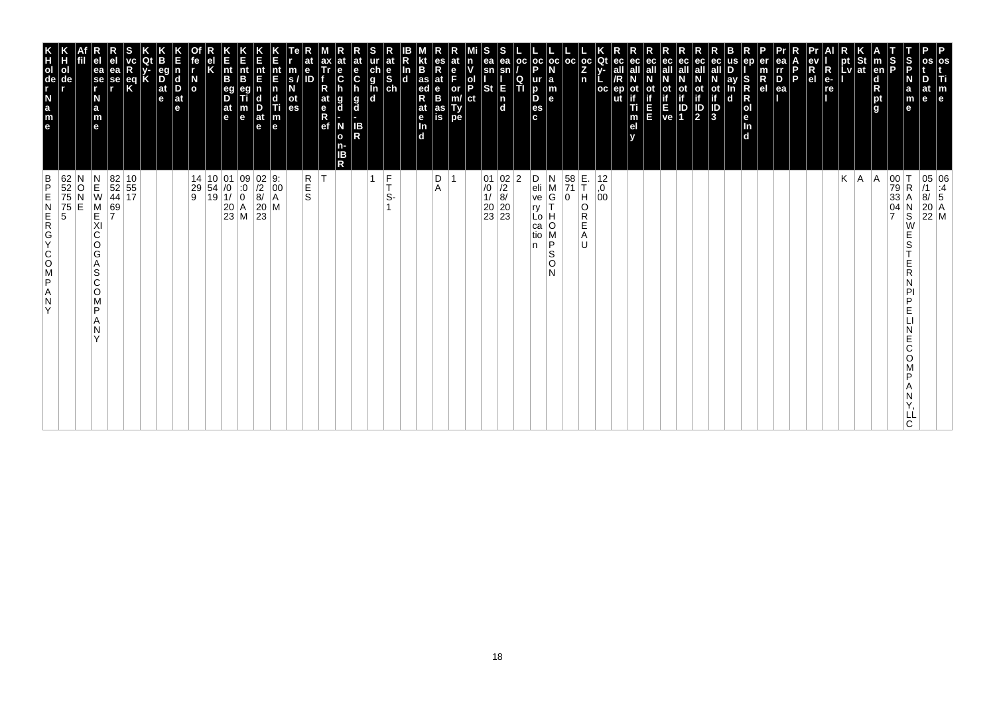| os<br>Ti<br>m<br>e                                                                                                                                                                   | 05 06<br>/1 :4<br>8/ 5<br>20 A<br>22 M                                                                                                          |
|--------------------------------------------------------------------------------------------------------------------------------------------------------------------------------------|-------------------------------------------------------------------------------------------------------------------------------------------------|
| D<br>at<br>le.                                                                                                                                                                       |                                                                                                                                                 |
| S<br>P<br>N<br>a<br>m<br>е                                                                                                                                                           | 00<br>79<br>33<br>04<br>7<br>$\mathsf R$<br>Α<br>N<br>S<br>W<br>Е<br>S<br>Ε<br>R<br>N<br>PI<br>P<br>Е<br>Е<br>C<br>O<br>P<br>Α<br>N<br>LL<br>C. |
| $\frac{S}{P}$<br>$\vert$ m<br>en<br>d<br>R<br>pt<br>g                                                                                                                                | A                                                                                                                                               |
|                                                                                                                                                                                      | A.                                                                                                                                              |
| $\left \begin{array}{c}\npt\\ pt\\ lv\n\end{array}\right $ at<br>$\blacksquare$                                                                                                      | Κ                                                                                                                                               |
| R<br>e-<br>re                                                                                                                                                                        |                                                                                                                                                 |
| ev<br>R<br>el                                                                                                                                                                        |                                                                                                                                                 |
| l P                                                                                                                                                                                  |                                                                                                                                                 |
| ea<br>Ir<br>D<br>ea                                                                                                                                                                  |                                                                                                                                                 |
| ep<br>er<br>$\frac{m}{R}$<br>S<br>R<br>$\mathsf R$<br> o <br>le.<br>ln<br>d                                                                                                          |                                                                                                                                                 |
| us<br>ay<br>In<br>d                                                                                                                                                                  |                                                                                                                                                 |
| eс<br>ot<br>if<br>J<br>3                                                                                                                                                             |                                                                                                                                                 |
| ec<br>all<br>$\mathbb{P}$                                                                                                                                                            |                                                                                                                                                 |
| ec<br>οt<br>$\begin{bmatrix} \mathbf{i} \\ \mathbf{f} \\ \mathbf{E} \\ \mathbf{ve} \end{bmatrix} \begin{bmatrix} \mathbf{i} \\ \mathbf{i} \\ \mathbf{D} \\ \mathbf{1} \end{bmatrix}$ |                                                                                                                                                 |
| ec<br>all                                                                                                                                                                            |                                                                                                                                                 |
| ec<br>all<br>Ε<br>E                                                                                                                                                                  |                                                                                                                                                 |
| ec<br>ot<br>if<br>Ti<br>m<br>el<br>v                                                                                                                                                 |                                                                                                                                                 |
| Qt<br>ec<br>v-<br>all<br>oc<br>ep                                                                                                                                                    | 12<br>0,<br>00                                                                                                                                  |
| $ {}_{Z}^{\rm oc} $<br>n                                                                                                                                                             | E.<br>T<br>H<br>O<br>R<br>E<br>Α<br>U                                                                                                           |
| oc                                                                                                                                                                                   | $\begin{array}{ c c }\n 58 \\  \hline\n 71\n \end{array}$<br>0                                                                                  |
| $\frac{1}{P}$<br>$_{\rm oc}$<br>N<br>$\begin{array}{c} \mathsf{a} \\ \mathsf{m} \\ \mathsf{e} \end{array}$<br>ur<br>D<br>D<br>es<br>c                                                | D<br>N<br>$\frac{e}{ve}$<br>$_{\rm G}^{\rm M}$<br>T<br>ry<br>Н<br>Lo  <br>O<br>ca<br>M<br>tio<br>P<br>n<br>S<br>O<br>N                          |
| OC<br>$\frac{Q}{T}$                                                                                                                                                                  | 2                                                                                                                                               |
| ea<br>sn<br>E<br>$\begin{bmatrix} n \\ d \end{bmatrix}$                                                                                                                              | $\begin{array}{c c} 01 & 02 \\ \hline /0 & /2 \\ 1/ & 8/ \\ 20 & 20 \\ 23 & 23 \end{array}$                                                     |
| S<br>ea<br>sn<br><b>St</b>                                                                                                                                                           |                                                                                                                                                 |
| n<br>v<br>$\frac{1}{P}$<br>ct                                                                                                                                                        |                                                                                                                                                 |
| at<br>e<br>F<br>or<br>m/<br>Ty<br>pe                                                                                                                                                 |                                                                                                                                                 |
| es<br>R<br>at<br>$\frac{e}{B}$<br>as<br>is                                                                                                                                           | D<br>Α                                                                                                                                          |
| B<br>as<br>ed<br>at<br>e<br>$\frac{\ln{}}{\ln{}}$<br>In<br>$\overline{d}$                                                                                                            |                                                                                                                                                 |
| at<br>$\frac{e}{s}$                                                                                                                                                                  | $\frac{F}{T}$<br>S-                                                                                                                             |
| ur<br>ch<br>g<br>l<br>d<br>d                                                                                                                                                         | 1                                                                                                                                               |
| at<br>e<br>$\mathbf c$<br>g<br>d<br>IB<br>R                                                                                                                                          |                                                                                                                                                 |
| ax<br>Tr<br>$\mathbf c$<br>R<br>h<br>at<br>e<br>R<br>ef<br>g<br>d<br>N<br>$\mathbf{o}$<br>n-<br>IΒ<br>R                                                                              | İΤ                                                                                                                                              |
| е<br>ID                                                                                                                                                                              | R<br>E<br>S                                                                                                                                     |
| m<br>s/<br>N<br>ot<br>es                                                                                                                                                             |                                                                                                                                                 |
| nt<br>E<br>$\begin{array}{c} \n\mathbf{n} \\ \n\mathbf{d} \\ \n\mathbf{m} \\ \n\mathbf{e} \n\end{array}$                                                                             | 9:<br>$\left  \begin{matrix} 0 & 0 \\ 0 & 0 \\ 0 & 0 \end{matrix} \right $<br>M                                                                 |
| Ε<br>nt<br>E<br>$\frac{D}{at}$<br>e                                                                                                                                                  | $\begin{vmatrix} 0 & 2 \\ 2 & 8 \end{vmatrix}$<br>$\begin{bmatrix} 20 \\ 23 \end{bmatrix}$                                                      |
| K<br>Ent<br>B<br>$\frac{nt}{B}$<br>eg<br>D<br>$\frac{at}{e}$<br>m<br>e                                                                                                               | $\begin{array}{c c} 01 & 09 \\ \hline 10 & 0 \\ 11 & 0 \\ 20 & A \\ 23 & M \end{array}$                                                         |
| Κ                                                                                                                                                                                    | $\begin{array}{ c c }\n10 & 01 \\ 54 & /0 \\ 19 & 1\n\end{array}$                                                                               |
| fe<br>r<br>$\overline{a}$                                                                                                                                                            | 14<br>29<br>9                                                                                                                                   |
| n<br>$\vert_{\mathrm{D}}^{\mathrm{d}}$<br>$ $ at<br>e                                                                                                                                |                                                                                                                                                 |
| eg<br>$\overline{D}$ at $\overline{e}$                                                                                                                                               |                                                                                                                                                 |
| K                                                                                                                                                                                    |                                                                                                                                                 |
| ea<br>se<br>,<br>$\frac{eq}{K}$                                                                                                                                                      | $\begin{array}{ c c }\n 82 & 10 \\  52 & 55 \\  44 & 17\n\end{array}$<br>69<br>7                                                                |
| e <sub>1</sub><br>ea<br>se<br>r<br>N<br>$\frac{a}{m}$<br>e                                                                                                                           | $\begin{array}{c} N \\ E \\ W \end{array}$<br>M<br>E<br>XI<br>$\mathsf C$<br>O<br>G<br>Α<br>S<br>C<br>O<br>M<br>P<br>Α<br>N<br>Y                |
|                                                                                                                                                                                      | $_\mathrm{N}^\mathrm{O}$<br>E                                                                                                                   |
| n<br>H<br>ol<br>de                                                                                                                                                                   | 62<br>52<br>75<br>75<br>5                                                                                                                       |
| e a z - de r x                                                                                                                                                                       | $\frac{B}{P}$<br>ZAPSOCYCREN<br>Y                                                                                                               |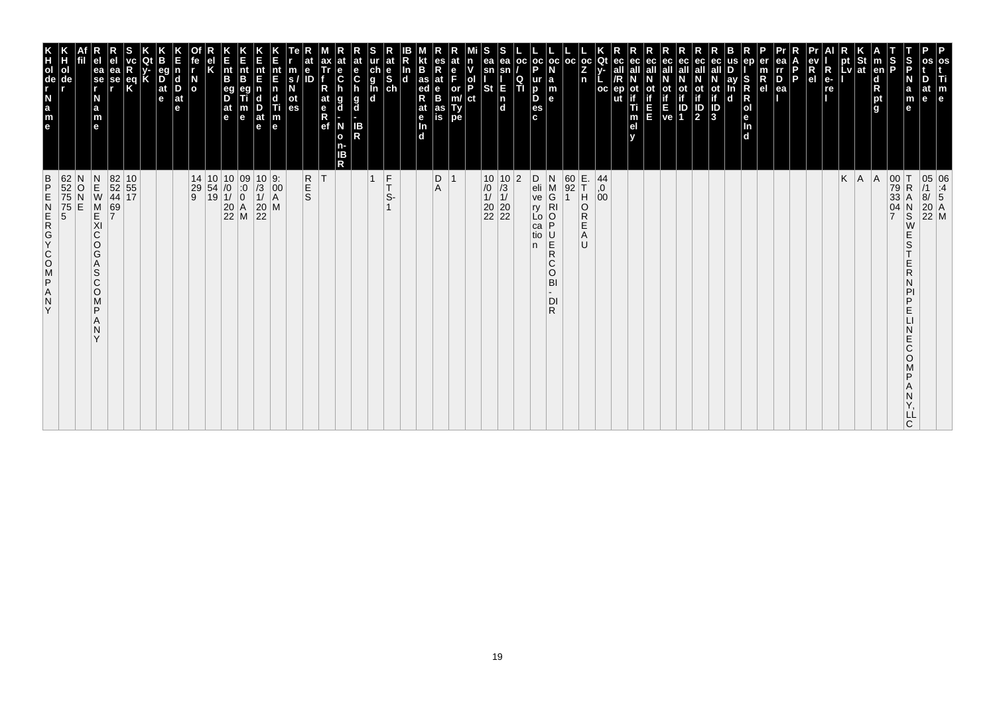| 62<br>52<br>75<br>75<br>5<br>5<br>$\frac{B}{P}$<br>ZAPSOOKGAN<br>Y                                                                         | K<br>TOUR LEB<br>ol<br>de                                                            |
|--------------------------------------------------------------------------------------------------------------------------------------------|--------------------------------------------------------------------------------------|
| N<br>O<br>E                                                                                                                                |                                                                                      |
| $\begin{array}{c}\nN \\ E \\ W\n\end{array}$<br>M<br>KI<br>C<br>O<br>G<br>Α<br>S<br>$\mathsf{C}$<br>$\circ$<br>M<br>P<br>N<br>$\checkmark$ | ea<br>$\overline{\phantom{a}}$ se<br>N<br>a<br>m<br>$\mathbf{e}$                     |
| 69<br>7                                                                                                                                    | еа<br>se                                                                             |
| 82 10<br>52 55<br>44 17                                                                                                                    | $\frac{eq}{K}$                                                                       |
|                                                                                                                                            |                                                                                      |
|                                                                                                                                            | eq<br>$\overline{D}$ <sub>at</sub><br>e                                              |
|                                                                                                                                            | $\vert$ d<br>D<br>$ $ at<br>le.                                                      |
| $\begin{array}{ c c c c c }\n 14 & 10 & 10 & 09 \\  29 & 54 & /0 & 0 \\  9 & 19 & 1/ & 0\n\end{array}$                                     | $\overline{a}$                                                                       |
|                                                                                                                                            |                                                                                      |
| $\begin{array}{c} 10 & 0 \\ 0 & 0 \\ 1/ & 0 \\ 20 & A \\ 22 & M \end{array}$                                                               | $\vert_{\mathsf{B}}^{\mathsf{nt}}$<br>eg<br>D<br>$ $ at<br>l e                       |
|                                                                                                                                            | Ê<br>nt<br>B<br>m<br>$\mathbf e$                                                     |
| $\begin{array}{c c} 10 & 9: \\ \hline /3 & 00 \\ 1/ & A \\ 20 & M \\ 22 \end{array}$                                                       | nt<br>E<br>$\frac{D}{at}$<br>$\mathbf e$                                             |
| $\left  \begin{smallmatrix} 0 & 0 \\ 0 & 0 \\ A & A \end{smallmatrix} \right $                                                             | nt<br>E<br>n<br>d<br>Ti<br>$\frac{\mathsf{m}}{\mathsf{e}}$                           |
|                                                                                                                                            | m<br>S.<br>οt<br>es                                                                  |
| <b>R</b><br>S                                                                                                                              | е<br>ID                                                                              |
| ΙT                                                                                                                                         | ax<br>Tr<br>at<br>$R$ ef                                                             |
| R                                                                                                                                          | е<br>$\ddot{\mathbf{c}}$<br>$\frac{g}{d}$<br>g<br>d<br>N<br>$\mathbf{o}$<br>n-<br>ΙB |
|                                                                                                                                            | at<br>e<br>$\mathbf c$<br><b>IB</b><br>R                                             |
| $\frac{F}{T}$<br>$\overline{1}$<br>S-                                                                                                      | at<br>ch<br>g<br>g<br>d<br>d<br>$\begin{bmatrix} 1 & b \\ c & d \end{bmatrix}$       |
|                                                                                                                                            | In<br>$\mathbf d$                                                                    |
|                                                                                                                                            | B<br>as<br>ed<br>R<br>at<br>$\frac{e}{\ln}$<br>d.                                    |
| D<br>Α                                                                                                                                     | es<br>R<br>at<br>B<br>B<br>as<br>is                                                  |
| $\overline{1}$                                                                                                                             | at<br>F<br>or<br>Ty<br>pe                                                            |
|                                                                                                                                            | n<br>ol<br>P<br>ct                                                                   |
|                                                                                                                                            | ea<br>sn<br>St                                                                       |
| $\begin{array}{c c} 10 & 10 \\ \hline \hline 10 & 13 \\ 11 & 11 \\ 20 & 20 \\ 22 & 22 \end{array}$                                         | ea<br>E<br>$\frac{1}{d}$                                                             |
| $\overline{2}$                                                                                                                             | oc <br>Q<br>TI                                                                       |
| D<br>$\frac{e}{ve}$<br>ry<br>Lo<br>ca<br>tio<br>n.                                                                                         | p<br>ur<br>D<br>D<br>es<br>c.                                                        |
| N<br>M<br>G<br>$\overline{R}$ l<br>P<br>$\frac{U}{R}$<br>$\mathsf{C}$<br>$\circ$<br>BI<br>DI<br>R                                          | oc oc <br>la<br>m<br>$\mathbf{e}$                                                    |
|                                                                                                                                            | l oc                                                                                 |
| $\begin{array}{ c c }\n 60 & E. \\  92 & T\n\end{array}$<br> H <br>O<br>R<br>Ε<br>Α<br>U                                                   | Z<br>n                                                                               |
| 44<br>0,<br>00                                                                                                                             | $ oc $ Qt<br>oc                                                                      |
|                                                                                                                                            | ec<br>ut                                                                             |
|                                                                                                                                            | ec<br>οt<br>Ti<br>m<br>el                                                            |
|                                                                                                                                            | ec<br>Ш                                                                              |
|                                                                                                                                            | ot<br>if<br>ve                                                                       |
|                                                                                                                                            | ec<br>οt<br>ID<br>1                                                                  |
|                                                                                                                                            | ec<br>all<br><b>ot</b><br>$\overline{\mathbf{P}}$                                    |
|                                                                                                                                            | ay<br>ot<br>if<br>3<br>$\mathbf d$                                                   |
|                                                                                                                                            | ep<br>S<br>$\mathsf R$<br>R<br>Jen<br>d                                              |
|                                                                                                                                            | $\overline{R}_{el}$                                                                  |
|                                                                                                                                            | ea<br>rr<br>$\overline{P}_{ea}$                                                      |
|                                                                                                                                            | P                                                                                    |
|                                                                                                                                            | R<br>e <sub>1</sub>                                                                  |
|                                                                                                                                            | $\overline{\mathsf{R}}$<br>$e-$<br>re                                                |
| K                                                                                                                                          | pt<br>Lv                                                                             |
| A                                                                                                                                          | St<br> at                                                                            |
| A                                                                                                                                          | $\vert$ m<br>en<br>d<br>pt<br>g                                                      |
| 00<br>79<br>33<br>ΙT<br>$\mathsf R$<br>04<br>$\overline{7}$<br>E<br>Ε<br>Ε<br>E<br>D                                                       | $\frac{1}{2}$<br>$\mathbf e$                                                         |
| А<br>$_{\rm S}^{\rm N}$<br>W<br>S<br>R<br>D<br>Ć<br>O<br>LL<br>C                                                                           | S<br>P<br>N<br>a<br>m<br>at<br>$\mathbf{e}$                                          |
| 05 06<br>/1 :4<br>8/ 5<br>20 A<br>22 M                                                                                                     | os<br>Ti<br>m<br>e                                                                   |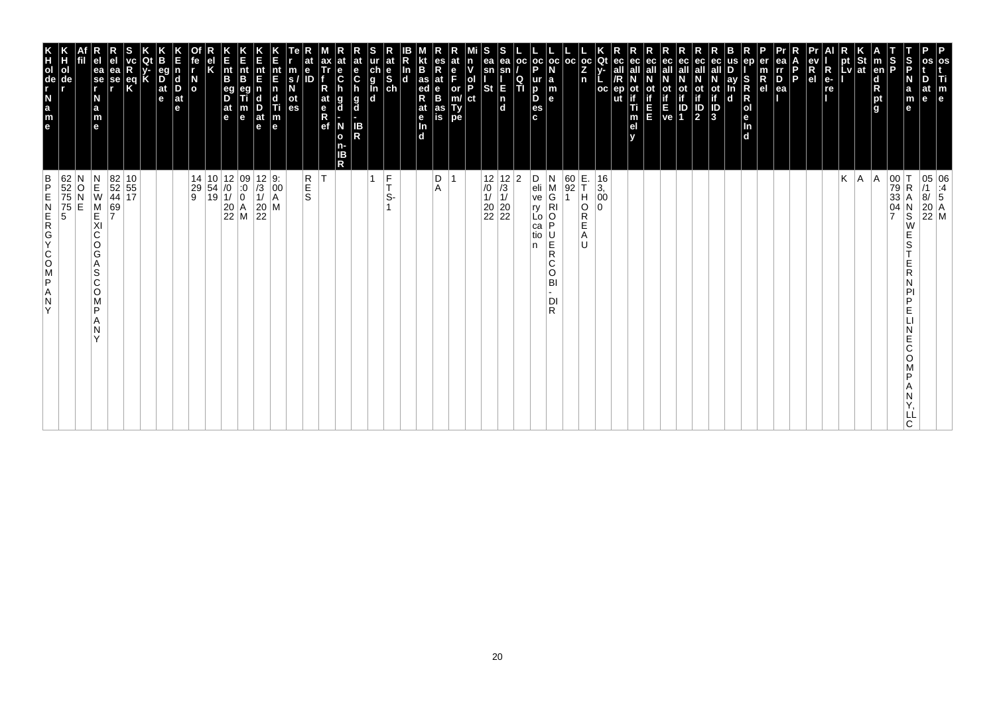| os<br>Ti<br>m<br>e                                                                                                                                                                    | 05 06<br>/1 :4<br>8/ 5<br>20 A<br>22 M                                                                                                                            |
|---------------------------------------------------------------------------------------------------------------------------------------------------------------------------------------|-------------------------------------------------------------------------------------------------------------------------------------------------------------------|
| D<br>at<br>le.                                                                                                                                                                        |                                                                                                                                                                   |
| S<br>P<br>N<br>a<br>m<br>е                                                                                                                                                            | 00<br>79<br>33<br>04<br>7<br>$\mathsf R$<br>Α<br>N<br>S<br>W<br>Е<br>S<br>Ε<br>R<br>N<br>PI<br>P<br>Е<br>Е<br>C<br>O<br>P<br>Α<br>N<br>LL<br>C.                   |
| $\frac{S}{P}$<br>$\vert$ m<br>en<br>d<br>R<br>pt<br>g                                                                                                                                 | A                                                                                                                                                                 |
|                                                                                                                                                                                       | A.                                                                                                                                                                |
| $\left \begin{array}{c}\npt\\ pt\\ lv\n\end{array}\right $ at<br>$\blacksquare$                                                                                                       | Κ                                                                                                                                                                 |
| R<br>e-<br>re                                                                                                                                                                         |                                                                                                                                                                   |
| ev<br>R<br>el                                                                                                                                                                         |                                                                                                                                                                   |
| l P                                                                                                                                                                                   |                                                                                                                                                                   |
| ea<br>Ir<br>D<br>ea                                                                                                                                                                   |                                                                                                                                                                   |
| ep<br>er<br>$\frac{m}{R}$<br>In<br>d                                                                                                                                                  |                                                                                                                                                                   |
| us<br>S<br>R<br>ay<br>In<br>$\mathsf R$<br> o <br>le.                                                                                                                                 |                                                                                                                                                                   |
| eс<br>ot<br>if<br>J<br>3<br>d                                                                                                                                                         |                                                                                                                                                                   |
| ec<br>all<br>$\mathbb{P}$                                                                                                                                                             |                                                                                                                                                                   |
| ec<br>Οt                                                                                                                                                                              |                                                                                                                                                                   |
| ec<br>all<br>$\begin{bmatrix} \mathbf{i} \\ \mathbf{f} \\ \mathbf{E} \\ \mathbf{ve} \end{bmatrix} \begin{bmatrix} \mathbf{i} \\ \mathbf{i} \\ \mathbf{D} \\ \mathbf{1} \end{bmatrix}$ |                                                                                                                                                                   |
| ec<br>all<br>Ε<br>E                                                                                                                                                                   |                                                                                                                                                                   |
| ec<br>ot<br>if<br>Ti<br>m<br>el<br>v                                                                                                                                                  |                                                                                                                                                                   |
| Qt<br>ec<br>$V -$<br>all<br>oc<br>ep                                                                                                                                                  | 16<br>$\frac{3}{00}$                                                                                                                                              |
| $ {}_{Z}^{\rm oc} $<br>n                                                                                                                                                              | E.<br>T<br>H<br>O<br>R<br>$\Omega$<br>E<br>Α<br>U                                                                                                                 |
| oc                                                                                                                                                                                    | 60<br>92<br>$\mathbf 1$                                                                                                                                           |
| $_{\rm oc}$<br>N<br>$\begin{array}{c} \mathsf{a} \\ \mathsf{m} \\ \mathsf{e} \end{array}$                                                                                             | N<br>$_{\rm G}^{\rm M}$<br>$\overline{R}$<br>O<br>P<br>$\overline{R}$<br>C<br>O<br>BI<br>DI<br>R.                                                                 |
| $\frac{1}{P}$<br>  OC<br>ur<br>D<br>D<br>es<br>c                                                                                                                                      | D<br>eli<br>ve<br>ŗy<br>Ľο<br>ca<br>tio<br>n                                                                                                                      |
| ea<br>sn<br>$\frac{Q}{T}$<br>E                                                                                                                                                        | 2                                                                                                                                                                 |
| S<br>ea<br>sn<br><b>St</b><br>$\begin{bmatrix} n \\ d \end{bmatrix}$                                                                                                                  | $\begin{array}{c c} 12 & 12 \\ \hline \end{array} \begin{array}{c} 12 \\ \hline \end{array} \begin{array}{c} 12 \\ \hline 11 \\ 11 \\ 20 \\ 22 \\ 22 \end{array}$ |
| n<br>v<br>$\frac{1}{P}$<br>ct                                                                                                                                                         |                                                                                                                                                                   |
| at<br>e<br>F<br>or<br>m/<br>Ty<br>pe                                                                                                                                                  |                                                                                                                                                                   |
| es<br>R<br>at<br>$\frac{e}{B}$<br>as<br>is                                                                                                                                            | D<br>Α                                                                                                                                                            |
| B<br>as<br>ed<br>at<br>e<br>$\frac{\ln{}}{\ln{}}$<br>In<br>$\overline{d}$                                                                                                             |                                                                                                                                                                   |
| at<br>$\frac{e}{s}$                                                                                                                                                                   | $\frac{F}{T}$<br>S-                                                                                                                                               |
| ch<br>g<br>l<br>d<br>d                                                                                                                                                                | 1                                                                                                                                                                 |
| at<br>e<br>$\mathbf c$<br>h<br>g<br>d<br>IB<br>R                                                                                                                                      |                                                                                                                                                                   |
| $\frac{e}{C}$<br>h<br>g<br>d<br>N<br>$\mathbf{o}$<br>n-<br>IΒ<br>R                                                                                                                    |                                                                                                                                                                   |
| ax<br>Tr<br>R<br>at<br>e<br>R<br>ef                                                                                                                                                   | İΤ                                                                                                                                                                |
| e<br>m<br>s/<br>N<br>ID<br>ot<br>es                                                                                                                                                   | R<br>E<br>S                                                                                                                                                       |
| nt<br>E<br>$\begin{array}{c} \n\mathbf{n} \\ \n\mathbf{d} \\ \n\mathbf{m} \\ \n\mathbf{e} \n\end{array}$                                                                              | $\left  \begin{matrix} 0 & 0 \\ 0 & 0 \\ 0 & 0 \end{matrix} \right $<br>M                                                                                         |
| Ε<br>nt<br>E<br>$\frac{D}{at}$<br>e                                                                                                                                                   | $\begin{array}{ c c }\n 12 & 9: \\  \hline\n 13 & 00 \\  11 & A\n\end{array}$<br>$\begin{array}{c} 20 \\ 22 \end{array}$                                          |
| K<br>Ent<br>B<br>m<br>e                                                                                                                                                               | $\begin{array}{ c c c } \hline 10 & 12 & 09 \\ 54 & /0 & 0 \\ 19 & 1/ & 0 \\ 20 & A & 22 \\ \hline \end{array}$                                                   |
| $\frac{nt}{B}$<br>eg<br>D<br>$\frac{at}{e}$                                                                                                                                           |                                                                                                                                                                   |
| Κ                                                                                                                                                                                     | 14                                                                                                                                                                |
| fe<br>r<br>$\overline{a}$                                                                                                                                                             | 29<br>9                                                                                                                                                           |
| eg<br>n<br>$\overline{D}$ at $\overline{e}$<br>$\vert_{\mathrm{D}}^{\mathrm{d}}$<br>$ $ at<br>e                                                                                       |                                                                                                                                                                   |
| K                                                                                                                                                                                     |                                                                                                                                                                   |
| $\frac{eq}{K}$                                                                                                                                                                        |                                                                                                                                                                   |
| ea<br>se<br>,                                                                                                                                                                         | $\begin{array}{ c c }\n 82 & 10 \\  52 & 55 \\  44 & 17\n\end{array}$<br>69<br>7                                                                                  |
| e <sub>1</sub><br>ea<br>se<br>r<br>N<br>$\frac{a}{m}$<br>e                                                                                                                            | $\begin{array}{c} N \\ E \\ W \end{array}$<br>M<br>E<br>XI<br>$\mathsf C$<br>O<br>G<br>Α<br>S<br>C<br>O<br>M<br>P<br>Α<br>N<br>Y                                  |
|                                                                                                                                                                                       | O<br>E                                                                                                                                                            |
| Н<br>ol<br>de                                                                                                                                                                         | 62<br>52<br>75<br>75<br>5                                                                                                                                         |
| e a z - de r x                                                                                                                                                                        | $\frac{B}{P}$<br>ZAPSOCYCREN<br>Y                                                                                                                                 |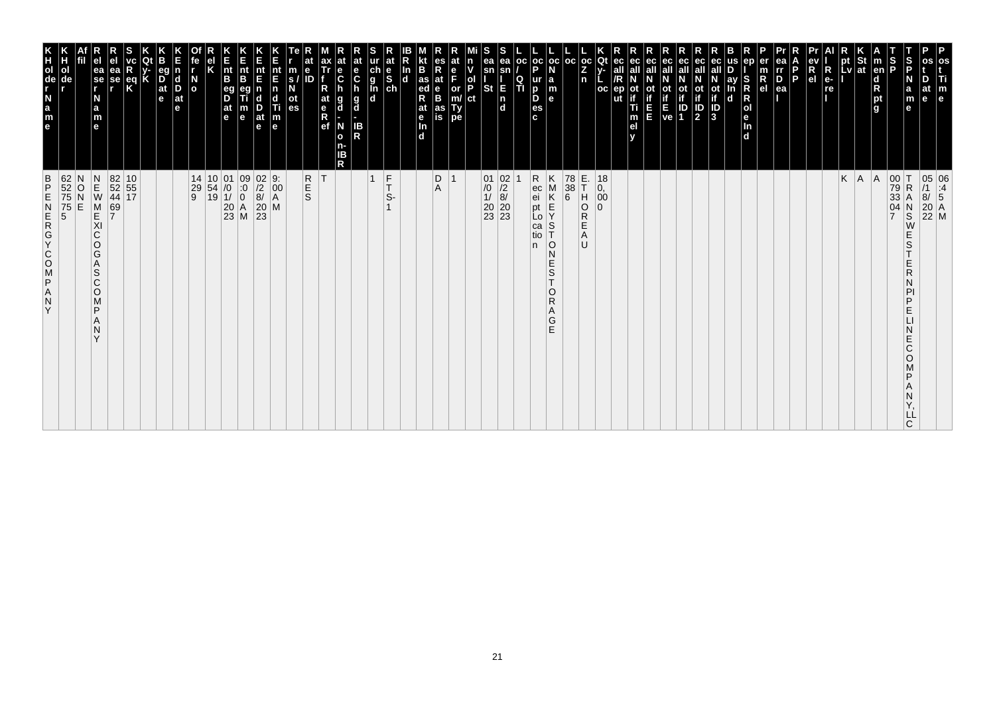| 62<br>52<br>75<br>75<br>5<br>$\frac{B}{P}$<br>Ε<br>ZDJZOOKOZWZ<br>Y                                                                                           | T<br>O<br>O<br>O<br>O<br>O<br>O<br>O<br>O<br>O<br>O<br>O<br>O<br>O<br><br>O<br><br><br>$\Box$<br>ol                |
|---------------------------------------------------------------------------------------------------------------------------------------------------------------|--------------------------------------------------------------------------------------------------------------------|
| N<br>$\frac{0}{N}$<br>E                                                                                                                                       | de                                                                                                                 |
| $\begin{array}{c} N \\ E \\ W \end{array}$<br>M<br>KI<br>C<br>O<br>G<br>Α<br>S<br>C<br>$\circ$<br>M<br>P<br>N<br>$\checkmark$                                 | ea<br>se<br>r<br>N<br>a<br>m<br>e                                                                                  |
| 82 10<br>52 55<br>44 17<br>69<br>7                                                                                                                            | еа<br>se                                                                                                           |
|                                                                                                                                                               | eq<br>K                                                                                                            |
|                                                                                                                                                               |                                                                                                                    |
|                                                                                                                                                               | $\overline{D}$ <sub>at</sub><br>e                                                                                  |
|                                                                                                                                                               | <b>d</b><br>D<br>$ $ at<br>e                                                                                       |
| 14<br>$\begin{array}{c} 29 \\ 9 \end{array}$                                                                                                                  | N<br>O                                                                                                             |
| $\begin{array}{ c c c }\n 10 & 01 \\  54 & /0 \\  19 & 1/ \\ \end{array}$                                                                                     |                                                                                                                    |
| $\begin{array}{c c} 01 & 09 \\ \hline 10 & 0 \\ 11 & 0 \\ 20 & A \\ 23 & M \end{array}$                                                                       | nt<br>B<br>$\frac{eg}{D}$<br> at<br>le.                                                                            |
|                                                                                                                                                               | $rac{E}{n}$<br>B<br>m<br>e                                                                                         |
| $\begin{array}{c} 02 \\ 72 \\ 8 \end{array}$<br>$\begin{bmatrix} 20 \\ 23 \end{bmatrix}$<br>M                                                                 | nt<br>E<br>n<br>c<br>D<br>at<br>$\mathbf e$                                                                        |
| $\begin{vmatrix} 9: \\ 00 \\ A \end{vmatrix}$                                                                                                                 | $\frac{nt}{F}$<br>Ш<br>$\vert_{\mathsf{e}}^{\mathsf{m}}$                                                           |
| R<br>S<br>S                                                                                                                                                   | $\ddot{\textbf{e}}$<br>m<br>ID<br>s.<br>οt<br>es                                                                   |
| ΙT                                                                                                                                                            | at<br>$\frac{e}{R}$                                                                                                |
|                                                                                                                                                               | е<br>$\ddot{\mathbf{c}}$<br>g<br>d<br>N<br>$\mathbf{o}$<br>ΙB<br>R                                                 |
|                                                                                                                                                               | $rac{e}{C}$<br><b>g</b><br>IB<br>R                                                                                 |
| $\overline{1}$                                                                                                                                                | $\begin{array}{c}\n\ddot{c} \\ \ddot{g} \\ \hline\n\ddot{d}\n\end{array}$                                          |
| $\frac{F}{T}$<br>S-                                                                                                                                           | at<br>$\frac{e}{s}$                                                                                                |
|                                                                                                                                                               | In<br>$\mathbf d$                                                                                                  |
|                                                                                                                                                               | B<br>as<br>ed<br>R<br>at<br>e<br>Tn.<br>d                                                                          |
| D<br>A                                                                                                                                                        | $R_{at}$<br>e<br>B<br>as<br>is                                                                                     |
| $\overline{1}$                                                                                                                                                | e<br>F<br>or<br>m/<br>Ty<br>pe                                                                                     |
|                                                                                                                                                               | ol<br>P<br>ct                                                                                                      |
| $\begin{array}{c c} 01 & 02 \\ \hline 10 & 12 \\ 11 & 8 \\ 20 & 20 \\ 23 & 23 \end{array}$                                                                    | ea<br>sn<br><b>St</b>                                                                                              |
|                                                                                                                                                               | ea<br>sn<br>Е<br>$\frac{ \mathsf{n} }{ \mathsf{d} }$                                                               |
|                                                                                                                                                               | l oc<br>Q<br>TI                                                                                                    |
| R<br>ec<br>ei<br>pt<br>Lo<br>ca<br>tio<br>n.                                                                                                                  | $ oc $ oc<br>D<br>ur<br>b<br>D<br>es<br>c.                                                                         |
| Κ<br>M<br>K<br>$\frac{\mathsf{E}}{\mathsf{Y}}$<br>$\mathbb S$<br>10<br>$\mathsf{N}$<br>$_{\rm S}^{\rm E}$<br>T<br>$\circ$<br>$\mathsf{R}$<br>Α<br>$rac{G}{E}$ | l a<br>m<br>l el                                                                                                   |
| 78<br>$\begin{array}{c} 38 \\ 6 \end{array}$                                                                                                                  | l oc                                                                                                               |
| E.<br>T<br>H<br>O<br>R<br>E<br>A<br>U                                                                                                                         | $_{\rm oc}$<br>Z<br>n                                                                                              |
| 18<br>0,<br>00<br>$\Omega$                                                                                                                                    | Qt<br>$_{\rm oc}$                                                                                                  |
|                                                                                                                                                               | οt<br>ut<br>Ti<br>m<br>el                                                                                          |
|                                                                                                                                                               | ec                                                                                                                 |
|                                                                                                                                                               | ec<br>Ot<br>ш                                                                                                      |
|                                                                                                                                                               | οt<br>$\frac{1}{E}$<br>ve<br>ID<br>1                                                                               |
|                                                                                                                                                               | ec<br>all<br>ec<br>$\frac{\text{ot}}{\text{if}}$<br>$\sqrt{\frac{D}{2}}$                                           |
|                                                                                                                                                               | ot<br>if<br>$\frac{1}{3}$                                                                                          |
|                                                                                                                                                               | ay<br>d                                                                                                            |
|                                                                                                                                                               | S<br>$\overline{\mathbf{d}}$                                                                                       |
|                                                                                                                                                               | $\mathsf R$<br>e <sub>l</sub>                                                                                      |
|                                                                                                                                                               | ea<br>rr<br>$\frac{D}{ea}$<br>P                                                                                    |
|                                                                                                                                                               |                                                                                                                    |
|                                                                                                                                                               | R<br>R<br>el<br>$e-$<br>re                                                                                         |
| K                                                                                                                                                             | pt<br>Lv                                                                                                           |
| A                                                                                                                                                             | St<br> at                                                                                                          |
| A                                                                                                                                                             | $\vert$ m<br>en<br>$\begin{array}{c}\n\mathbf{d} \\ \mathbf{R} \\ \mathbf{p}\mathbf{t} \\ \mathbf{g}\n\end{array}$ |
| 00<br>79<br>33<br>$\frac{04}{7}$                                                                                                                              | $\frac{S}{P}$                                                                                                      |
| $\mathsf{T}$<br>$\mathsf R$<br>Α<br>$\frac{N}{S}$<br>E<br>S<br>R<br>D<br>Е<br>E<br>Ć<br>O<br>ם<br>LL<br>C                                                     | S<br>P<br>N<br>a<br>m<br>e                                                                                         |
| 05 06<br>/1 :4<br>8/ 5<br>20 A<br>22 M                                                                                                                        | at<br>e                                                                                                            |
|                                                                                                                                                               | P<br>os<br>Τi<br>m<br>e                                                                                            |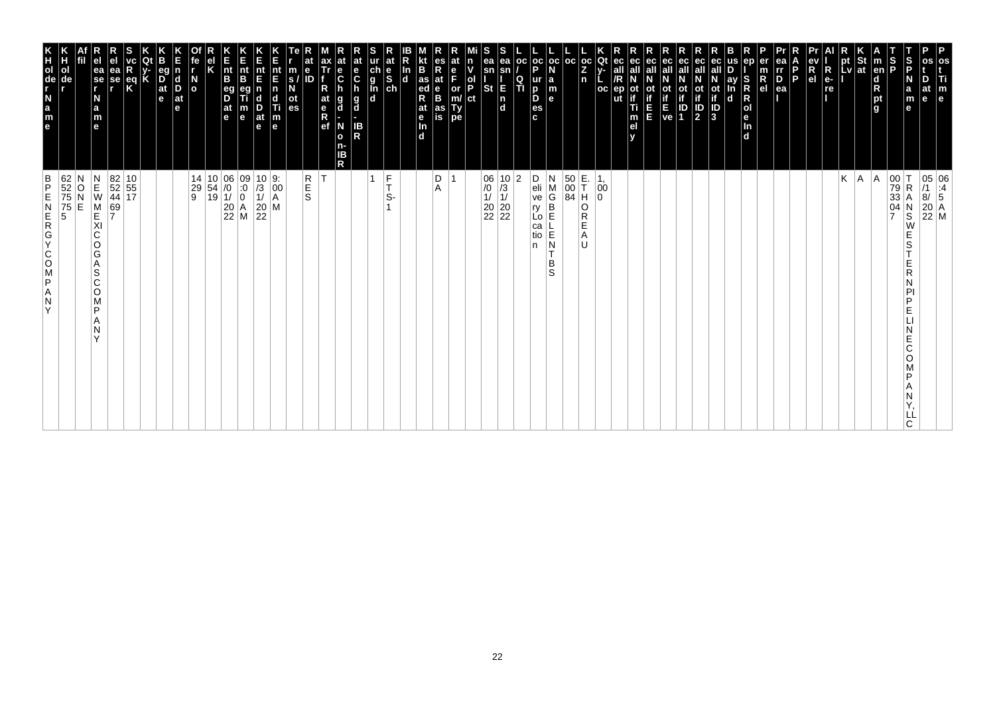| os<br>Ti<br>m<br>e                                                                                                                                                                    | 05 06<br>/1 :4<br>8/ 5<br>20 A<br>22 M                                                                                                               |
|---------------------------------------------------------------------------------------------------------------------------------------------------------------------------------------|------------------------------------------------------------------------------------------------------------------------------------------------------|
| D<br>at<br>le.                                                                                                                                                                        |                                                                                                                                                      |
| S<br>P<br>N<br>a<br>m<br>е                                                                                                                                                            | 00<br>79<br>33<br>04<br>7<br>$\mathsf R$<br>Α<br>N<br>S<br>W<br>Е<br>S<br>Ε<br>R<br>N<br>PI<br>P<br>Е<br>Е<br>C<br>O<br>P<br>Α<br>N<br>LL<br>C.      |
| $\frac{S}{P}$<br>$\vert$ m<br>en<br>d<br>R<br>pt<br>g                                                                                                                                 | A                                                                                                                                                    |
|                                                                                                                                                                                       | A.                                                                                                                                                   |
| $\left \begin{array}{c}\npt\\ pt\\ lv\n\end{array}\right $ at<br>$\blacksquare$                                                                                                       | Κ                                                                                                                                                    |
| R<br>e-<br>re                                                                                                                                                                         |                                                                                                                                                      |
| ev<br>R<br>el                                                                                                                                                                         |                                                                                                                                                      |
| l P                                                                                                                                                                                   |                                                                                                                                                      |
| ea<br>Ir<br>D<br>ea                                                                                                                                                                   |                                                                                                                                                      |
| er<br>$\frac{m}{R}$                                                                                                                                                                   |                                                                                                                                                      |
| us<br>ep<br>S<br>R<br>$\mathsf R$<br> o <br>le.<br>ln<br>d                                                                                                                            |                                                                                                                                                      |
| eс<br>ay<br>In<br>ot<br>if<br>J<br>3<br>d                                                                                                                                             |                                                                                                                                                      |
| ec<br>all<br>$\mathbb{P}$                                                                                                                                                             |                                                                                                                                                      |
| ec<br>οt                                                                                                                                                                              |                                                                                                                                                      |
| ec<br>all<br>$\begin{bmatrix} \mathbf{i} \\ \mathbf{f} \\ \mathbf{E} \\ \mathbf{ve} \end{bmatrix} \begin{bmatrix} \mathbf{i} \\ \mathbf{i} \\ \mathbf{D} \\ \mathbf{1} \end{bmatrix}$ |                                                                                                                                                      |
| ec<br>all<br>Ε<br>E                                                                                                                                                                   |                                                                                                                                                      |
| ec<br>ot<br>if<br>Ti<br>m<br>el<br>v                                                                                                                                                  |                                                                                                                                                      |
| Qt<br>ec<br>$V -$<br>all<br>oc<br>ep                                                                                                                                                  | 00                                                                                                                                                   |
| $ {}_{Z}^{\rm oc} $<br>n                                                                                                                                                              | E.<br>T<br>H<br>0<br>O<br>R<br>E<br>Α<br>U                                                                                                           |
| oc                                                                                                                                                                                    | 50<br>00<br>84                                                                                                                                       |
| $_{\rm oc}$<br>N<br>$\begin{array}{c} \mathsf{a} \\ \mathsf{m} \\ \mathsf{e} \end{array}$                                                                                             | N<br>M<br>G<br>B<br>E<br>$\mathsf E$<br>N<br>т<br>B<br>S                                                                                             |
| $\frac{1}{P}$<br>  OC<br>ur<br>D<br>D<br>es<br>c                                                                                                                                      | D<br>eli<br>ve<br>$ y $<br>Lo<br>ca<br>tio<br>n                                                                                                      |
| ea<br>sn<br>$\frac{Q}{T}$<br>E                                                                                                                                                        | 2                                                                                                                                                    |
| S<br>ea<br>sn<br><b>St</b><br>$\begin{bmatrix} n \\ d \end{bmatrix}$                                                                                                                  | $\begin{array}{c c} 06 & 10 \\ \hline \end{array} \begin{array}{c} 10 \\ \hline \end{array} \begin{array}{c} 10 \\ 11 \\ 20 \\ 22 \\ 22 \end{array}$ |
| n<br>v<br>$\frac{1}{P}$<br>ct                                                                                                                                                         |                                                                                                                                                      |
| at<br>e<br>F<br>or<br>m/<br>Ty<br>pe                                                                                                                                                  |                                                                                                                                                      |
| es<br>R<br>at<br>$\frac{e}{B}$<br>as<br>is                                                                                                                                            | D<br>Α                                                                                                                                               |
| B<br>as<br>ed<br>at<br>e<br>$\frac{\ln{}}{\ln{}}$<br>In<br>$\overline{d}$                                                                                                             |                                                                                                                                                      |
| at<br>$\frac{e}{s}$                                                                                                                                                                   | $\frac{F}{T}$<br>S-                                                                                                                                  |
| ur<br>ch<br>g<br>l<br>d<br>d                                                                                                                                                          | 1                                                                                                                                                    |
| at<br>e<br>$\mathbf c$<br>g<br>d<br>IB<br>R                                                                                                                                           |                                                                                                                                                      |
| $\mathbf c$<br>h<br>g<br>d<br>N<br>$\mathbf{o}$<br>n-<br>IΒ<br>R                                                                                                                      |                                                                                                                                                      |
| ax<br>Tr<br>R<br>at<br>e<br>R<br>ef                                                                                                                                                   | İΤ                                                                                                                                                   |
| m<br>s/<br>N<br>е<br>ID<br>ot<br>es                                                                                                                                                   | R<br>E<br>S                                                                                                                                          |
| nt<br>E<br>$\begin{array}{c} \n\mathbf{n} \\ \n\mathbf{d} \\ \n\mathbf{m} \\ \n\mathbf{e} \n\end{array}$                                                                              | $\left  \begin{matrix} 0 & 0 \\ 0 & 0 \\ 0 & 0 \end{matrix} \right $                                                                                 |
| Ε<br>nt<br>E<br>$\frac{D}{at}$<br>e                                                                                                                                                   | $\begin{array}{ c c c }\n 10 & 9: \\  \hline\n 13 & 00 \\  11 & A\n\end{array}$<br>$\begin{vmatrix} 20 \\ 22 \end{vmatrix}$ M                        |
| K<br>Ent<br>B<br>m<br>e                                                                                                                                                               | $\begin{array}{c c} 10 & 06 & 09 \\ 54 & /0 & 0 \\ 19 & 1/ & 0 \\ 20 & A & 22 \\ 22 & M & \end{array}$                                               |
| Κ<br>$\frac{nt}{B}$<br>eg<br>D<br>$\frac{at}{e}$                                                                                                                                      |                                                                                                                                                      |
| fe<br>$\overline{a}$                                                                                                                                                                  | 14<br>29<br>9                                                                                                                                        |
| r<br>n<br>$\vert_{\mathrm{D}}^{\mathrm{d}}$<br>$ $ at<br>e                                                                                                                            |                                                                                                                                                      |
| eg<br>$\overline{D}$ at $\overline{e}$                                                                                                                                                |                                                                                                                                                      |
| K                                                                                                                                                                                     |                                                                                                                                                      |
| $\frac{eq}{K}$                                                                                                                                                                        | $\begin{array}{ c c }\n 82 & 10 \\  52 & 55 \\  44 & 17\n\end{array}$                                                                                |
| ea<br>se<br>,                                                                                                                                                                         | 69<br>7                                                                                                                                              |
| e <sub>1</sub><br>ea<br>se<br>r<br>N<br>$\frac{a}{m}$<br>e                                                                                                                            | $\begin{array}{c}\nN \\ E \\ W\n\end{array}$<br>M<br>E<br>XI<br>$\mathsf C$<br>O<br>G<br>Α<br>S<br>C<br>O<br>M<br>P<br>Α<br>N<br>Y                   |
| ol<br>de                                                                                                                                                                              | 62<br>52<br>75<br>75<br>5<br>O<br>E                                                                                                                  |
| e a z - de r x<br>Н                                                                                                                                                                   | $\frac{B}{P}$<br>ZAPSOCYCREN<br>Y                                                                                                                    |
|                                                                                                                                                                                       |                                                                                                                                                      |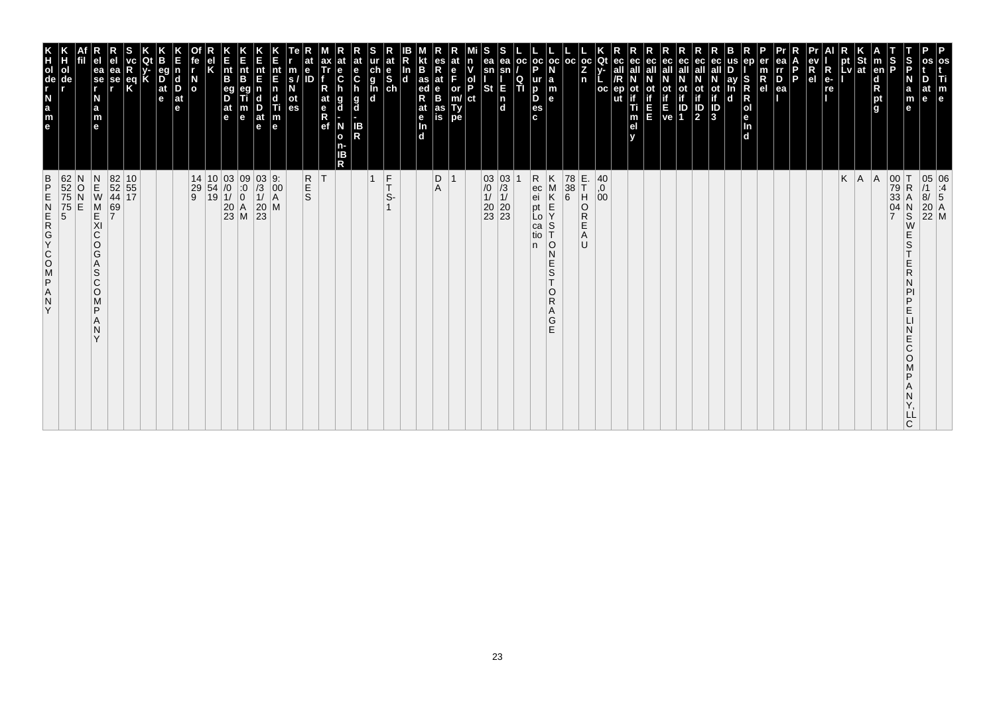| 62<br>52<br>75<br>75<br>5<br>5<br>$\frac{B}{P}$<br>ZD700X02E<br>Y                                                                                                       | K<br>TOUR LEB<br>ol                                                            |
|-------------------------------------------------------------------------------------------------------------------------------------------------------------------------|--------------------------------------------------------------------------------|
| N<br>O<br>E                                                                                                                                                             | de                                                                             |
| $\begin{array}{c} N \\ E \\ W \end{array}$<br>M<br>KI<br>C<br>O<br>G<br>A<br>S<br>$\mathsf{C}$<br>$\circ$<br>M<br>P<br>N<br>$\checkmark$                                | ea<br>$ \mathbf{\hat{s}}\mathbf{e} $<br>N<br>a<br>m<br>$\mathbf{e}$            |
| 69<br>7                                                                                                                                                                 | еа<br>se                                                                       |
| 82 10<br>52 55<br>44 17                                                                                                                                                 | eq<br>K                                                                        |
|                                                                                                                                                                         |                                                                                |
|                                                                                                                                                                         | eq<br>$\overline{D}$ <sub>at</sub><br>e                                        |
|                                                                                                                                                                         | $\vert$ d<br>D<br>$ $ at<br>le.                                                |
| $\begin{array}{c cc} 14 & 10 & 03 & 09 \\ 29 & 54 & /0 & :0 \\ 9 & 19 & 1/ & 0 \\ & & 20 & A \\ & & 23 & M \\ \end{array}$                                              | $\frac{N}{2}$                                                                  |
|                                                                                                                                                                         |                                                                                |
|                                                                                                                                                                         | $\vert_{\mathsf{B}}^{\mathsf{nt}}$<br>eg<br>D<br>$ $ at<br>l e                 |
|                                                                                                                                                                         | Ê<br>nt<br>B<br>m<br>$\mathbf e$                                               |
| $\frac{03}{1}$<br>$\frac{1}{20}$<br>$\frac{20}{23}$                                                                                                                     | nt<br>E<br>$\frac{D}{at}$<br>$\mathbf e$                                       |
| 9:<br>$\left  \begin{smallmatrix} 0 & 0 \\ 0 & 0 \\ A & A \end{smallmatrix} \right $<br>M                                                                               | nt<br>E<br>n<br>c<br>Ti<br>$\frac{\mathsf{m}}{\mathsf{e}}$                     |
|                                                                                                                                                                         | m<br>S.<br>οt<br>es                                                            |
| <b>R</b><br>S                                                                                                                                                           | е<br>ID                                                                        |
| ΙT                                                                                                                                                                      | ax<br>Tr<br>at<br>$R$ ef                                                       |
|                                                                                                                                                                         | at<br>е<br>$\ddot{\mathbf{c}}$<br>g<br>d<br>N<br>$\mathbf{o}$<br>n-<br>ΙB<br>R |
|                                                                                                                                                                         | at<br>e<br>$\mathbf c$<br>$\frac{g}{d}$<br>IB<br>R                             |
| $\frac{F}{T}$<br>$\overline{1}$                                                                                                                                         | ch<br>g<br>g<br>d<br>d                                                         |
| S-                                                                                                                                                                      | at<br>$\begin{bmatrix} 1 & b \\ c & d \end{bmatrix}$                           |
|                                                                                                                                                                         | B<br>In<br>$\mathbf d$<br>R<br>$\frac{e}{\ln}$<br>d.                           |
|                                                                                                                                                                         | as<br>ed<br>at                                                                 |
| D<br>$\overline{1}$<br>Α                                                                                                                                                | es<br>$R_{at}$<br>F<br>$\frac{e}{B}$<br>as<br>is                               |
|                                                                                                                                                                         | at<br>n<br>ol<br>P<br>or<br>Ty<br>pe                                           |
|                                                                                                                                                                         | ct                                                                             |
| $\begin{array}{c cc} 03 & 03 \\ \hline \end{array} \begin{array}{c} 03 \\ \hline 13 \\ 11 \\ 20 \\ 23 \\ 23 \\ \end{array}$                                             | ea<br>sn<br>E<br>St<br>$\frac{1}{d}$                                           |
|                                                                                                                                                                         | ea<br>Q<br>TI                                                                  |
| n.                                                                                                                                                                      | oc <br>p<br>D                                                                  |
| R<br>ec<br>ei<br>pt<br>Κ<br>M<br>K<br>$\mathsf E$<br>Lo<br>$\mathbb S$<br>ca<br>tio<br>10<br>N<br>Ε<br>$\frac{{\mathsf S}}{{\mathsf T}}$<br>$\circ$<br>R<br>Α<br>G<br>E | oc oc <br>ur<br>la<br>m<br>D<br>$\mathbf{e}$<br>es<br>c.                       |
|                                                                                                                                                                         |                                                                                |
| 78<br>$\begin{array}{c} 38 \\ 6 \end{array}$                                                                                                                            | l oc                                                                           |
| E.<br>T<br>H<br>O<br>R<br>Ε<br>A<br>U                                                                                                                                   | $ oc $ Qt<br>Z<br>n                                                            |
| 40<br>0,<br>00                                                                                                                                                          | oc<br>ut                                                                       |
|                                                                                                                                                                         | ec<br>ec<br>οt<br>Ti<br>m<br>el                                                |
|                                                                                                                                                                         | ec<br>Ш                                                                        |
|                                                                                                                                                                         | ot<br>if<br>ve                                                                 |
|                                                                                                                                                                         | ec<br>οt<br>IP<br>1                                                            |
|                                                                                                                                                                         | ec<br>all<br><b>ot</b><br>$\frac{1}{2}$                                        |
|                                                                                                                                                                         | ot<br>if<br>3                                                                  |
|                                                                                                                                                                         | ay<br>$\mathbf d$                                                              |
|                                                                                                                                                                         | ep<br>S<br>$\mathsf R$<br>R<br>Jen<br>d                                        |
|                                                                                                                                                                         | $\frac{R}{e}$                                                                  |
|                                                                                                                                                                         | ea<br>$\overline{P}_{ea}$<br>P                                                 |
|                                                                                                                                                                         | R<br>e <sub>1</sub>                                                            |
|                                                                                                                                                                         | $\overline{\mathsf{R}}$<br>$e-$<br>re                                          |
| K                                                                                                                                                                       | pt<br>Lv                                                                       |
| A                                                                                                                                                                       | St<br> at                                                                      |
| A                                                                                                                                                                       | $\vert$ m<br>en<br>d<br>pt<br>g                                                |
| 00<br>79<br>33<br>04<br>$\overline{7}$                                                                                                                                  | $\frac{1}{2}$                                                                  |
| ΙT<br>$\mathsf R$<br>А<br>$_{\rm S}^{\rm N}$<br>W<br>E<br>S<br>Ε<br>R<br>D<br>Ε<br>E<br>Ć<br>O<br>D<br>LL<br>C                                                          | S<br>P<br>N<br>a<br>m<br>$\mathbf e$                                           |
| 05 06<br>/1 :4<br>8/ 5<br>20 A<br>22 M                                                                                                                                  | at<br>e<br>e                                                                   |
|                                                                                                                                                                         | os<br>Ti<br>m                                                                  |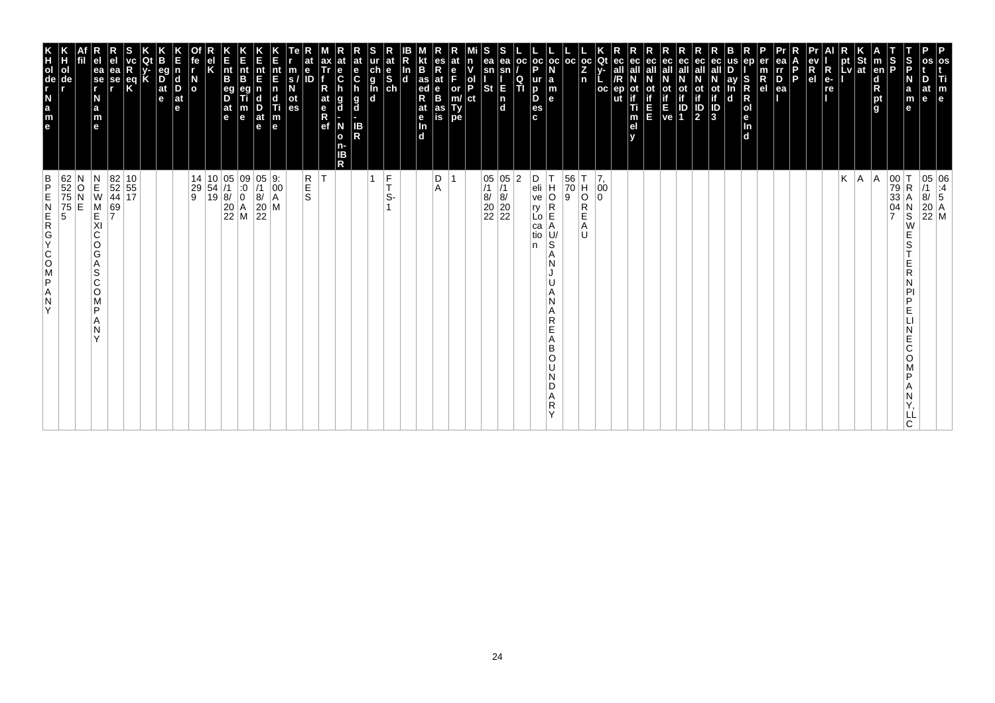| $\begin{array}{c}\n0 \\ \hline\n\end{array}$                                                                                                                       |                                                                                                                                                        |
|--------------------------------------------------------------------------------------------------------------------------------------------------------------------|--------------------------------------------------------------------------------------------------------------------------------------------------------|
| N<br>M<br>E<br>E<br>69<br>7<br>XI<br>С<br>O<br>G<br>Α<br>l S<br>С<br>O<br>M<br>P<br>Α<br>Ν<br>Y                                                                    | el<br>e <sub>l</sub><br>ea<br>se<br>r<br>ea<br>se<br>N<br>a<br>m<br>e                                                                                  |
| 82 10<br>52 55<br>44 17                                                                                                                                            | R<br>eq<br>K                                                                                                                                           |
|                                                                                                                                                                    | Q<br>ИC<br>y-<br>K                                                                                                                                     |
|                                                                                                                                                                    | eg<br>D <sub>at</sub><br>e                                                                                                                             |
|                                                                                                                                                                    | E<br>$\mathbf n$<br>$\begin{array}{c}\n\mathbf{d} \\ \mathbf{D} \\ \mathbf{a}\mathbf{t}\n\end{array}$<br>e                                             |
| $\frac{14}{29}$                                                                                                                                                    | fe<br>No                                                                                                                                               |
| $\begin{array}{ c c }\n10 & 05 \\ 54 & /1 \\ 19 & 8\n\end{array}$                                                                                                  | el<br>K                                                                                                                                                |
| $\begin{array}{ c c }\n 20 & A \\  22 & M\n\end{array}$                                                                                                            | E<br>nt<br>B<br>eg<br>D<br>at<br>e                                                                                                                     |
| $\begin{matrix} 09 \\[-4pt] 0 \\[-4pt] 0 \end{matrix}$                                                                                                             | E<br>nt<br>B<br>eg<br>$\frac{m}{e}$                                                                                                                    |
| $\begin{array}{c} 05 \\ 7 \\ 8 \\ 20 \\ 22 \end{array}$                                                                                                            | nt<br>E<br>n<br>$\frac{\mathsf{D}}{\mathsf{at}}$<br>$\mathbf{e}$<br>l e                                                                                |
| $\begin{vmatrix} 9. \\ 00 \\ A \end{vmatrix}$<br>M                                                                                                                 | Ε<br>nt<br>End<br>Tim                                                                                                                                  |
| R<br>E<br>S                                                                                                                                                        | at<br>$\mathbf e$<br>$\frac{m}{\alpha}$<br>es<br>ID                                                                                                    |
| Т                                                                                                                                                                  | ax<br>Tr<br>R<br>at<br>$\frac{e}{R}$<br>ef                                                                                                             |
|                                                                                                                                                                    | at<br>e<br>C<br>D<br>g<br>$\mathbf d$<br>N<br>$\bullet$<br>n-<br>IB<br>R                                                                               |
|                                                                                                                                                                    | at<br>e<br>C<br>h<br>g<br>d<br>IB<br>R                                                                                                                 |
| 1                                                                                                                                                                  | ur<br>d<br>d<br>d<br>d                                                                                                                                 |
| F<br>S-                                                                                                                                                            | at<br>e<br>S<br>ch                                                                                                                                     |
|                                                                                                                                                                    | kt<br>B<br>In<br>d<br>at<br>e<br>d.                                                                                                                    |
| D<br>Α                                                                                                                                                             | es<br>R<br>at<br>e<br>B<br>as<br>is<br>$\frac{1}{\text{ad}}$                                                                                           |
| $\mathbf{1}$                                                                                                                                                       | at<br>e<br>F<br>$\begin{vmatrix} \text{or} \\ \text{m}/\text{r} \\ \text{pe} \end{vmatrix}$                                                            |
|                                                                                                                                                                    | n<br>v<br>$\begin{bmatrix} 1 \\ 0 \\ P \\ 1 \end{bmatrix}$                                                                                             |
|                                                                                                                                                                    | S<br>ea<br>sn<br><b>St</b>                                                                                                                             |
| 05 05<br>/1 /1<br>8/ 8/<br>20 20<br>22 22                                                                                                                          | ea <br>sn<br>$\frac{1}{a}$                                                                                                                             |
| $ 2\rangle$                                                                                                                                                        | $\frac{Q}{T}$                                                                                                                                          |
| D<br>eli<br>ve<br>$\begin{bmatrix} 1 & R \\ R & R \end{bmatrix}$<br>ca<br>tio<br>n                                                                                 | $\begin{vmatrix} \mathsf{oc} & \mathsf{oc} & \mathsf{oc} \\ \mathsf{P} & \mathsf{N} & \end{vmatrix}$<br>ur<br>D<br>es<br>c.                            |
| T<br>H<br>O<br> A<br>U/<br>S<br>A<br>N<br>N<br>A<br>R<br>Ë<br>Α<br>B<br>O<br>N<br>D<br>Α<br>R<br>Υ                                                                 | $\begin{array}{c} \n a \\ \n m \\ \n e \n \end{array}$                                                                                                 |
| $\begin{vmatrix} 56 \\ 70 \\ 9 \end{vmatrix}$                                                                                                                      | $\left \frac{\bar{c}c}{Z}\right _n$                                                                                                                    |
| $\overline{O}$<br>R<br>E<br>Α<br>U                                                                                                                                 |                                                                                                                                                        |
| $\begin{bmatrix} 7 \\ 00 \\ 0 \end{bmatrix}$                                                                                                                       | Qt<br>v-<br>$_{\rm oc}$                                                                                                                                |
|                                                                                                                                                                    | ec<br>ec<br>all<br>/R<br>all<br>ep<br>ot<br>if<br>Ti<br>ut<br>m<br>el<br>v                                                                             |
|                                                                                                                                                                    | ec <br>ot<br>if<br>E<br>E                                                                                                                              |
|                                                                                                                                                                    | <sub>al</sub>                                                                                                                                          |
|                                                                                                                                                                    | ec<br>ச<br>$\begin{array}{ c c }\n\hline\n\text{ot} & \text{ot} \\ \text{if} & \text{if} \\ \text{E} & \text{ID} \\ \text{ve} & \text{1}\n\end{array}$ |
|                                                                                                                                                                    | ec<br>Not<br>10<br>10<br>2                                                                                                                             |
|                                                                                                                                                                    | ec<br>all<br>$\overline{\begin{matrix} \text{ot} \\ \text{if} \end{matrix}}$<br>$\frac{1}{3}$                                                          |
|                                                                                                                                                                    | lus<br>D<br>ay<br>In<br>d                                                                                                                              |
|                                                                                                                                                                    | ep<br>e DIR De<br>ln<br>d                                                                                                                              |
|                                                                                                                                                                    | er<br>$\frac{m}{R}$                                                                                                                                    |
|                                                                                                                                                                    | ea<br>rr<br>D<br>ea                                                                                                                                    |
|                                                                                                                                                                    | $\mathbf{P}$                                                                                                                                           |
|                                                                                                                                                                    | $R$ <sub>el</sub>                                                                                                                                      |
|                                                                                                                                                                    | R<br>$e-$<br>re                                                                                                                                        |
| $K \mid A$                                                                                                                                                         | pt<br>Lv                                                                                                                                               |
| A                                                                                                                                                                  | St<br>at                                                                                                                                               |
|                                                                                                                                                                    | <b>CODE</b><br>$\frac{\mathsf{d}}{\mathsf{R}}$<br>pt<br>g                                                                                              |
| 00 T<br>79 R<br>33 A<br>04 N<br>7 S<br>$\begin{array}{c} N \\ S \\ W \end{array}$<br>Ε<br>S<br>Ε<br>R<br>N<br>PI<br>P<br>Е<br>N<br>Е<br>C<br>O<br>M<br>P<br>А<br>N | $\frac{S}{P}$<br>a<br>e                                                                                                                                |
| ᄔ                                                                                                                                                                  | D<br>at<br>m<br>e                                                                                                                                      |
| 05 06<br>$\begin{array}{c c}\n 05 & 06 \\  7 & 4 \\  8 & 5 \\  20 & A \\  22 & M\n\end{array}$                                                                     | Ti<br>$\mathbb{F}_{q}$                                                                                                                                 |
|                                                                                                                                                                    |                                                                                                                                                        |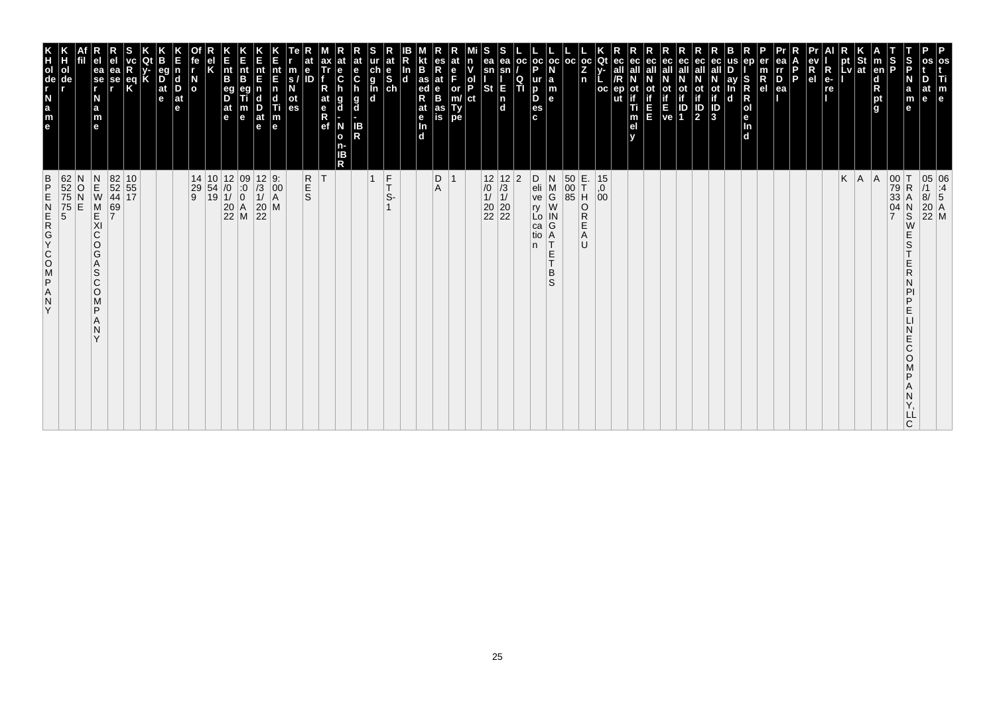| os<br>m                                                                                                           |                                                                                                                                   |
|-------------------------------------------------------------------------------------------------------------------|-----------------------------------------------------------------------------------------------------------------------------------|
| $\mathbf{e}$                                                                                                      | 05 06<br>/1 :4<br>8/ 5<br>20 A<br>22 M                                                                                            |
| $\frac{5}{5}$<br>m<br>l e<br>е                                                                                    | $\frac{N}{S}$<br>W<br>E<br>S<br>E<br>R<br>Ν<br>PI<br>P<br>E<br>N<br>E<br>$\mathsf C$<br>O<br>M<br>P<br>Α<br>Ν<br>Υ,<br>LĹ<br>C    |
| S<br>D<br>a                                                                                                       | 00 T<br>79 R<br>33 A<br>04 N                                                                                                      |
| $\vert$ m<br>en<br>$\begin{array}{c}\n\mathsf{d} \\ \mathsf{R}\n\end{array}$<br>pt<br>l g                         | A                                                                                                                                 |
| St<br>at                                                                                                          |                                                                                                                                   |
| pt<br>_v l                                                                                                        | $K \mid A$                                                                                                                        |
| R<br>e-<br>re                                                                                                     |                                                                                                                                   |
| $\frac{R}{el}$                                                                                                    |                                                                                                                                   |
| D<br>rr<br>D<br>ea<br>P                                                                                           |                                                                                                                                   |
| $\frac{m}{R}$                                                                                                     |                                                                                                                                   |
| S<br>R<br>M<br>e<br>R<br>M<br>R<br>In<br>d                                                                        |                                                                                                                                   |
| ay<br>In<br>$\mathbf d$                                                                                           |                                                                                                                                   |
| $\sqrt{3}$                                                                                                        |                                                                                                                                   |
| ec<br>οt<br>$\frac{1}{2}$                                                                                         |                                                                                                                                   |
| ec<br>if<br>息啊                                                                                                    |                                                                                                                                   |
| eс                                                                                                                |                                                                                                                                   |
| ec<br>Оt<br>E<br>E                                                                                                |                                                                                                                                   |
| ec<br>ec<br>ep<br>Ti<br>m<br>el<br>v                                                                              |                                                                                                                                   |
| Qt<br>oc                                                                                                          | $\begin{vmatrix} 15 \\ 0 \\ 00 \end{vmatrix}$                                                                                     |
| oc <br>$\frac{z}{n}$                                                                                              | A<br>U                                                                                                                            |
| $\left \begin{array}{c} \texttt{oc} \\ \texttt{N} \end{array}\right $ oc                                          |                                                                                                                                   |
| $ {\sf oc} $<br>P<br>a<br>m<br>e<br>င်<br>ပါတီ                                                                    | D<br>eli<br>ve<br>$X \geq 0$<br>ry<br>Lo<br>in<br>G<br>A<br>T<br>ca<br>tio<br>n.<br>E<br>T.<br>B<br>S                             |
| oc <br>ရ<br>Ti                                                                                                    | 2                                                                                                                                 |
| ea<br>sn<br>$\frac{E}{n}$<br>d                                                                                    | $\begin{array}{c} 12 \\ 73 \\ 11 \\ 20 \\ 22 \end{array}$                                                                         |
| ea<br>sn<br>St                                                                                                    | 12<br>$\frac{1}{1}$<br>$20\,$<br>$\overline{22}$                                                                                  |
| ol<br> P<br> ct                                                                                                   |                                                                                                                                   |
| es<br>or<br>m/<br>Ty<br>pe                                                                                        |                                                                                                                                   |
| R<br>B<br>$\frac{1}{2}$ as<br>$\frac{1}{2}$<br>at<br>$_{\rm B}^{\rm e}$<br>at<br>e <sub>In</sub><br>d<br>as<br>is | D<br>A                                                                                                                            |
|                                                                                                                   |                                                                                                                                   |
| at<br>e<br>S<br>ch                                                                                                | $_{\rm T}^{\rm F}$<br>S-<br>$\mathbf{1}$                                                                                          |
| ur<br>g<br>g<br>č<br>lin<br>Id<br>$\frac{1}{R}$                                                                   | $\vert$ 1                                                                                                                         |
| $\frac{e}{C}$<br>h<br>h<br>$\frac{g}{d}$<br>g<br>N<br>o<br>R<br>R<br>R                                            |                                                                                                                                   |
| ax<br>Ťr<br>R<br>$ $ at<br>$\frac{e}{R}$                                                                          |                                                                                                                                   |
| m<br>N<br>ot<br>es                                                                                                | R<br>E<br>S                                                                                                                       |
| nt<br>E<br>$\begin{array}{c}\n\mathbf{d} \\ \mathbf{f} \\ \mathbf{m}\n\end{array}$                                |                                                                                                                                   |
| nt<br>E<br>$\frac{D}{at}$<br>e                                                                                    | $\begin{array}{c} 12 & 9: \\ /3 & 00 \\ 1/ & A \\ 20 & M \\ 22 \end{array}$                                                       |
| nt<br>B<br>m<br>e                                                                                                 | $\begin{array}{c cc} 14 & 10 & 12 & 09 \\ 29 & 54 & /0 & :0 \\ 9 & 19 & 1/ & 0 \\ & & 20 & A \\ & & 22 & M \\ \end{array}$        |
| nt<br>B<br>eg<br>D<br>$\frac{at}{e}$                                                                              |                                                                                                                                   |
|                                                                                                                   |                                                                                                                                   |
| N<br>o<br>$\mathbf d$<br>D<br>$\overline{a}$ t<br>e                                                               |                                                                                                                                   |
| 90<br>$\overline{D}$ <sub>at</sub><br>e                                                                           |                                                                                                                                   |
|                                                                                                                   |                                                                                                                                   |
| eq<br>K                                                                                                           | $\begin{array}{c} 10 \\ 55 \\ 17 \end{array}$                                                                                     |
| Эā<br>se                                                                                                          | 82<br>52<br>44<br>69<br>7                                                                                                         |
| e<br>ea<br>se<br>r<br>a<br>m<br>e                                                                                 | メモスパラ<br>N<br>$\begin{array}{c}\n0 \\ 0\n\end{array}$<br>E<br>C<br>$\circ$<br>G<br>A<br>$\mathsf S$<br>Č<br>O<br>M<br>P<br>N<br>Υ |
| ol<br>de                                                                                                          | 62<br>52<br>75<br>75<br>5<br>5                                                                                                    |
| K<br>Polde<br>N<br>a<br>m<br>e                                                                                    | DZOOKGREND<br>Α<br>${\sf N}$<br>Y                                                                                                 |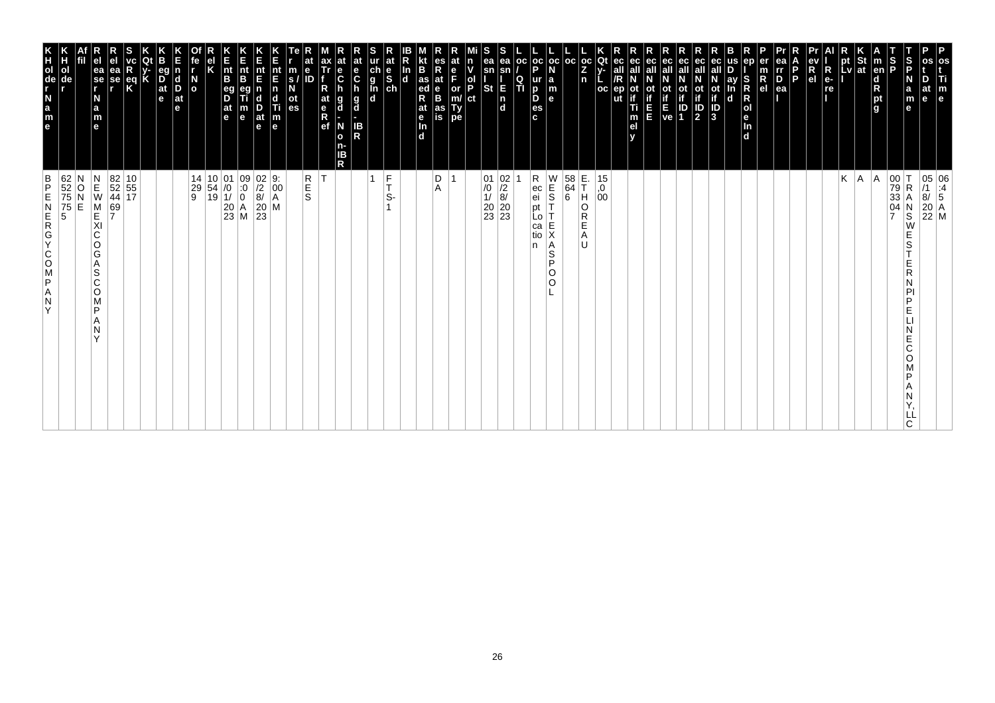| os<br>Ti<br>m<br>e                                                                                                                                                                   | 05 06<br>/1 :4<br>8/ 5<br>20 A<br>22 M                                                                                                                   |
|--------------------------------------------------------------------------------------------------------------------------------------------------------------------------------------|----------------------------------------------------------------------------------------------------------------------------------------------------------|
| D<br>at<br>le.                                                                                                                                                                       |                                                                                                                                                          |
| S<br>P<br>$\frac{S}{P}$<br>N<br>a<br>m<br>е                                                                                                                                          | 00<br>79<br>33<br>04<br>7<br>$\mathsf R$<br>Α<br>N<br>S<br>W<br>Е<br>S<br>Ε<br>R<br>N<br>PI<br>P<br>Е<br>Е<br>C<br>O<br>P<br>Α<br>N<br>LL<br>C.          |
| $\vert$ m<br>en<br>d<br>R<br>pt<br>g                                                                                                                                                 | A                                                                                                                                                        |
|                                                                                                                                                                                      | A.                                                                                                                                                       |
| $\left \begin{array}{c}\npt\\ pt\end{array}\right $ at<br>$\blacksquare$                                                                                                             | Κ                                                                                                                                                        |
| R<br>e-<br>re                                                                                                                                                                        |                                                                                                                                                          |
| ev<br>R<br>el                                                                                                                                                                        |                                                                                                                                                          |
| l P                                                                                                                                                                                  |                                                                                                                                                          |
| ea<br>Ir<br>D<br>er<br>$\frac{m}{R}$<br>ea                                                                                                                                           |                                                                                                                                                          |
| ep<br>S<br>R<br>$\mathsf R$<br> o <br>le.<br>$\frac{\ln{}}{\ln{}}$                                                                                                                   |                                                                                                                                                          |
| us<br>ay<br>In<br>d                                                                                                                                                                  |                                                                                                                                                          |
| ec<br>ot<br>if<br>J<br>3                                                                                                                                                             |                                                                                                                                                          |
| ec<br>all<br>$\mathbb{P}$                                                                                                                                                            |                                                                                                                                                          |
| ec<br>οt<br>$\begin{bmatrix} \mathbf{i} \\ \mathbf{f} \\ \mathbf{E} \\ \mathbf{ve} \end{bmatrix} \begin{bmatrix} \mathbf{i} \\ \mathbf{i} \\ \mathbf{D} \\ \mathbf{1} \end{bmatrix}$ |                                                                                                                                                          |
| ec<br>all<br>ec<br>all<br>E                                                                                                                                                          |                                                                                                                                                          |
| ec<br>ot<br>if<br>Ti<br>Ε<br>m<br>el                                                                                                                                                 |                                                                                                                                                          |
| ec<br>all<br>ep<br>v                                                                                                                                                                 |                                                                                                                                                          |
| Qt<br>v-<br>oc                                                                                                                                                                       | 15<br>,0<br>00                                                                                                                                           |
| $ {}_{Z}^{\rm oc} $<br>n                                                                                                                                                             | E.<br>T<br>H<br>O<br>R<br>E<br>Α<br>U                                                                                                                    |
| $_{\rm oc}$<br> oc<br>N<br>$\begin{array}{c} \mathsf{a} \\ \mathsf{m} \\ \mathsf{e} \end{array}$                                                                                     | $\begin{array}{c} 0 \\ 0 \\ 0 \end{array}$<br>$\begin{bmatrix} 58 \\ 64 \\ 6 \end{bmatrix}$<br>Ť<br>Τ<br>E<br>X<br>Α<br>$\mathsf S$<br>P<br>O<br>$\circ$ |
| $\frac{1}{P}$<br>ur<br>D<br>D<br>es<br>c                                                                                                                                             | Rec<br>ei<br>pt<br>Lo<br>ca<br>tio<br>n                                                                                                                  |
| OC<br>$\frac{Q}{T}$                                                                                                                                                                  |                                                                                                                                                          |
| ea<br>sn<br>E<br>$\begin{bmatrix} n \\ d \end{bmatrix}$                                                                                                                              | $\begin{array}{c c} 01 & 02 \\ \hline /0 & /2 \\ 1/ & 8/ \\ 20 & 20 \\ 23 & 23 \end{array}$                                                              |
| S<br>ea<br>v<br>sn<br>$\frac{1}{P}$<br><b>St</b><br>ct                                                                                                                               |                                                                                                                                                          |
| at<br>n<br>e<br>F<br>or<br>m/<br>Ty<br>pe                                                                                                                                            |                                                                                                                                                          |
| es<br>R<br>at<br>e<br>B<br>as<br>is                                                                                                                                                  | D<br>Α                                                                                                                                                   |
| B<br>as<br>ed<br>at<br>e<br>In<br>$\overline{d}$                                                                                                                                     |                                                                                                                                                          |
| $\frac{\ln{}}{\ln{}}$                                                                                                                                                                |                                                                                                                                                          |
| at<br>ur<br>ch<br>g<br>l<br>d<br>d<br>$\frac{e}{s}$                                                                                                                                  | $\frac{F}{T}$<br>1<br>S-                                                                                                                                 |
| at<br>e<br>$\mathbf c$<br>h<br>g<br>d<br>IB<br>R                                                                                                                                     |                                                                                                                                                          |
| $\mathbf c$<br>h<br>g<br>d<br>N<br>$\mathbf{o}$<br>n-<br>IΒ<br>R                                                                                                                     |                                                                                                                                                          |
| ax<br>Tr<br>R<br>at<br>e<br>R<br>ef                                                                                                                                                  | İΤ                                                                                                                                                       |
| at<br>e<br>m<br>s/<br>N<br>ID<br>ot<br>es                                                                                                                                            | R<br>E<br>S                                                                                                                                              |
| nt<br>E<br>$\begin{array}{c} \n\mathbf{n} \\ \n\mathbf{d} \\ \n\mathbf{m} \\ \n\mathbf{e} \n\end{array}$                                                                             | 9:<br>$\left  \begin{matrix} 0 & 0 \\ 0 & 0 \\ 0 & 0 \end{matrix} \right $<br>M                                                                          |
| Ε<br>nt<br>E<br>$\frac{D}{at}$<br>e                                                                                                                                                  | $\begin{vmatrix} 0 & 2 \\ 2 & 8 \end{vmatrix}$<br>$\begin{bmatrix} 20 \\ 23 \end{bmatrix}$                                                               |
| K<br>Ent<br>B<br>$\frac{nt}{B}$<br>eg<br>D<br>$\frac{at}{e}$<br>m<br>e                                                                                                               | $\begin{array}{c c} 01 & 09 \\ \hline 10 & 0 \\ 11 & 0 \\ 20 & A \\ 23 & M \end{array}$                                                                  |
| Κ                                                                                                                                                                                    | $\begin{array}{ c c }\n10 & 01 \\ 54 & /0 \\ 19 & 1\n\end{array}$                                                                                        |
| fe<br>r<br>$\overline{a}$                                                                                                                                                            | 14<br>29<br>9                                                                                                                                            |
| n<br>$\vert_{\mathrm{D}}^{\mathrm{d}}$<br>$ $ at<br>e                                                                                                                                |                                                                                                                                                          |
| eg<br>$\overline{D}$ at $\overline{e}$                                                                                                                                               |                                                                                                                                                          |
| K<br>$\frac{eq}{K}$                                                                                                                                                                  |                                                                                                                                                          |
| ea<br>se<br>,                                                                                                                                                                        | $\begin{array}{ c c }\n 82 & 10 \\  52 & 55 \\  44 & 17\n\end{array}$<br>69<br>7                                                                         |
| e<br>ea<br>se<br>r<br>N<br>$\frac{a}{m}$<br>e                                                                                                                                        | $\begin{array}{c} N \\ E \\ W \end{array}$<br>M<br>E<br>XI<br>$\mathsf C$<br>O<br>G<br>Α<br>S<br>C<br>O<br>M<br>P<br>Α<br>N<br>Y                         |
|                                                                                                                                                                                      | Ν<br>$_\mathrm{N}^\mathrm{O}$<br>Ë                                                                                                                       |
| n<br>H<br>ol<br>de                                                                                                                                                                   | 62<br>52<br>75<br>75<br>5                                                                                                                                |
| e a z - de r x                                                                                                                                                                       | $\frac{B}{P}$<br>ZAPSOCYCREN<br>Y                                                                                                                        |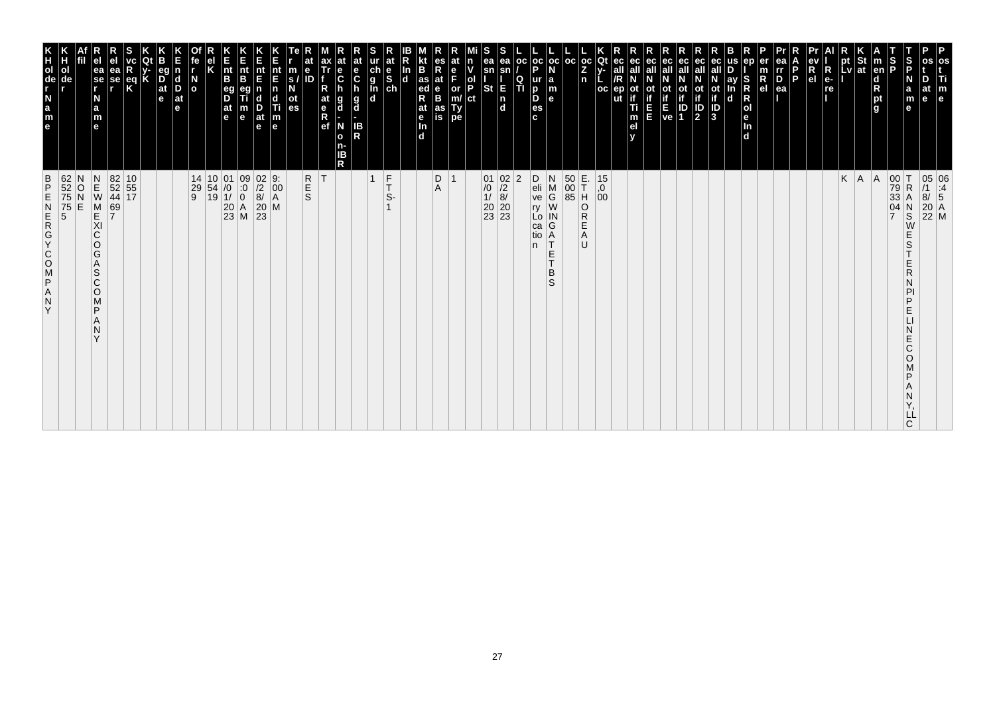| $\frac{B}{P}$<br>ZAPSOOKGAN<br>Y                                                                                                           | K<br>TOUR LEB                                                                                               |
|--------------------------------------------------------------------------------------------------------------------------------------------|-------------------------------------------------------------------------------------------------------------|
| 62<br>52<br>75<br>75<br>5<br>5<br>N<br>O<br>E                                                                                              | ol<br>de                                                                                                    |
| $\begin{array}{c}\nN \\ E \\ W\n\end{array}$<br>M<br>KI<br>C<br>O<br>G<br>A<br>S<br>$\mathsf{C}$<br>$\circ$<br>M<br>P<br>N<br>$\checkmark$ | ea<br>$\overline{\phantom{a}}$ se<br>N<br>a<br>m<br>$\mathbf{e}$                                            |
| 69<br>7                                                                                                                                    | еа<br>se                                                                                                    |
| 82 10<br>52 55<br>44 17                                                                                                                    | $\frac{eq}{K}$                                                                                              |
|                                                                                                                                            |                                                                                                             |
|                                                                                                                                            | eq<br>$\overline{D}$ <sub>at</sub><br>e                                                                     |
|                                                                                                                                            | $\vert$ d<br>D<br>$ $ at<br>le.                                                                             |
|                                                                                                                                            | $\overline{a}$                                                                                              |
| $\begin{array}{c c c} 14 & 10 & 01 \\ 29 & 54 & /0 \\ 9 & 19 & 1/ \end{array}$                                                             |                                                                                                             |
|                                                                                                                                            | $\vert_{\mathsf{B}}^{\mathsf{nt}}$<br>eg<br>D<br>$ $ at<br>l e                                              |
| $\begin{array}{c c} 01 & 09 \\ \hline 10 & 0 \\ 11 & 0 \\ 20 & A \\ 23 & M \end{array}$                                                    | Ê<br>nt<br>B<br>m<br>$\mathbf e$                                                                            |
| $\begin{array}{c} 02 & 9: \\ /2 & 00 \\ 8/ & A \\ 20 & M \\ 23 \end{array}$                                                                | nt<br>E<br>$\frac{D}{at}$<br>$\mathbf e$                                                                    |
|                                                                                                                                            | nt<br>E<br>n<br>d<br>Ti<br>$\frac{\mathsf{m}}{\mathsf{e}}$                                                  |
|                                                                                                                                            | m<br>S.<br>οt<br>es                                                                                         |
| <b>R</b><br>S                                                                                                                              | е<br>ID                                                                                                     |
| ΙT                                                                                                                                         | ax<br>Tr<br>е<br>$\ddot{\mathbf{c}}$<br>at<br>g<br>$R$ ef<br>d<br>N<br>$\mathbf{o}$<br>ΙB<br>R              |
|                                                                                                                                            | at<br>e<br>$\mathbf c$<br>$\frac{g}{d}$<br>IB<br>R<br>n-                                                    |
| $\overline{1}$                                                                                                                             |                                                                                                             |
| $\frac{F}{T}$<br>S-                                                                                                                        | at<br>$\begin{array}{c}\n\stackrel{\mathsf{d}}{\mathsf{e}}\n\stackrel{\mathsf{d}}{\mathsf{e}}\n\end{array}$ |
|                                                                                                                                            | In<br>$\mathbf d$                                                                                           |
|                                                                                                                                            | B<br>$\frac{1}{4}$ as<br>R<br>at<br>$\frac{e}{\ln}$<br>d.                                                   |
| D<br>Α                                                                                                                                     | es<br>R<br>at<br>B<br>B<br>as<br>is                                                                         |
| $\overline{1}$                                                                                                                             | at<br>F<br>or<br>Ty<br>pe                                                                                   |
|                                                                                                                                            | n<br>ol<br>P<br>ct                                                                                          |
|                                                                                                                                            | ea<br>sn<br>St                                                                                              |
| $\begin{array}{c c} 01 & 02 \\ \hline /0 & /2 \\ 1/ & 8/ \\ 20 & 20 \\ 23 & 23 \end{array}$                                                | ea<br>E<br>$\frac{1}{d}$                                                                                    |
| $ 2\rangle$                                                                                                                                | oc <br>Q<br>TI                                                                                              |
| D<br>eli<br>ve<br>ry<br>Lo<br>ca<br>tio<br>n.                                                                                              | p<br>ur<br>D<br>D<br>es<br>c.                                                                               |
| N<br>M<br>G<br>W<br>${\sf IN}$<br>G<br>A<br>$\top$<br>$\mathsf E$<br>IT.<br>B<br>S                                                         | oc oc <br>la<br>m<br>$\mathbf{e}$                                                                           |
| $\begin{array}{ c c } \hline 50 & \text{E} \\ \hline 00 & \text{T} \\ \hline 85 & \text{H} \end{array}$                                    | l oc                                                                                                        |
| E.<br>T<br>O<br>R<br>Ε<br>Α<br>U                                                                                                           | $ oc $ Qt<br>Z<br>n                                                                                         |
| $^{15}_{,0}$<br>00                                                                                                                         | oc                                                                                                          |
|                                                                                                                                            | ec<br>ut                                                                                                    |
|                                                                                                                                            | ec<br>οt<br>Ti<br>m<br>el                                                                                   |
|                                                                                                                                            | ec<br>Ш                                                                                                     |
|                                                                                                                                            | ot<br>if<br>ve                                                                                              |
|                                                                                                                                            | eс<br>οt<br>ID<br>1                                                                                         |
|                                                                                                                                            | ec<br>all<br>ot<br>if<br>3<br><b>ot</b><br>$\overline{\mathbf{P}}$                                          |
|                                                                                                                                            | ay<br>$\mathbf d$                                                                                           |
|                                                                                                                                            | ep<br>S<br>$\mathsf R$<br>R<br>Jen<br>d                                                                     |
|                                                                                                                                            | $\overline{R}_{el}$                                                                                         |
|                                                                                                                                            | ea<br>rr<br>$\overline{P}_{ea}$                                                                             |
|                                                                                                                                            | P                                                                                                           |
|                                                                                                                                            | $\overline{\mathsf{R}}$<br>R<br>e <sub>1</sub>                                                              |
|                                                                                                                                            | $e-$<br>re                                                                                                  |
| K<br> A                                                                                                                                    | pt<br>Lv                                                                                                    |
| A                                                                                                                                          | St<br> at                                                                                                   |
| $\overline{7}$                                                                                                                             | $\frac{1}{2}$<br>$\vert$ m<br>en<br>d<br>pt<br>g                                                            |
| 00<br>79<br>33<br>ΙT<br>$\mathsf R$<br>А<br>04<br>$_{\rm S}^{\rm N}$<br>W<br>E<br>S<br>Ε<br>R<br>D<br>Ε<br>E<br>Ć<br>O<br>D<br>C           | S<br>P<br>N<br>a<br>m<br>$\mathbf e$                                                                        |
| LL                                                                                                                                         | at<br>$\mathbf{e}$                                                                                          |
| 05 06<br>/1 :4<br>8/ 5<br>20 A<br>22 M                                                                                                     | os<br>Ti<br>m<br>e                                                                                          |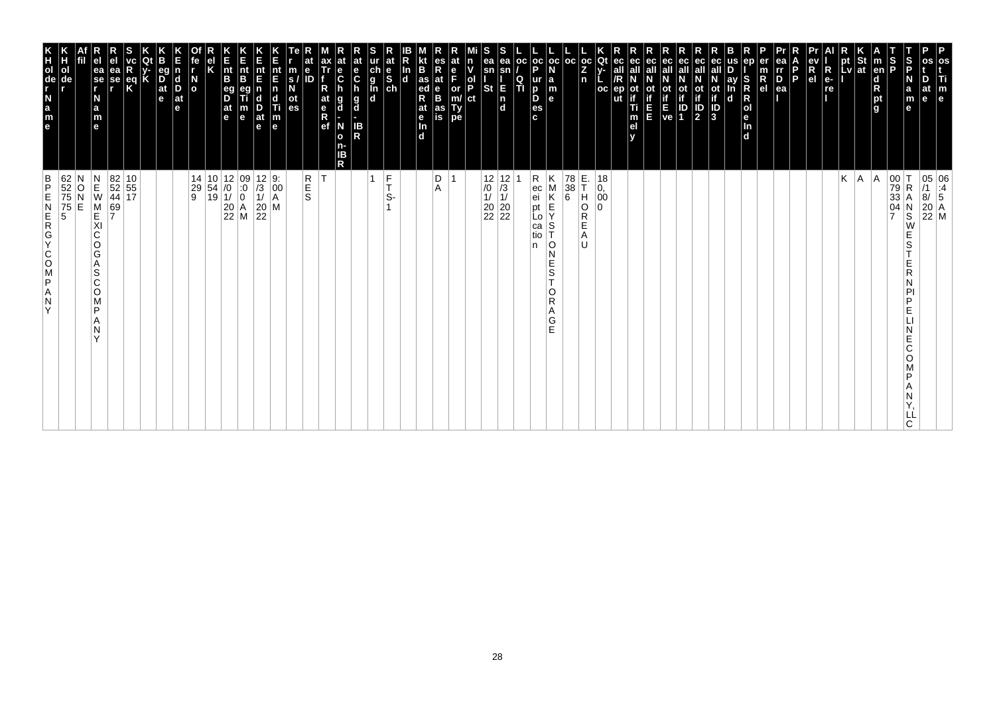| os<br>Ti<br>m<br>e                                                                                                                                                                    | 05 06<br>/1 :4<br>8/ 5<br>20 A<br>22 M                                                                                                                                                                                                                                                                                                                                                                                                                                                   |
|---------------------------------------------------------------------------------------------------------------------------------------------------------------------------------------|------------------------------------------------------------------------------------------------------------------------------------------------------------------------------------------------------------------------------------------------------------------------------------------------------------------------------------------------------------------------------------------------------------------------------------------------------------------------------------------|
| D<br>at<br>le                                                                                                                                                                         |                                                                                                                                                                                                                                                                                                                                                                                                                                                                                          |
| S<br>P<br>N<br>a<br>m<br>е                                                                                                                                                            | 00<br>79<br>33<br>04<br>7<br>$\mathsf R$<br>Α<br>N<br>S<br>W<br>Е<br>S<br>Ε<br>R<br>N<br>PI<br>P<br>Е<br>Е<br>C<br>O<br>P<br>Α<br>N<br>LL<br>C.                                                                                                                                                                                                                                                                                                                                          |
| $\frac{S}{P}$<br>$\vert$ m<br>en<br>d<br>R<br>pt<br>g                                                                                                                                 | A                                                                                                                                                                                                                                                                                                                                                                                                                                                                                        |
|                                                                                                                                                                                       | A.                                                                                                                                                                                                                                                                                                                                                                                                                                                                                       |
| $\left \begin{array}{c}\npt\\ pt\\ lv\n\end{array}\right $ at<br>$\blacksquare$                                                                                                       | Κ                                                                                                                                                                                                                                                                                                                                                                                                                                                                                        |
| R<br>e-<br>re                                                                                                                                                                         |                                                                                                                                                                                                                                                                                                                                                                                                                                                                                          |
| ev<br>R<br>el                                                                                                                                                                         |                                                                                                                                                                                                                                                                                                                                                                                                                                                                                          |
| l P                                                                                                                                                                                   |                                                                                                                                                                                                                                                                                                                                                                                                                                                                                          |
| ea<br>Ir<br>D<br>ea                                                                                                                                                                   |                                                                                                                                                                                                                                                                                                                                                                                                                                                                                          |
| er<br>$\frac{m}{R}$                                                                                                                                                                   |                                                                                                                                                                                                                                                                                                                                                                                                                                                                                          |
| us<br>ep<br>S<br>R<br>$\mathsf R$<br> o <br>le.<br>In<br>d                                                                                                                            |                                                                                                                                                                                                                                                                                                                                                                                                                                                                                          |
| eс<br>ay<br>In<br>ot<br>if<br>J<br>3<br>d                                                                                                                                             |                                                                                                                                                                                                                                                                                                                                                                                                                                                                                          |
| ec<br>all<br>$\mathbb{P}$                                                                                                                                                             |                                                                                                                                                                                                                                                                                                                                                                                                                                                                                          |
| ec<br>οt                                                                                                                                                                              |                                                                                                                                                                                                                                                                                                                                                                                                                                                                                          |
| ec<br>all<br>$\begin{bmatrix} \mathbf{i} \\ \mathbf{f} \\ \mathbf{E} \\ \mathbf{ve} \end{bmatrix} \begin{bmatrix} \mathbf{i} \\ \mathbf{i} \\ \mathbf{D} \\ \mathbf{1} \end{bmatrix}$ |                                                                                                                                                                                                                                                                                                                                                                                                                                                                                          |
| ec<br>all<br>Ε<br>E                                                                                                                                                                   |                                                                                                                                                                                                                                                                                                                                                                                                                                                                                          |
| ec<br>ot<br>if<br>Ti<br>m<br>el<br>v                                                                                                                                                  |                                                                                                                                                                                                                                                                                                                                                                                                                                                                                          |
| Qt<br>ec<br>v-<br>all<br>oc<br>ep                                                                                                                                                     | 18<br>$\begin{matrix} 0, 0 \\ 00 \end{matrix}$                                                                                                                                                                                                                                                                                                                                                                                                                                           |
| $\left \frac{oc}{Z}\right $<br>n                                                                                                                                                      | E.<br>THO<br>$\Omega$<br>R<br>E<br>Α<br>U                                                                                                                                                                                                                                                                                                                                                                                                                                                |
| oc                                                                                                                                                                                    | 78<br>38<br>6                                                                                                                                                                                                                                                                                                                                                                                                                                                                            |
| $_{\rm oc}$<br>N<br>$\begin{array}{c} \mathsf{a} \\ \mathsf{m} \\ \mathsf{e} \end{array}$                                                                                             | Κ<br>M<br>K<br>$\mathsf E$<br>Υ<br>S<br>O<br>N<br>Ε<br>S<br>$\mathbf \tau$<br>O<br>R<br>Α<br>$\frac{G}{E}$                                                                                                                                                                                                                                                                                                                                                                               |
| $\frac{1}{P}$<br>  OC<br>ur<br>D<br>D<br>es<br>c                                                                                                                                      | R<br>ec<br>ei<br>pt<br>Lo<br>ca<br>tio<br>n                                                                                                                                                                                                                                                                                                                                                                                                                                              |
| ea<br>sn<br>$\frac{Q}{T}$<br>Ε                                                                                                                                                        |                                                                                                                                                                                                                                                                                                                                                                                                                                                                                          |
| S<br>ea<br>sn<br><b>St</b><br>$\begin{bmatrix} n \\ d \end{bmatrix}$                                                                                                                  | $\begin{array}{c c} 12 & 12 \\ \hline \end{array} \hspace{-1mm} \begin{array}{c} 12 \\ \hline \end{array} \hspace{-1mm} \begin{array}{c} 12 \\ \hline \end{array} \hspace{-1mm} \begin{array}{c} 10 \\ \hline \end{array} \hspace{-1mm} \begin{array}{c} 21 \\ \hline \end{array} \hspace{-1mm} \begin{array}{c} 20 \\ \hline \end{array} \hspace{-1mm} \begin{array}{c} 20 \\ \hline \end{array} \hspace{-1mm} \begin{array}{c} 22 \\ \hline \end{array} \hspace{-1mm} \begin{array}{c$ |
| n<br>v<br>$\frac{1}{P}$<br>ct                                                                                                                                                         |                                                                                                                                                                                                                                                                                                                                                                                                                                                                                          |
| at<br>e<br>F<br>or<br>m/<br>Ty<br>pe                                                                                                                                                  |                                                                                                                                                                                                                                                                                                                                                                                                                                                                                          |
| es<br>R<br>at<br>$\frac{e}{B}$<br>as<br>is                                                                                                                                            | D<br>Α                                                                                                                                                                                                                                                                                                                                                                                                                                                                                   |
| B<br>as<br>ed<br>at<br>e<br>$\frac{\ln{}}{\ln{}}$<br>In<br>$\overline{d}$                                                                                                             |                                                                                                                                                                                                                                                                                                                                                                                                                                                                                          |
| at<br>$\frac{e}{s}$                                                                                                                                                                   | $\frac{F}{T}$<br>S-                                                                                                                                                                                                                                                                                                                                                                                                                                                                      |
| ch<br>g<br>l<br>d<br>d                                                                                                                                                                | 1                                                                                                                                                                                                                                                                                                                                                                                                                                                                                        |
| at<br>e<br>$\mathbf c$<br>g<br>d<br>IB<br>R                                                                                                                                           |                                                                                                                                                                                                                                                                                                                                                                                                                                                                                          |
| $\ddot{\mathbf{c}}$<br>h<br>g<br>d<br>N<br>$\mathbf{o}$<br>n-<br>IΒ<br>R                                                                                                              |                                                                                                                                                                                                                                                                                                                                                                                                                                                                                          |
| ax<br>Tr<br>R<br>at<br>e<br>R<br>ef                                                                                                                                                   | İΤ                                                                                                                                                                                                                                                                                                                                                                                                                                                                                       |
| m<br>s/<br>N<br>е<br>ID<br>ot<br>es                                                                                                                                                   | R<br>E<br>S                                                                                                                                                                                                                                                                                                                                                                                                                                                                              |
| nt<br>E<br>$\begin{array}{c} \n\mathbf{n} \\ \n\mathbf{d} \\ \n\mathbf{m} \\ \n\mathbf{e} \n\end{array}$                                                                              | $\left  \begin{smallmatrix} 0 & 0 \\ 0 & 0 \\ A & A \end{smallmatrix} \right $<br>M                                                                                                                                                                                                                                                                                                                                                                                                      |
| Ε<br>nt<br>E<br>$\frac{D}{at}$<br>e                                                                                                                                                   | $\begin{array}{ c c }\n 12 & 9: \\  \hline\n 13 & 00 \\  11 & A\n\end{array}$<br>$\begin{array}{c} 20 \\ 22 \end{array}$                                                                                                                                                                                                                                                                                                                                                                 |
| K<br>Ent<br>B<br>m<br>e                                                                                                                                                               | $\begin{array}{ c c c } \hline 10 & 12 & 09 \\ 54 & /0 & 0 \\ 19 & 1/ & 0 \\ 20 & A & 22 \\ Z2 & M & \\\hline \end{array}$                                                                                                                                                                                                                                                                                                                                                               |
| $\frac{nt}{B}$<br>eg<br>D<br>$\frac{at}{e}$                                                                                                                                           |                                                                                                                                                                                                                                                                                                                                                                                                                                                                                          |
| fe<br>Κ                                                                                                                                                                               | 14<br>29<br>9                                                                                                                                                                                                                                                                                                                                                                                                                                                                            |
| r<br>$\frac{N}{2}$                                                                                                                                                                    |                                                                                                                                                                                                                                                                                                                                                                                                                                                                                          |
| eg<br>n<br>$\overline{D}$ at $e$<br>$\vert_{\mathrm{D}}^{\mathrm{d}}$<br>$ $ at<br>e                                                                                                  |                                                                                                                                                                                                                                                                                                                                                                                                                                                                                          |
| K                                                                                                                                                                                     |                                                                                                                                                                                                                                                                                                                                                                                                                                                                                          |
| $\frac{eq}{K}$                                                                                                                                                                        | $\begin{array}{ c c }\n 82 & 10 \\  52 & 55 \\  44 & 17\n\end{array}$                                                                                                                                                                                                                                                                                                                                                                                                                    |
| ea<br>se<br>,                                                                                                                                                                         | 69<br>7                                                                                                                                                                                                                                                                                                                                                                                                                                                                                  |
| e <sub>1</sub><br>ea<br>se<br>r<br>N<br>$\frac{a}{m}$<br>e                                                                                                                            | $\begin{array}{c} N \\ E \\ W \end{array}$<br>M<br>E<br>XI<br>$\mathsf C$<br>O<br>G<br>Α<br>S<br>C<br>O<br>M<br>P<br>Α<br>N<br>Y                                                                                                                                                                                                                                                                                                                                                         |
| ol<br>de                                                                                                                                                                              | 62<br>52<br>75<br>75<br>5<br>O<br>E                                                                                                                                                                                                                                                                                                                                                                                                                                                      |
| e a z - de r x<br>Н                                                                                                                                                                   | $\frac{B}{P}$<br>ZAPSOCYCREN<br>Y                                                                                                                                                                                                                                                                                                                                                                                                                                                        |
|                                                                                                                                                                                       |                                                                                                                                                                                                                                                                                                                                                                                                                                                                                          |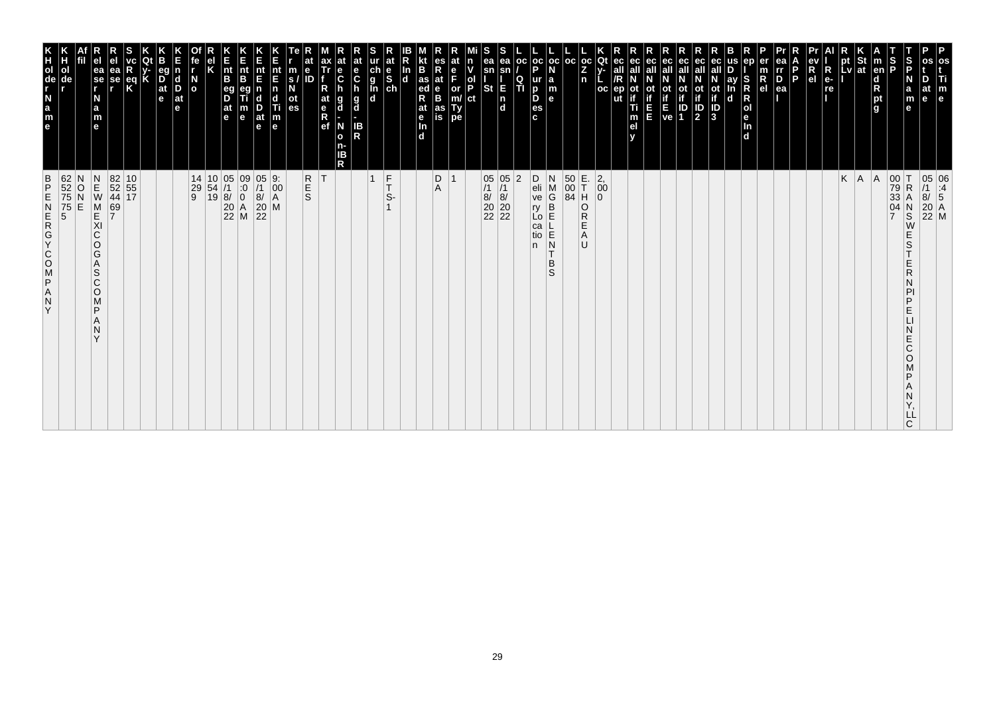| ZAPSOOKGAN<br>Y                                                                                                                               | K<br>TOUR LEB                                                                    |
|-----------------------------------------------------------------------------------------------------------------------------------------------|----------------------------------------------------------------------------------|
| 62<br>52<br>75<br>75<br>5<br>5<br>N<br>O<br>E                                                                                                 | ol<br>de                                                                         |
| $\begin{array}{c} N \\ E \\ W \end{array}$<br>M<br>KI<br>C<br>O<br>G<br>A<br>S<br>$\mathsf{C}$<br>$\circ$<br>M<br>P<br>N<br>$\checkmark$      | ea<br>$\overline{\phantom{a}}$ se<br>N<br>a<br>m<br>$\mathbf{e}$                 |
| 69<br>7                                                                                                                                       | еа<br>se                                                                         |
| 82 10<br>52 55<br>44 17                                                                                                                       |                                                                                  |
|                                                                                                                                               | $\frac{eq}{K}$                                                                   |
|                                                                                                                                               |                                                                                  |
|                                                                                                                                               | eq<br>$\overrightarrow{D}$ <sub>at</sub><br>$\vert$ d<br>D<br>$ $ at<br>e<br>le. |
|                                                                                                                                               | $\overline{a}$                                                                   |
| $\begin{array}{c cc} 14 & 10 & 05 & 09 \\ 29 & 54 & /1 & :0 \\ 9 & 19 & 8/ & 0 \\ & & 20 & A \\ & & 22 & M \\ \end{array}$                    |                                                                                  |
|                                                                                                                                               | l e                                                                              |
|                                                                                                                                               | $\vert_{\mathsf{B}}^{\mathsf{nt}}$<br>eg<br>D<br>$ $ at                          |
|                                                                                                                                               | Ê<br>nt<br>B<br>m<br>$\mathbf e$                                                 |
| $\frac{05}{11}$<br>$\begin{bmatrix} 8/2 \\ 20 \\ 22 \end{bmatrix}$                                                                            | nt<br>E<br>n<br>d<br>$\frac{D}{at}$<br>$\mathbf e$                               |
| 9.<br>$\left  \begin{smallmatrix} 0 & 0 \\ 0 & 0 \\ A & A \end{smallmatrix} \right $<br>M                                                     | nt<br>E<br>Ti<br>$\frac{\mathsf{m}}{\mathsf{e}}$                                 |
| <b>R</b><br>S                                                                                                                                 | е<br>m<br>ID<br>S.<br>οt<br>es                                                   |
| ΙT                                                                                                                                            | ax<br>Tr<br>at<br>$R$ ef                                                         |
| R                                                                                                                                             | е<br>$\ddot{\mathbf{c}}$<br>g<br>d<br>N<br>$\mathbf{o}$<br>n-<br>ΙB              |
|                                                                                                                                               | at<br>e<br>$\mathbf c$<br>$\frac{g}{d}$<br>IB<br>R                               |
| $\overline{1}$                                                                                                                                | ch<br>g<br>g<br>d<br>d                                                           |
| $\frac{F}{T}$<br>S-                                                                                                                           | at<br>$\frac{e}{sh}$                                                             |
|                                                                                                                                               | In<br>$\mathbf d$                                                                |
|                                                                                                                                               | B<br>as<br>ed<br>R<br>at<br>$\frac{e}{\ln}$<br>d.                                |
| D<br>Α                                                                                                                                        | es<br>R<br>at<br>B<br>B<br>as<br>is                                              |
| $\overline{1}$                                                                                                                                | at<br>F<br>or<br>Ty<br>pe                                                        |
|                                                                                                                                               | n<br>ol<br>P<br>ct                                                               |
|                                                                                                                                               | ea<br>sn<br>St                                                                   |
| 05 05<br>/1 /1<br>8/ 8/<br>20 20<br>22 22                                                                                                     | ea<br>E<br>$\frac{1}{d}$                                                         |
| $\overline{2}$                                                                                                                                | oc <br>Q<br>TI                                                                   |
| D<br>eli<br>ve<br>ŗу<br>Lo<br>ca<br>tio<br>n.                                                                                                 | p<br>ur<br>D<br>D<br>es<br>c.                                                    |
| N<br>M<br>G<br>$\overline{B}$<br>E<br>N<br>T<br>B<br>S                                                                                        | oc oc <br>۱a<br>m<br>e                                                           |
| $\begin{array}{ c } 50 \\ 00 \\ 84 \end{array}$                                                                                               | l oc                                                                             |
| E.<br>T<br>H<br>O<br>R<br>Ε<br>Α<br>U                                                                                                         | Z<br>n                                                                           |
| $\left  \begin{smallmatrix} 2 \\ 0 \\ 0 \end{smallmatrix} \right $<br>$\overline{0}$                                                          | $ oc $ Qt<br>oc                                                                  |
|                                                                                                                                               | ec<br>ut                                                                         |
|                                                                                                                                               | ec<br>οt<br>Ti<br>m<br>el                                                        |
|                                                                                                                                               | ec<br>Ш                                                                          |
|                                                                                                                                               | ot<br>if<br>ve                                                                   |
|                                                                                                                                               | ec<br>οt<br>ID<br>1                                                              |
|                                                                                                                                               | ec<br>all<br><b>ot</b><br>$\overline{\mathbf{P}}$                                |
|                                                                                                                                               | ay<br>ot<br>if<br>3<br>$\mathbf d$                                               |
|                                                                                                                                               | ep<br>S<br>$\mathsf R$<br>R<br>Jen<br>d                                          |
|                                                                                                                                               | $\overline{R}_{el}$                                                              |
|                                                                                                                                               | ea<br>rr<br>$\overline{P}_{ea}$                                                  |
|                                                                                                                                               | P                                                                                |
|                                                                                                                                               | R<br>e <sub>1</sub>                                                              |
|                                                                                                                                               | $\overline{\mathsf{R}}$<br>$e-$<br>re                                            |
| K                                                                                                                                             | pt<br>Lv                                                                         |
| A <br> A                                                                                                                                      | St<br> at                                                                        |
|                                                                                                                                               | $\frac{1}{2}$<br>$\vert$ m<br>en<br>d<br>pt<br>g                                 |
| 00<br>79<br>33<br>ΙT<br>$\mathsf R$<br>А<br>04<br>$_{\rm S}^{\rm N}$<br>$\overline{7}$<br>W<br>Ε<br>S<br>Ε<br>R<br>D<br>Ε<br>E<br>Ć<br>O<br>D | S<br>P<br>N<br>$\mathbf e$                                                       |
| LL<br>C                                                                                                                                       | a<br>m<br>at<br>$\mathbf{e}$                                                     |
| 05 06<br>/1 :4<br>8/ 5<br>20 A<br>22 M                                                                                                        | os<br>Ti<br>m<br>e                                                               |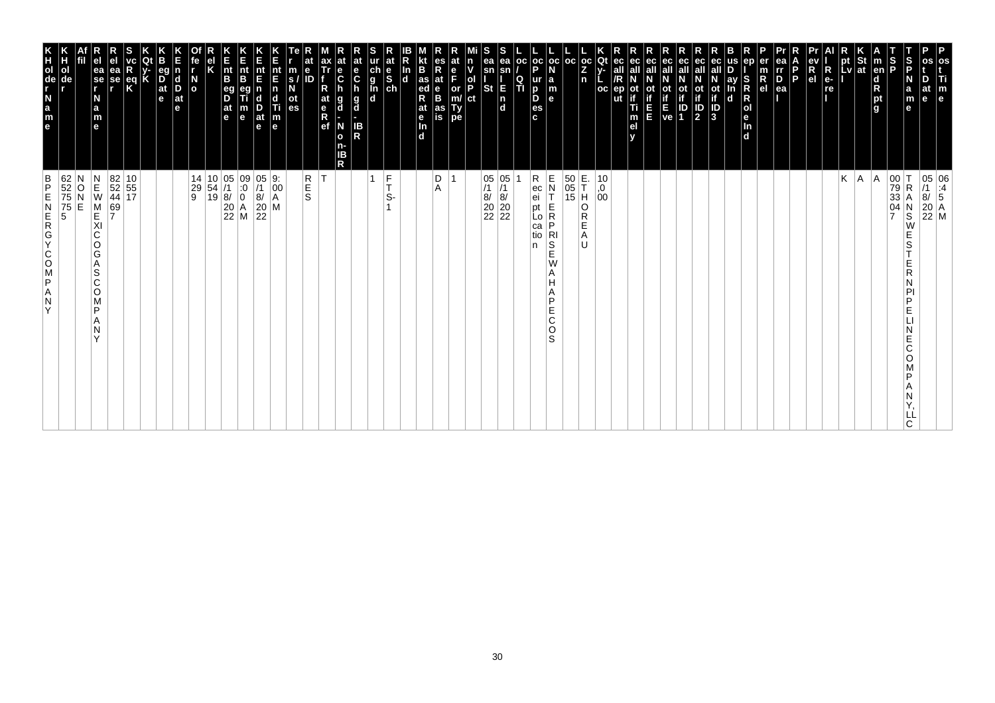| os<br>Ti<br>m<br>e                                                                                                                                                                   | 05 06<br>/1 :4<br>8/ 5<br>20 A<br>22 M                                                                                                          |
|--------------------------------------------------------------------------------------------------------------------------------------------------------------------------------------|-------------------------------------------------------------------------------------------------------------------------------------------------|
| D<br>at<br>le.                                                                                                                                                                       |                                                                                                                                                 |
| S<br>P<br>N<br>a<br>m<br>е                                                                                                                                                           | 00<br>79<br>33<br>04<br>7<br>$\mathsf R$<br>Α<br>N<br>S<br>W<br>Е<br>S<br>Ε<br>R<br>N<br>PI<br>P<br>Е<br>Е<br>C<br>O<br>P<br>Α<br>N<br>LL<br>C. |
| $\frac{S}{P}$<br>$\vert$ m<br>en<br>d<br>R<br>pt<br>g                                                                                                                                | A                                                                                                                                               |
|                                                                                                                                                                                      | A.                                                                                                                                              |
| $\left \begin{array}{c}\npt\\ pt\\ lv\n\end{array}\right $ at<br>$\blacksquare$                                                                                                      | Κ                                                                                                                                               |
| R<br>e-<br>re                                                                                                                                                                        |                                                                                                                                                 |
| ev<br>R<br>el                                                                                                                                                                        |                                                                                                                                                 |
| l P<br>ea                                                                                                                                                                            |                                                                                                                                                 |
| ea<br>Ir<br>D<br>er<br>$\frac{m}{R}$                                                                                                                                                 |                                                                                                                                                 |
| ep<br>S<br>R<br>$\mathsf R$<br> o <br>le.<br>$\frac{\ln{}}{\ln{}}$                                                                                                                   |                                                                                                                                                 |
| us<br>ay<br>In<br>d                                                                                                                                                                  |                                                                                                                                                 |
| eс<br>ot<br>if<br>J<br>3                                                                                                                                                             |                                                                                                                                                 |
| ec<br>all<br>$\mathbb{P}$                                                                                                                                                            |                                                                                                                                                 |
| ec<br>οt<br>$\begin{bmatrix} \mathbf{i} \\ \mathbf{f} \\ \mathbf{E} \\ \mathbf{ve} \end{bmatrix} \begin{bmatrix} \mathbf{i} \\ \mathbf{i} \\ \mathbf{D} \\ \mathbf{1} \end{bmatrix}$ |                                                                                                                                                 |
| ec<br>all<br>ec<br>all<br>Ε<br>E                                                                                                                                                     |                                                                                                                                                 |
| ec<br>ot<br>if<br>Ti<br>m<br>el<br>v                                                                                                                                                 |                                                                                                                                                 |
| ec<br>all<br>ep                                                                                                                                                                      |                                                                                                                                                 |
| Qt<br>$ {}_{Z}^{\rm oc} $<br>v-<br>oc                                                                                                                                                | 10<br>0,<br>00                                                                                                                                  |
| oc<br>n                                                                                                                                                                              | E.<br>T<br>H<br>50<br>$\begin{array}{ c c }\n\hline\n05 \\ 15\n\end{array}$<br>O<br>R<br>E<br>Α<br>U                                            |
| $_{\rm oc}$<br>N<br>$\begin{array}{c} \mathsf{a} \\ \mathsf{m} \\ \mathsf{e} \end{array}$                                                                                            | $\mathsf E$<br>N<br>T<br>E<br>R<br>P<br>RI<br>S<br>E<br>W<br>Α<br>H<br>A<br>P<br>Е<br>C<br>O<br>S                                               |
| $\frac{1}{P}$<br>  OC<br>ur<br>D<br>D<br>es<br>c                                                                                                                                     | R<br>ec<br>ei<br>pt<br>Lo<br>са<br>tio<br>n                                                                                                     |
| ea<br>sn<br>$\frac{Q}{T}$<br>E<br>$\begin{bmatrix} n \\ d \end{bmatrix}$                                                                                                             |                                                                                                                                                 |
| S<br>ea<br>sn<br><b>St</b>                                                                                                                                                           | $\begin{array}{c c} 05 & 05 \\ \hline \end{array}$<br>$\begin{bmatrix} 8/8/20 \\ 20/20 \\ 22/22 \end{bmatrix}$                                  |
| n<br>v<br>$\frac{1}{P}$<br>ct                                                                                                                                                        |                                                                                                                                                 |
| at<br>e<br>F<br>or<br>m/<br>Ty<br>pe                                                                                                                                                 |                                                                                                                                                 |
| es<br>R<br>at<br>$\frac{e}{B}$<br>as<br>is                                                                                                                                           | D<br>Α                                                                                                                                          |
| B<br>as<br>ed<br>at<br>e<br>$\frac{\ln{}}{\ln{}}$<br>Th.<br>$\overline{d}$                                                                                                           |                                                                                                                                                 |
| at<br>$\frac{e}{s}$                                                                                                                                                                  | $\frac{F}{T}$<br>S-                                                                                                                             |
| ur<br>ch<br>g<br>l<br>d<br>d                                                                                                                                                         | 1                                                                                                                                               |
| at<br>e<br>$\mathbf c$<br>g<br>d<br>н<br>IB<br>R                                                                                                                                     |                                                                                                                                                 |
| ax<br>Tr<br>$\frac{e}{C}$<br>R<br>h<br>at<br>e<br>R<br>ef<br>g<br>d<br>N<br>$\mathbf{o}$<br>n-<br>IΒ<br>R                                                                            | İΤ                                                                                                                                              |
| at<br>e<br>ID                                                                                                                                                                        | R<br>E<br>S                                                                                                                                     |
| m<br>s/<br>N<br>ot<br>es                                                                                                                                                             |                                                                                                                                                 |
| nt<br>E<br>$\begin{array}{c} \n\mathbf{n} \\ \n\mathbf{d} \\ \n\mathbf{m} \\ \n\mathbf{e} \n\end{array}$                                                                             | 9.<br>$\left  \begin{smallmatrix} 0 & 0 \\ 0 & 0 \\ A & A \end{smallmatrix} \right $<br>M                                                       |
| E<br>nt<br>E<br>$\frac{D}{at}$<br>e                                                                                                                                                  | $\begin{array}{c} 05 \\ 7 \end{array}$<br>8/<br>$\frac{20}{22}$                                                                                 |
| K<br>Ent<br>B<br>$\frac{nt}{B}$<br>eg<br>D<br>$\frac{at}{e}$<br>m<br>e                                                                                                               | $\begin{array}{ c c c } \hline 10&05&09 \\ 54&/1&.0 \\ \hline 19&8/&0 \\ 20&A \\ 22&M \\ \hline \end{array}$                                    |
| Κ                                                                                                                                                                                    |                                                                                                                                                 |
| fe<br>$\mathbf{r}$<br>$\frac{N}{\alpha}$                                                                                                                                             | 14<br>29<br>9                                                                                                                                   |
| n<br>$\vert_{\mathrm{D}}^{\mathrm{d}}$<br>$ $ at<br>e                                                                                                                                |                                                                                                                                                 |
| eg<br>$\overline{D}$ at $\overline{e}$                                                                                                                                               |                                                                                                                                                 |
| K                                                                                                                                                                                    |                                                                                                                                                 |
| $\frac{eq}{K}$                                                                                                                                                                       | $\begin{array}{ c c }\n 82 & 10 \\  52 & 55 \\  44 & 17\n\end{array}$                                                                           |
| ea<br>se<br>r<br>ea<br>se<br>,<br>$\frac{a}{m}$                                                                                                                                      | $\begin{array}{c}\nN \\ E \\ W\n\end{array}$<br>69<br>7                                                                                         |
| e<br>N<br>e                                                                                                                                                                          | O<br>E<br>M<br>E<br>XI<br>$\mathsf C$<br>O<br>G<br>Α<br>S<br>C<br>O<br>M<br>P<br>Α<br>N<br>Y                                                    |
| n<br>H<br>ol<br>de                                                                                                                                                                   | 62<br>52<br>75<br>75<br>5                                                                                                                       |
| e a z - de r x                                                                                                                                                                       | $\frac{B}{P}$<br>ZAPSOCYCREN<br>Y                                                                                                               |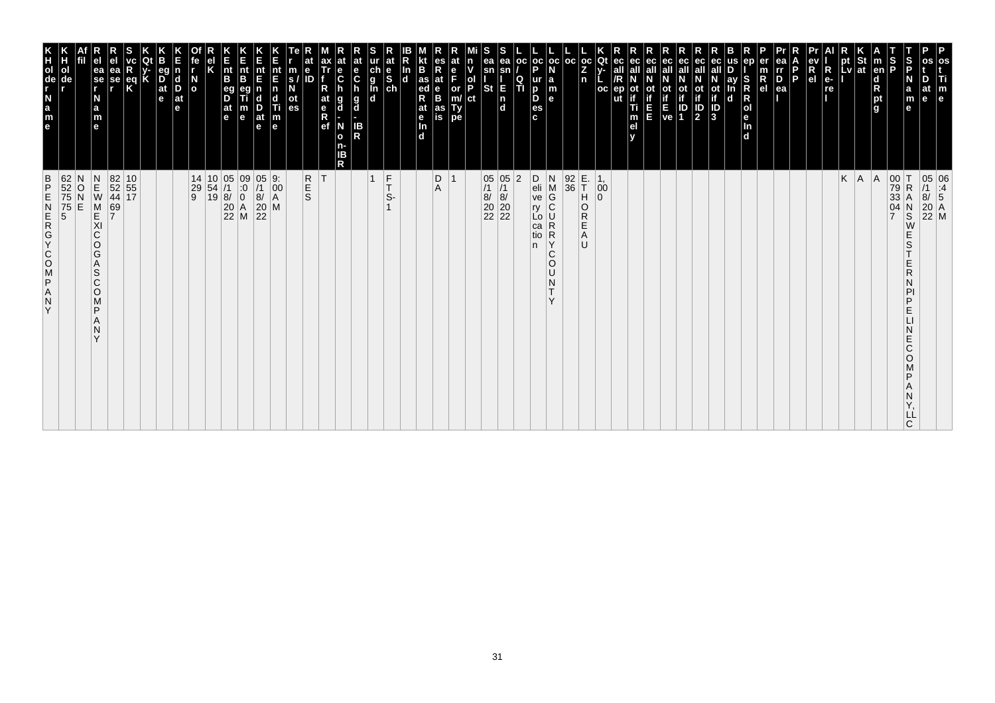| $\frac{B}{P}$<br>Y                                                                                                                                                                                      | e a z d e E                                                                                                                         |
|---------------------------------------------------------------------------------------------------------------------------------------------------------------------------------------------------------|-------------------------------------------------------------------------------------------------------------------------------------|
| 62<br>52<br>75<br>75<br>5<br>N<br>$\frac{0}{N}$<br>E                                                                                                                                                    | ol<br>de                                                                                                                            |
| $\begin{array}{c}\nN \\ E\n\end{array}$<br>M<br>KI<br>C<br>$\circ$<br>G<br>Α<br>S<br>C<br>$\circ$<br>M<br>P<br>N<br>$\checkmark$                                                                        | ea<br>se<br>r<br>N<br>$\frac{a}{m}$<br>e                                                                                            |
| 69<br>7                                                                                                                                                                                                 | еа<br>se                                                                                                                            |
| 82 10<br>52 55<br>44 17                                                                                                                                                                                 | eq<br>K                                                                                                                             |
|                                                                                                                                                                                                         |                                                                                                                                     |
|                                                                                                                                                                                                         | $\overline{D}$ <sub>at</sub><br>e                                                                                                   |
|                                                                                                                                                                                                         | <b>d</b><br>D<br>$ $ at<br>e                                                                                                        |
| 14<br>$\begin{array}{c} 29 \\ 9 \end{array}$                                                                                                                                                            | N<br>O                                                                                                                              |
| $\begin{array}{ c c c }\n 10 & 05 \\  54 & /1 \\  19 & 8\n\end{array}$                                                                                                                                  |                                                                                                                                     |
| 05 09<br>/1 :0<br>8/ 0<br>20 A<br>22 M                                                                                                                                                                  | nt<br>B<br>$\frac{eg}{D}$<br> at<br>le.                                                                                             |
|                                                                                                                                                                                                         | $rac{E}{n}$<br>B<br>m<br>$\mathbf e$                                                                                                |
| $\frac{0}{1}$<br>8/<br>$\begin{array}{c} 20 \\ 22 \end{array}$                                                                                                                                          | nt<br>E<br>D<br>at<br>$\mathbf e$                                                                                                   |
| $\begin{bmatrix} 9. \\ 00 \\ A \end{bmatrix}$<br>M                                                                                                                                                      | $\frac{nt}{F}$<br>n<br>c<br>Ш<br>$\vert_{\mathsf{e}}^{\mathsf{m}}$                                                                  |
|                                                                                                                                                                                                         | m<br>s.<br>οt<br>es                                                                                                                 |
| R<br>S<br>S                                                                                                                                                                                             | $\ddot{\textbf{e}}$<br>ID                                                                                                           |
| ΙT                                                                                                                                                                                                      | at<br>$\frac{e}{R}$                                                                                                                 |
|                                                                                                                                                                                                         | е<br>$\ddot{\mathbf{c}}$<br>$\frac{g}{d}$<br>g<br>d<br>N<br>$\mathbf{o}$<br>ΙB<br>R                                                 |
|                                                                                                                                                                                                         | at<br>e<br>C<br>IB<br>R                                                                                                             |
| $\overline{1}$                                                                                                                                                                                          | $\begin{array}{c}\n\ddot{c} \\ \ddot{g} \\ \hline\n\ddot{d}\n\end{array}$                                                           |
| $\frac{F}{T}$<br>S-                                                                                                                                                                                     | at<br>$\frac{e}{s}$                                                                                                                 |
|                                                                                                                                                                                                         | In<br>$\mathbf d$                                                                                                                   |
|                                                                                                                                                                                                         | B<br>as<br>ed<br>R<br>at<br>e<br>Tn.<br>d                                                                                           |
| D<br>$\overline{1}$<br>A                                                                                                                                                                                | es<br>Rat<br>B<br>as<br>is                                                                                                          |
|                                                                                                                                                                                                         | e<br>F<br>or<br>m/<br>Ty<br>pe                                                                                                      |
|                                                                                                                                                                                                         | ol<br>P<br>ct                                                                                                                       |
| 05 05<br>/1 /1<br>8/ 8/<br>20 20<br>22 22                                                                                                                                                               | ea<br>sn<br><b>St</b>                                                                                                               |
|                                                                                                                                                                                                         | ea<br>sn<br>E<br>$\frac{ \mathsf{n} }{ \mathsf{d} }$                                                                                |
| $\overline{2}$                                                                                                                                                                                          | l oc<br>Q<br>TI                                                                                                                     |
| D<br>eli<br>ve<br>ry<br>Lo<br>ca<br>tio<br>n.                                                                                                                                                           | $ oc $ oc<br>D<br>ur<br>b<br>D<br>es<br>c.                                                                                          |
| N<br>$\mathsf{M}% _{T}=\mathsf{M}_{T}\!\left( a,b\right) ,\ \mathsf{M}_{T}=\mathsf{M}_{T}\!\left( a,b\right) ,$<br>G<br>$ {\rm c} $<br>U<br>R<br>$\mathsf{R}$<br>Υ<br>C<br>$\circ$<br>U<br>N<br>T.<br>Y | l a<br>m<br>l el                                                                                                                    |
| $\begin{array}{ c} 92 \\ 36 \end{array}$                                                                                                                                                                | l oc                                                                                                                                |
| E.<br>T<br>H<br>O<br>R<br>Ε<br>A<br>IJ                                                                                                                                                                  | $_{\rm oc}$<br>Z<br>n                                                                                                               |
| $\begin{vmatrix} 1 \\ 0 \end{vmatrix}$<br>$\Omega$                                                                                                                                                      | Qt<br>$_{\rm oc}$                                                                                                                   |
|                                                                                                                                                                                                         | ut                                                                                                                                  |
|                                                                                                                                                                                                         | ec<br>οt<br>Ti<br>m<br>el                                                                                                           |
|                                                                                                                                                                                                         | ec<br>Ш                                                                                                                             |
|                                                                                                                                                                                                         | ot<br>if<br>E<br>ve                                                                                                                 |
|                                                                                                                                                                                                         | ec<br>οt<br>$\frac{1}{2}$<br>IP<br>1                                                                                                |
|                                                                                                                                                                                                         | ec<br>all<br>ot<br>if<br>$\frac{\text{ot}}{\text{if}}$<br>$\overline{\frac{1}{3}}$                                                  |
|                                                                                                                                                                                                         | ay<br>d                                                                                                                             |
|                                                                                                                                                                                                         | S<br>R<br>O<br>O<br>O<br>O<br>O<br>O<br>O<br>O<br>O<br>O<br>O<br>O<br>O<br>O<br>I<br>O<br>I<br>O<br>D<br>I<br>D<br>$\Box$<br>$\Box$ |
|                                                                                                                                                                                                         | $\mathsf R$<br>e <sub>l</sub>                                                                                                       |
|                                                                                                                                                                                                         | ea<br>rr<br>$\frac{D}{ea}$                                                                                                          |
|                                                                                                                                                                                                         | P                                                                                                                                   |
|                                                                                                                                                                                                         | R<br>el                                                                                                                             |
|                                                                                                                                                                                                         | $R_{e}$<br>re                                                                                                                       |
| K                                                                                                                                                                                                       | pt<br> Lv                                                                                                                           |
| A                                                                                                                                                                                                       | St<br> at                                                                                                                           |
| A                                                                                                                                                                                                       | $\vert$ m<br>en<br>$\begin{array}{c}\n\mathbf{d} \\ \mathbf{R} \\ \mathbf{p}\mathbf{t} \\ \mathbf{g}\n\end{array}$                  |
| $\begin{array}{c c} 00 & T \\ 79 & R \\ 33 & A \end{array}$<br>$\mathsf R$<br>Α<br>$\frac{04}{7}$<br>$\frac{N}{S}$<br>E<br>S<br>R<br>D<br>Е<br>E<br>Ć<br>O<br>ם<br>C                                    | S<br>P<br>S<br>P<br>N<br>a<br>m<br>e                                                                                                |
| LL                                                                                                                                                                                                      | at<br>e                                                                                                                             |
| 05 06<br>/1 :4<br>8/ 5<br>20 A<br>22 M                                                                                                                                                                  | P<br>os<br>Τi<br>m<br>e                                                                                                             |
|                                                                                                                                                                                                         |                                                                                                                                     |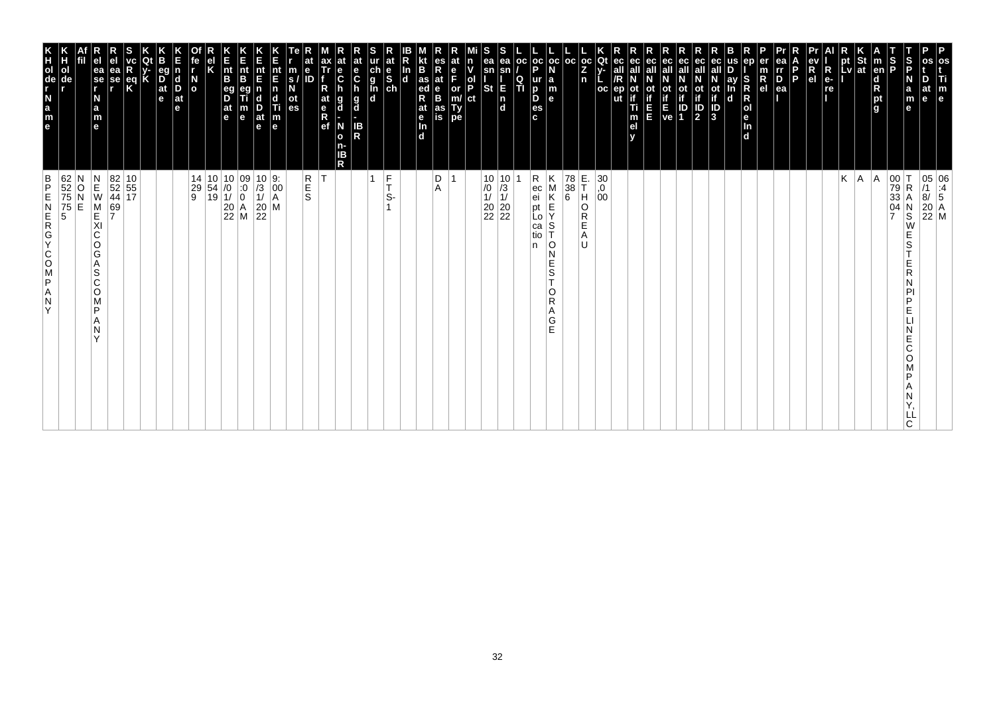| os<br>Ti<br>$\mathbb{F}_{\mathsf{e}}$                                                                                                                                        | 05 06<br>/1 :4<br>8/ 5<br>20 A<br>22 M                                                                                                   |
|------------------------------------------------------------------------------------------------------------------------------------------------------------------------------|------------------------------------------------------------------------------------------------------------------------------------------|
| os<br>D<br>at<br>e                                                                                                                                                           |                                                                                                                                          |
| $\frac{S}{P}$<br>S<br>P<br>N<br>a<br>m<br>$\mathbf{e}$                                                                                                                       | 00 T<br>79 R<br>33 A<br>04 N<br>7 S<br>R<br>Α<br>$\frac{N}{S}$<br>W<br>E<br>S<br>E<br>R<br>D<br>E<br>E<br>С<br>O<br>D<br>LL<br>C         |
| $\vert$ m<br>en<br>ight <sub>a</sub>                                                                                                                                         | A                                                                                                                                        |
| $\frac{1}{1}$ st                                                                                                                                                             | A                                                                                                                                        |
| pt<br>Lv                                                                                                                                                                     | Κ                                                                                                                                        |
| R<br>$e-$<br>re                                                                                                                                                              |                                                                                                                                          |
| R<br>e <sub>1</sub>                                                                                                                                                          |                                                                                                                                          |
| ea<br>$\overline{p}$<br>$\overline{p}$<br>$\overline{p}$<br>$\overline{q}$<br>P                                                                                              |                                                                                                                                          |
| er<br>R<br>el                                                                                                                                                                |                                                                                                                                          |
| ep<br>S<br>R<br>R<br>R<br>R<br>R<br>R<br>R<br>R<br>R<br>R<br>R<br>R<br>$\mathbf d$                                                                                           |                                                                                                                                          |
| ay<br>$\mathbf d$                                                                                                                                                            |                                                                                                                                          |
| ec<br>$\overrightarrow{a}$<br>$\overrightarrow{a}$<br>$\overrightarrow{b}$<br>$\overrightarrow{a}$                                                                           |                                                                                                                                          |
| ec<br>ec<br>ot<br>if<br>ID<br>2<br>οt<br>IP<br>1                                                                                                                             |                                                                                                                                          |
| ec<br>ot<br>if<br>E<br>ve                                                                                                                                                    |                                                                                                                                          |
| ec <br>ot<br>if<br>П<br>E                                                                                                                                                    |                                                                                                                                          |
| ec<br>ot<br>:<br>Ti<br>m<br>el                                                                                                                                               |                                                                                                                                          |
| ec<br>சு<br>ер<br>ut                                                                                                                                                         |                                                                                                                                          |
| $\begin{bmatrix} \bar{c} & \bar{c} \\ Z & Y \\ n & L \end{bmatrix}$<br>oc                                                                                                    | E.<br>T<br>$^{30}_{,0}$<br>$^{0}_{00}$<br>H<br>O<br>R<br>Е<br>Α<br>U                                                                     |
|                                                                                                                                                                              | $\begin{array}{c} 78 \\ 38 \\ 6 \end{array}$                                                                                             |
| ∣a<br>$\vert_{\mathsf{e}}^{\mathsf{m}}$                                                                                                                                      | Κ<br>$\begin{array}{c} \nM \\ \nK \\ \nE \n\end{array}$<br>S<br>l O<br>N<br>Е<br>$\mathsf S$<br>Ť<br>O<br>R<br>Α<br>G<br>E               |
| $\left \begin{array}{c c} \texttt{oc} & \texttt{oc} & \texttt{oc} \\ \texttt{P} & \texttt{N} & \end{array}\right $<br>$\frac{Q}{T}$<br>ur<br>$\overline{p}$<br>D<br>es<br>c. | R<br>ec<br>ei<br>pt<br>Lo<br>ca<br>tio<br>n                                                                                              |
| ea<br>sn<br>E<br>In<br>Id                                                                                                                                                    |                                                                                                                                          |
| s<br>ea<br>sn<br><b>St</b>                                                                                                                                                   | $\begin{array}{c c} 10 & 10 \\ \hline \end{array} \begin{array}{c} 10 \\ 13 \\ 11 \\ 20 \\ 22 \\ 22 \end{array}$                         |
| n<br>v<br>ol<br>P<br>ct                                                                                                                                                      |                                                                                                                                          |
| at<br>$\frac{e}{F}$<br>or<br>m/<br>Ty<br>pe                                                                                                                                  | $\overline{1}$                                                                                                                           |
| <b>KE</b><br>as<br>R<br>R<br>es<br>R<br>at<br>e<br>B<br>at<br>as<br>is<br>$\frac{e}{\ln}$<br>$\overline{d}$                                                                  | D<br>Α                                                                                                                                   |
| $\frac{\ln}{d}$                                                                                                                                                              |                                                                                                                                          |
| ur at<br>g<br>g<br>d<br>d<br>d<br>d                                                                                                                                          | $\frac{F}{T}$<br>S-                                                                                                                      |
| IB<br>R                                                                                                                                                                      | 1                                                                                                                                        |
| at<br>e<br>C<br>at<br>$\frac{e}{C}$<br>h<br>h<br>$\frac{g}{d}$<br>g<br>d<br>N<br>$\mathbf{o}$<br>n-<br>IΒ<br>R                                                               |                                                                                                                                          |
| ax<br>Tr<br>R<br>at<br>$\begin{array}{c} \n\overline{e} \\ \overline{R} \\ \overline{e}f\n\end{array}$                                                                       | T                                                                                                                                        |
| at<br>$\mathbf e$<br>ID<br>es                                                                                                                                                | R<br>S<br>S                                                                                                                              |
| nt<br>E<br>m<br>$\overline{\mathbf{s}}$<br>$\begin{array}{c} \n\overline{n} \\ \overline{d} \\ \overline{n} \\ \overline{e}\n\end{array}$<br>Ν<br>ot                         | $\begin{vmatrix} 9. \\ 00 \\ A \end{vmatrix}$<br>M                                                                                       |
| E<br>nt<br>E<br>D<br>at<br>$\mathbf e$                                                                                                                                       | $\begin{array}{c} 10 \\ 73 \\ 11 \\ 20 \\ 22 \end{array}$                                                                                |
| IL<br>Int<br>m<br>e                                                                                                                                                          | $\begin{array}{c cc} 14 & 10 & 10 & 09 \\ 29 & 54 & /0 & :0 \\ 9 & 19 & 1/ & 0 \\ & & 20 & A \\ & & 22 & M \\ \end{array}$               |
| nt<br>B<br>$\frac{eg}{D}$<br>$\frac{at}{e}$                                                                                                                                  |                                                                                                                                          |
|                                                                                                                                                                              |                                                                                                                                          |
| fe<br>r<br>$\overline{a}$                                                                                                                                                    |                                                                                                                                          |
| В<br>eg<br>D <sub>at</sub><br>e<br>n<br>$\begin{array}{c}\n\mathbf{d} \\ \mathbf{D} \\ \mathbf{a}\mathbf{t}\n\end{array}$<br>le.                                             |                                                                                                                                          |
|                                                                                                                                                                              |                                                                                                                                          |
| R<br>$\mathbf{R}$                                                                                                                                                            |                                                                                                                                          |
| ea<br>se                                                                                                                                                                     | $\begin{array}{ c c }\n 82 & 10 \\  52 & 55 \\  44 & 17\n\end{array}$<br>69<br>7                                                         |
| ea<br>se<br>r<br>N<br>$\frac{a}{m}$<br>$\mathbf{e}$                                                                                                                          | $\begin{array}{c} N \\ E \\ W \end{array}$<br>M<br>KI<br>C<br>O<br>G<br>Α<br>ls<br>C<br>O<br>M<br>$\mathsf{P}$<br>A<br>N<br>$\checkmark$ |
| ol<br>de                                                                                                                                                                     | 62<br>52<br>75<br>75<br>5<br>5<br>N<br>$\frac{0}{E}$                                                                                     |
| e a z - \$ c r x                                                                                                                                                             | $\frac{B}{P}$<br>Z<br><br><br><br><br><br><br><br><br><br><br><br><br><br><br><br><br><br><br><br><br><br><br><br><br>Y                  |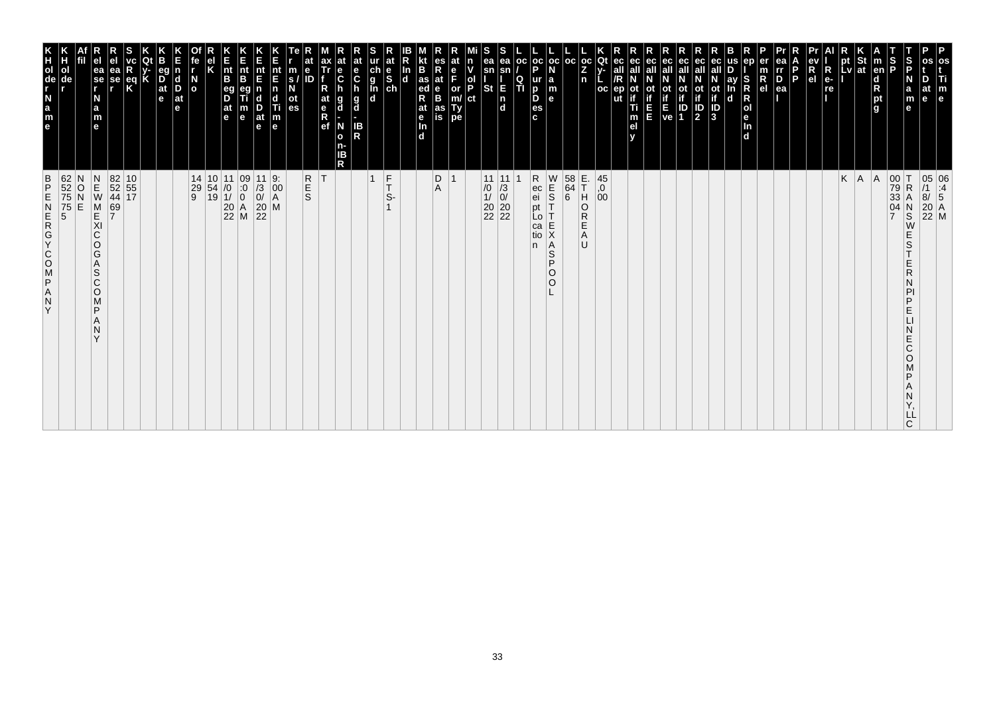| $\frac{B}{P}$<br>ZAPSOOKGAN<br>Y                                                                                                         | K<br>TOUR LEB                                                                                                             |
|------------------------------------------------------------------------------------------------------------------------------------------|---------------------------------------------------------------------------------------------------------------------------|
| 62<br>52<br>75<br>75<br>5<br>5<br>N<br>O<br>E                                                                                            | ol<br>de                                                                                                                  |
| $\begin{array}{c} N \\ E \\ W \end{array}$<br>M<br>KI<br>C<br>O<br>G<br>A<br>S<br>$\mathsf{C}$<br>$\circ$<br>M<br>P<br>N<br>$\checkmark$ | ea<br>$\overline{\phantom{a}}$ se<br>N<br>a<br>m<br>$\mathbf{e}$                                                          |
| 69<br>7                                                                                                                                  | еа<br>se                                                                                                                  |
| 82 10<br>52 55<br>44 17                                                                                                                  | $rac{eq}{K}$                                                                                                              |
|                                                                                                                                          |                                                                                                                           |
|                                                                                                                                          | eq<br>$\overline{D}$ <sub>at</sub><br>e                                                                                   |
|                                                                                                                                          | $\vert$ d<br>D<br>$ $ at<br>le.                                                                                           |
| $\begin{array}{c cc} 14 & 10 & 11 & 09 \\ 29 & 54 & /0 & :0 \\ 9 & 19 & 1/ & 0 \\ & & 20 & A \\ & & 22 & M \\ \end{array}$               | $\overline{a}$                                                                                                            |
|                                                                                                                                          |                                                                                                                           |
|                                                                                                                                          | $\vert_{\mathsf{B}}^{\mathsf{nt}}$<br>eg<br>D<br>$ $ at<br>l e                                                            |
|                                                                                                                                          | Ê<br>nt<br>B<br>m<br>$\mathbf e$                                                                                          |
| $\frac{11}{13}$<br>0/<br>20<br>20<br>22                                                                                                  | nt<br>E<br>$\frac{D}{at}$<br>$\mathbf e$                                                                                  |
| 9.<br>$\overline{)00}_{A}$<br>M                                                                                                          | nt<br>E<br>n<br>d<br>Ti<br>m<br>e                                                                                         |
|                                                                                                                                          | m<br>S.<br>οt<br>es                                                                                                       |
| <b>R</b><br>S<br>ΙT                                                                                                                      | е<br>ID                                                                                                                   |
|                                                                                                                                          | ax<br>Tr<br>$\frac{e}{C}$<br>at<br>g<br>$\begin{array}{c} e \\ R \\ e f \end{array}$<br>d<br>N<br>$\mathbf{o}$<br>ΙB<br>R |
|                                                                                                                                          | at<br>e<br>at<br>$\mathbf c$<br>$\frac{g}{d}$<br><b>IB</b><br>R<br>n-                                                     |
| $\overline{1}$                                                                                                                           |                                                                                                                           |
| $\frac{F}{T}$<br>S-                                                                                                                      | at<br>$\begin{array}{c}\n\stackrel{\mathsf{d}}{\mathsf{e}}\n\stackrel{\mathsf{d}}{\mathsf{e}}\n\end{array}$               |
|                                                                                                                                          | In<br>$\mathbf d$                                                                                                         |
|                                                                                                                                          | B<br>$\frac{1}{4}$ as<br>R<br>at<br>$\frac{e}{\ln}$<br>d.                                                                 |
| D<br>Α                                                                                                                                   | es<br>R<br>at<br>B<br>as<br>is                                                                                            |
| $\overline{1}$                                                                                                                           | at<br>F<br>or<br>Ty<br>pe                                                                                                 |
|                                                                                                                                          | n<br>ol<br>P<br>ct                                                                                                        |
|                                                                                                                                          | ea<br>sn<br>St                                                                                                            |
| 11 11<br>$\begin{array}{c} 7.76 \\ 10 \\ 11 \\ 20 \\ 22 \\ 22 \end{array}$                                                               | ea<br>E<br>$\frac{1}{d}$                                                                                                  |
|                                                                                                                                          | oc <br>Q<br>ΤÌ                                                                                                            |
| R<br>ec<br>ei<br>pt<br>Lo<br>ca<br>tio<br>n.                                                                                             | p<br>ur<br>D<br>D<br>es<br>c.                                                                                             |
| W<br>$\frac{1}{5}$<br>E<br>Χ<br>A<br>S<br>P<br>$\circ$<br>O                                                                              | oc oc <br>la<br>m<br>$\mathbf{e}$                                                                                         |
| $\begin{array}{c} 58 \\ 64 \\ 6 \end{array}$                                                                                             | l oc                                                                                                                      |
| E.<br>T<br>H<br>O<br>R<br>Ε<br>Α<br>U                                                                                                    | $ oc $ Qt<br>Z<br>n                                                                                                       |
| $^{45}_{,0}$<br>00                                                                                                                       | oc                                                                                                                        |
|                                                                                                                                          | ec<br>ut                                                                                                                  |
|                                                                                                                                          | ec<br>οt<br>Ti<br>m<br>el                                                                                                 |
|                                                                                                                                          | ec<br>Ш                                                                                                                   |
|                                                                                                                                          | ot<br>if<br>ve                                                                                                            |
|                                                                                                                                          | eс<br>οt<br>ID<br>1                                                                                                       |
|                                                                                                                                          | ec<br>all<br>ot<br>if<br>3<br><b>ot</b><br>$\overline{\mathbf{P}}$                                                        |
|                                                                                                                                          | ay<br>$\mathbf d$                                                                                                         |
|                                                                                                                                          | ep<br>S<br>$\mathsf R$<br>R<br>Jen<br>d                                                                                   |
|                                                                                                                                          | $\overline{R}_{el}$                                                                                                       |
|                                                                                                                                          | ea<br>rr<br>$\overline{D}$ ea                                                                                             |
|                                                                                                                                          | P                                                                                                                         |
|                                                                                                                                          | $\overline{\mathsf{R}}$<br>R<br>e <sub>1</sub>                                                                            |
|                                                                                                                                          | $e-$<br>re                                                                                                                |
| K<br> A                                                                                                                                  | pt<br>Lv                                                                                                                  |
| A                                                                                                                                        | St<br><b>at</b>                                                                                                           |
| $\overline{7}$                                                                                                                           | $\frac{1}{2}$<br>$\vert$ m<br>en<br>d<br>pt<br>g                                                                          |
| 00<br>79<br>33<br>İΤ<br>$\mathsf R$<br>А<br>04<br>$_{\rm S}^{\rm N}$<br>W<br>Ε<br>S<br>Ε<br>R<br>D<br>Ε<br>E<br>Ć<br>O<br>D<br>C         | S<br>P<br>N<br>a<br>m<br>$\mathbf e$                                                                                      |
| LL                                                                                                                                       | at<br>$\mathbf{e}$                                                                                                        |
| 05 06<br>/1 :4<br>8/ 5<br>20 A<br>22 M                                                                                                   | os<br>Ti<br>m<br>e                                                                                                        |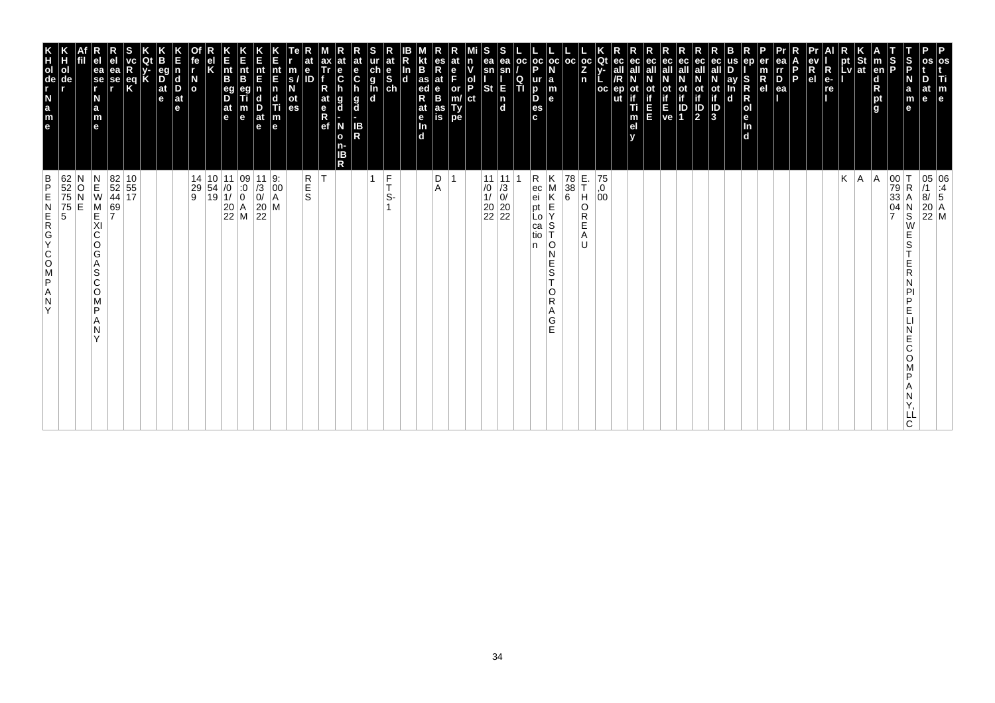| $\frac{St}{at}$<br>$\frac{1}{2}$<br>S<br>P<br>$\vert$ m<br>en<br>N<br>a<br>m<br>d<br>pt<br>g<br>$\mathbf{e}$       | A<br> A<br>00 T<br>79 R<br>33 A<br>04 N<br>7 S<br>$\mathsf R$<br>Α<br>$_\mathrm{S}^\mathrm{N}$<br>W<br>E<br>S<br>Е<br>R<br>D<br>E<br>E<br>Ć<br>O<br>D<br>ᄔ<br>C |
|--------------------------------------------------------------------------------------------------------------------|-----------------------------------------------------------------------------------------------------------------------------------------------------------------|
| pt<br>Lv                                                                                                           | Κ                                                                                                                                                               |
| R<br>R<br>e <sub>l</sub><br>$e-$<br>re                                                                             |                                                                                                                                                                 |
| ea<br>I<br>P<br>ea<br>ea<br>P.                                                                                     |                                                                                                                                                                 |
| ep<br>er<br>m<br>$\overline{R}$ el                                                                                 |                                                                                                                                                                 |
| ay<br>S<br>R<br>$\mathbf d$                                                                                        |                                                                                                                                                                 |
| ot<br>if<br>iD<br>3                                                                                                |                                                                                                                                                                 |
| ec<br>all<br>ec<br>all<br>ot<br>if<br>ot<br>$\frac{1}{2}$<br>ID<br>1                                               |                                                                                                                                                                 |
| ec<br>all<br>ot<br>if<br>ve                                                                                        |                                                                                                                                                                 |
| ec<br>all<br>Ξ                                                                                                     |                                                                                                                                                                 |
| ec<br>ec<br>οt<br>ep<br>Ti<br>m<br>el                                                                              |                                                                                                                                                                 |
| oc<br>ut                                                                                                           | 75<br>,0<br>0 <sup>0</sup>                                                                                                                                      |
| $\left \begin{smallmatrix} \texttt{oc} \ \texttt{Qt} \ \texttt{Z} \end{smallmatrix} \right $ y-<br>n               | E.<br>T<br>H<br>O<br>R<br>Е<br>Α<br>U                                                                                                                           |
| oc <br>∣a<br>$\mathsf{m}$<br>le.                                                                                   | Κ<br>78<br>$\begin{array}{c} 38 \\ 6 \end{array}$<br>M<br>K<br>E<br>S<br>0 I<br>N<br>E<br>$\mathbb S$<br>T<br>O<br>R<br>Α<br>G<br>E                             |
| $\left \begin{array}{c} \texttt{oc} \\ \texttt{P} \end{array}\right $ $\mathbf{N}$<br>ur<br>þ<br>D<br>es<br>c.     | R<br>ec<br>ei<br>pt<br>Lo<br>ca<br>tio<br>n                                                                                                                     |
| oc <br>$\frac{Q}{T}$                                                                                               |                                                                                                                                                                 |
| S<br>ea<br>ea<br>sn<br>$\mathsf{sn}$<br>E.<br><b>St</b><br>$\begin{bmatrix} n \\ d \end{bmatrix}$                  | 11 11<br>$\begin{array}{c} 7.76 \\ 10 \\ 11 \\ 20 \\ 22 \\ 22 \end{array}$                                                                                      |
| n<br>ol<br>P<br>ct                                                                                                 |                                                                                                                                                                 |
| at<br>$_{F}^{\mathrm{e}}$<br>or<br>m/<br>Type                                                                      | -1                                                                                                                                                              |
| kt<br>es<br>R<br>at<br>e<br>B<br>B<br>$\frac{1}{2}$ as<br>R<br>at<br>as<br>is<br>$\frac{e}{\ln}$<br>$\overline{d}$ | D<br>Α                                                                                                                                                          |
| ln<br> d                                                                                                           |                                                                                                                                                                 |
| ur at<br>g<br>g<br>d<br>d<br>d<br>d                                                                                | $\frac{F}{T}$<br>S-                                                                                                                                             |
| S<br>at<br>e<br>C<br>h<br>$\frac{g}{d}$<br>IB<br>R                                                                 |                                                                                                                                                                 |
| at<br>$\frac{e}{C}$<br>g<br>d<br>N<br>$\mathbf{o}$<br>n-<br>ΙB<br>R                                                |                                                                                                                                                                 |
| ax<br>Tr<br>R<br>at<br>$\begin{matrix} e \\ R \\ R \end{matrix}$                                                   | İΤ                                                                                                                                                              |
| at<br>e<br>m<br>ID<br>$\mathbf{s}$<br>ot<br>es                                                                     | R<br>S<br>S                                                                                                                                                     |
| nt<br>E<br>$\overline{\mathsf{n}}$<br>$\mathsf{d}$<br>Ti<br>m<br>e                                                 | 9.<br>$\left  \begin{smallmatrix} 0 & 0 \\ 0 & 0 \\ A & A \end{smallmatrix} \right $<br>M                                                                       |
| n<br>Ent<br>nt<br>E<br>$\frac{D}{at}$<br>m<br>$\mathbf e$                                                          | $\begin{bmatrix} 11 \\ 73 \\ 0 \\ 20 \\ 22 \end{bmatrix}$                                                                                                       |
| $\vert_{\mathsf{B}}^{\mathsf{nt}}$<br>$\frac{eg}{D}$<br>$\frac{at}{e}$<br>$\mathbf e$                              | $\begin{array}{ c c c c c }\n 14 & 10 & 11 & 09 \\  29 & 54 & 0 & 0 \\  9 & 19 & 1 & 0\n\end{array}$<br>$\begin{vmatrix} 20 \\ 22 \end{vmatrix}$ M              |
|                                                                                                                    |                                                                                                                                                                 |
| fe<br>$\frac{N}{2}$                                                                                                |                                                                                                                                                                 |
| eg<br>n<br>$\vert_{\mathsf{D}}^{\mathsf{d}}$<br>$ $ at<br>le.                                                      |                                                                                                                                                                 |
| K<br>$\overrightarrow{D}$ <sub>at</sub><br>e                                                                       |                                                                                                                                                                 |
| R                                                                                                                  |                                                                                                                                                                 |
| ea<br>se<br>r                                                                                                      | $\begin{array}{ c c }\n 82 & 10 \\  52 & 55 \\  44 & 17\n\end{array}$<br>$\frac{69}{7}$                                                                         |
| e <sub>1</sub><br>ea<br>se<br>r<br>N<br>$\frac{a}{m}$<br>$\mathbf{e}$                                              | $\begin{array}{c}\nN \\ E \\ W\n\end{array}$<br>M<br>KI<br>C<br>O<br>G<br>Α<br>S<br>C<br>O<br>M<br>P<br>A<br>N<br>$\checkmark$                                  |
| Н<br>ol<br>de                                                                                                      | 62<br>52<br>75<br>75<br>5<br>5<br>O<br>E                                                                                                                        |
| e a z - de r x                                                                                                     | $\frac{B}{P}$<br>Z<br><br><br><br><br><br><br><br><br><br><br><br><br><br><br><br><br><br><br><br><br><br><br><br><br>Y                                         |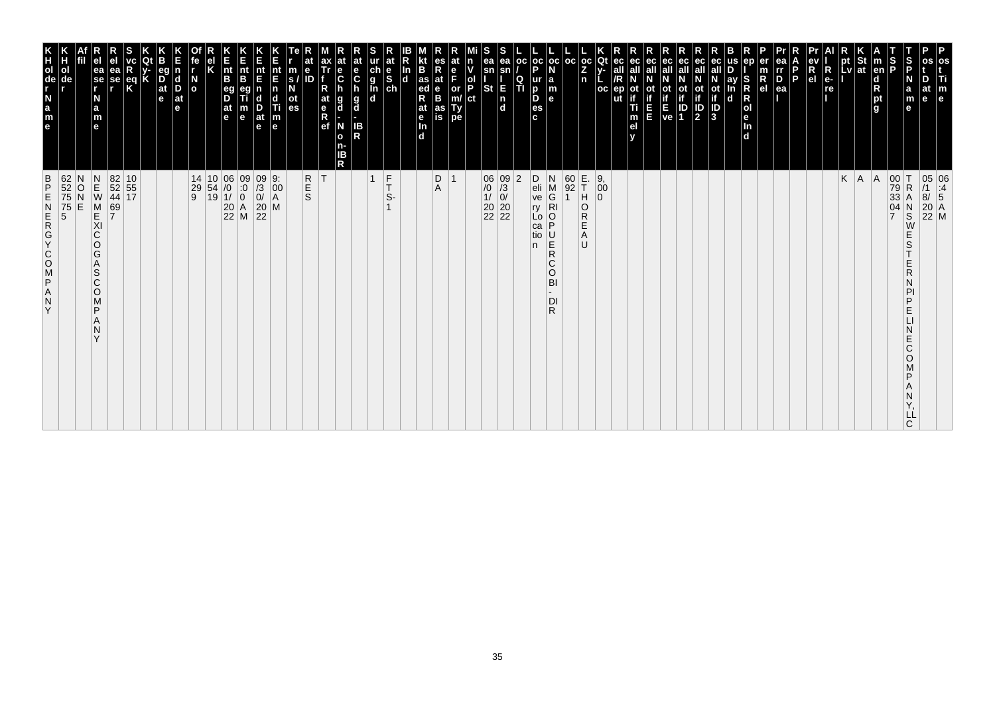| 62<br>52<br>75<br>75<br>5<br>5<br>$\frac{B}{P}$<br>ZAPSOOKGAN<br>Y                                                                      | K<br>TOUR LEB<br>ol<br>de                                                      |
|-----------------------------------------------------------------------------------------------------------------------------------------|--------------------------------------------------------------------------------|
| N<br>O<br>E                                                                                                                             |                                                                                |
| $\begin{array}{c} N \\ E \\ W \end{array}$<br>M<br>KI<br>C<br>O<br>G<br>A<br>S<br>$\mathsf{C}$<br>O<br>M<br>P<br>Α<br>N<br>$\checkmark$ | ea<br>$\overline{\phantom{a}}$ se<br>N<br>a<br>m<br>$\mathbf{e}$               |
| 82 10<br>52 55<br>44 17<br>69<br>7                                                                                                      | еа<br>se                                                                       |
|                                                                                                                                         | $\frac{eq}{K}$                                                                 |
|                                                                                                                                         |                                                                                |
|                                                                                                                                         | eq<br>$\overline{D}$ <sub>at</sub><br>e                                        |
|                                                                                                                                         | $\vert$ d<br>D<br>$ $ at<br>le.                                                |
| $\begin{array}{ c c c c c }\n 14 & 10 & 06 & 09 \\  29 & 54 & /0 & 0 \\  9 & 19 & 1/ & 0\n\end{array}$                                  | $\frac{N}{2}$                                                                  |
|                                                                                                                                         |                                                                                |
| $\begin{array}{c} 0.00000 \\ 0.00000 \\ 20.00000 \\ 22.00000 \end{array}$                                                               | $\vert_{\mathsf{B}}^{\mathsf{nt}}$<br>eg<br>D<br>$ $ at<br>l e                 |
|                                                                                                                                         | Ê<br>nt<br>B<br>m<br>$\mathbf e$                                               |
| $\begin{array}{c} 09 \\ 73 \\ 0 \\ 20 \\ 22 \end{array}$                                                                                | nt<br>E<br>n<br>d<br>$\frac{D}{at}$<br>$\mathbf e$                             |
| 9.<br>$\left  \begin{smallmatrix} 0 & 0 \\ 0 & 0 \\ A & A \end{smallmatrix} \right $<br>M                                               | nt<br>E<br>Ti<br>$\frac{\mathsf{m}}{\mathsf{e}}$                               |
| <b>R</b><br>S                                                                                                                           | е<br>m<br>ID<br>S.<br>οt<br>es                                                 |
| ΙT                                                                                                                                      | ax<br>Tr<br>at<br>$\begin{array}{c} e \\ R \\ e f \end{array}$                 |
|                                                                                                                                         | at<br>е<br>$\ddot{\mathbf{c}}$<br>g<br>d<br>N<br>$\mathbf{o}$<br>n-<br>ΙB<br>R |
|                                                                                                                                         | at<br>e<br>$\mathbf c$<br>$\frac{g}{d}$<br>IB<br>R                             |
| $\overline{1}$                                                                                                                          | ch<br>g<br>g<br>d<br>d                                                         |
| $\frac{F}{T}$<br>S-                                                                                                                     | at<br>$\frac{e}{sh}$                                                           |
|                                                                                                                                         | In<br>$\mathbf d$                                                              |
|                                                                                                                                         | B<br>$\frac{1}{4}$ as<br>R<br>at<br>$\frac{e}{\ln}$<br>d.                      |
| D<br>Α                                                                                                                                  | es<br>R<br>at<br>B<br>B<br>as<br>is                                            |
| $\overline{1}$                                                                                                                          | at<br>F<br>or<br>Ty<br>pe                                                      |
|                                                                                                                                         | n<br>ol<br>P<br>ct                                                             |
| $\begin{array}{c c} 06 & 09 \\ \hline /0 & \hline /3 \\ 1/ & 0/ \\ 20 & 20 \\ 22 & 22 \end{array}$                                      | ea<br>sn<br>St                                                                 |
|                                                                                                                                         | ea<br>sn<br>E<br>$\frac{1}{d}$                                                 |
| $ 2\rangle$                                                                                                                             | oc <br>Q<br>ΤÌ                                                                 |
| D<br>eli<br>ve<br>ry<br>Lo<br>ca<br>tio<br>n.                                                                                           | oc oc <br>p<br>ur<br>D<br>D<br>es<br>c.                                        |
| N<br>M<br>G<br>$\overline{R}$ l<br>P<br>U<br>R<br>R<br>$\mathsf{C}$<br>$\circ$<br>BI<br>DI<br>R                                         | la<br>m<br>$\mathbf{e}$                                                        |
| $\frac{60}{92}$                                                                                                                         | l oc                                                                           |
| E.<br>T<br>H<br>O<br>R<br>Ε<br>Α<br>U                                                                                                   | $ oc $ Qt<br>Z<br>n                                                            |
| $\left  \begin{smallmatrix} 9 \\ 0 \\ 0 \end{smallmatrix} \right $<br>$\Omega$                                                          | oc<br>ut                                                                       |
|                                                                                                                                         | ec<br>ec<br>οt<br>Ti<br>m<br>el                                                |
|                                                                                                                                         | ec<br>Ш                                                                        |
|                                                                                                                                         | ot<br>if<br>ve                                                                 |
|                                                                                                                                         | ec<br>οt<br>ID<br>1                                                            |
|                                                                                                                                         | ec<br>all<br><b>ot</b><br>$\overline{\mathbf{P}}$                              |
|                                                                                                                                         | ot<br>if<br>3                                                                  |
|                                                                                                                                         | ay<br>$\mathbf d$                                                              |
|                                                                                                                                         | ep<br>S<br>$\mathsf R$<br>R<br>Jen<br>d                                        |
|                                                                                                                                         | $\overline{R}_{el}$                                                            |
|                                                                                                                                         | ea<br>rr<br>$\overline{P}_{ea}$<br>P                                           |
|                                                                                                                                         | R<br>e <sub>1</sub>                                                            |
|                                                                                                                                         | $\overline{\mathsf{R}}$<br>$e-$<br>re                                          |
| K                                                                                                                                       | pt<br>Lv                                                                       |
| A                                                                                                                                       | St<br> at                                                                      |
| A                                                                                                                                       | $\vert$ m<br>en<br>d<br>pt<br>g                                                |
| 00<br>79<br>33<br>04<br>$\overline{7}$                                                                                                  | $\frac{1}{2}$                                                                  |
| ΙT<br>$\mathsf R$<br>А<br>$_{\rm S}^{\rm N}$<br>W<br>Ε<br>S<br>Ε<br>R<br>D<br>Ε<br>E<br>Ć<br>O<br>D<br>LL<br>C                          | S<br>P<br>N<br>a<br>m<br>$\mathbf e$                                           |
| 05 06<br>/1 :4<br>8/ 5<br>20 A<br>22 M                                                                                                  | os<br>os<br>Ti<br>at<br>m<br>e<br>$\mathbf{e}$                                 |
|                                                                                                                                         |                                                                                |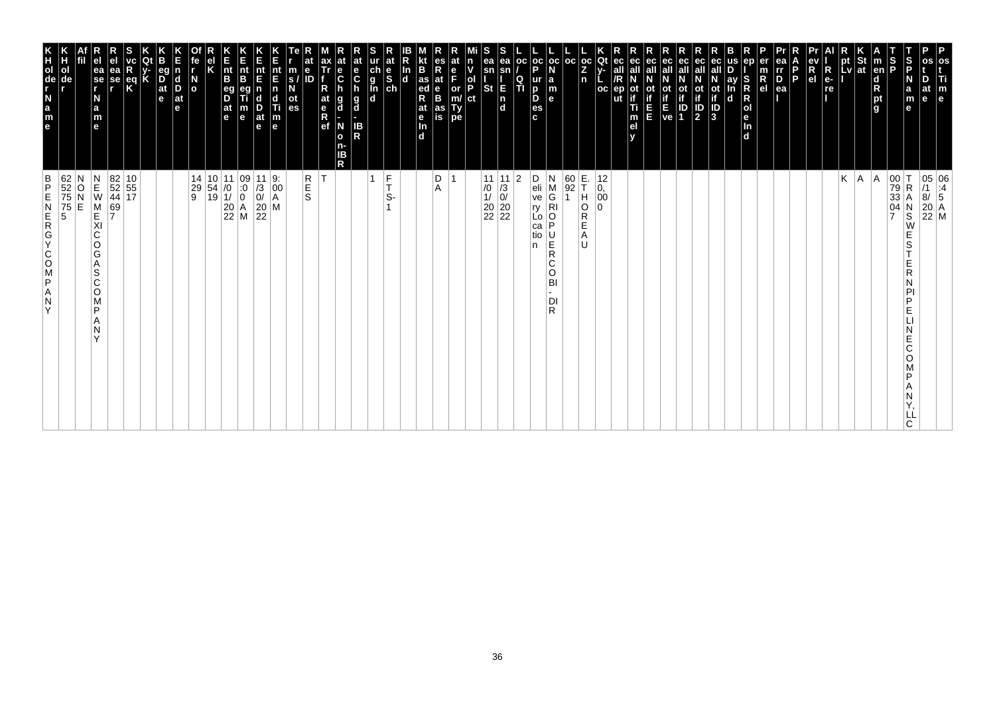| os<br>Ti<br>m<br>e                                                                                                                                                                   | 05 06<br>/1 :4<br>8/ 5<br>20 A<br>22 M                                                                                                |
|--------------------------------------------------------------------------------------------------------------------------------------------------------------------------------------|---------------------------------------------------------------------------------------------------------------------------------------|
| D<br>at<br>le.                                                                                                                                                                       |                                                                                                                                       |
| S<br>P<br>N<br>a<br>m<br>е                                                                                                                                                           | 00 T<br>79 R<br>33 A<br>04 N<br>7 S<br>N<br>S<br>W<br>Е<br>S<br>Ε<br>R<br>N<br>PI<br>P<br>Е<br>Е<br>C<br>O<br>P<br>Α<br>N<br>LL<br>C. |
| $\frac{S}{P}$<br>$\vert$ m<br>en<br>$\mathbf d$<br>R<br>pt<br>g                                                                                                                      | A                                                                                                                                     |
|                                                                                                                                                                                      | A                                                                                                                                     |
| $\left \begin{array}{c}\npt\\ pt\\ lv\n\end{array}\right $ at<br>$\blacksquare$                                                                                                      | Κ                                                                                                                                     |
| R<br>e-<br>re                                                                                                                                                                        |                                                                                                                                       |
| ev<br>R<br>el                                                                                                                                                                        |                                                                                                                                       |
| l P                                                                                                                                                                                  |                                                                                                                                       |
| ea<br>Ir<br>D<br>er<br>$\frac{m}{R}$<br>ea                                                                                                                                           |                                                                                                                                       |
| ep<br>S<br>R<br>$\mathsf R$<br> o <br>le.<br>In<br>d                                                                                                                                 |                                                                                                                                       |
| us<br>ay<br>In<br>d                                                                                                                                                                  |                                                                                                                                       |
| ec<br>ot<br>if<br>J<br>3                                                                                                                                                             |                                                                                                                                       |
| ec<br>all<br>$\mathbb{P}$                                                                                                                                                            |                                                                                                                                       |
| ec<br>Οt<br>$\begin{bmatrix} \mathbf{i} \\ \mathbf{f} \\ \mathbf{E} \\ \mathbf{ve} \end{bmatrix} \begin{bmatrix} \mathbf{i} \\ \mathbf{i} \\ \mathbf{D} \\ \mathbf{1} \end{bmatrix}$ |                                                                                                                                       |
| ec<br>all                                                                                                                                                                            |                                                                                                                                       |
| ec<br>all<br>Ε<br>E                                                                                                                                                                  |                                                                                                                                       |
| ec<br>ec<br>all<br>ot<br>if<br>ep<br>Ti<br>m<br>el<br>v                                                                                                                              |                                                                                                                                       |
| Qt<br>$V -$<br>oc                                                                                                                                                                    | 12<br>$\begin{matrix} 0, 0 \\ 00 \end{matrix}$<br>$\Omega$                                                                            |
| $\left \begin{array}{c} \texttt{oc} \\ \texttt{z} \end{array}\right $<br>n                                                                                                           | E.<br>T<br>H<br>O<br>R<br>E<br>Α<br>U                                                                                                 |
| $_{\rm oc}$<br>N<br>$\begin{array}{c} \mathsf{a} \\ \mathsf{m} \\ \mathsf{e} \end{array}$                                                                                            | 60<br>92<br>$_{\rm G}^{\rm M}$<br>$\mathbf 1$<br>$\overline{R}$<br>O<br>P<br>$\overline{R}$<br>C<br>BI<br>DI<br>R.                    |
| $\frac{1}{P}$<br>ur<br>D<br>D<br>es<br>c                                                                                                                                             | D<br>N<br>$\frac{e}{ve}$<br>ŗy<br>Lo<br>ca<br>tio<br>n<br>O                                                                           |
| OC<br>$\frac{Q}{T}$                                                                                                                                                                  | 2                                                                                                                                     |
| ea<br>sn<br>E<br>$\begin{bmatrix} n \\ d \end{bmatrix}$                                                                                                                              | 11 11<br>$\begin{array}{c c} \n 10 & 73 \\  11 & 0 \\  20 & 20 \\  22 & 22\n \end{array}$                                             |
| S<br>ea<br>sn<br>ol<br>P<br><b>St</b><br>ct                                                                                                                                          |                                                                                                                                       |
| at<br>n<br>v<br>e<br>F<br>or<br>m/<br>Ty<br>pe                                                                                                                                       |                                                                                                                                       |
| es<br>R<br>at<br>e<br>B<br>as<br>is                                                                                                                                                  | D<br>Α                                                                                                                                |
| B<br>as<br>ed<br>at<br>e<br>$\overline{\mathbf{m}}$<br>$\overline{d}$                                                                                                                |                                                                                                                                       |
| $\frac{\ln{}}{\ln{}}$                                                                                                                                                                |                                                                                                                                       |
| at<br>ur<br>ch<br>g<br>l<br>d<br>d<br>$\frac{e}{s}$                                                                                                                                  | $\frac{F}{T}$<br>1<br>S-                                                                                                              |
| at<br>e<br>$\mathbf c$<br>h<br>g<br>d<br>н<br>IB<br>R                                                                                                                                |                                                                                                                                       |
| $\frac{e}{C}$<br>h<br>g<br>d<br>N<br>$\mathbf{o}$<br>n-<br>IΒ<br>R                                                                                                                   |                                                                                                                                       |
| ax<br>Tr<br>R<br>at<br>e<br>R<br>ef                                                                                                                                                  | İΤ                                                                                                                                    |
| e<br>m<br>s/<br>N<br>ID<br>ot<br>es                                                                                                                                                  | R<br>E<br>S                                                                                                                           |
| nt<br>E<br>$\begin{array}{c} \n\mathbf{n} \\ \n\mathbf{d} \\ \n\mathbf{m} \\ \n\mathbf{e} \n\end{array}$                                                                             | 9.<br>$\left  \begin{smallmatrix} 0 & 0 \\ 0 & 0 \\ A & A \end{smallmatrix} \right $                                                  |
| Ε<br>nt<br>E<br>$\frac{D}{at}$<br>e                                                                                                                                                  | $\begin{vmatrix} 11 \\ 73 \\ 0 \end{vmatrix}$<br>$\begin{bmatrix} 20 \\ 22 \end{bmatrix}$ M                                           |
| K<br>Ent<br>B<br>$\frac{nt}{B}$<br>eg<br>D<br>$\frac{at}{e}$<br>m<br>e                                                                                                               | $\begin{array}{c c} 11 & 09 \\ \hline 10 & 0 \\ 1/ & 0 \\ 20 & A \\ 22 & M \end{array}$                                               |
| Κ                                                                                                                                                                                    | 10 11<br>$\begin{array}{ c c } \hline 54 & 0 \\ 19 & 1 \end{array}$                                                                   |
| fe<br>r<br>$\overline{a}$                                                                                                                                                            | 14<br>29<br>9                                                                                                                         |
| n<br>$\vert_{\mathrm{D}}^{\mathrm{d}}$<br>$ $ at<br>e                                                                                                                                |                                                                                                                                       |
| eg<br>$\overline{D}$ at $\overline{e}$                                                                                                                                               |                                                                                                                                       |
| K                                                                                                                                                                                    |                                                                                                                                       |
| ea<br>se<br>,<br>$\frac{eq}{K}$                                                                                                                                                      | $\begin{array}{ c c }\n 82 & 10 \\  52 & 55 \\  44 & 17\n\end{array}$<br>69<br>7                                                      |
| e <sub>1</sub><br>ea<br>se<br>r<br>N<br>$\frac{a}{m}$<br>e                                                                                                                           | $\begin{array}{c} N \\ E \\ W \end{array}$<br>M<br>E<br>XI<br>$\mathsf C$<br>O<br>G<br>Α<br>S<br>C<br>O<br>M<br>P<br>Α<br>N<br>Y      |
|                                                                                                                                                                                      | Ν<br>O<br>E                                                                                                                           |
| Н<br>ol<br>de                                                                                                                                                                        | 62<br>52<br>75<br>75<br>5                                                                                                             |
| e a z - de r x                                                                                                                                                                       | $\frac{B}{P}$<br>ZAPSOCYCREN<br>Y                                                                                                     |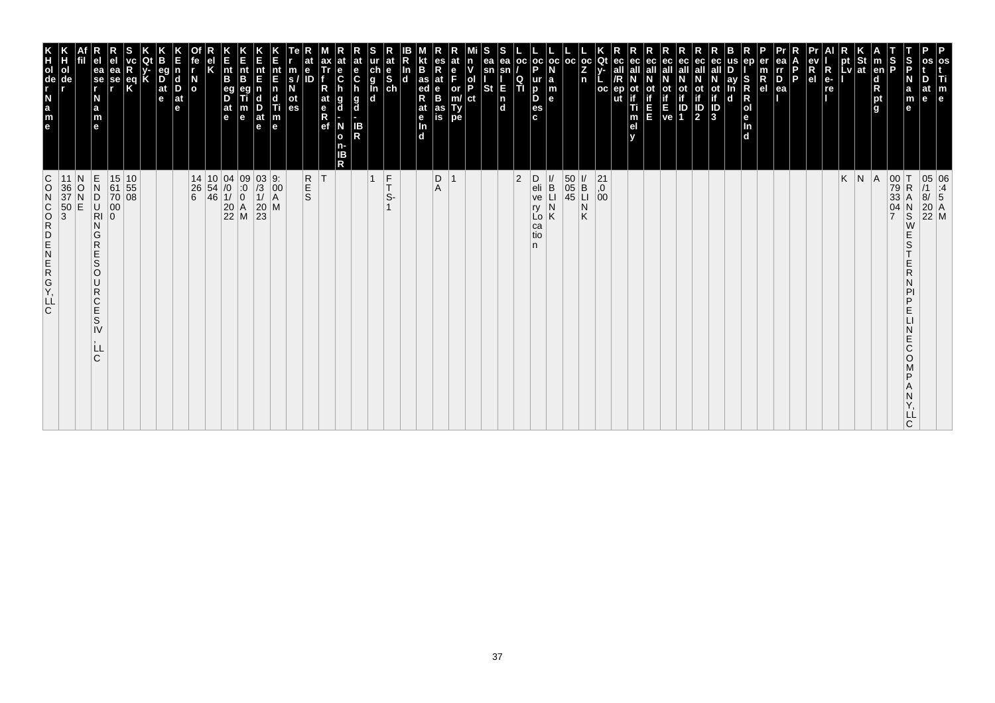| m<br>$\mathbf e$                                                                          |                                                                                                                                   |
|-------------------------------------------------------------------------------------------|-----------------------------------------------------------------------------------------------------------------------------------|
| at<br>le                                                                                  | 05 06<br>/1 :4<br>8/ 5<br>20 A<br>22 M                                                                                            |
| ∣S<br>IP<br>a<br>m<br>e                                                                   | $\frac{N}{S}$<br>E<br>S<br>E<br>R<br>Ν<br>PI<br>P<br>E<br>N<br>E<br>C<br>O<br>Μ<br>P<br>Α<br>N<br>Y,<br>LL<br>C                   |
| S<br>P                                                                                    | 00 T<br>79 R<br>33 A<br>04 N<br>7 S                                                                                               |
| en <br>d<br>P<br>g<br>g                                                                   |                                                                                                                                   |
| $\frac{1}{2}$ St<br>Lv at                                                                 | $K \mid N \mid A$                                                                                                                 |
| к<br>pt                                                                                   |                                                                                                                                   |
| $\frac{ev}{R}$<br>R<br>e-<br>re                                                           |                                                                                                                                   |
| Б<br>Þ                                                                                    |                                                                                                                                   |
| $\overline{P}_{ea}$                                                                       |                                                                                                                                   |
| $\frac{m}{R}$                                                                             |                                                                                                                                   |
| SRR<br>Dend                                                                               |                                                                                                                                   |
| ay<br>$\mathbf d$                                                                         |                                                                                                                                   |
| ec<br>all<br>$\frac{1}{10}$<br>$\frac{1}{3}$                                              |                                                                                                                                   |
| ec<br>$\frac{\text{ot}}{\text{1}}$                                                        |                                                                                                                                   |
| $E_{\text{ve}}$ ID                                                                        |                                                                                                                                   |
| ec<br>all<br>ot                                                                           |                                                                                                                                   |
| ec<br>ot<br>if<br>Ξ                                                                       |                                                                                                                                   |
| ec<br>all<br>ec<br>all<br>/R<br>ep<br>ut<br>m<br>el                                       |                                                                                                                                   |
| Qt<br>oc                                                                                  | $^{21}_{,0}$<br>$^{0}_{00}$                                                                                                       |
| $\frac{1}{2}$<br>n                                                                        | $\mathsf K$                                                                                                                       |
| oc                                                                                        | $\begin{array}{c c}\n 50 & \text{I} \\  05 & \text{B} \\  45 & \text{II} \\  \hline\n 1 & \text{N}\n \end{array}$                 |
| oc<br><b>a</b><br><b>a</b><br><b>a</b><br><b>a</b>                                        | <br> <br>B<br> <br> <br>                                                                                                          |
| $_{\rm oc}$<br>$\frac{1}{P}$<br>$\frac{Q}{T}$<br>$\frac{p}{\text{es}}$<br>$\mathbf{c}$    | 2<br>$\begin{array}{c} \nD \\ \neli \\ \nve \n\end{array}$<br>ŗу<br>Lo<br>ca<br>tio<br>n                                          |
| ea<br>sn<br>E<br>n<br>d                                                                   |                                                                                                                                   |
| sn<br><b>St</b>                                                                           |                                                                                                                                   |
| lol<br>IP<br>ct                                                                           |                                                                                                                                   |
| or<br>m/<br>Ty<br>pe                                                                      |                                                                                                                                   |
| at<br>$\frac{e}{B}$<br>as<br>is                                                           | $\begin{array}{c} \mathsf{D} \\ \mathsf{A} \end{array}$                                                                           |
| B<br>In<br>as ed<br>Rat e<br>In d<br>d                                                    |                                                                                                                                   |
| $\frac{e}{sh}$                                                                            | $F_T$<br>S-                                                                                                                       |
| ur<br>g<br>g<br>d<br>d                                                                    | $\mathbf{1}$                                                                                                                      |
| at<br>e<br>C<br>h<br>g<br>d<br>$\frac{1}{R}$                                              |                                                                                                                                   |
| $\frac{e}{C}$<br>g<br>d<br>N<br>$\bullet$<br>n-<br>ΙB<br>$\mathsf{R}$                     |                                                                                                                                   |
| ax<br>Tr<br>R<br>at<br>$R$ ef                                                             | T                                                                                                                                 |
| e<br>m<br>ID<br>$\frac{s}{N}$<br>$\frac{at}{es}$                                          | R<br>S<br>S                                                                                                                       |
| nt<br>$E$<br>n<br>$\begin{array}{c}\n\mathbf{d} \\ \mathbf{f} \\ \mathbf{m}\n\end{array}$ |                                                                                                                                   |
| nt<br>E<br>n<br>$\frac{D}{at}$                                                            | 03 9:<br>/3 00<br>1/ A<br>20 M<br>23                                                                                              |
| Ε<br>nt<br>B<br>m<br>e                                                                    |                                                                                                                                   |
| h<br>Int<br>B<br>B<br>at<br>e                                                             | $\begin{array}{c cc} 10 & 04 & 09 \\ 54 & /0 & 0 \\ 46 & 1/ & 0 \\ 20 & A & 22 \\ 22 & M & \end{array}$                           |
| el<br>K                                                                                   |                                                                                                                                   |
| $\frac{N}{\sigma}$                                                                        | 14<br>$\begin{vmatrix} 26 \\ 6 \end{vmatrix}$                                                                                     |
| $\frac{\mathsf{d}}{\mathsf{D}}$<br>at<br>e                                                |                                                                                                                                   |
| В<br>eg<br>D<br>at<br>e                                                                   |                                                                                                                                   |
| eq<br>K                                                                                   |                                                                                                                                   |
| ea<br>se<br>r                                                                             | 15 10<br>61 55<br>70 08<br>00<br>0                                                                                                |
| ea<br>se<br>r<br>N<br>a<br>m<br>e                                                         | ZZUDZE<br>G<br>$\mathsf R$<br>E<br>$\vert S \vert$<br>$\circ$<br>U<br>${\sf R}$<br>$rac{C}{E}$<br>$\mbox{\bf S}$<br>IV<br>LL<br>C |
| de                                                                                        | N<br>11<br>OZO.                                                                                                                   |
| ol                                                                                        | $\frac{36}{37}$<br>50<br>3                                                                                                        |
| e a z d e E                                                                               | ofxommzwowsop                                                                                                                     |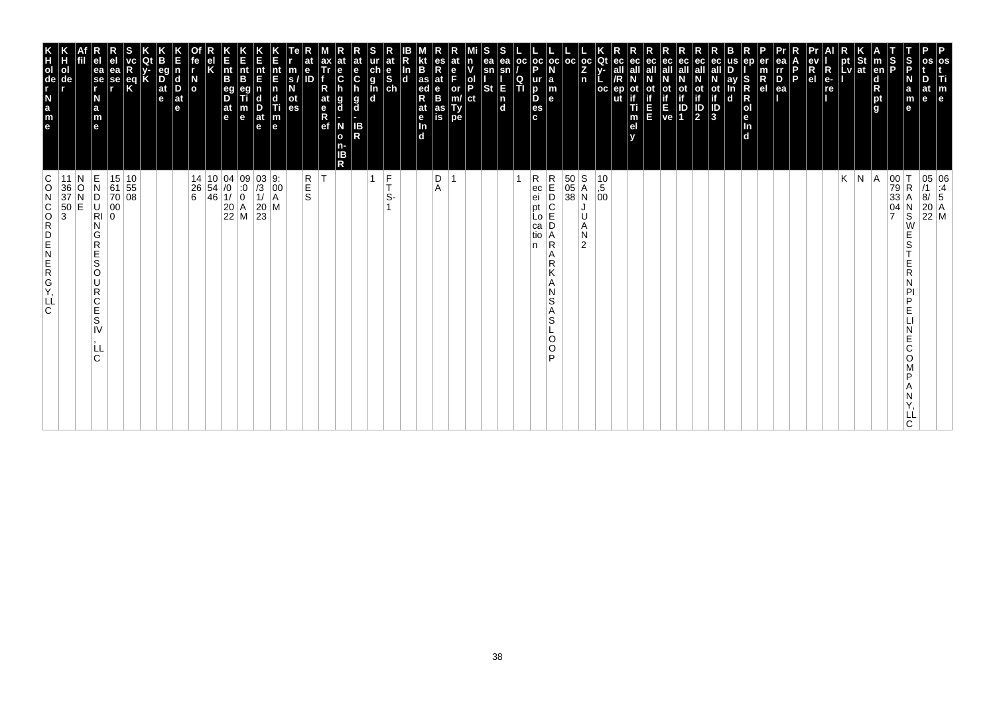| os<br>Ti<br>$\mathbf{m}_{\mathbf{e}}$                                                                                                   |                                                                                                                                                             |
|-----------------------------------------------------------------------------------------------------------------------------------------|-------------------------------------------------------------------------------------------------------------------------------------------------------------|
| D<br>at<br>le                                                                                                                           | 05 06<br>/1 :4<br>8/ 5<br>$\begin{bmatrix} 20 \\ 22 \\ M \end{bmatrix}$ M                                                                                   |
| S<br>P<br>N<br>a<br>m<br>е                                                                                                              | $\overline{\mathsf{R}}$<br>N<br>$\ddot{s}$<br>W<br>E<br>S<br>E<br>R<br>N<br>PI<br>P<br>E<br>Ε<br>C<br>O<br>P<br>Α<br>N<br>LL<br>C.                          |
| S<br>P<br>m<br> en <br>$\frac{d}{R}$ pt<br>g                                                                                            | $\begin{vmatrix} 00 \\ 79 \\ 33 \end{vmatrix}$<br>$\frac{04}{7}$                                                                                            |
| <b>St</b><br>at                                                                                                                         | A                                                                                                                                                           |
| <b>LV</b>                                                                                                                               | $K \mid N$                                                                                                                                                  |
| R<br>e-<br>re<br>.                                                                                                                      |                                                                                                                                                             |
| ev<br>R<br>el                                                                                                                           |                                                                                                                                                             |
| ea<br>l P<br>ea                                                                                                                         |                                                                                                                                                             |
| er<br>rr<br>m<br>$R_{el}$<br>0                                                                                                          |                                                                                                                                                             |
| en<br>S<br>Ř<br>$\mathsf R$<br> o <br>le.<br>In<br>$\mathbf d$                                                                          |                                                                                                                                                             |
| us<br>ay<br>In<br>d                                                                                                                     |                                                                                                                                                             |
| ot<br>if<br>ID<br>3                                                                                                                     |                                                                                                                                                             |
| eс<br>$\frac{1}{2}$                                                                                                                     |                                                                                                                                                             |
| ec<br>οt                                                                                                                                |                                                                                                                                                             |
| ec<br>$\begin{array}{c} \text{if} \\ \text{E} \\ \text{ve} \end{array} \begin{array}{c} \text{if} \\ \text{ID} \\ \text{1} \end{array}$ |                                                                                                                                                             |
| ec<br>all<br>E                                                                                                                          |                                                                                                                                                             |
| ec<br>οt<br>Ti<br>m<br>el<br>v                                                                                                          |                                                                                                                                                             |
| Qt<br>ec<br>$V -$<br><b>OC</b><br>ep                                                                                                    | $^{10}_{,5}$<br>00                                                                                                                                          |
| $\frac{1}{2}$<br>$\mathsf{n}$                                                                                                           | U<br>Α<br>И<br>$\overline{2}$                                                                                                                               |
| l oc                                                                                                                                    | $\begin{array}{ c c }\n 50 & S \\  05 & A \\  38 & N\n\end{array}$                                                                                          |
| $_{\rm oc}$<br>N<br>$\begin{array}{c} \mathsf{a} \\ \mathsf{m} \\ \mathsf{e} \end{array}$                                               | R<br>E<br>D<br>C<br>E<br>Α<br>$\mathsf{R}$<br>Α<br>R<br>К<br>A<br>N<br>S<br>Α<br>S<br>O<br>$\circ$<br>D                                                     |
| $\frac{1}{P}$<br>oc<br>Q<br>o<br>es<br>c<br>ΙTΙ                                                                                         | R<br>ec<br>ei<br>рt<br>Lo<br>са<br>tio<br>n                                                                                                                 |
| ea<br>sn<br>E<br>$\begin{bmatrix} n \\ d \end{bmatrix}$                                                                                 |                                                                                                                                                             |
| s<br>ea<br>sn<br><b>St</b>                                                                                                              |                                                                                                                                                             |
| ol<br>P<br>ct                                                                                                                           |                                                                                                                                                             |
| e<br>F<br>or<br>m/<br>Type                                                                                                              |                                                                                                                                                             |
| R<br>at<br>$_{\rm B}^{\rm e}$<br>as<br>is                                                                                               | $_{\rm A}^{\rm D}$                                                                                                                                          |
| B<br>In<br>$\frac{1}{\text{ed}}$<br>R<br>$\overline{d}$<br>at<br>e <sub>In</sub><br>d                                                   |                                                                                                                                                             |
| $\frac{e}{sh}$                                                                                                                          | $\frac{F}{T}$<br>S-                                                                                                                                         |
| ch<br>g<br>l<br>d<br>d                                                                                                                  | 1                                                                                                                                                           |
| $\mathbf{e}$<br>$\mathbf c$<br>n<br>g<br>d<br>IB<br>R                                                                                   |                                                                                                                                                             |
| ax<br>Tr<br>$\frac{e}{C}$<br>g<br>d<br>N<br>$\mathbf{o}$<br>n-<br>ΙB<br>R                                                               |                                                                                                                                                             |
| R<br>at<br>e <sub>R</sub><br>ef                                                                                                         | R<br>E<br>S<br>lT.                                                                                                                                          |
| e<br>m<br>$\mathbf{s}$<br>ot<br>es                                                                                                      |                                                                                                                                                             |
| nt<br>E<br> n<br>$\begin{array}{c}\n\mathbf{d} \\ \mathbf{T}i \\ \mathbf{m} \\ \mathbf{e}\n\end{array}$                                 | $\begin{bmatrix} 9: \\ 00 \\ A \end{bmatrix}$                                                                                                               |
| Е<br>nt<br>E<br>D<br>at<br>e                                                                                                            | $\begin{vmatrix} 03 \\ 13 \\ 1 \end{vmatrix}$<br>$\begin{vmatrix} 20 \\ 23 \end{vmatrix}$ M                                                                 |
| K<br>Ent<br>B<br>m<br>e                                                                                                                 | $\begin{array}{c c} 10 & 04 & 09 \\ 54 & /0 & 0 \\ 46 & 1/ & 0 \\ 20 & A \\ 22 & M \end{array}$                                                             |
| $\vert_{\mathsf{B}}^{\mathsf{nt}}$<br>eg<br>D<br>$\frac{at}{e}$                                                                         |                                                                                                                                                             |
| κ                                                                                                                                       | 14                                                                                                                                                          |
| fe<br>$\frac{N}{2}$                                                                                                                     | $\begin{matrix} 26 \\ 6 \end{matrix}$                                                                                                                       |
| eq<br>$\overline{D}$ <sub>at</sub><br>d<br>D<br>e<br>$ $ at<br>e                                                                        |                                                                                                                                                             |
|                                                                                                                                         |                                                                                                                                                             |
| $\frac{eq}{K}$                                                                                                                          |                                                                                                                                                             |
| ea<br>se<br>r                                                                                                                           | $\begin{array}{ c c }\n15 & 10 \\ 61 & 55 \\ 70 & 08\n\end{array}$<br>00<br>0                                                                               |
| ea<br>se<br>r<br>N<br>a<br>m<br>e                                                                                                       | $\frac{\mathsf{E}}{\mathsf{N}}$<br>D<br>$\frac{1}{2}$<br>G<br>$\overline{R}$<br>E<br>S<br>O<br>U<br>$\mathsf R$<br>C<br>E<br>$\mathsf{s}$<br>IV<br>Ш<br>IC. |
| de                                                                                                                                      | N<br>O<br>E                                                                                                                                                 |
| e a z - g o H K<br>ol                                                                                                                   | 11<br>$\frac{36}{37}$<br>$\frac{50}{3}$                                                                                                                     |
|                                                                                                                                         | C<br>$\circ$<br>KGREZEDROO<br> LĹ<br>lc.                                                                                                                    |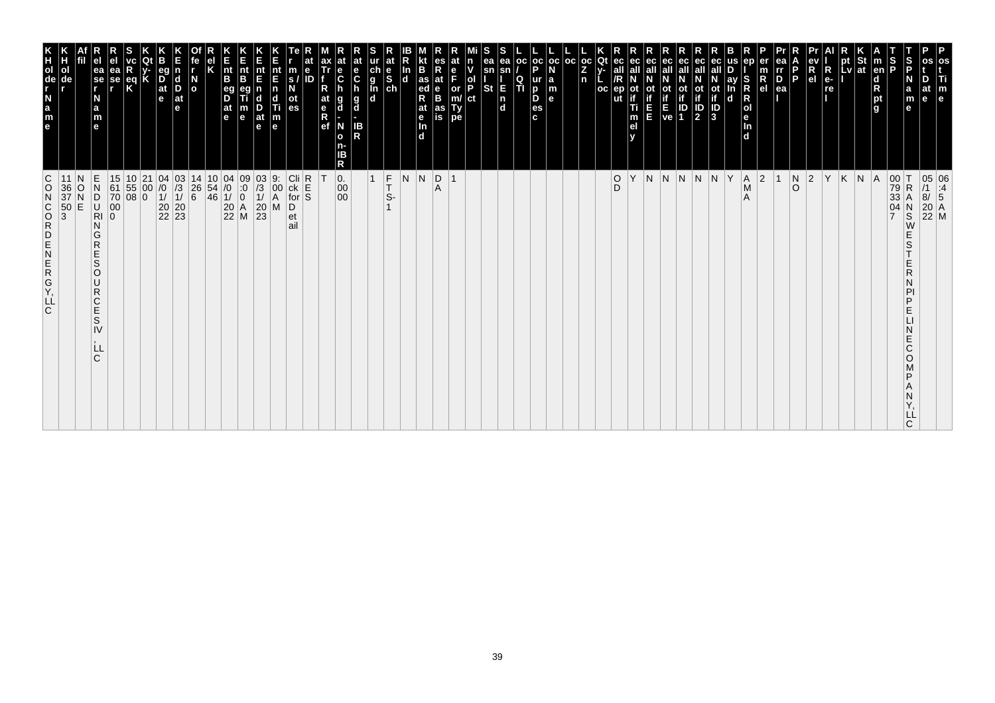| C<br>$\circ$<br>$\begin{array}{c} 36 \\ 37 \\ 50 \\ 3 \end{array}$<br>Frammzmono<br>C.                                                          | e a z d e E<br>ol<br>de                                                                                                                                                             |
|-------------------------------------------------------------------------------------------------------------------------------------------------|-------------------------------------------------------------------------------------------------------------------------------------------------------------------------------------|
| О<br>E                                                                                                                                          |                                                                                                                                                                                     |
| $\frac{E}{N}$<br>$\overline{C}$<br>$\overline{N}$<br>G<br>$\mathsf{R}$<br>E<br>S<br>$\circ$<br>U<br>$\mathsf R$<br>C<br>Ė<br>S<br>IV<br>LL<br>C | ea<br>$\left  \begin{array}{c} 1 \\ \text{se} \\ \text{re} \end{array} \right $<br>N<br>a<br>m<br>$\mathbf{e}$                                                                      |
| 15<br>$\begin{bmatrix} 61 \\ 70 \\ 00 \end{bmatrix}$<br>$\overline{0}$                                                                          | еа<br>se<br>,                                                                                                                                                                       |
| $\begin{array}{ c c }\n10 & 21 \\ 55 & 00 \\ 08 & 0\n\end{array}$                                                                               | $rac{eq}{K}$                                                                                                                                                                        |
|                                                                                                                                                 |                                                                                                                                                                                     |
| $\begin{array}{c cc} 04 & 03 \\ \n/0 & \n/3 \\ \n1/ & 1/ \\ \n20 & 20 \\ \n22 & 23 \n\end{array}$                                               | $\frac{D}{at}$<br>e                                                                                                                                                                 |
|                                                                                                                                                 | $\vert_{\mathrm{D}}^{\mathrm{d}}$<br>$ $ at<br>le.                                                                                                                                  |
| 14<br>$^{\rm 26}_{\rm 6}$                                                                                                                       | $\overline{a}$                                                                                                                                                                      |
| $\begin{array}{c} 10 \\ 54 \\ 46 \end{array}$                                                                                                   |                                                                                                                                                                                     |
| $\begin{array}{c c} 04 & 09 \\ \hline 10 & 0 \\ 11 & 0 \\ 20 & A \\ 22 & M \end{array}$                                                         | $\vert_{\mathsf{B}}^{\mathsf{nt}}$<br>eg<br>D<br>$\frac{at}{e}$                                                                                                                     |
|                                                                                                                                                 | nt<br>B<br>m<br>$\mathbf e$                                                                                                                                                         |
| $\begin{array}{c} 03 \\ /3 \\ 1/ \\ 20 \\ 23 \end{array}$                                                                                       | E<br>$\frac{D}{at}$<br>le.                                                                                                                                                          |
| 9.<br>00<br>A<br>M                                                                                                                              | $\frac{nt}{F}$<br>c<br>$\begin{array}{c} \n\Pi \\ \n\Pi \\ \n\end{array}$                                                                                                           |
| $\begin{array}{c}\n\text{Cli} \\ \text{ck} \\ \text{for} \\ \text{S}\n\end{array}$<br>D<br>et<br>ail                                            | m<br>S.<br>es                                                                                                                                                                       |
|                                                                                                                                                 | e<br>ID                                                                                                                                                                             |
|                                                                                                                                                 | at<br>e<br>R<br>ef                                                                                                                                                                  |
| $\mathbf{0}$ .<br>00<br>$00\,$                                                                                                                  | $\ddot{\mathbf{c}}$<br>a<br>d<br>N<br>$\mathbf{o}$<br>Б<br>R                                                                                                                        |
|                                                                                                                                                 | at<br>e<br>$\mathbf c$<br>$\frac{g}{d}$<br><b>IB</b><br>R                                                                                                                           |
| $\mathbf{1}$                                                                                                                                    | $\begin{array}{c}\n\stackrel{\mathbf{a}}{\mathbf{a}} \\ \stackrel{\mathbf{b}}{\mathbf{a}} \\ \stackrel{\mathbf{c}}{\mathbf{a}} \\ \stackrel{\mathbf{a}}{\mathbf{a}} \\ \end{array}$ |
| $\vert_{\text{T}}^{\text{F}}$<br>$S-$                                                                                                           | at                                                                                                                                                                                  |
| N                                                                                                                                               | 4D.                                                                                                                                                                                 |
| N                                                                                                                                               | B<br>$\frac{1}{4}$ as<br>R<br>at<br>$\frac{e}{\ln}$<br>d.                                                                                                                           |
| D <br>Α                                                                                                                                         | R<br>at<br>B<br>B<br>as<br>is                                                                                                                                                       |
| $\overline{1}$                                                                                                                                  | F<br>or<br>m/<br>Ty<br>pe                                                                                                                                                           |
|                                                                                                                                                 | ol<br>P<br>ct                                                                                                                                                                       |
|                                                                                                                                                 | ea<br>sn<br>St                                                                                                                                                                      |
|                                                                                                                                                 | ea<br>E<br>$\frac{\mathsf{n}}{\mathsf{d}}$                                                                                                                                          |
|                                                                                                                                                 | oc <br>Q<br>TI                                                                                                                                                                      |
|                                                                                                                                                 | oc oc <br>D<br>ur<br>D<br>D<br>es<br>c.                                                                                                                                             |
|                                                                                                                                                 | la<br>m<br>l el                                                                                                                                                                     |
|                                                                                                                                                 | OC                                                                                                                                                                                  |
|                                                                                                                                                 | oc<br>Z<br>n                                                                                                                                                                        |
|                                                                                                                                                 | Qt<br>oc                                                                                                                                                                            |
| $_{\rm D}^{\rm O}$<br>Υ                                                                                                                         | ut                                                                                                                                                                                  |
|                                                                                                                                                 | ec<br>οt<br>T<br>m                                                                                                                                                                  |
| N N N                                                                                                                                           | ec<br>щ                                                                                                                                                                             |
|                                                                                                                                                 | $\frac{1}{16}$<br><b>P</b>                                                                                                                                                          |
|                                                                                                                                                 | ЭC<br>$\left\  \frac{1}{2} \right\ $                                                                                                                                                |
| N N Y                                                                                                                                           | ot<br>if<br>1D<br>3                                                                                                                                                                 |
|                                                                                                                                                 | ay<br>$\mathbf d$                                                                                                                                                                   |
| A <br>$\mathsf{M}$<br>A                                                                                                                         | S<br>$\mathbf d$                                                                                                                                                                    |
| $ 2\rangle$                                                                                                                                     | $\frac{R}{e}$                                                                                                                                                                       |
|                                                                                                                                                 | $\overline{P}_{ea}$                                                                                                                                                                 |
| $\begin{array}{c} N \\ O \end{array}$                                                                                                           | P                                                                                                                                                                                   |
| $ 2\rangle$                                                                                                                                     | R<br>el                                                                                                                                                                             |
| İΥ                                                                                                                                              | $\overline{\mathsf{R}}$<br>$ e -$<br>re                                                                                                                                             |
| K                                                                                                                                               | pt<br>Lv                                                                                                                                                                            |
| $N \mid A$                                                                                                                                      | St<br> at                                                                                                                                                                           |
|                                                                                                                                                 | $\frac{S}{P}$<br>$\vert$ m<br>en<br>$\begin{array}{c}\n\overline{d} \\ \overline{R} \\ pt\end{array}$                                                                               |
| $\begin{array}{c} 00 \\ 79 \\ 33 \end{array}$<br>ΙT<br>$\mathsf R$<br>04<br>$_{\rm S}^{\rm N}$<br>W<br>S<br>ם<br>E<br>E<br>Ć<br>O<br>C          | S<br>P<br>N<br>a<br>m<br>e                                                                                                                                                          |
|                                                                                                                                                 | e                                                                                                                                                                                   |
| 05 06<br>/1 :4<br>8/ 5<br>20 A<br>22 M                                                                                                          | Τi<br>m<br>e                                                                                                                                                                        |
|                                                                                                                                                 |                                                                                                                                                                                     |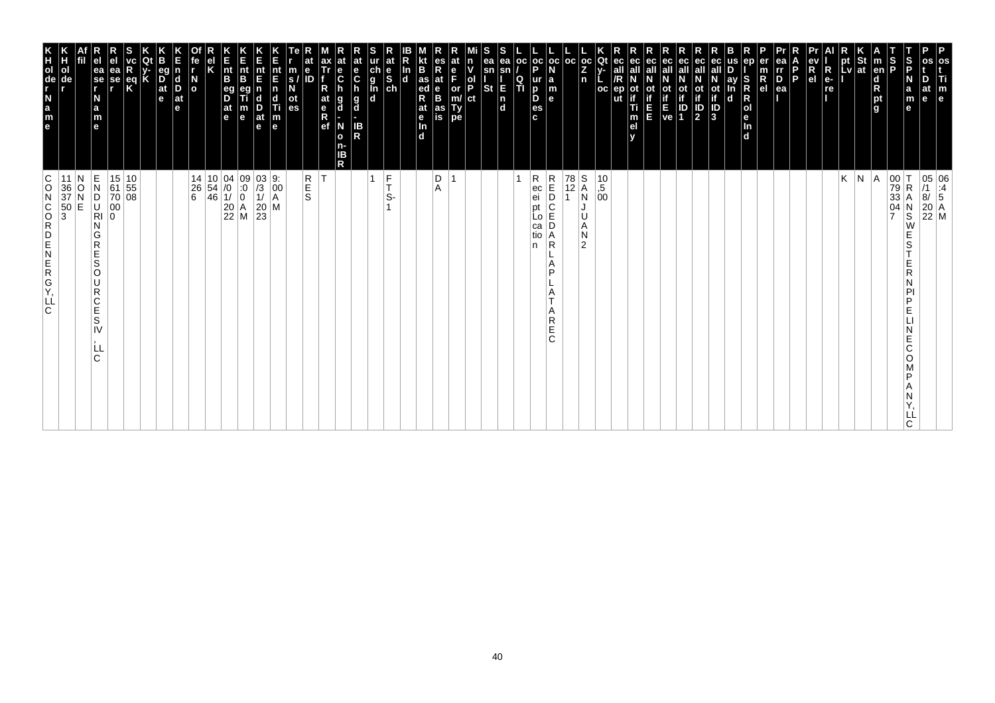| P<br>os<br>Ti<br>m<br>e                                                                                                     |                                                                                                                                                                                    |
|-----------------------------------------------------------------------------------------------------------------------------|------------------------------------------------------------------------------------------------------------------------------------------------------------------------------------|
| at<br>e                                                                                                                     | $\begin{array}{ c c } \hline 05 & 06 \\ \hline \end{array} \begin{array}{ c c } \hline 11 & 06 \\ \hline 8/ & 5 \end{array}$<br>$\begin{bmatrix} 20 \\ 22 \\ M \end{bmatrix}$ M    |
| S<br>P<br>N<br>$\mathbf a$<br>m<br>e                                                                                        | $\begin{array}{c c} 00 & T \\ 79 & R \\ 33 & A \end{array}$<br>R<br>Α<br>$\begin{array}{c}\nN \\ S \\ W\n\end{array}$<br>E<br>S<br>E<br>R<br>D<br>E<br>E<br>С<br>O<br>D<br>LL<br>C |
| S<br>P<br><b>Ten</b><br>$\begin{array}{c}\n\mathbf{d} \\ \mathbf{R} \\ \mathbf{p}\mathbf{t} \\ \mathbf{g}\n\end{array}$     | $\frac{04}{7}$                                                                                                                                                                     |
| St<br> at                                                                                                                   | $\vert N \vert A$                                                                                                                                                                  |
| pt<br>Lv                                                                                                                    | K                                                                                                                                                                                  |
| $R_{e}$<br>re                                                                                                               |                                                                                                                                                                                    |
| R<br>e <sub>1</sub>                                                                                                         |                                                                                                                                                                                    |
| P                                                                                                                           |                                                                                                                                                                                    |
| ea<br>III<br>$\overline{P}_{ea}$                                                                                            |                                                                                                                                                                                    |
| en<br>$\overline{R}$ el                                                                                                     |                                                                                                                                                                                    |
| S<br>ay<br>R<br>R<br>O<br>e<br>In<br>d<br>n<br>$\mathbf d$                                                                  |                                                                                                                                                                                    |
| ot<br>if<br>$\overline{\frac{1}{3}}$                                                                                        |                                                                                                                                                                                    |
| ec<br>all<br>ot<br>if<br>$\frac{1}{2}$                                                                                      |                                                                                                                                                                                    |
| ec<br>οt<br>$\frac{1}{1}$                                                                                                   |                                                                                                                                                                                    |
| ot<br>Time<br>Ve                                                                                                            |                                                                                                                                                                                    |
| ec<br>all<br>ш                                                                                                              |                                                                                                                                                                                    |
| ec<br>οt<br>Ti<br>m<br>el                                                                                                   |                                                                                                                                                                                    |
| ut                                                                                                                          |                                                                                                                                                                                    |
| Qt<br>$_{\rm oc}$<br>Ż<br>n<br><b>OC</b>                                                                                    | $\frac{S}{A}$<br>$\begin{array}{c} 10 \\ , 5 \\ 00 \end{array}$<br>N<br>U<br>A<br>N<br>$\overline{2}$                                                                              |
| l oc                                                                                                                        | $\begin{array}{ c} \hline 78 \\ 12 \end{array}$                                                                                                                                    |
| oc oc <br>l a<br>m<br>le.                                                                                                   | $\begin{array}{c} R \\ E \\ D \end{array}$<br>С<br>E<br>D<br>Α<br>$\mathsf{R}$<br>A<br>P<br>Α<br>Α<br>R<br>Ë<br>C                                                                  |
| p<br>ur<br>D<br>D<br>es<br>c.                                                                                               | R<br>ec<br>ei<br>pt<br>LO<br>ca<br>tio<br>n                                                                                                                                        |
| ea<br><b>OC</b><br>sn<br>$\frac{Q}{T}$                                                                                      |                                                                                                                                                                                    |
| ea<br>sn<br>E<br><b>St</b><br>$\begin{bmatrix} n \\ d \end{bmatrix}$                                                        |                                                                                                                                                                                    |
| ol<br>P<br>ct                                                                                                               |                                                                                                                                                                                    |
| e<br>F<br>or<br>m/<br>Ty<br>pe                                                                                              | $\overline{ }$                                                                                                                                                                     |
| es<br>Rat<br>B<br>B<br>as<br>İS                                                                                             | D<br>A                                                                                                                                                                             |
| B<br>$\frac{1}{4}$ as<br>R<br>at<br>$\frac{e}{\ln}$<br>$\overline{d}$                                                       |                                                                                                                                                                                    |
| In<br>$\overline{\mathbf{d}}$                                                                                               |                                                                                                                                                                                    |
| at<br>$\begin{array}{c} \n\text{ur} \\ \n\text{ch} \\ \n\text{g} \\ \n\text{In} \\ \n\text{ch} \\ \n\text{d} \n\end{array}$ | $\frac{F}{T}$<br>$\mathbf{1}$<br>S-                                                                                                                                                |
| at<br>e<br>C<br>$\frac{g}{d}$<br>IB<br>R                                                                                    |                                                                                                                                                                                    |
| $\frac{e}{C}$<br>g<br>d<br>N<br>o<br>n-<br>ΙB<br>R                                                                          |                                                                                                                                                                                    |
| R<br>at<br>$\frac{e}{R}$                                                                                                    | İΤ                                                                                                                                                                                 |
| $\mathbf e$<br>m<br>ID<br>S.<br>οt<br>es                                                                                    | R<br>S<br>S                                                                                                                                                                        |
| nt<br>E<br>$\overline{p}$<br>c<br>Ti<br>$\vert_{\mathsf{e}}^{\mathsf{m}}$                                                   | M                                                                                                                                                                                  |
| nt<br>E<br>$\frac{D}{at}$<br>$\mathbf e$                                                                                    | $\begin{vmatrix} 03 & 9: \\ /3 & 00 \\ 1/ & A \end{vmatrix}$<br>$\frac{20}{23}$                                                                                                    |
| n<br>Ent<br>B<br>m<br>$\mathbf e$                                                                                           | $\begin{array}{ c c c c c }\n 14 & 10 & 04 & 09 \\  26 & 54 & 0 & 0 \\  6 & 46 & 1/ & 0\n\end{array}$<br>$\begin{array}{ c c }\n 20 & A \\  22 & M\n\end{array}$                   |
| $\vert_{\mathsf{B}}^{\mathsf{nt}}$<br>$\overline{D}$<br> at<br>le.                                                          |                                                                                                                                                                                    |
|                                                                                                                             |                                                                                                                                                                                    |
| $\overline{a}$                                                                                                              |                                                                                                                                                                                    |
| eq<br>$\frac{D}{at}$<br>l d<br>D<br>$ $ at<br>e<br>e                                                                        |                                                                                                                                                                                    |
|                                                                                                                             |                                                                                                                                                                                    |
| $\frac{eq}{K}$                                                                                                              | $\begin{array}{ c c }\n15 & 10 \\ 61 & 55 \\ 70 & 08\n\end{array}$                                                                                                                 |
| ea<br>se<br>r                                                                                                               | 00<br>0                                                                                                                                                                            |
| ea<br>se<br>r<br>N<br>a<br>m<br>e                                                                                           | $\frac{\mathsf{E}}{\mathsf{N}}$<br>D<br>U<br>RI<br>N<br>G<br>$\overline{R}$<br>E<br>S<br>O<br>lU.<br>$\mathsf R$<br>C<br>E<br>S<br>IV<br>Ш<br>C                                    |
| de                                                                                                                          | N<br>11<br>$\frac{36}{37}$<br>50<br>3<br>O<br>E                                                                                                                                    |
| e a z - g o H K<br>ol                                                                                                       | $\circ$<br>$\overline{a}$<br>KGREND<br> LĹ<br>∣C.                                                                                                                                  |
|                                                                                                                             | C                                                                                                                                                                                  |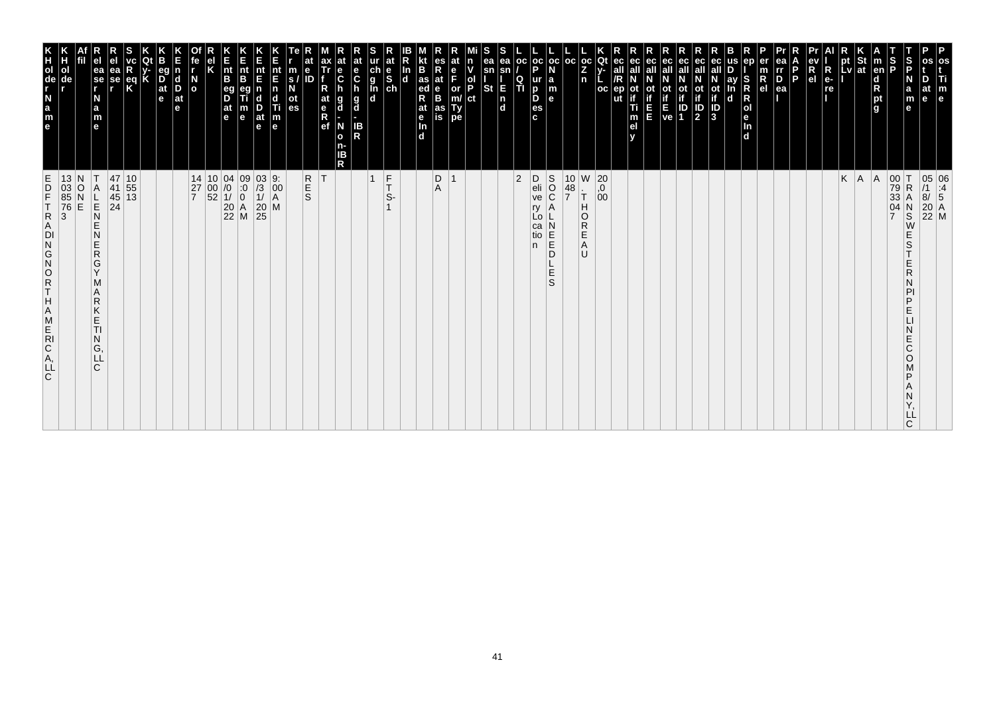| m<br>$\mathbf{e}$                                                                                                                  |                                                                                                                                                                             |
|------------------------------------------------------------------------------------------------------------------------------------|-----------------------------------------------------------------------------------------------------------------------------------------------------------------------------|
| Б<br>at<br>e                                                                                                                       | 05 06<br>/1 :4<br>8/ 5<br>20 A<br>22 M                                                                                                                                      |
| $\vert$ s<br>a<br>m                                                                                                                | R<br>S<br>E<br>S<br>E<br>R<br>PI<br>P<br>E<br>N<br>E<br>C<br>O<br>D<br>Υ,<br>ᄔ                                                                                              |
| S<br>P                                                                                                                             | $\begin{array}{c} 00 \\ 79 \\ 33 \end{array}$<br>04<br>$\overline{7}$                                                                                                       |
| $\vert$ m<br>en<br>d<br>R<br>pt<br>g                                                                                               | A                                                                                                                                                                           |
| pt St<br>Lv at                                                                                                                     | $K \mid A$                                                                                                                                                                  |
|                                                                                                                                    |                                                                                                                                                                             |
| $\frac{ev}{Re}$<br>R<br>P<br>P<br>P<br>R                                                                                           |                                                                                                                                                                             |
| D<br>P.                                                                                                                            |                                                                                                                                                                             |
| rr<br>D<br>ea                                                                                                                      |                                                                                                                                                                             |
| $\frac{m}{R}$                                                                                                                      |                                                                                                                                                                             |
| S<br>R<br>R<br>ol<br>e<br>In<br>d                                                                                                  |                                                                                                                                                                             |
| D<br>ay<br>In<br>d                                                                                                                 |                                                                                                                                                                             |
| ec<br>$\overline{a}$<br>$\overline{b}$<br>$\overline{b}$<br>$\overline{b}$<br>$\overline{b}$<br>$\overline{b}$                     |                                                                                                                                                                             |
| ec<br>ot<br>$\overline{12}$                                                                                                        |                                                                                                                                                                             |
|                                                                                                                                    |                                                                                                                                                                             |
| ec<br>all<br>ot ot<br>if if<br>$E$<br>ve 1                                                                                         |                                                                                                                                                                             |
| ec<br>ot<br>in in                                                                                                                  |                                                                                                                                                                             |
| all<br>ot<br>if<br>T<br>m<br>el                                                                                                    |                                                                                                                                                                             |
| ec<br>all<br>/R<br>$ep$<br>ut                                                                                                      |                                                                                                                                                                             |
| Qt<br>oc <sub>1</sub><br>Z<br>n<br>oc                                                                                              | W<br>$\begin{matrix} 20 \\ 0 \\ 00 \end{matrix}$<br>Н<br>$\circ$<br>${\sf R}$<br>E<br>Α<br>U                                                                                |
| oc                                                                                                                                 | $\begin{array}{c} 10 \\ 48 \\ 7 \end{array}$<br>$\overline{\tau}$                                                                                                           |
| oc<br>ur a<br>B m<br>B e                                                                                                           | S<br>O<br>C<br>A<br>$\,N$<br>$\left  \frac{\mathsf{E}}{\mathsf{E}} \right $<br>D<br>$\frac{\mathsf{L}}{\mathsf{E}}$<br>S                                                    |
| oc <sub>1</sub><br>P<br>es<br>c                                                                                                    | D<br>eli<br>ve<br>ry<br>$\lfloor 0 \rfloor$<br>ca<br>tio<br>n                                                                                                               |
| OC.<br>Q<br>п                                                                                                                      | $ 2\rangle$                                                                                                                                                                 |
| S<br>ea<br>ea<br>sn<br>sn<br><b>St</b><br>$\frac{1}{n}$                                                                            |                                                                                                                                                                             |
| $\frac{ \mathsf{d} }{ \mathsf{P} }$<br> ct                                                                                         |                                                                                                                                                                             |
| e<br>F<br>or<br>m/<br>Ty<br>pe                                                                                                     | $\overline{\mathbf{1}}$                                                                                                                                                     |
| es<br>R<br>at<br>e<br>B<br>as<br>is                                                                                                | $_{\rm A}^{\rm D}$                                                                                                                                                          |
| <b>B</b><br>R <sub>ed</sub><br>at<br>e<br>d                                                                                        |                                                                                                                                                                             |
| ln<br>d                                                                                                                            |                                                                                                                                                                             |
| at<br>e<br>S<br>ch<br>$\frac{ch}{g}$<br><b>In</b><br>d                                                                             | $\frac{F}{T}$<br>$\overline{1}$<br>S-                                                                                                                                       |
| at<br>e<br>C<br>h<br>g<br>d<br>IB<br>R                                                                                             |                                                                                                                                                                             |
| at<br>e<br>C<br>h<br>g<br>d<br>N<br>$\mathbf{o}$<br>n-<br>IB<br>R                                                                  |                                                                                                                                                                             |
| ax<br>Tr<br>R<br>at<br>$\frac{e}{R}$                                                                                               | İΤ                                                                                                                                                                          |
| $\begin{array}{c} \n\overline{\phantom{a}}\text{s} \text{ /} \\ \text{s} \text{ /} \\ \text{ot } \\ \text{es} \n\end{array}$<br>ID | R<br>E<br>S                                                                                                                                                                 |
| Ε<br>nt E n d Ti m<br>e                                                                                                            | M                                                                                                                                                                           |
| nt<br>E<br>D<br>at<br>$\mathbf{e}$                                                                                                 | $\begin{array}{c c} 03 & 9: & 0 \\ \hline /3 & 00 & 1 \end{array}$<br>$\begin{array}{c c} 20 \\ 25 \end{array}$                                                             |
| E<br>nt<br>B<br>$\frac{m}{e}$                                                                                                      | $\begin{matrix} 09 \\ .0 \\ 0 \end{matrix}$<br>$\begin{array}{ c c }\n 20 & A \\  22 & M\n\end{array}$                                                                      |
| E<br>nt<br>B<br>eg<br>D<br>$\frac{a}{e}$                                                                                           | $\begin{array}{c c} 14 & 10 & 04 \\ 27 & 00 & /0 \\ 7 & 52 & 1/ \end{array}$                                                                                                |
| el<br>K                                                                                                                            |                                                                                                                                                                             |
| íe<br>I<br>$\frac{N}{\sigma}$                                                                                                      | 27<br>$\overline{7}$                                                                                                                                                        |
| E<br>n<br>d<br>D<br>at<br>e                                                                                                        |                                                                                                                                                                             |
| <b>B</b><br> at<br>$\mathbf{e}$                                                                                                    |                                                                                                                                                                             |
| R<br>K<br>eq<br>K                                                                                                                  | 10<br>$\begin{array}{c} 55 \\ 13 \end{array}$                                                                                                                               |
| ea<br>se                                                                                                                           | 47<br>41<br>45<br>24                                                                                                                                                        |
| ea<br>se<br>r<br>а<br>m<br>e                                                                                                       | Α<br>$\begin{array}{c} \nL \\ \nE \\ \nN \n\end{array}$<br>E<br>N<br>$\frac{\mathsf{E}}{\mathsf{R}}$<br>G<br>Y<br>М<br>Α<br>R<br>Κ<br>E<br><b>TI</b><br>N<br>G,<br>LL<br>C. |
|                                                                                                                                    | $\frac{1}{2}$                                                                                                                                                               |
|                                                                                                                                    | $\frac{13}{03}$<br>85<br>76<br>3                                                                                                                                            |
| N<br>$\frac{a}{m}$<br>le.                                                                                                          | E<br>D<br>F<br>T<br>R<br>A<br>ROZOZD<br>T.<br>Н<br>A<br>$\begin{array}{c}\nM \\ E \\ R\n\end{array}$<br>C<br>A<br>L<br>C                                                    |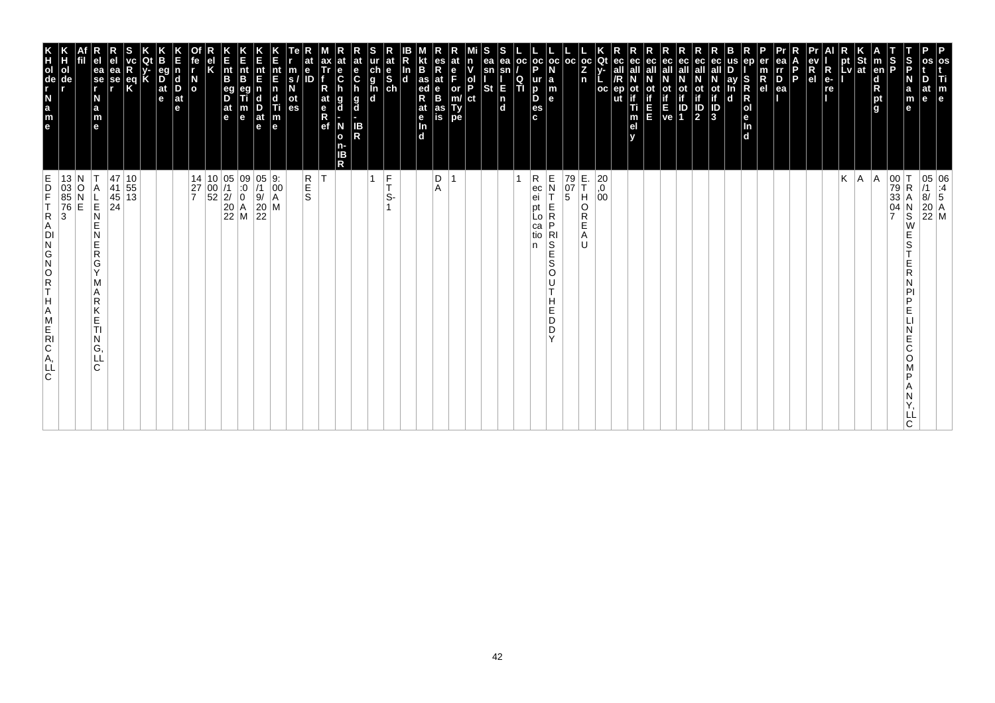| P<br>os<br>Ti<br>m<br>e                                                                                                     | $\begin{array}{ c c } \hline 05 & 06 \\ \hline \end{array} \begin{array}{ c c } \hline 11 & 06 \\ \hline 8/ & 5 \end{array}$<br>$\begin{array}{ c c }\n 20 & A \\  22 & M\n\end{array}$ |
|-----------------------------------------------------------------------------------------------------------------------------|-----------------------------------------------------------------------------------------------------------------------------------------------------------------------------------------|
| at<br>e                                                                                                                     |                                                                                                                                                                                         |
| S<br>P<br>N<br>a<br>m<br>e                                                                                                  | $\begin{array}{ c c }\n 00 & T \\  79 & R \\  33 & A\n\end{array}$<br>R<br>$\frac{04}{7}$<br>$_\mathrm{S}^\mathrm{N}$<br>W<br>E<br>S<br>R<br>D<br>E<br>E<br>Ć<br>O<br>D<br>ᄔ<br>C       |
| S<br>P<br><b>Ten</b><br>$\begin{array}{c}\n\mathbf{d} \\ \mathbf{R} \\ \mathbf{p}\mathbf{t} \\ \mathbf{g}\n\end{array}$     |                                                                                                                                                                                         |
| St<br> at                                                                                                                   | A <br> A                                                                                                                                                                                |
| pt<br>Lv                                                                                                                    | Κ                                                                                                                                                                                       |
| $R_{e}$<br>re                                                                                                               |                                                                                                                                                                                         |
| R<br>e <sub>1</sub>                                                                                                         |                                                                                                                                                                                         |
| P                                                                                                                           |                                                                                                                                                                                         |
| ea<br>rr<br>$\overline{P}_{ea}$                                                                                             |                                                                                                                                                                                         |
| er<br>R<br>el                                                                                                               |                                                                                                                                                                                         |
| en<br>S<br>R<br>R<br>O<br>e<br>In<br>d                                                                                      |                                                                                                                                                                                         |
| ay<br>n<br>$\mathbf d$                                                                                                      |                                                                                                                                                                                         |
| ot<br>if<br>$\overline{\frac{1}{3}}$                                                                                        |                                                                                                                                                                                         |
| ec<br>all<br>ot<br>if<br>$\frac{1}{2}$                                                                                      |                                                                                                                                                                                         |
| ec<br>οt<br>$\frac{1}{1}$                                                                                                   |                                                                                                                                                                                         |
| ot<br>if<br>E<br>ve                                                                                                         |                                                                                                                                                                                         |
| ec<br>all<br>ш                                                                                                              |                                                                                                                                                                                         |
| ec<br>οt<br>Ti<br>m<br>el                                                                                                   |                                                                                                                                                                                         |
| ut                                                                                                                          |                                                                                                                                                                                         |
| $_{\rm oc}$<br>Qt<br><b>OC</b>                                                                                              | $\left  \begin{smallmatrix} 20 \\ 0 \end{smallmatrix} \right $<br>00                                                                                                                    |
| l oc<br>Z<br>n                                                                                                              | E.<br>T<br>79<br>$\frac{07}{5}$<br>Η<br>O<br>R<br>E<br>A<br>IJ                                                                                                                          |
| la<br>m<br>le.                                                                                                              | E<br>N<br>E<br>R<br>P<br>$_{S}^{R1}$<br>Ē<br>S<br>O<br>U<br>T<br>н<br>Е<br>D<br>D<br>Y                                                                                                  |
| oc oc <br>p<br>ur<br>D<br>D<br>es<br>c.                                                                                     | R<br>ec<br>ei<br>pt<br>LO<br>са<br>tio<br>n                                                                                                                                             |
| <b>OC</b><br>$\frac{Q}{T}$                                                                                                  |                                                                                                                                                                                         |
| ea<br>ea<br>sn<br>sn<br>E<br>St<br>$\frac{ }{d}$                                                                            |                                                                                                                                                                                         |
| n<br>ol<br>P<br>ct                                                                                                          |                                                                                                                                                                                         |
| e<br>F<br>or<br>m/<br>Ty<br>pe                                                                                              | $\overline{ }$                                                                                                                                                                          |
| es<br>Rat<br>B<br>as<br>İS                                                                                                  | D<br>A                                                                                                                                                                                  |
| B<br>as<br>ed<br>R<br>at<br>le<br>In<br>$\overline{d}$                                                                      |                                                                                                                                                                                         |
| In<br>$\overline{\mathbf{d}}$                                                                                               |                                                                                                                                                                                         |
| at<br>$\begin{array}{c} \n\text{ur} \\ \n\text{ch} \\ \n\text{g} \\ \n\text{In} \\ \n\text{ch} \\ \n\text{d} \n\end{array}$ | $\frac{F}{T}$<br>S-                                                                                                                                                                     |
| IB<br>R                                                                                                                     | $\mathbf{1}$                                                                                                                                                                            |
| at<br>e<br>C<br>$\frac{e}{C}$<br>$\frac{g}{d}$<br>g<br>d<br>N<br>o<br>n-<br>ΙB<br>R                                         |                                                                                                                                                                                         |
| ax<br>Tr<br>at<br>$\frac{e}{R}$                                                                                             | İΤ                                                                                                                                                                                      |
| e<br>ID                                                                                                                     | R<br>S<br>S                                                                                                                                                                             |
| m<br>S.<br>οt<br>es                                                                                                         |                                                                                                                                                                                         |
| nt<br>E<br>$\overline{p}$<br>c<br>Ш<br>$\vert_{\mathsf{e}}^{\mathsf{m}}$                                                    | $\begin{vmatrix} 9. \\ 00 \\ A \end{vmatrix}$<br>M                                                                                                                                      |
| nt<br>E<br>$\frac{D}{at}$<br>$\mathbf e$                                                                                    | 05<br>/1<br>9/<br>20<br>22                                                                                                                                                              |
| n<br>Ent<br>B<br>m<br>$\mathbf e$                                                                                           |                                                                                                                                                                                         |
| $\vert_{\mathsf{B}}^{\mathsf{nt}}$<br>eg<br>D<br>at<br>le.                                                                  | $\begin{array}{c c} 14 & 10 & 05 & 09 \\ 27 & 00 & 7 & 0 \\ 7 & 52 & 2/ & 0 \\ 20 & A & 22 & M \\ \end{array}$                                                                          |
| fe<br>$\overline{a}$                                                                                                        |                                                                                                                                                                                         |
| ۱d<br>D<br>$ $ at<br>e                                                                                                      |                                                                                                                                                                                         |
| eq<br>$\frac{D}{at}$<br>e                                                                                                   |                                                                                                                                                                                         |
| Κ                                                                                                                           |                                                                                                                                                                                         |
| $\frac{eq}{K}$                                                                                                              | $\begin{array}{ c c }\n10 \\ 55\n\end{array}$<br>45 13                                                                                                                                  |
| ea<br>se<br>r                                                                                                               | 47<br>41<br>24                                                                                                                                                                          |
| ea<br>se<br>r<br>N<br>a<br>m<br>e                                                                                           | A<br>$\frac{L}{R}$<br>E<br>N<br>E<br>$\mathsf R$<br>G<br>$\vee$<br>M<br>A<br>$\mathsf R$<br>Κ<br>E<br>TI<br>N<br>G.<br>LL<br>C                                                          |
| de                                                                                                                          | Ν<br>13<br>$\frac{03}{85}$<br>76<br>3<br>O<br>E                                                                                                                                         |
| e m = m = m = m<br>ol                                                                                                       |                                                                                                                                                                                         |
|                                                                                                                             | E<br>P<br>F<br>TRA<br>DN<br>G<br>NORTHAME<br>C.<br>Ă,<br>LL<br>∣c.                                                                                                                      |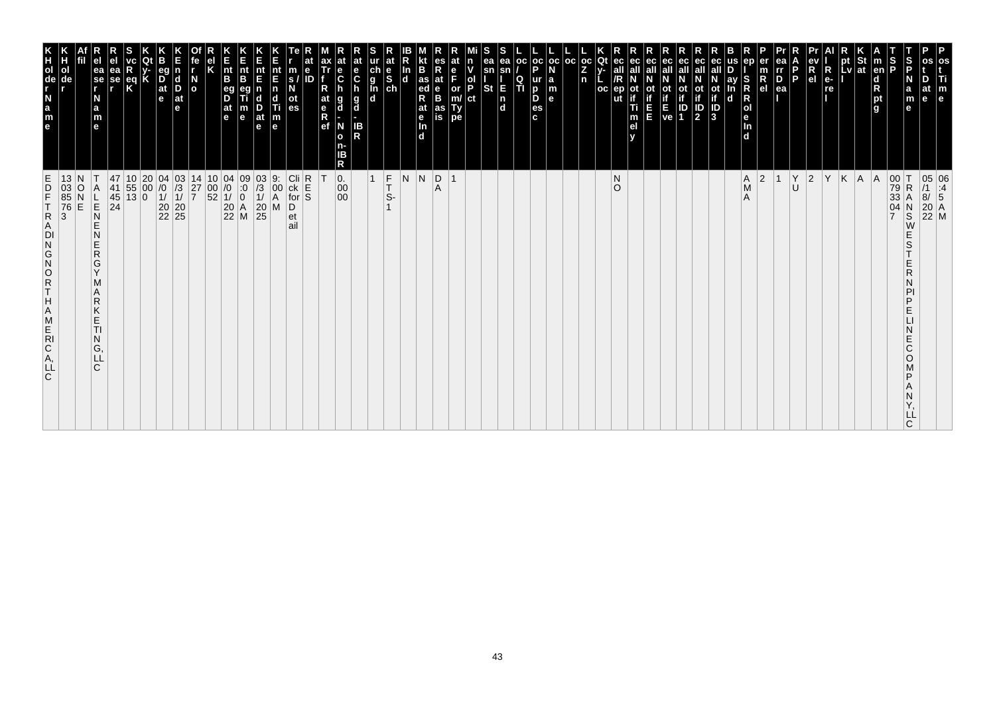| m<br>e                                                                                           |                                                                                                                                                    |
|--------------------------------------------------------------------------------------------------|----------------------------------------------------------------------------------------------------------------------------------------------------|
| le                                                                                               | 05 06<br>/1 :4<br>8/ 5<br>20 A<br>22 M                                                                                                             |
| ∣S<br>IP<br>a<br>m<br>е                                                                          | T<br>${\sf R}$<br>$_\mathrm{S}^\mathrm{N}$<br>E<br>S<br>E<br>R<br>N<br>PI<br>P<br>E<br>N<br>E<br>C<br>O<br>P<br>Α<br>Ν<br>Y,<br>LĹ<br>$\mathsf{C}$ |
| S<br>P<br> en <br>$\frac{\mathsf{d}}{\mathsf{R}}$<br>pt<br>g                                     | 00<br>79<br>33<br>04                                                                                                                               |
|                                                                                                  | $A \mid A$                                                                                                                                         |
| א<br>pt<br>pt St<br>Lv at                                                                        | K                                                                                                                                                  |
| $R_{e}$<br>re                                                                                    | Y                                                                                                                                                  |
| $\begin{array}{c}\n\mathbf{e}\mathbf{v} \\ \mathbf{R} \\ \mathbf{e}\mathbf{l}\n\end{array}$      | $ 2\rangle$                                                                                                                                        |
| P<br>l p                                                                                         | Υ<br>U                                                                                                                                             |
| rr<br>$\overline{P}_{ea}$                                                                        | $\mathbf{1}$                                                                                                                                       |
| $\frac{m}{R}$<br>ln<br>d                                                                         | 2 <br>A                                                                                                                                            |
| ay<br>$\mathbf d$                                                                                | $\mathop{\mathsf{A}}\limits_\mathsf{M}$                                                                                                            |
| $\frac{1}{10}$<br>$\frac{1}{10}$<br>$\frac{1}{3}$                                                |                                                                                                                                                    |
| ec<br>ot<br>if<br>1D<br>2                                                                        |                                                                                                                                                    |
|                                                                                                  |                                                                                                                                                    |
| ec<br>all<br>ot<br>$\begin{array}{ c c }\n\hline\nE & ID \\ ve & 1\n\end{array}$                 |                                                                                                                                                    |
| ec<br>ot<br>Е                                                                                    |                                                                                                                                                    |
| m<br>e <sub>l</sub>                                                                              |                                                                                                                                                    |
| Qt<br>ec<br>all<br>oc<br>ut                                                                      | ${\sf N}$<br>$\circ$                                                                                                                               |
| $\frac{1}{2}$<br>n                                                                               |                                                                                                                                                    |
| $_{\rm oc}$                                                                                      |                                                                                                                                                    |
| oc<br><b>a</b><br><b>a</b><br><b>a</b><br><b>a</b><br>$\frac{1}{P}$<br>$\frac{p}{es}$            |                                                                                                                                                    |
| $_{\rm oc}$<br>$\frac{Q}{T}$<br>$\mathbf{c}$                                                     |                                                                                                                                                    |
| ea<br>sn<br>E<br>n<br>d                                                                          |                                                                                                                                                    |
| sn<br><b>St</b>                                                                                  |                                                                                                                                                    |
| P.<br>or<br>m/<br>Ty<br>pe<br>ct                                                                 |                                                                                                                                                    |
| at<br>$\frac{e}{B}$<br>as<br>is                                                                  | $\overline{R}$<br>$\mathbf{1}$                                                                                                                     |
| B<br>as<br>ed<br>R<br>at<br>e<br>In<br>d                                                         | $\overline{\mathsf{N}}$                                                                                                                            |
| In<br>$\mathbf d$                                                                                | N                                                                                                                                                  |
| $\frac{e}{ch}$                                                                                   | $F$<br>$T$<br>$S$ -                                                                                                                                |
| ur<br>d<br>l<br>d<br>d<br>d<br>$rac{e}{c}$<br>h<br>g<br>d<br>IB<br>R                             | $\mathbf{1}$                                                                                                                                       |
| $\frac{e}{C}$<br>g<br>d<br>N<br>$\mathbf{o}$<br>R                                                | $\begin{matrix} 0.0000 \\ 0.0000 \\ 0.0000 \\ 0.0000 \\ 0.0000 \\ \end{matrix}$                                                                    |
| at<br>e<br>Ref                                                                                   |                                                                                                                                                    |
| m<br>ID<br>$\frac{s}{N}$<br>$\frac{at}{es}$                                                      | $ $ Cli<br>R<br>S<br>S<br>$ck$ for<br>et<br>ail                                                                                                    |
| nt<br>E<br>n<br>$\begin{array}{c}\n\mathbf{d} \\ \hline\n\mathbf{Ti} \\ \mathbf{m}\n\end{array}$ | 9:<br>00<br>A<br>M<br>D                                                                                                                            |
| nt<br>E<br>n<br>$\frac{D}{at}$<br>$\mathbf{e}$                                                   | $\begin{array}{c} 03 \\ 73 \\ 11 \\ 20 \\ 25 \end{array}$                                                                                          |
| B<br>e                                                                                           | $\begin{array}{c c} 10 & 04 & 09 \\ 00 & /0 & 0 \\ 52 & 1/ & 0 \\ 20 & A & 22 \\ 22 & M & \end{array}$                                             |
| E<br>nt<br>B<br>eg<br>D<br>at<br>e                                                               |                                                                                                                                                    |
| el<br>K                                                                                          |                                                                                                                                                    |
| $\frac{N}{\sigma}$                                                                               | 14<br>$\frac{27}{7}$                                                                                                                               |
| В<br>eg<br>$\overline{D}$ at $\overline{e}$<br>$\frac{\mathsf{d}}{\mathsf{D}}$<br>at<br>е        | $\begin{array}{c} 04 & 03 \\ \n/0 & \n/3 \\ \n1/ & 1/ \\ \n20 & 20 \\ \n22 & 25 \n\end{array}$                                                     |
|                                                                                                  |                                                                                                                                                    |
| eq<br>K                                                                                          | $\begin{array}{ c c }\n 10 & 20 \\  55 & 00 \\  13 & 0\n\end{array}$                                                                               |
| ea<br>se<br>r                                                                                    | 47<br>$\frac{41}{45}$<br>24                                                                                                                        |
| ea<br>se<br>r<br>N<br>a<br>m<br>e                                                                | A<br>$2n -$<br>E<br>N<br>E<br>$\mathsf{R}$<br>G<br>Ÿ<br>M<br>A<br>$\mathsf{R}$<br>$\mathsf K$<br>Ε<br>TI<br>$\overline{N}$<br>G,<br>LL<br>C        |
| ol<br>de                                                                                         | 13<br>$\frac{03}{85}$<br>76<br>3<br>O<br>$\frac{N}{E}$                                                                                             |
| HOGLABUR                                                                                         | ITD <sub>E</sub><br><b>TRADNGNORTHAMERCALLC</b>                                                                                                    |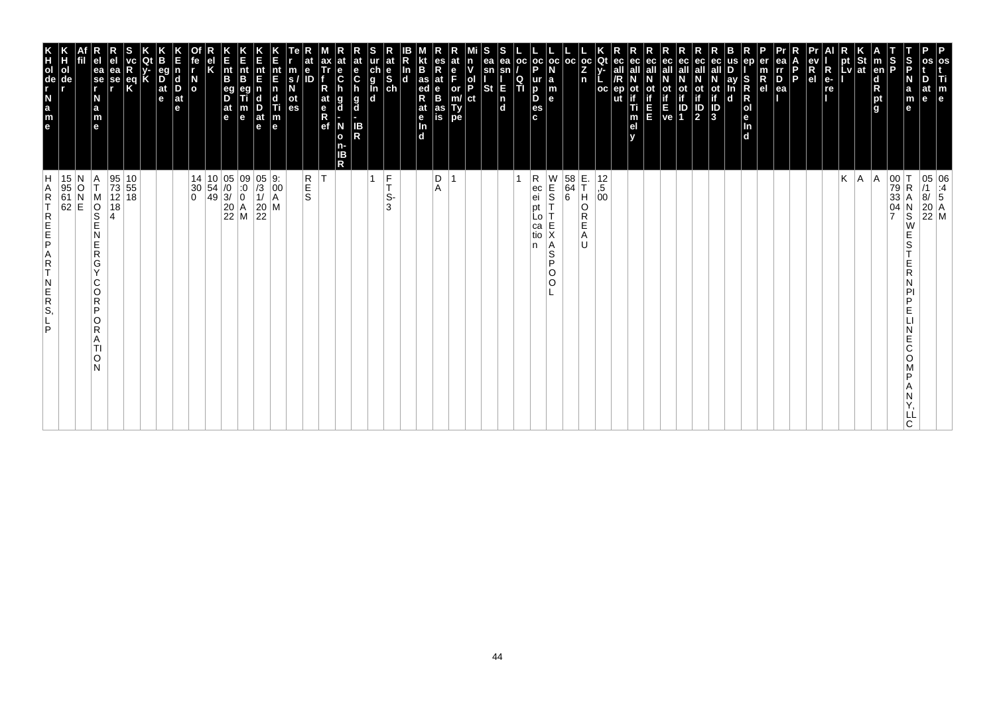| P<br>os<br>Ti<br>m<br>$\vert$ e                                                                                          |                                                                                                                                                                                 |
|--------------------------------------------------------------------------------------------------------------------------|---------------------------------------------------------------------------------------------------------------------------------------------------------------------------------|
| at<br>e                                                                                                                  | $\begin{array}{ c c } \hline 05 & 06 \\ \hline \end{array} \begin{array}{ c c } \hline 11 & 06 \\ \hline 8/ & 5 \end{array}$<br>$\begin{bmatrix} 20 \\ 22 \\ M \end{bmatrix}$ M |
| S<br>P<br>N<br>$\mathbf a$<br>m<br>e                                                                                     | $\begin{array}{ c c }\n 00 & T \\  79 & R \\  33 & A\n\end{array}$<br>R<br>Α<br>$_\mathrm{S}^\mathrm{N}$<br>W<br>E<br>S<br>R<br>D<br>E<br>E<br>Ć<br>O<br>D<br>ᄔ<br>C            |
| S<br> P<br><b>Ten</b><br>$\begin{array}{c}\n\mathbf{d} \\ \mathbf{R} \\ \mathbf{p}\mathbf{t} \\ \mathbf{g}\n\end{array}$ | $\frac{04}{7}$                                                                                                                                                                  |
| St<br> at                                                                                                                | A <br> A                                                                                                                                                                        |
| pt<br>Lv                                                                                                                 | Κ                                                                                                                                                                               |
| $R_{e}$<br>re                                                                                                            |                                                                                                                                                                                 |
| R<br>e <sub>l</sub>                                                                                                      |                                                                                                                                                                                 |
| P.                                                                                                                       |                                                                                                                                                                                 |
| ea<br>rr<br>$P_{ea}$                                                                                                     |                                                                                                                                                                                 |
| en<br>er<br>m<br>$\overline{R}$ el                                                                                       |                                                                                                                                                                                 |
| S<br>ay<br>R<br>R<br>O<br>I<br>e<br>In<br>d<br>n<br>d                                                                    |                                                                                                                                                                                 |
| ot<br>if<br>$\frac{1}{3}$                                                                                                |                                                                                                                                                                                 |
| ec<br>all<br>ot<br>if<br>$\frac{1}{2}$                                                                                   |                                                                                                                                                                                 |
| ec<br>οt<br>$\frac{1}{1}$                                                                                                |                                                                                                                                                                                 |
| ot<br>Time<br>Ve                                                                                                         |                                                                                                                                                                                 |
| ec<br>all<br>ш                                                                                                           |                                                                                                                                                                                 |
| ec<br>οt<br>Ti<br>m<br>el                                                                                                |                                                                                                                                                                                 |
| ut                                                                                                                       |                                                                                                                                                                                 |
| $\frac{OC}{Z}$<br>Qt<br>n<br><b>OC</b>                                                                                   | E.<br>T<br>$^{12}_{,5}$<br>$^{00}_{00}$<br>H<br>O<br>R<br>Е<br>A<br>IJ                                                                                                          |
| l oc                                                                                                                     | $\begin{array}{c} 58 \\ 64 \\ 6 \end{array}$                                                                                                                                    |
| $ oc $ oc<br>l a<br>m<br>le.                                                                                             | W<br>E<br>S<br>Ε<br>Χ<br>Α<br>S<br>P<br>O<br>$\circ$                                                                                                                            |
| Þ<br>ur<br>D<br>D<br>es<br>c.                                                                                            | R<br>ec<br>ei<br>рt<br>LO<br>ca<br>tio<br>n                                                                                                                                     |
| ea<br><b>OC</b><br>sn<br>$\frac{Q}{T}$                                                                                   |                                                                                                                                                                                 |
| ea<br>sn<br>E<br><b>St</b><br>$\begin{bmatrix} n \\ d \end{bmatrix}$                                                     |                                                                                                                                                                                 |
| n<br> ol<br> P<br>ct                                                                                                     |                                                                                                                                                                                 |
| e<br>F<br>or<br>m/<br>Ty<br>pe                                                                                           | $\overline{ }$                                                                                                                                                                  |
| es<br>Rat<br>B<br>as<br>is                                                                                               | D<br>A                                                                                                                                                                          |
| B<br>$\frac{1}{4}$ as<br>R<br>at<br>$\frac{e}{\ln}$<br>$\overline{d}$                                                    |                                                                                                                                                                                 |
| In<br>$\overline{\mathbf{d}}$                                                                                            |                                                                                                                                                                                 |
| at                                                                                                                       | $\frac{F}{T}$<br>$\mathbf{1}$<br>S-<br>3                                                                                                                                        |
| at<br>e<br>C<br>h<br>$\frac{g}{d}$<br>IB<br>R                                                                            |                                                                                                                                                                                 |
| $\frac{e}{C}$<br>g<br>d<br>N<br>o<br>n-<br>ΙB<br>R                                                                       |                                                                                                                                                                                 |
| ax<br>Tr<br>R<br>at<br>$\frac{e}{R}$                                                                                     | İΤ                                                                                                                                                                              |
| e<br>m<br>ID<br>S.<br>οt<br>es                                                                                           | R<br>S<br>S                                                                                                                                                                     |
| nt<br>E<br>$\overline{\mathsf{n}}$<br>c<br>Ti<br>$\vert_{\mathsf{e}}^{\mathsf{m}}$                                       | M                                                                                                                                                                               |
| nt<br>E<br>$\frac{D}{at}$<br>$\mathbf e$                                                                                 | $\begin{array}{ c c c } \hline 05 & 9: & 0 \\ \hline 73 & 00 & 1 \end{array}$<br>$\frac{20}{22}$                                                                                |
| n<br>Ent<br>B<br>m<br>$\mathbf e$                                                                                        | $\begin{array}{ c c c c c }\n 14 & 10 & 05 & 09 \\  30 & 54 & 0 & 0 \\  0 & 49 & 3 & 0\n\end{array}$<br>$\begin{array}{ c c }\n 20 & A \\  22 & M\n\end{array}$                 |
| $\vert_{\mathsf{B}}^{\mathsf{nt}}$<br>$\overline{\mathsf{D}}^{\mathsf{eg}}$<br> at<br>le.                                |                                                                                                                                                                                 |
|                                                                                                                          |                                                                                                                                                                                 |
| fe<br>$\overline{a}$                                                                                                     |                                                                                                                                                                                 |
| d<br>Ď<br>$ $ at<br>e                                                                                                    |                                                                                                                                                                                 |
| eq<br>$\frac{D}{at}$<br>e                                                                                                |                                                                                                                                                                                 |
| Κ<br>$\frac{eq}{k}$                                                                                                      | $\begin{array}{ c c }\n10 \\ 55\n\end{array}$                                                                                                                                   |
| ea<br>se<br>r                                                                                                            | 95<br>73<br>12 18<br>18                                                                                                                                                         |
| ea<br>se<br>r<br>N<br>a<br>m<br>e                                                                                        | Α<br>ΙT<br>M<br>$\overline{\frac{1}{2}}$<br>N<br>E<br>$\mathsf R$<br>G<br>$\vee$<br>C<br>O<br>$\mathsf R$<br>P<br>O<br>R<br>A<br>TI<br>O<br>N                                   |
|                                                                                                                          | 15 N<br>95 O<br>61 N<br>62 E                                                                                                                                                    |
| ol<br>de                                                                                                                 |                                                                                                                                                                                 |
| e a z - g o H K                                                                                                          | H<br>A<br>$\mathsf R$<br>T<br>REFE<br>A<br>R<br>T<br>$\begin{array}{c} N \\ E \\ R \\ S \end{array}$<br>P                                                                       |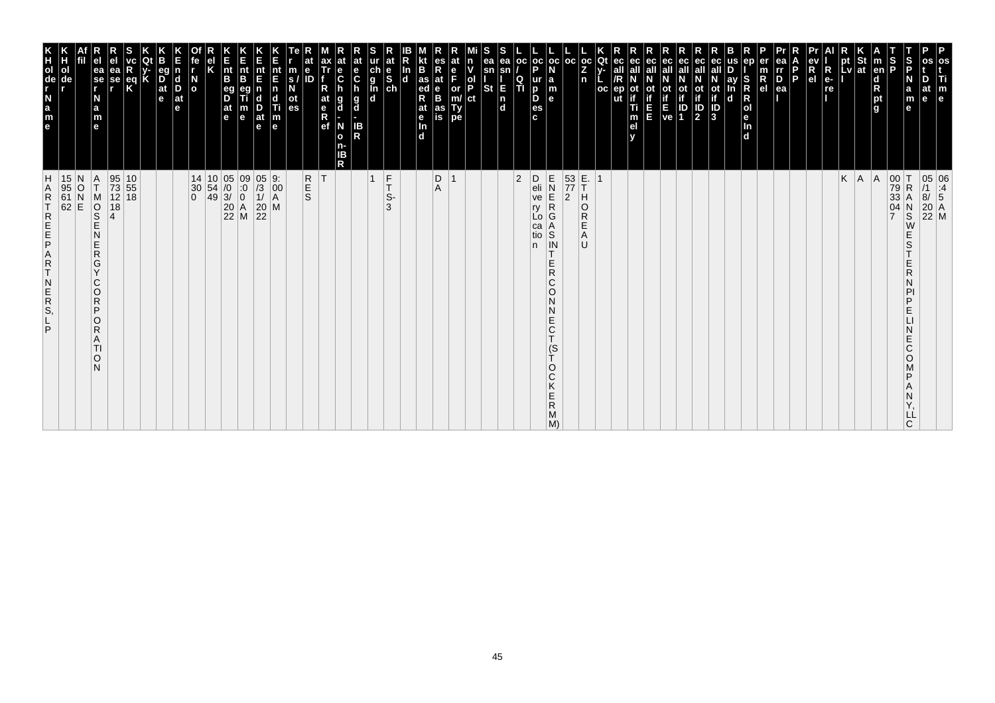| m<br>$\mathbf{e}$                                                                                                     |                                                                                                                                                                                                             |
|-----------------------------------------------------------------------------------------------------------------------|-------------------------------------------------------------------------------------------------------------------------------------------------------------------------------------------------------------|
| Б<br>at<br>e                                                                                                          | 05 06<br>/1 :4<br>8/ 5<br>20 A<br>22 M                                                                                                                                                                      |
| $\vert$ s<br>a<br>m                                                                                                   | R<br>S<br>Ε<br>S<br>E<br>R<br>N<br>PI<br>P<br>E<br>N<br>E<br>C<br>O<br>D<br>N<br>Υ,<br>ᄔ                                                                                                                    |
| S<br>P                                                                                                                | $\begin{array}{c} 00 \\ 79 \\ 33 \end{array}$<br>04<br>$\overline{7}$                                                                                                                                       |
| $\vert$ m<br>en<br>d<br>R<br>pt<br>g                                                                                  | A                                                                                                                                                                                                           |
| pt St<br>Lv at                                                                                                        | $K \mid A$                                                                                                                                                                                                  |
| $R$ e-<br>$\frac{R}{R}$                                                                                               |                                                                                                                                                                                                             |
| $R$ ev<br>el                                                                                                          |                                                                                                                                                                                                             |
| D<br>P.                                                                                                               |                                                                                                                                                                                                             |
| rr<br>D<br>ea                                                                                                         |                                                                                                                                                                                                             |
| $\frac{m}{R}$                                                                                                         |                                                                                                                                                                                                             |
| S<br>R<br>R<br>ol<br>e<br>In<br>d                                                                                     |                                                                                                                                                                                                             |
| D<br>ay<br>In<br>d                                                                                                    |                                                                                                                                                                                                             |
| ec<br>$\frac{1}{10}$<br>$\frac{1}{10}$<br>$\frac{1}{3}$                                                               |                                                                                                                                                                                                             |
| ec<br>ot<br>$\frac{1}{2}$                                                                                             |                                                                                                                                                                                                             |
| ot ot<br>if if<br>$E$<br>ve 1                                                                                         |                                                                                                                                                                                                             |
| ec<br>all                                                                                                             |                                                                                                                                                                                                             |
| ec<br>ot<br>in in                                                                                                     |                                                                                                                                                                                                             |
| all<br>ot<br>if<br>Ti<br>m<br>el<br>v                                                                                 |                                                                                                                                                                                                             |
| Qt<br>ec<br>all<br>/R<br>$ep$<br>ut<br>oc                                                                             |                                                                                                                                                                                                             |
| oc <sub>1</sub><br>Z<br>n                                                                                             | O<br>$\overline{\mathsf{R}}$<br>E<br>A<br>U                                                                                                                                                                 |
| oc                                                                                                                    | $\begin{array}{c} 53 \overline{\smash{\big)} } 5.3 \\ 77 \overline{\smash{\big)} } 1 \\ 2 \overline{\smash{\big)} } 1 \end{array}$                                                                          |
| oc<br>$\begin{array}{c} \n a \\ \n m \\ \n e \n \end{array}$                                                          | GRENZE<br>$\begin{array}{c}\nA \\ S \\ IN\n\end{array}$<br>Е<br>$\mathsf{R}$<br>C<br>$\circ$<br>N<br>N<br>$_{\rm C}^{\rm E}$<br>$\mathbf{\tau}$<br>$\frac{S}{T}$<br>O<br>C<br>Κ<br>Е<br>${\sf R}$<br>M<br>M |
| OC.<br>oc <sub>1</sub><br>P<br>ur<br>$_{\rm b}^{\rm p}$<br>es<br>c                                                    | D<br>eli<br>ve<br>ry<br>Lo.<br>ca<br>tio<br>n                                                                                                                                                               |
| $\frac{Q}{T}$                                                                                                         | $ 2\rangle$                                                                                                                                                                                                 |
| S<br>ea<br>ea<br>sn<br>sn<br><b>St</b><br>E<br> n<br> d                                                               |                                                                                                                                                                                                             |
| $\frac{ \mathsf{d} }{ \mathsf{P} }$<br> ct                                                                            |                                                                                                                                                                                                             |
| e<br>F<br>or<br>m/<br>Ty<br>pe                                                                                        | $\overline{\mathbf{1}}$                                                                                                                                                                                     |
| es<br>R<br>at<br>e<br>B<br>as<br>is                                                                                   | $_{\rm A}^{\rm D}$                                                                                                                                                                                          |
| <b>B</b><br>R <sub>ed</sub><br>at<br>e<br>d                                                                           |                                                                                                                                                                                                             |
| ln<br>d                                                                                                               |                                                                                                                                                                                                             |
| at<br>e<br>S<br>ch<br>$\frac{c}{g}$<br><b>In</b>                                                                      | F<br>$\overline{1}$<br>T<br>S-<br>3                                                                                                                                                                         |
| at<br>e<br>C<br>h<br>g<br>d<br>IB<br>R                                                                                |                                                                                                                                                                                                             |
| at<br>e<br>C<br>h<br>g<br>d<br>N<br>$\mathbf{o}$<br>n-<br>IB<br>R                                                     |                                                                                                                                                                                                             |
| ax<br>Tr<br>$R_{at}$<br>$R$<br>$R$<br>$e$ f                                                                           | T                                                                                                                                                                                                           |
| $\begin{array}{c} \n\overline{\phantom{aa}}\n\text{s} \prime \\ \overline{\phantom{aa}}\n\text{d}\n\end{array}$<br>ID | R<br>E<br>S                                                                                                                                                                                                 |
| E<br>nt E n d Ti m<br>e                                                                                               | $\begin{vmatrix} 9. \\ 00 \\ A \end{vmatrix}$<br>M                                                                                                                                                          |
| nt<br>E<br>D<br>at<br>$\mathbf{e}$                                                                                    | $\begin{array}{c} 05 \\ /3 \\ 1 \end{array}$<br>$\begin{array}{c} 20 \\ 22 \end{array}$                                                                                                                     |
| E<br>nt<br>B<br>$\frac{m}{e}$                                                                                         | $\begin{matrix} 09 \\ .0 \\ 0 \end{matrix}$<br>$\begin{array}{ c c }\n 20 & A \\  22 & M\n\end{array}$                                                                                                      |
| E<br>nt<br>B<br>eg<br>D<br>$\frac{a}{e}$                                                                              | $\begin{array}{c c} 14 & 10 & 05 \\ 30 & 54 & 0 \\ 0 & 49 & 3 \end{array}$                                                                                                                                  |
| el<br>K                                                                                                               |                                                                                                                                                                                                             |
| íe<br>I<br>$\frac{N}{\sigma}$                                                                                         | $\begin{matrix} 30 \\ 0 \end{matrix}$                                                                                                                                                                       |
| E<br>n<br>d<br>D<br>at<br>e                                                                                           |                                                                                                                                                                                                             |
| <b>B</b><br> at<br>$\mathbf{e}$                                                                                       |                                                                                                                                                                                                             |
| K                                                                                                                     |                                                                                                                                                                                                             |
| R<br>ea<br>se<br>eq<br>K                                                                                              | 95<br>73<br>12<br>$\begin{array}{ c} 10 \\ 55 \end{array}$<br>18<br>18                                                                                                                                      |
| ea<br>se<br>r<br>a<br>m<br>e                                                                                          | Α<br>Τ<br>SOR<br>S<br>$\overline{4}$<br>Ē<br>Ν<br>Е<br>$\overline{R}$<br>G<br>Y<br>С<br>O<br>R<br>P<br>O<br>$\mathsf{R}$<br>Α<br>TI<br>O<br>N                                                               |
|                                                                                                                       |                                                                                                                                                                                                             |
|                                                                                                                       | 15 N<br>95 O<br>61 N<br>62 E                                                                                                                                                                                |
| N<br>$\frac{a}{m}$<br>le.                                                                                             | <b>HARTREEP</b><br>A<br>$\frac{R}{T}$<br>N<br>ER<br>S,<br>P                                                                                                                                                 |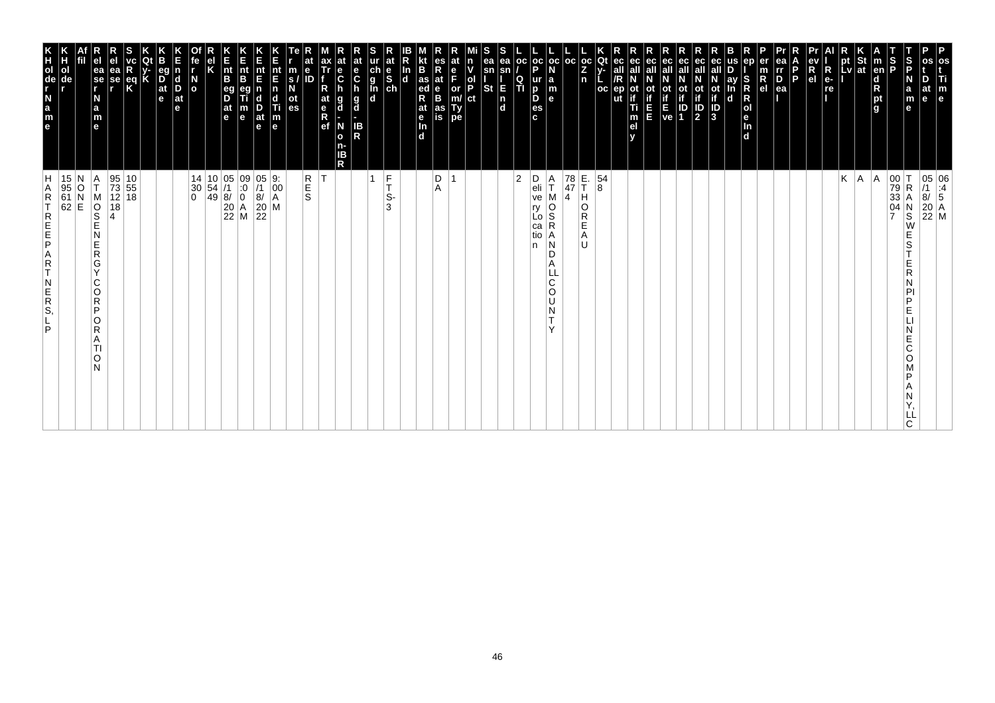| P<br>os<br>Ti<br>m<br>$\vert$ e                                                    |                                                                                                                                                                                 |
|------------------------------------------------------------------------------------|---------------------------------------------------------------------------------------------------------------------------------------------------------------------------------|
| at<br>e                                                                            | $\begin{array}{ c c } \hline 05 & 06 \\ \hline \end{array} \begin{array}{ c c } \hline 11 & 06 \\ \hline 8/ & 5 \end{array}$<br>$\begin{bmatrix} 20 \\ 22 \\ M \end{bmatrix}$ M |
| S<br>P<br>N<br>$\mathbf a$<br>m<br>e                                               | $\begin{array}{ c c }\n 00 & T \\  79 & R \\  33 & A\n\end{array}$<br>R<br>А<br>$_\mathrm{S}^\mathrm{N}$<br>W<br>E<br>S<br>E<br>R<br>D<br>E<br>E<br>Ć<br>O<br>D<br>ᄔ<br>C       |
| S<br> P<br><b>Ten</b><br>$\frac{d}{R}$ pt<br>g                                     | $\frac{04}{7}$                                                                                                                                                                  |
| St<br> at                                                                          | A <br> A                                                                                                                                                                        |
| pt<br>Lv                                                                           | Κ                                                                                                                                                                               |
| $R_{e}$<br>re                                                                      |                                                                                                                                                                                 |
| R<br>e <sub>1</sub>                                                                |                                                                                                                                                                                 |
| P.                                                                                 |                                                                                                                                                                                 |
| ea<br>rr<br>$P_{ea}$                                                               |                                                                                                                                                                                 |
| en<br>er<br>m<br>$\overline{R}$ el                                                 |                                                                                                                                                                                 |
| S<br>ay<br>R<br>R<br>O<br>e<br>In<br>d<br>n<br>d                                   |                                                                                                                                                                                 |
| ot<br>if<br>$\frac{1}{3}$                                                          |                                                                                                                                                                                 |
| ec<br>all<br>ot<br>if<br>$\frac{1}{2}$                                             |                                                                                                                                                                                 |
| ec<br>οt<br>$\frac{1}{1}$                                                          |                                                                                                                                                                                 |
| ot<br>Time<br>Ve                                                                   |                                                                                                                                                                                 |
| ec<br>all<br>ш                                                                     |                                                                                                                                                                                 |
| ec<br>οt<br>Ti<br>m<br>el                                                          |                                                                                                                                                                                 |
| ut                                                                                 |                                                                                                                                                                                 |
| $\frac{oc}{Z}$<br>Qt<br>n<br><b>OC</b>                                             | E.<br>T<br>54<br>8<br>н<br>O<br>R<br>Е<br>A<br>IJ                                                                                                                               |
| l oc                                                                               | 78<br>47<br>$\overline{4}$                                                                                                                                                      |
| $ oc $ oc<br>la<br>m<br>le.                                                        | Α<br>T<br>O<br>S<br>R<br>Α<br>N<br>D<br>A<br>C<br>O<br>U<br>N                                                                                                                   |
| Þ<br>ur<br>D<br>D<br>es<br>c.                                                      | D<br>eli<br>ve<br>ry<br>Lo<br>ca<br>tio<br>n                                                                                                                                    |
| ea<br><b>OC</b><br>sn<br>$\frac{Q}{T}$                                             | $\overline{2}$                                                                                                                                                                  |
| ea<br>sn<br>E<br><b>St</b><br>$\begin{bmatrix} n \\ d \end{bmatrix}$               |                                                                                                                                                                                 |
| n<br> ol<br> P<br>ct                                                               |                                                                                                                                                                                 |
| $_{F}^{\mathrm{e}}$<br>or<br>m/<br>Ty<br>pe                                        | $\overline{ }$                                                                                                                                                                  |
| es<br>Rat<br>B<br>B<br>as<br>is                                                    | D<br>A                                                                                                                                                                          |
| B<br>$\frac{1}{4}$ as<br>R<br>at<br>$\frac{e}{\ln}$<br>$\overline{d}$              |                                                                                                                                                                                 |
| In<br>$\overline{\mathbf{d}}$                                                      |                                                                                                                                                                                 |
| at                                                                                 | $\frac{F}{T}$<br>$\mathbf{1}$<br>S-<br>3                                                                                                                                        |
| at<br>e<br>C<br>h<br>$\frac{g}{d}$<br>IB<br>R                                      |                                                                                                                                                                                 |
| $\frac{e}{C}$<br>g<br>d<br>N<br>o<br>n-<br>ΙB<br>R                                 |                                                                                                                                                                                 |
| ax<br>Tr<br>R<br>at<br>$\frac{e}{R}$                                               | İΤ                                                                                                                                                                              |
| $\mathbf{e}$<br>m<br>ID<br>$\mathbf{s}$<br>οt<br>es                                | R<br>S<br>S                                                                                                                                                                     |
| nt<br>E<br>$\overline{\mathsf{n}}$<br>c<br>Ti<br>$\vert_{\mathsf{e}}^{\mathsf{m}}$ | $\begin{vmatrix} 9. \\ 00 \\ A \end{vmatrix}$<br>M                                                                                                                              |
| nt<br>E<br>$\frac{D}{at}$<br>$\mathbf e$                                           | $\frac{0}{5}$<br>$\overline{8}$<br>$\frac{20}{22}$                                                                                                                              |
| n<br>Ent<br>B<br>m<br>$\mathbf e$                                                  | $\begin{array}{c c} 14 & 10 & 05 & 09 \\ 30 & 54 & /1 & :0 \\ 0 & 49 & 8/ & 0 \\ & 20 & A & 22 & M \\ \end{array}$                                                              |
| $\vert_{\mathsf{B}}^{\mathsf{nt}}$<br>$\overline{D}$<br> at<br>$\vert$ e           |                                                                                                                                                                                 |
|                                                                                    |                                                                                                                                                                                 |
| fe<br>$\overline{a}$                                                               |                                                                                                                                                                                 |
| d<br>Ď<br>$ $ at<br>e                                                              |                                                                                                                                                                                 |
| eq<br>$\frac{D}{at}$<br>e                                                          |                                                                                                                                                                                 |
| Κ<br>$\frac{eq}{K}$                                                                | $\begin{array}{ c c }\n10 \\ 55\n\end{array}$                                                                                                                                   |
| ea<br>se<br>r                                                                      | 95<br>73<br>12 18<br>18                                                                                                                                                         |
| ea<br>se<br>r<br>N<br>a<br>m<br>e                                                  | Α<br>ΙT<br>M<br>$\overline{\frac{1}{2}}$<br>N<br>E<br>$\mathsf R$<br>G<br>$\vee$<br>C<br>O<br>$\mathsf R$<br>P<br>O<br>R<br>A<br>TI<br>O<br>N                                   |
|                                                                                    | 15 N<br>95 O<br>61 N<br>62 E                                                                                                                                                    |
| ol<br>de                                                                           |                                                                                                                                                                                 |
| e a z - g o H K                                                                    | H<br>A<br>$\mathsf R$<br>T<br>REFE<br>A<br>R<br>T<br>$\begin{array}{c} N \\ E \\ R \\ S \end{array}$<br>P                                                                       |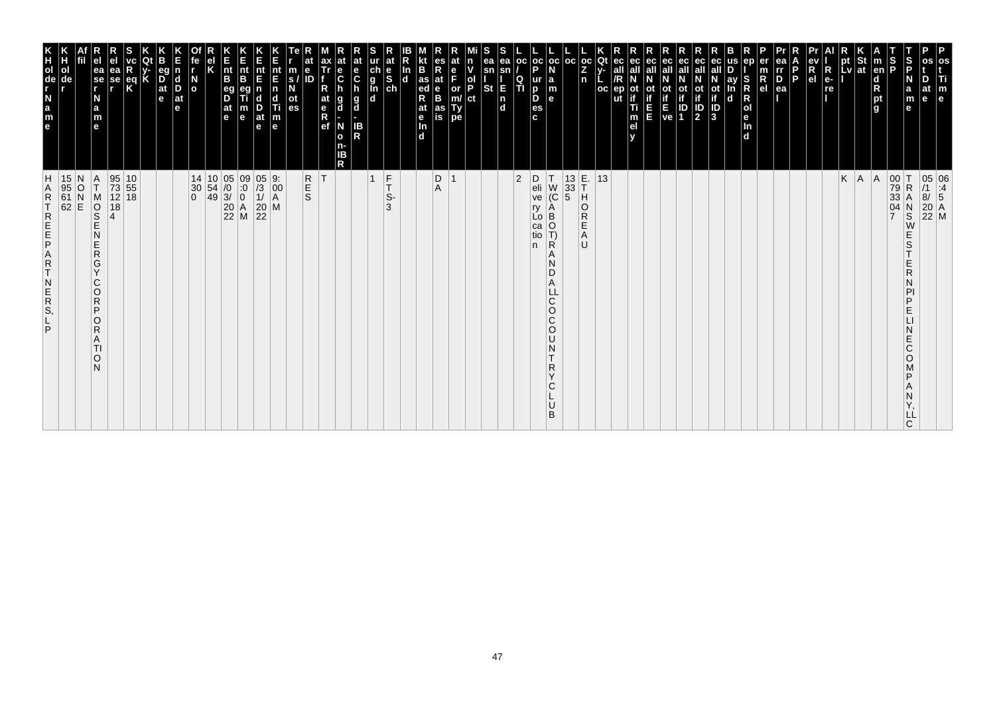| m<br>$\mathbf{e}$                                                                                                     |                                                                                                                                                                                                                                         |
|-----------------------------------------------------------------------------------------------------------------------|-----------------------------------------------------------------------------------------------------------------------------------------------------------------------------------------------------------------------------------------|
| D<br>at<br>e                                                                                                          | 05 06<br>/1 :4<br>8/ 5<br>20 A<br>22 M                                                                                                                                                                                                  |
| $\vert$ s<br>a<br>m                                                                                                   | R<br>S<br>E<br>S<br>E<br>R<br>N<br>PI<br>P<br>E<br>N<br>E<br>C<br>O<br>D<br>N<br>Υ,<br>ᄔ                                                                                                                                                |
| S<br>P                                                                                                                | $\begin{array}{c} 00 \\ 79 \\ 33 \end{array}$<br>04<br>$\overline{7}$                                                                                                                                                                   |
| m<br>d<br>pt<br>g<br>g                                                                                                | A                                                                                                                                                                                                                                       |
| pt St<br>Lv at                                                                                                        | $K \mid A$                                                                                                                                                                                                                              |
|                                                                                                                       |                                                                                                                                                                                                                                         |
| $R_{el}^{\text{ev}}$                                                                                                  |                                                                                                                                                                                                                                         |
| D<br>P.                                                                                                               |                                                                                                                                                                                                                                         |
| rr<br>D<br>ea                                                                                                         |                                                                                                                                                                                                                                         |
| $\frac{m}{R}$                                                                                                         |                                                                                                                                                                                                                                         |
| S<br>R<br>R<br>ol<br>e<br>In<br>ď                                                                                     |                                                                                                                                                                                                                                         |
| D<br>ay<br>In<br>d                                                                                                    |                                                                                                                                                                                                                                         |
| ec<br>N<br>Of if D<br>3                                                                                               |                                                                                                                                                                                                                                         |
| ec<br>ot<br>$\frac{1}{2}$                                                                                             |                                                                                                                                                                                                                                         |
|                                                                                                                       |                                                                                                                                                                                                                                         |
| ec<br>all<br>ot ot<br>if if<br>$E$<br>$V$ e<br>1                                                                      |                                                                                                                                                                                                                                         |
| ec<br>ot<br>in in                                                                                                     |                                                                                                                                                                                                                                         |
| all<br>ot<br>if<br>Ti<br>m<br>el<br>v                                                                                 |                                                                                                                                                                                                                                         |
| Qt<br>ec<br>all<br>/R<br>$ep$<br>ut<br>oc                                                                             | 13                                                                                                                                                                                                                                      |
| oc <sub>1</sub><br>Z<br>n                                                                                             | Ĥ<br>$\circ$<br>${\sf R}$<br>E<br>A<br>$\cup$                                                                                                                                                                                           |
| oc                                                                                                                    | $\begin{array}{ c c }\n 13 & E. \\  33 & T \\  5 & H\n\end{array}$                                                                                                                                                                      |
| oc<br>ur a<br>B m<br>B e                                                                                              | $\begin{bmatrix} 7 \\ W \\ C \end{bmatrix}$<br>Α<br>$\begin{bmatrix} 1 & 1 \\ 1 & 0 \\ 0 & 1 \\ 0 & 1 \end{bmatrix}$<br>∣Ŕ<br>A<br>N<br>D<br>A<br>$\mathsf C$<br>$\circ$<br>C<br>$\circ$<br>N<br>$\mathsf{R}$<br>$\checkmark$<br>C<br>B |
| oc <sub>1</sub><br>P<br>es<br>c                                                                                       | D<br>eli<br>ve<br>ry<br>n                                                                                                                                                                                                               |
| ОC<br>$\frac{Q}{T}$                                                                                                   | $ 2\rangle$                                                                                                                                                                                                                             |
| S<br>ea<br>ea<br>sn<br>sn<br><b>St</b><br>E<br> n<br> d                                                               |                                                                                                                                                                                                                                         |
| $\frac{ \mathsf{d} }{ \mathsf{P} }$<br> ct                                                                            |                                                                                                                                                                                                                                         |
| e<br>F<br>or<br>m/<br>Ty<br>pe                                                                                        | $\overline{\mathbf{1}}$                                                                                                                                                                                                                 |
| es<br>R<br>at<br>e<br>B<br>as<br>is                                                                                   | $_{\rm A}^{\rm D}$                                                                                                                                                                                                                      |
| <b>B</b><br>R <sub>ed</sub><br>at<br>$\mathbf e$<br>d                                                                 |                                                                                                                                                                                                                                         |
| ln<br>d                                                                                                               |                                                                                                                                                                                                                                         |
| at<br>e<br>S<br>ch<br>$\frac{c}{g}$<br><b>In</b>                                                                      | $\frac{F}{T}$<br>$\overline{1}$<br>S-<br>3                                                                                                                                                                                              |
| at<br>e<br>C<br>h<br>g<br>d<br>IB<br>R                                                                                |                                                                                                                                                                                                                                         |
| at<br>e<br>C<br>h<br>g<br>d<br>N<br>$\mathbf{o}$<br>n-<br>IB<br>R                                                     |                                                                                                                                                                                                                                         |
| ax<br>Tr<br>$R_{at}$<br>$R$<br>$R$<br>$e$ f                                                                           | İΤ                                                                                                                                                                                                                                      |
| $\begin{array}{c} \n\overline{\phantom{aa}}\n\text{s} \prime \\ \overline{\phantom{aa}}\n\text{d}\n\end{array}$<br>ID | R<br>E<br>S                                                                                                                                                                                                                             |
| E<br>nt End Time                                                                                                      | $\begin{bmatrix} 9: \\ 00 \\ A \end{bmatrix}$<br>M                                                                                                                                                                                      |
| nt<br>E<br>D<br>at<br>$\mathbf{e}$                                                                                    | $\begin{array}{c} 05 \\ /3 \\ 1 \end{array}$<br>$\begin{array}{c} 20 \\ 22 \end{array}$                                                                                                                                                 |
| E<br>nt<br>B<br>$\frac{m}{e}$                                                                                         | $\begin{matrix} 09 \\ .0 \\ 0 \end{matrix}$<br>$\begin{array}{ c c }\n 20 & A \\  22 & M\n\end{array}$                                                                                                                                  |
| E<br>nt<br>B<br>eg<br>D<br>$\frac{a}{e}$                                                                              | $\begin{array}{c c} 14 & 10 & 05 \\ 30 & 54 & 0 \\ 0 & 49 & 3 \end{array}$                                                                                                                                                              |
| el<br>K                                                                                                               |                                                                                                                                                                                                                                         |
| íe<br>I<br>$\frac{N}{\sigma}$                                                                                         | $\begin{array}{c} 30 \\ 0 \end{array}$                                                                                                                                                                                                  |
| E<br>n<br>d<br>D<br>at<br>e                                                                                           |                                                                                                                                                                                                                                         |
| <b>B</b><br>K<br> at<br>$\mathbf{e}$                                                                                  |                                                                                                                                                                                                                                         |
| R<br>eq<br>K                                                                                                          | $\begin{array}{ c} 10 \\ 55 \end{array}$<br>18                                                                                                                                                                                          |
| ea<br>se                                                                                                              | 95<br>73<br>12<br>18<br>$\overline{4}$                                                                                                                                                                                                  |
| ea<br>se<br>r<br>a<br>m<br>e                                                                                          | Α<br>Τ<br>SOR<br>S<br>Ē<br>Ν<br>$\frac{\mathsf{E}}{\mathsf{R}}$<br>G<br>Y<br>С<br>O<br>R<br>P<br>O<br>$\mathsf{R}$<br>Α<br>TI<br>O<br>N                                                                                                 |
|                                                                                                                       | 15 N<br>95 O<br>61 N<br>62 E                                                                                                                                                                                                            |
|                                                                                                                       |                                                                                                                                                                                                                                         |
| N <sub></sub><br>$\frac{a}{m}$<br>le.                                                                                 | <b>HARTREEP</b><br>A<br>$\frac{R}{T}$<br>N<br>ER<br>S,<br>P                                                                                                                                                                             |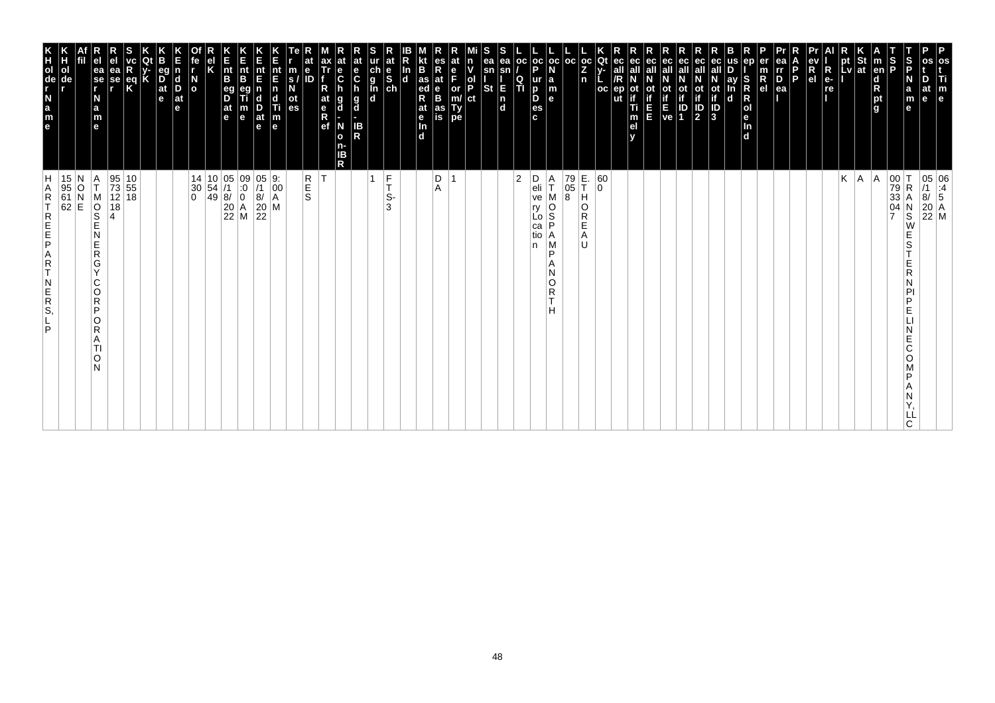| P<br>os<br>Ti<br>m<br>$\vert$ e                                                                                          |                                                                                                                                                                                 |
|--------------------------------------------------------------------------------------------------------------------------|---------------------------------------------------------------------------------------------------------------------------------------------------------------------------------|
| at<br>e                                                                                                                  | $\begin{array}{ c c } \hline 05 & 06 \\ \hline \end{array} \begin{array}{ c c } \hline 11 & 06 \\ \hline 8/ & 5 \end{array}$<br>$\begin{bmatrix} 20 \\ 22 \\ M \end{bmatrix}$ M |
| S<br>P<br>N<br>$\mathbf a$<br>m<br>e                                                                                     | $\begin{array}{ c c }\n 00 & T \\  79 & R \\  33 & A\n\end{array}$<br>R<br>Α<br>$_\mathrm{S}^\mathrm{N}$<br>W<br>E<br>S<br>E<br>R<br>D<br>E<br>E<br>Ć<br>O<br>D<br>ᄔ<br>C       |
| S<br> P<br><b>Ten</b><br>$\begin{array}{c}\n\mathbf{d} \\ \mathbf{R} \\ \mathbf{p}\mathbf{t} \\ \mathbf{g}\n\end{array}$ | $\frac{04}{7}$                                                                                                                                                                  |
| St<br> at                                                                                                                | A <br> A                                                                                                                                                                        |
| pt<br>Lv                                                                                                                 | Κ                                                                                                                                                                               |
| $R_{e}$<br>re                                                                                                            |                                                                                                                                                                                 |
| R<br>e <sub>1</sub>                                                                                                      |                                                                                                                                                                                 |
| P.                                                                                                                       |                                                                                                                                                                                 |
| ea<br>rr<br>$P_{ea}$                                                                                                     |                                                                                                                                                                                 |
| en<br>er<br>m<br>$\overline{R}$ el                                                                                       |                                                                                                                                                                                 |
| S<br>ay<br>R<br>R<br>O<br>e<br>In<br>d<br>n<br>d                                                                         |                                                                                                                                                                                 |
| ot<br>if<br>3                                                                                                            |                                                                                                                                                                                 |
| ec<br>all<br>ot<br>if<br>$\frac{1}{2}$                                                                                   |                                                                                                                                                                                 |
| ec<br>οt<br>ID<br>1                                                                                                      |                                                                                                                                                                                 |
| ot<br>Time<br>Ve                                                                                                         |                                                                                                                                                                                 |
| ec<br>all<br>ш                                                                                                           |                                                                                                                                                                                 |
| ec<br>οt<br>Ti<br>m<br>el                                                                                                |                                                                                                                                                                                 |
| ut                                                                                                                       |                                                                                                                                                                                 |
| $\frac{oc}{Z}$<br>Qt<br><b>OC</b>                                                                                        | 60<br>$\overline{0}$<br>O<br>R                                                                                                                                                  |
| l oc<br>n                                                                                                                | E.<br>T<br>79<br>05<br>8<br>н<br>Е<br>A<br>IJ                                                                                                                                   |
| $ oc $ oc<br>la<br>m<br>le.                                                                                              | Α<br>T<br>$\frac{0}{S}$<br>P<br>Α<br>M<br>P<br>Α<br>N<br>O<br>R<br>T<br>н                                                                                                       |
| Þ<br>ur<br>D<br>D<br>es<br>c.                                                                                            | D<br>eli<br>ve<br>ry<br>Lo<br>ca<br>tio<br>n                                                                                                                                    |
| <b>OC</b><br>$\frac{Q}{T}$                                                                                               | $\overline{2}$                                                                                                                                                                  |
| ea<br>ea<br>sn<br>sn<br>E<br><b>St</b><br>$\begin{bmatrix} n \\ d \end{bmatrix}$                                         |                                                                                                                                                                                 |
| n<br> ol<br> P<br>ct                                                                                                     |                                                                                                                                                                                 |
| e<br>F<br>or<br>m/<br>Ty<br>pe                                                                                           | $\overline{ }$                                                                                                                                                                  |
| es<br>Rat<br>B<br>B<br>as<br>is                                                                                          | D<br>A                                                                                                                                                                          |
| B<br>$\frac{1}{4}$ as<br>R<br>at<br>$\frac{e}{\ln}$<br>$\overline{d}$                                                    |                                                                                                                                                                                 |
| In<br>$\overline{\mathbf{d}}$                                                                                            |                                                                                                                                                                                 |
| at                                                                                                                       | $\frac{F}{T}$<br>$\mathbf{1}$<br>S-<br>3                                                                                                                                        |
| at<br>e<br>C<br>h<br>$\frac{g}{d}$<br>IB<br>R                                                                            |                                                                                                                                                                                 |
| $\frac{e}{C}$<br>g<br>d<br>N<br>$\mathbf{o}$<br>n-<br>ΙB<br>R                                                            |                                                                                                                                                                                 |
| ax<br>Tr<br>R<br>at<br>$\frac{e}{R}$                                                                                     | İΤ                                                                                                                                                                              |
| $\mathbf{e}$<br>m<br>ID<br>$\mathbf{s}$<br>οt<br>es                                                                      | R<br>S<br>S                                                                                                                                                                     |
| nt<br>E<br>$\vert$ n<br>c<br>Ti<br>$\vert_{\mathsf{e}}^{\mathsf{m}}$                                                     | $\begin{vmatrix} 9. \\ 00 \\ A \end{vmatrix}$<br>M                                                                                                                              |
| nt<br>E<br>$\frac{D}{at}$<br>$\mathbf e$                                                                                 | $\frac{0}{5}$<br>$\overline{8}$<br>$\frac{20}{22}$                                                                                                                              |
| n<br>Ent<br>B<br>m<br>$\mathbf e$                                                                                        | $\begin{array}{c c} 14 & 10 & 05 & 09 \\ 30 & 54 & /1 & :0 \\ 0 & 49 & 8/ & 0 \\ & 20 & A & 22 & M \\ \end{array}$                                                              |
| $\vert_{\mathsf{B}}^{\mathsf{nt}}$<br>$\overline{D}$<br> at<br>le.                                                       |                                                                                                                                                                                 |
|                                                                                                                          |                                                                                                                                                                                 |
| fe<br>$\overline{a}$                                                                                                     |                                                                                                                                                                                 |
| d<br>Ď<br>$ $ at<br>e                                                                                                    |                                                                                                                                                                                 |
| eq<br>$\frac{D}{at}$<br>e                                                                                                |                                                                                                                                                                                 |
| Κ<br>$\frac{eq}{K}$                                                                                                      | $\begin{array}{ c c }\n10 \\ 55\n\end{array}$                                                                                                                                   |
| ea<br>se<br>r                                                                                                            | 95<br>73<br>12 18<br>18                                                                                                                                                         |
| ea<br>se<br>r<br>N<br>a<br>m<br>e                                                                                        | Α<br>ΙT<br>M<br>$\overline{\frac{1}{2}}$<br>N<br>E<br>$\mathsf R$<br>G<br>$\vee$<br>C<br>O<br>$\mathsf R$<br>P<br>O<br>R<br>A<br>TI<br>O<br>N                                   |
|                                                                                                                          | 15 N<br>95 O<br>61 N<br>62 E                                                                                                                                                    |
| ol<br>de                                                                                                                 |                                                                                                                                                                                 |
| e a z - g o H K                                                                                                          | H<br>A<br>$\mathsf R$<br>T<br>REFE<br>$\begin{array}{c} A \\ R \\ T \end{array}$<br>$\begin{array}{c} N \\ E \\ R \\ S \end{array}$<br>P                                        |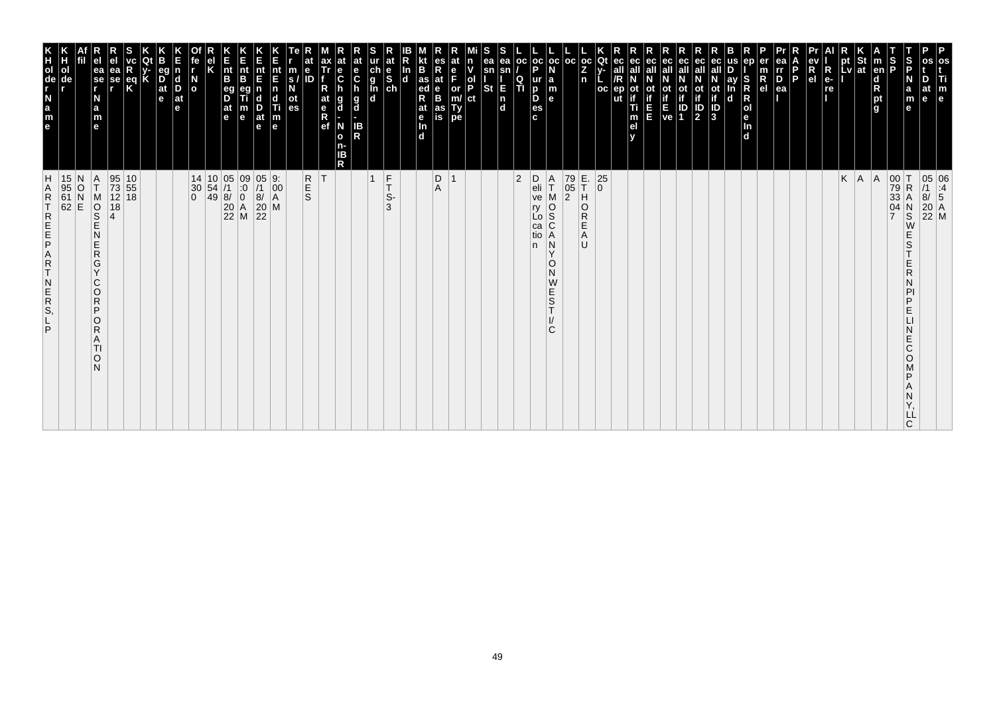| m<br>e                                                                                                                                                     |                                                                                                                                                |
|------------------------------------------------------------------------------------------------------------------------------------------------------------|------------------------------------------------------------------------------------------------------------------------------------------------|
| at<br>le                                                                                                                                                   | 05 06<br>/1 :4<br>8/ 5<br>20 A<br>22 M                                                                                                         |
| ∣S<br>IP<br>a<br>m<br>е                                                                                                                                    | $_\mathrm{S}^\mathrm{N}$<br>W<br>E<br>S<br>E<br>R<br>Ν<br>PI<br>P<br>E<br>Ν<br>E<br>С<br>O<br>M<br>P<br>Α<br>N<br>Y,<br>LĹ<br>C                |
| S<br>P                                                                                                                                                     | 00 T<br>79 R<br>33 A<br>04 N                                                                                                                   |
| m<br> en <br>$\frac{\mathsf{d}}{\mathsf{R}}$<br>pt<br>g                                                                                                    | A                                                                                                                                              |
| pt St<br>Lv at                                                                                                                                             | $K \mid A$                                                                                                                                     |
| א<br>pt                                                                                                                                                    |                                                                                                                                                |
| $\begin{bmatrix} eV \\ R \\ eI \end{bmatrix}$<br>$R_{e}$<br>re                                                                                             |                                                                                                                                                |
| Б<br>l p                                                                                                                                                   |                                                                                                                                                |
| n<br>$\overline{P}_{ea}$                                                                                                                                   |                                                                                                                                                |
| $\frac{m}{R}$                                                                                                                                              |                                                                                                                                                |
| ln<br>d                                                                                                                                                    |                                                                                                                                                |
| ay<br>$\mathbf d$                                                                                                                                          |                                                                                                                                                |
| ec<br>all<br>$\frac{1}{10}$<br>$\frac{1}{10}$<br>$\frac{1}{3}$                                                                                             |                                                                                                                                                |
| ec<br>$\frac{\text{ot}}{\text{1}}$                                                                                                                         |                                                                                                                                                |
| $\begin{array}{ c c }\nE & ID \\ ve & 1\n\end{array}$                                                                                                      |                                                                                                                                                |
| ec<br>all<br>0t                                                                                                                                            |                                                                                                                                                |
| ec<br>οt<br>Е                                                                                                                                              |                                                                                                                                                |
| ec<br>m<br>e <sub>l</sub>                                                                                                                                  |                                                                                                                                                |
| Qt<br>ec<br>all<br>/R<br>ep<br>oc<br>ut                                                                                                                    | $\begin{array}{c} 25 \\ 0 \end{array}$                                                                                                         |
| $\frac{1}{2}$<br>n                                                                                                                                         | E.<br>T<br>H<br>$\circ$<br>${\sf R}$<br>Ε<br>A<br>U                                                                                            |
| $_{\rm oc}$                                                                                                                                                | 79<br>05<br>$\overline{2}$                                                                                                                     |
| $\frac{1}{2}$ a m<br>e                                                                                                                                     | $_{\rm T}^{\rm A}$<br>M<br>o<br>S<br>C<br>Ă<br>N<br>Y<br>O<br>Ν<br>W<br>E<br>S<br>T<br>I/<br>C                                                 |
| $_{\rm oc}$<br>$\frac{1}{P}$<br>$\frac{Q}{T}$<br>$\frac{p}{es}$<br>$\mathbf{c}$                                                                            | $\mathsf{D}$<br>eli<br>ve<br>ry<br>Lo<br>ca<br>tio<br>n                                                                                        |
| ea<br>sn<br>E<br>n<br>d                                                                                                                                    | 2                                                                                                                                              |
| sn<br><b>St</b>                                                                                                                                            |                                                                                                                                                |
| P.<br>ct                                                                                                                                                   |                                                                                                                                                |
| or<br>m/<br>Ty<br>pe                                                                                                                                       |                                                                                                                                                |
| at<br>$\frac{e}{B}$<br>as<br>is                                                                                                                            | $\begin{array}{c} \mathsf{D} \\ \mathsf{A} \end{array}$                                                                                        |
| B<br>as<br>ed<br>R<br>at<br>e<br>In<br>d                                                                                                                   |                                                                                                                                                |
| $\frac{e}{sh}$<br>In<br>$\mathbf d$                                                                                                                        |                                                                                                                                                |
| ur<br>d<br>l<br>d<br>d<br>d                                                                                                                                | $rac{F}{T}$<br>$\mathbf{1}$<br>S-<br>3                                                                                                         |
| $rac{e}{c}$<br>h<br>g<br>d<br>IB<br>R                                                                                                                      |                                                                                                                                                |
| $\frac{e}{C}$<br>g<br>d<br>N<br>$\mathbf{o}$<br>n-<br>ΙB<br>R                                                                                              |                                                                                                                                                |
| ax<br>Tr<br>R<br>at<br>e<br>R<br>ef                                                                                                                        | T.                                                                                                                                             |
| e<br>m<br>ID<br>$\frac{s}{N}$<br>$\frac{at}{es}$                                                                                                           | R<br>E<br>S                                                                                                                                    |
| $\begin{array}{c} \mathbf{nt} \\ \mathbf{E} \\ \mathbf{n} \end{array}$<br>$\begin{array}{c}\n\mathbf{d} \\ \hline\n\mathbf{Ti} \\ \mathbf{m}\n\end{array}$ | $\begin{array}{c} 9: \\00\\ \text{A}\\ \text{M} \end{array}$                                                                                   |
| nt<br>E<br>n<br>$\frac{D}{at}$<br>$\mathbf{e}$                                                                                                             | 05<br>/1<br>8/<br>20<br>22                                                                                                                     |
| E<br>nt<br>B<br>$\mathbf e$                                                                                                                                | $\begin{array}{c c} 05 & 09 \\ 71 & 0 \\ 8/ & 0 \\ 20 & A \\ 22 & M \end{array}$                                                               |
| E<br>nt<br>B<br>eg<br>D<br>at<br>e                                                                                                                         |                                                                                                                                                |
| el<br>K                                                                                                                                                    | $\begin{vmatrix} 10 \\ 54 \\ 49 \end{vmatrix}$                                                                                                 |
| $\frac{N}{\sigma}$                                                                                                                                         | 14<br>$\left  \begin{smallmatrix} 30 \ 0 \end{smallmatrix} \right $                                                                            |
| d<br>Ď<br>at<br>е                                                                                                                                          |                                                                                                                                                |
| В<br>eg<br>$\overline{D}$ at $\overline{e}$                                                                                                                |                                                                                                                                                |
| eq<br>K                                                                                                                                                    | $\frac{10}{55}$<br>18                                                                                                                          |
| ea<br>se<br>r                                                                                                                                              | 95<br>73<br>12<br>18                                                                                                                           |
| ea<br>se<br>r<br>N<br>a<br>m<br>e                                                                                                                          | $\frac{A}{T}$<br>MOSE<br>N<br>E<br>$\mathsf{R}$<br>G<br>Ÿ<br>C<br>$\circ$<br>$\mathsf{R}$<br>P<br>$\circ$<br>$\mathsf{R}$<br>A<br>TI<br>O<br>N |
|                                                                                                                                                            | N<br>$\overline{P}$                                                                                                                            |
| ol<br>de                                                                                                                                                   | 15<br>95<br>61<br>62                                                                                                                           |
| HOGLAB<br>Bange                                                                                                                                            | Н<br><b>ARTREEPART</b><br>N<br>E<br>R<br>S,<br>P                                                                                               |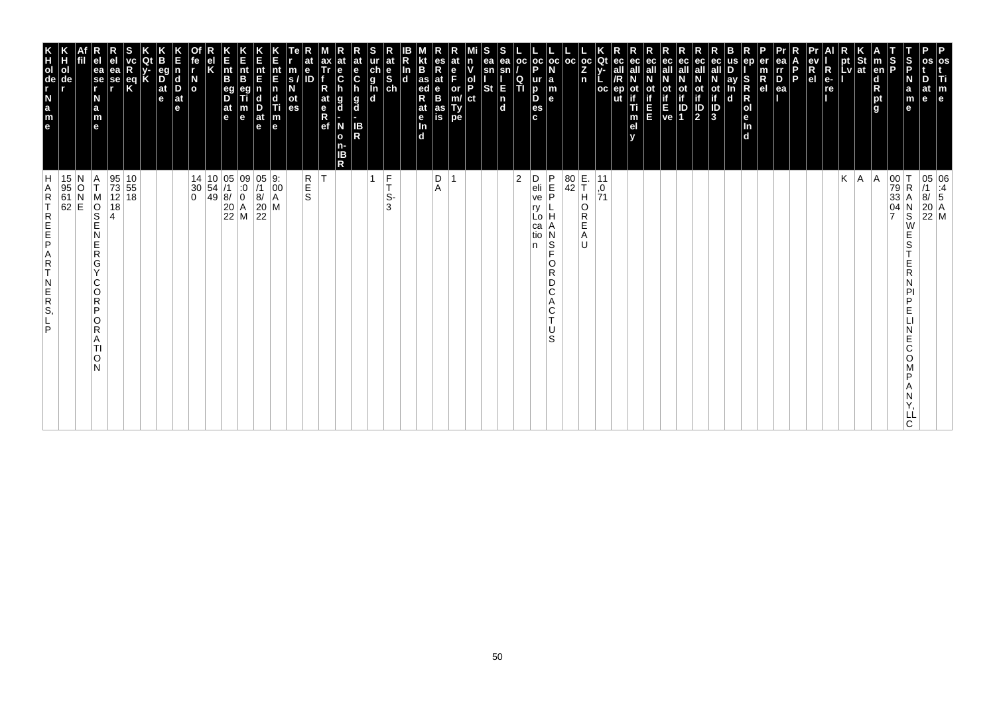| os<br>Ti<br>$\mathbf{m}_{\mathbf{e}}$                                                                                                         |                                                                                                                                                                                        |
|-----------------------------------------------------------------------------------------------------------------------------------------------|----------------------------------------------------------------------------------------------------------------------------------------------------------------------------------------|
| D<br>at<br>le                                                                                                                                 | $\begin{array}{ c c } \hline 05 & 06 \\ \hline \end{array} \begin{array}{ c c } \hline 11 & 4 \\ \hline 8/ & 5 \end{array}$<br>$\begin{array}{ c c }\n 20 & A \\  22 & M\n\end{array}$ |
| S<br>P<br>N<br>a<br>m<br>е                                                                                                                    | $\mathsf R$<br>N<br>$\overline{\mathbf{s}}$<br>W<br>E<br>S<br>E<br>R<br>N<br>PI<br>P<br>E<br>Ε<br>C<br>O<br>P<br>Α<br>N<br>LL<br>C.                                                    |
| S<br>P                                                                                                                                        | $\begin{vmatrix} 00 \\ 79 \\ 33 \end{vmatrix}$<br>$\frac{04}{7}$                                                                                                                       |
| m<br> en <br>$\frac{d}{R}$ pt<br>g                                                                                                            | A                                                                                                                                                                                      |
| St<br>at                                                                                                                                      | A                                                                                                                                                                                      |
| <u>LV</u>                                                                                                                                     | K                                                                                                                                                                                      |
| R<br>e-<br>re<br>.                                                                                                                            |                                                                                                                                                                                        |
| ev<br>R<br>el                                                                                                                                 |                                                                                                                                                                                        |
| l P                                                                                                                                           |                                                                                                                                                                                        |
| ea<br>rr<br><u>D.</u><br>ea                                                                                                                   |                                                                                                                                                                                        |
| er<br>m<br>$R_{el}$                                                                                                                           |                                                                                                                                                                                        |
| en<br>S<br>Ŕ<br>$\mathsf R$<br> o <br>le.<br>In<br>$\overline{d}$                                                                             |                                                                                                                                                                                        |
| us<br>ay<br>In<br>d                                                                                                                           |                                                                                                                                                                                        |
| ot<br>if<br>ID<br>3                                                                                                                           |                                                                                                                                                                                        |
| eс<br>$\mathbb{P}_2$                                                                                                                          |                                                                                                                                                                                        |
| ec<br>οt<br>$\begin{array}{c} \text{if} \\ \text{E} \\ \text{ve} \end{array} \begin{array}{c} \text{if} \\ \text{ID} \\ \text{1} \end{array}$ |                                                                                                                                                                                        |
| ec                                                                                                                                            |                                                                                                                                                                                        |
| ec<br>all<br>E                                                                                                                                |                                                                                                                                                                                        |
| ec<br>οt<br>Ti<br>m<br>el<br>v                                                                                                                |                                                                                                                                                                                        |
| Qt<br>ec<br>$V -$<br><b>OC</b><br>ep                                                                                                          | 11<br>0,<br>71                                                                                                                                                                         |
| $\frac{1}{2}$<br>n                                                                                                                            | $\left  \begin{matrix} \mathsf{E} \\ \mathsf{T} \\ \mathsf{H} \end{matrix} \right $<br>O<br>$\overline{R}$<br>E<br>Α<br>U                                                              |
| l oc                                                                                                                                          | $\begin{array}{c} 80 \\ 42 \end{array}$                                                                                                                                                |
| $_{\rm oc}$<br>N<br>$\begin{array}{c} \mathsf{a} \\ \mathsf{m} \\ \mathsf{e} \end{array}$                                                     | P<br>E<br>P<br>N<br>l S<br>Ē<br>0<br>R<br>D<br>C<br>Α<br>C<br>Τ<br>U<br>S                                                                                                              |
| $\frac{1}{P}$<br>o<br>es<br>c                                                                                                                 | D<br>eli<br>ve<br>ry<br>Lo<br>са<br>tio<br>n                                                                                                                                           |
| oс<br>Q<br>ΙTΙ                                                                                                                                | $\overline{2}$                                                                                                                                                                         |
| s<br>ea<br>ea<br>sn<br>sn<br><b>St</b><br>E<br>$\begin{bmatrix} n \\ d \end{bmatrix}$                                                         |                                                                                                                                                                                        |
| ol<br>P<br>ct                                                                                                                                 |                                                                                                                                                                                        |
| e<br>F<br>or<br>m/<br>Type                                                                                                                    |                                                                                                                                                                                        |
| R<br>at<br>$_{\rm B}^{\rm e}$<br>as<br>is                                                                                                     | $_{\rm A}^{\rm D}$                                                                                                                                                                     |
| B<br>$\frac{1}{\text{ed}}$<br>R<br>at<br>e <sub>In</sub><br>d                                                                                 |                                                                                                                                                                                        |
| In<br>$\overline{d}$                                                                                                                          |                                                                                                                                                                                        |
| $\frac{c}{g}$<br>$\frac{d}{g}$<br>$\frac{e}{sh}$                                                                                              | $\frac{F}{T}$<br>1<br>S-<br>3                                                                                                                                                          |
| $\mathbf{e}$<br>$\mathbf c$<br>g<br>d<br>IB<br>R                                                                                              |                                                                                                                                                                                        |
| $\frac{e}{C}$<br>g<br>d<br>N<br>$\mathbf{o}$<br>n-<br>IΒ<br>R                                                                                 |                                                                                                                                                                                        |
| ax<br>Tr<br>R<br>at<br>e <sub>R</sub><br>ef                                                                                                   | lT.                                                                                                                                                                                    |
| e<br>m<br>$\mathbf{s}$<br>ot<br>es                                                                                                            | R<br>E<br>S                                                                                                                                                                            |
| nt<br>E<br>$\mathbf n$<br>$\begin{array}{c}\n\mathbf{d} \\ \mathbf{T}i \\ \mathbf{m} \\ \mathbf{e}\n\end{array}$                              | 9.<br>$\left  \begin{smallmatrix} 0 & 0 \\ 0 & 0 \\ 0 & 0 \\ 0 & 0 \end{smallmatrix} \right $                                                                                          |
| Е<br>nt<br>E<br>D<br>at<br>e                                                                                                                  | $\begin{array}{c} 05 \\ 7 \end{array}$<br>$8/$<br>$\begin{bmatrix} 20 \\ 22 \end{bmatrix}$ M                                                                                           |
| K<br>Ent<br>B<br>m<br>e                                                                                                                       | $\begin{array}{c c} 14 & 10 & 05 & 09 \\ 30 & 54 & /1 & :0 \\ 0 & 49 & 8/ & 0 \\ & 20 & A & 22 & M \\ \end{array}$                                                                     |
| $\vert_{\mathsf{B}}^{\mathsf{nt}}$<br>eg<br>D<br>$\frac{at}{e}$                                                                               |                                                                                                                                                                                        |
| κ                                                                                                                                             |                                                                                                                                                                                        |
| fe<br>$\frac{N}{2}$                                                                                                                           |                                                                                                                                                                                        |
| d<br>D<br>$ $ at<br>e                                                                                                                         |                                                                                                                                                                                        |
| eq<br>$\overline{D}$ <sub>at</sub><br>e                                                                                                       |                                                                                                                                                                                        |
|                                                                                                                                               |                                                                                                                                                                                        |
| ea<br>se<br>r<br>$\frac{eq}{K}$                                                                                                               | 95<br>73<br>$\begin{array}{ c c }\n 10 \\  55\n \end{array}$<br>12 18<br>18                                                                                                            |
| ea<br>se<br>r<br>N<br>a<br>m<br>e                                                                                                             | Α<br>T<br>M<br>$\overline{\frac{1}{2}}$<br>4<br>N<br>E<br>$\mathsf R$<br>G<br>Y<br>C<br>O<br>$\overline{R}$<br>P<br>O<br>R<br>A<br>ΤI<br>O<br>N                                        |
|                                                                                                                                               |                                                                                                                                                                                        |
| Н<br>ol<br>de                                                                                                                                 | 15 N<br>95 O<br>61 N<br>62 E                                                                                                                                                           |
| e a z - g o H K                                                                                                                               | H<br>A<br>$\mathsf R$<br>T<br>REFE<br>A<br>R<br>T<br>$\begin{array}{c} N \\ E \\ R \\ S \end{array}$<br>P                                                                              |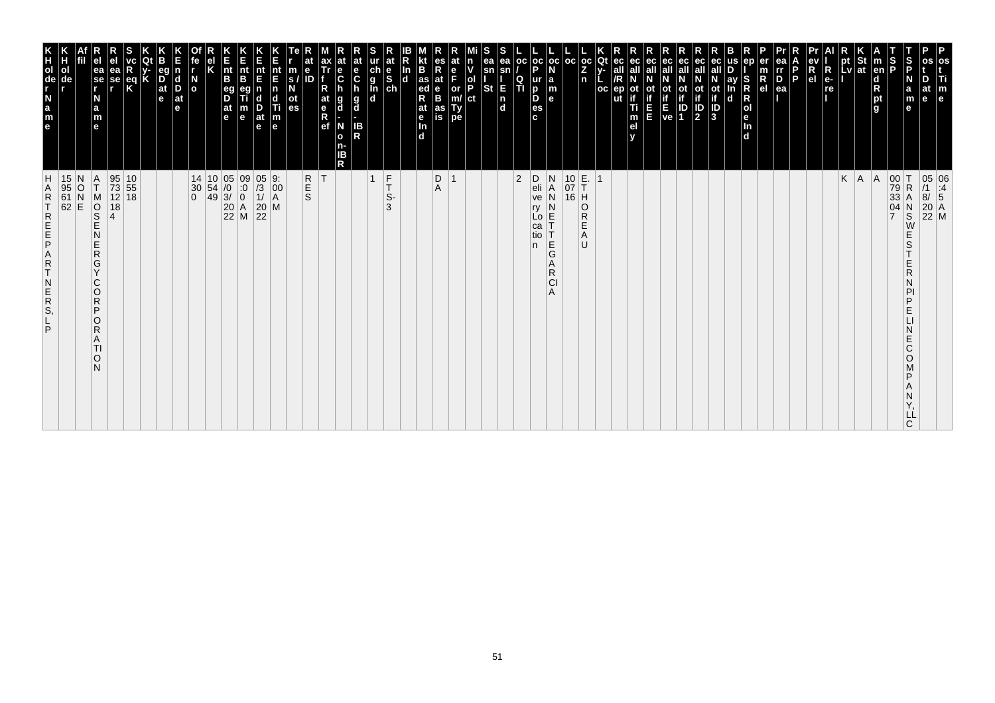| m<br>$\mathbf{e}$                                                                                                                  |                                                                                                                              |
|------------------------------------------------------------------------------------------------------------------------------------|------------------------------------------------------------------------------------------------------------------------------|
| Б<br>at<br>e                                                                                                                       | 05 06<br>/1 :4<br>8/ 5<br>20 A<br>22 M                                                                                       |
| $\vert$ s<br>a<br>m                                                                                                                | R<br>S<br>Ε<br>S<br>E<br>R<br>N<br>PI<br>P<br>E<br>N<br>E<br>C<br>O<br>D<br>N<br>Υ,<br>ᄔ                                     |
| S<br>P                                                                                                                             | $\begin{array}{c} 00 \\ 79 \\ 33 \end{array}$<br>04<br>$\overline{7}$                                                        |
| m<br>d<br>pt<br>g<br>g                                                                                                             | A                                                                                                                            |
| pt St<br>Lv at                                                                                                                     | $K \mid A$                                                                                                                   |
|                                                                                                                                    |                                                                                                                              |
| $\frac{ev}{Re}$                                                                                                                    |                                                                                                                              |
| D<br>P.                                                                                                                            |                                                                                                                              |
| rr<br>D<br>ea                                                                                                                      |                                                                                                                              |
| $\frac{m}{R}$                                                                                                                      |                                                                                                                              |
| S<br>R<br>R<br>ol<br>e<br>In<br>ď                                                                                                  |                                                                                                                              |
| D<br>ay<br>In<br>d                                                                                                                 |                                                                                                                              |
| ec<br>$\overline{a}$<br>$\overline{b}$<br>$\overline{b}$<br>$\overline{b}$<br>$\overline{b}$<br>$\overline{b}$                     |                                                                                                                              |
| ec<br>ot<br>$\frac{1}{2}$                                                                                                          |                                                                                                                              |
| ot ot<br>if if<br>$E$<br>$V$ e<br>1                                                                                                |                                                                                                                              |
| ec<br>all                                                                                                                          |                                                                                                                              |
| ec<br>ot<br>in in                                                                                                                  |                                                                                                                              |
| all<br>ot<br>if<br>T<br>m<br>el<br>v                                                                                               |                                                                                                                              |
| Qt<br>ec<br>all<br>/R<br>$ep$<br>ut<br>oc                                                                                          |                                                                                                                              |
| oc <sub>1</sub><br>Z<br>n                                                                                                          | $\circ$<br>${\sf R}$<br>E<br>A<br>$\cup$                                                                                     |
| oc                                                                                                                                 | $\begin{array}{c} 10 \overline{\smash)E} \\ 07 \overline{\smash)I} \\ 16 \overline{\smash)H} \end{array}$                    |
| oc<br>$\begin{array}{c} \n a \\ \n m \\ \n e \n \end{array}$                                                                       | $\frac{N}{A}$<br>N<br>N<br>$\overline{L} \circ \overline{E}$<br>$\frac{E}{G}$<br>Α<br>$\mathsf{R}$<br>CI<br>Α                |
| ОC<br>oc <sub>1</sub><br>P<br>ur<br>$_{\rm b}^{\rm p}$<br>es<br>c                                                                  | D<br>eli<br>ve<br>ry<br>ca<br>tio<br>n                                                                                       |
| $\frac{Q}{T}$                                                                                                                      | $ 2\rangle$                                                                                                                  |
| ea<br>ea<br>sn<br>sn<br><b>St</b><br>E<br> n<br> d                                                                                 |                                                                                                                              |
| $\frac{ \mathsf{d} }{ \mathsf{P} }$<br> ct                                                                                         |                                                                                                                              |
| e<br>F<br>or<br>m/<br>Ty<br>pe                                                                                                     | $\overline{\mathbf{1}}$                                                                                                      |
| es<br>R<br>a<br>is<br>is                                                                                                           | $_{\rm A}^{\rm D}$                                                                                                           |
| <b>B</b><br>R <sub>ed</sub><br>at<br>$\mathbf e$<br>d                                                                              |                                                                                                                              |
| ln<br>d                                                                                                                            |                                                                                                                              |
| at<br>e<br>S<br>ch<br>$\frac{c}{g}$<br><b>In</b><br>d                                                                              | F<br>$\overline{1}$<br>T<br>S-<br>3                                                                                          |
| at<br>e<br>C<br>$\frac{h}{g}$<br>IB<br>R                                                                                           |                                                                                                                              |
| at<br>e<br>C<br>h<br>g<br>d<br>N<br>$\mathbf{o}$<br>n-<br>IB<br>R                                                                  |                                                                                                                              |
| ax<br>Tr<br>$R_{at}$<br>$R$<br>$R$<br>$e$ f                                                                                        | ΙT                                                                                                                           |
| $\begin{array}{c} \n\overline{\phantom{a}}\text{s} \text{ /} \\ \text{s} \text{ /} \\ \text{ot } \\ \text{es} \n\end{array}$<br>ID | R<br>E<br>S                                                                                                                  |
| E<br>nt E n d Ti m<br>e                                                                                                            | $\begin{bmatrix} 9. \\ 00 \\ A \end{bmatrix}$<br>M                                                                           |
| nt<br>E<br>D<br>at<br>$\mathbf{e}$                                                                                                 | $\begin{array}{c} 05 \\ /3 \\ 1 \end{array}$<br>$\begin{array}{c} 20 \\ 22 \end{array}$                                      |
| E<br>nt<br>B<br>$\frac{m}{e}$                                                                                                      | $\begin{matrix} 09 \\ .0 \\ 0 \end{matrix}$<br>$\begin{array}{ c c }\n 20 & A \\  22 & M\n\end{array}$                       |
| E<br>nt<br>B<br>eg<br>D<br>$\frac{a}{e}$                                                                                           | $\begin{array}{c c} 14 & 10 & 05 \\ 30 & 54 & 0 \\ 0 & 49 & 3 \end{array}$                                                   |
| el<br>K                                                                                                                            |                                                                                                                              |
| ie<br>I<br>$\frac{N}{\sigma}$                                                                                                      | $\begin{matrix} 30 \\ 0 \end{matrix}$                                                                                        |
| E<br>n<br>d<br>D<br>at<br>e                                                                                                        |                                                                                                                              |
| <b>P</b><br>at<br>$\mathbf{e}$                                                                                                     |                                                                                                                              |
| R<br>K<br>eq<br>K                                                                                                                  | $\begin{array}{ c} 10 \\ 55 \end{array}$<br>18                                                                               |
| ea<br>se                                                                                                                           | 95<br>73<br>12<br>18<br>$\overline{4}$                                                                                       |
| ea<br>se<br>r<br>a<br>m<br>e                                                                                                       | A<br>Τ<br>SOR<br>S<br>Ē<br>Ν<br>$\frac{\mathsf{E}}{\mathsf{R}}$<br>G<br>Y<br>С<br>O<br>R<br>P<br>O<br>R<br>Α<br>TI<br>O<br>N |
|                                                                                                                                    | 15 N<br>95 O<br>61 N<br>62 E                                                                                                 |
|                                                                                                                                    |                                                                                                                              |
| N <sub></sub><br>$\frac{a}{m}$<br>le.                                                                                              | <b>HARTREEP</b><br>A<br>$R$<br>T<br>N<br>ER<br>S,<br>P                                                                       |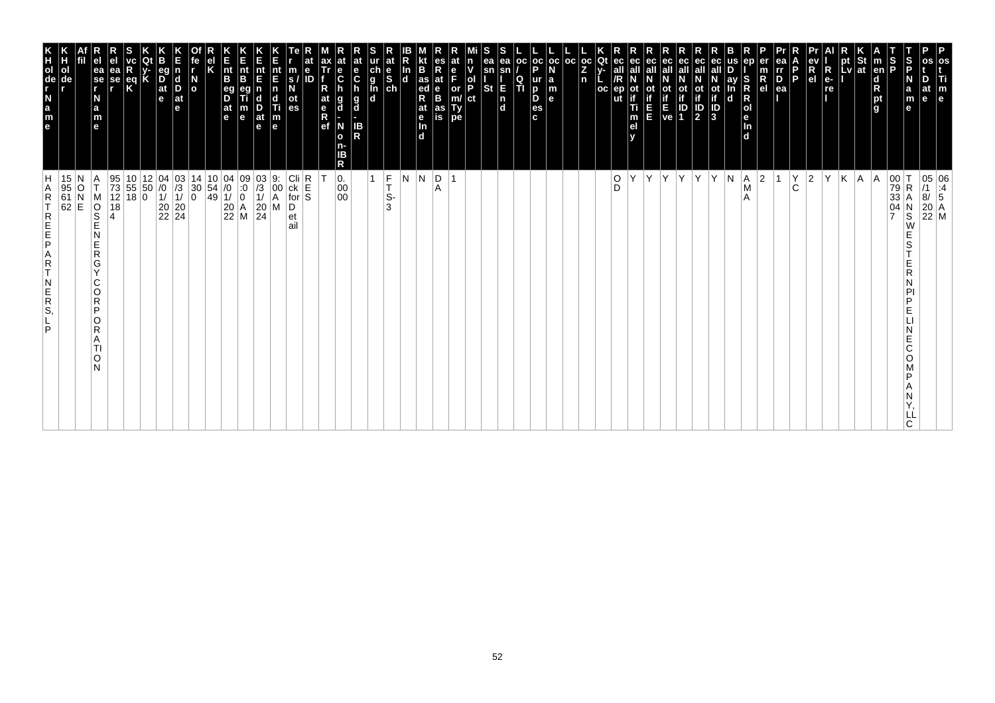| P<br>os<br>Τi<br>m<br>le                                                                                                     |                                                                                                                                                                                                                                                                                                                                                                                                                                                    |
|------------------------------------------------------------------------------------------------------------------------------|----------------------------------------------------------------------------------------------------------------------------------------------------------------------------------------------------------------------------------------------------------------------------------------------------------------------------------------------------------------------------------------------------------------------------------------------------|
| at<br>e                                                                                                                      | $\begin{array}{ c c } \hline 05 & 06 \\ \hline /1 & .4 \\ 8/ & 5 \\ \hline \end{array}$<br>$\begin{array}{ c c }\n 20 & A \\  22 & M\n\end{array}$                                                                                                                                                                                                                                                                                                 |
| S<br>P<br>S<br>P<br>N<br>a<br>m<br>e                                                                                         | $\begin{array}{ c c }\n 00 & T \\  79 & R \\  33 & A\n\end{array}$<br>R<br>04<br>$_\mathrm{S}^\mathrm{N}$<br>W<br>S<br>D<br>E<br>E<br>Ć<br>O<br>ח<br>C                                                                                                                                                                                                                                                                                             |
| <b>Ten</b><br>$\frac{1}{2}$                                                                                                  | A<br>$\overline{ }$                                                                                                                                                                                                                                                                                                                                                                                                                                |
| St<br> at                                                                                                                    | A                                                                                                                                                                                                                                                                                                                                                                                                                                                  |
| pt<br>Lv                                                                                                                     | K                                                                                                                                                                                                                                                                                                                                                                                                                                                  |
| $R_{e}$<br>re                                                                                                                | İΥ                                                                                                                                                                                                                                                                                                                                                                                                                                                 |
| R<br>e <sub>l</sub>                                                                                                          | $\vert$ 2                                                                                                                                                                                                                                                                                                                                                                                                                                          |
| P.                                                                                                                           | $\rm \stackrel{Y}{C}$                                                                                                                                                                                                                                                                                                                                                                                                                              |
| ea<br>rr<br>$\overline{P}_{ea}$                                                                                              |                                                                                                                                                                                                                                                                                                                                                                                                                                                    |
| R<br>el                                                                                                                      | 2                                                                                                                                                                                                                                                                                                                                                                                                                                                  |
| S<br><b>RNO</b><br>Bep<br>l d                                                                                                | A <br>M<br>A                                                                                                                                                                                                                                                                                                                                                                                                                                       |
| ay<br>d                                                                                                                      | N                                                                                                                                                                                                                                                                                                                                                                                                                                                  |
| ot<br>if<br>ID<br>3                                                                                                          | Y                                                                                                                                                                                                                                                                                                                                                                                                                                                  |
| ec<br>all<br>ot<br>if<br>$\frac{1}{2}$                                                                                       | İΥ.                                                                                                                                                                                                                                                                                                                                                                                                                                                |
| οt<br>$\frac{1}{1}$                                                                                                          |                                                                                                                                                                                                                                                                                                                                                                                                                                                    |
| ot<br>Time<br>Ve                                                                                                             | Y Y                                                                                                                                                                                                                                                                                                                                                                                                                                                |
| ec<br>п                                                                                                                      | İΥ.                                                                                                                                                                                                                                                                                                                                                                                                                                                |
| οt<br>Ti<br>m<br>el                                                                                                          | Υ                                                                                                                                                                                                                                                                                                                                                                                                                                                  |
| ut                                                                                                                           | $_{\rm D}^{\rm O}$                                                                                                                                                                                                                                                                                                                                                                                                                                 |
| $_{\rm oc}$<br>Qt<br>Z.<br>n<br>$_{\rm oc}$                                                                                  |                                                                                                                                                                                                                                                                                                                                                                                                                                                    |
| l oc                                                                                                                         |                                                                                                                                                                                                                                                                                                                                                                                                                                                    |
| oc oc <br>la<br>m<br>le.                                                                                                     |                                                                                                                                                                                                                                                                                                                                                                                                                                                    |
| p<br>ur<br>D<br>D<br>es<br>c.                                                                                                |                                                                                                                                                                                                                                                                                                                                                                                                                                                    |
| l oc<br>$\frac{Q}{T}$                                                                                                        |                                                                                                                                                                                                                                                                                                                                                                                                                                                    |
| ea<br>ea<br>sn<br>sn<br>E<br><b>St</b><br>$\frac{\mathsf{n}}{\mathsf{d}}$                                                    |                                                                                                                                                                                                                                                                                                                                                                                                                                                    |
| ol<br>P<br> ct                                                                                                               |                                                                                                                                                                                                                                                                                                                                                                                                                                                    |
| e<br>F<br>or<br>m/<br>Ty<br>pe                                                                                               | $\overline{1}$                                                                                                                                                                                                                                                                                                                                                                                                                                     |
| es<br>Rate<br>B<br>as<br>is                                                                                                  | D <br>Α                                                                                                                                                                                                                                                                                                                                                                                                                                            |
| B,<br>$\frac{1}{4}$ as<br>R<br>at<br>$\frac{e}{\ln}$<br>ſбĪ                                                                  | N.                                                                                                                                                                                                                                                                                                                                                                                                                                                 |
| In<br>$\overline{\mathbf{d}}$                                                                                                | l N                                                                                                                                                                                                                                                                                                                                                                                                                                                |
| at<br>$\begin{array}{c}\n\text{ur} \\ \text{ch} \\ \text{g} \\ \text{In} \\ \text{ch} \\ \text{ch} \\ \text{d}\n\end{array}$ | $\frac{F}{T}$<br>S-<br>3                                                                                                                                                                                                                                                                                                                                                                                                                           |
| at<br>e<br>C<br>$\frac{g}{d}$<br>IB<br>R                                                                                     | $\mathbf{1}$                                                                                                                                                                                                                                                                                                                                                                                                                                       |
| $\frac{e}{C}$<br>g<br>d<br>N<br>$\mathbf{o}$<br>ΙB<br>R                                                                      | 0.<br>00<br>$00\,$                                                                                                                                                                                                                                                                                                                                                                                                                                 |
| at<br>$\frac{e}{R}$                                                                                                          |                                                                                                                                                                                                                                                                                                                                                                                                                                                    |
| $\ddot{\textbf{e}}$<br>ID                                                                                                    | $\begin{array}{c}\n\text{Cli}\n\text{ck}\n\text{E}\n\text{for}\n\end{array}$                                                                                                                                                                                                                                                                                                                                                                       |
| m<br>s.<br>οt<br>es                                                                                                          | D<br>et<br>ail                                                                                                                                                                                                                                                                                                                                                                                                                                     |
| nt<br>F<br>n<br>c<br>Ti<br>$\left  \begin{smallmatrix} \text{m} \\ \text{e} \end{smallmatrix} \right $                       | 9.<br>00<br>$\overline{A}$<br>M                                                                                                                                                                                                                                                                                                                                                                                                                    |
| $rac{E}{n}$<br>nt<br>E<br>$\frac{D}{at}$<br>m<br>$\mathbf e$<br>le.                                                          | $\begin{array}{c} 03 \\ /3 \\ 1 \end{array}$<br>09<br>$\cdot 0$<br>$\begin{array}{c} 20 \\ 24 \end{array}$                                                                                                                                                                                                                                                                                                                                         |
| $\vert_{\mathsf{B}}^{\mathsf{nt}}$<br>B<br>$\overline{\mathsf{D}}^{\mathsf{eg}}$<br> at<br>le.                               | $\left  \begin{smallmatrix} 0 & 4 \\ 7 & 0 \\ 0 & 0 \\ 0 & 0 \\ 0 & 0 \\ 0 & 0 \\ 0 & 0 \\ 0 & 0 & 0 \\ 0 & 0 & 0 \\ 0 & 0 & 0 \\ 0 & 0 & 0 \\ 0 & 0 & 0 \\ 0 & 0 & 0 & 0 \\ 0 & 0 & 0 & 0 \\ 0 & 0 & 0 & 0 \\ 0 & 0 & 0 & 0 & 0 \\ 0 & 0 & 0 & 0 & 0 \\ 0 & 0 & 0 & 0 & 0 \\ 0 & 0 & 0 & 0 & 0 & 0 \\ 0 & 0 & 0 & 0 & 0 & 0 \\ 0 & 0 & $<br>$\overline{11}$<br>$\overline{\mathbf{0}}$<br>$\begin{array}{ c c }\n 20 & A \\  22 & M\n\end{array}$ |
|                                                                                                                              | $\begin{array}{c} 10 \\ 54 \\ 49 \end{array}$                                                                                                                                                                                                                                                                                                                                                                                                      |
| $\overline{a}$                                                                                                               | 14<br>$^{\rm 30}_{\rm 0}$                                                                                                                                                                                                                                                                                                                                                                                                                          |
| $\begin{array}{c} \mathsf{d} \\ \mathsf{D} \end{array}$<br>$ $ at<br>e                                                       | $\begin{vmatrix} 03 \\ 73 \\ 1 \end{vmatrix}$                                                                                                                                                                                                                                                                                                                                                                                                      |
| eq<br>$\frac{D}{at}$<br>$\mathbf e$                                                                                          | $\begin{array}{c} 04 \\ 70 \\ 1 \end{array}$<br>$\begin{array}{ c c }\n 20 & 20 \\  22 & 24\n \end{array}$                                                                                                                                                                                                                                                                                                                                         |
| Κ                                                                                                                            | 12<br>50                                                                                                                                                                                                                                                                                                                                                                                                                                           |
| $\frac{eq}{K}$                                                                                                               | $\begin{array}{ c c c }\n 95 & 10 & 12 \\  73 & 55 & 50 \\  12 & 18 & 0\n\end{array}$                                                                                                                                                                                                                                                                                                                                                              |
| ea<br>se<br>r                                                                                                                | 18<br>4                                                                                                                                                                                                                                                                                                                                                                                                                                            |
| ea<br>se<br>r<br>N<br>a<br>m<br>e                                                                                            | A<br>T<br>M<br>OOD<br>N<br>E<br>$\mathsf R$<br>G<br>$\vee$<br>C<br>O<br>$\mathsf{R}$<br>P<br>O<br>R<br>A<br>ΤI<br>O<br>N                                                                                                                                                                                                                                                                                                                           |
| de                                                                                                                           | 15<br>$\begin{array}{c c} 95 & O \\ 61 & N \\ 62 & E \end{array}$                                                                                                                                                                                                                                                                                                                                                                                  |
| KH <sub>OL</sub><br>T <sub>de</sub><br>ol                                                                                    | Н<br>$\mathsf R$<br>RENE<br>$R$<br>T<br>$\overline{R}$<br>S,<br>P                                                                                                                                                                                                                                                                                                                                                                                  |
|                                                                                                                              | Α                                                                                                                                                                                                                                                                                                                                                                                                                                                  |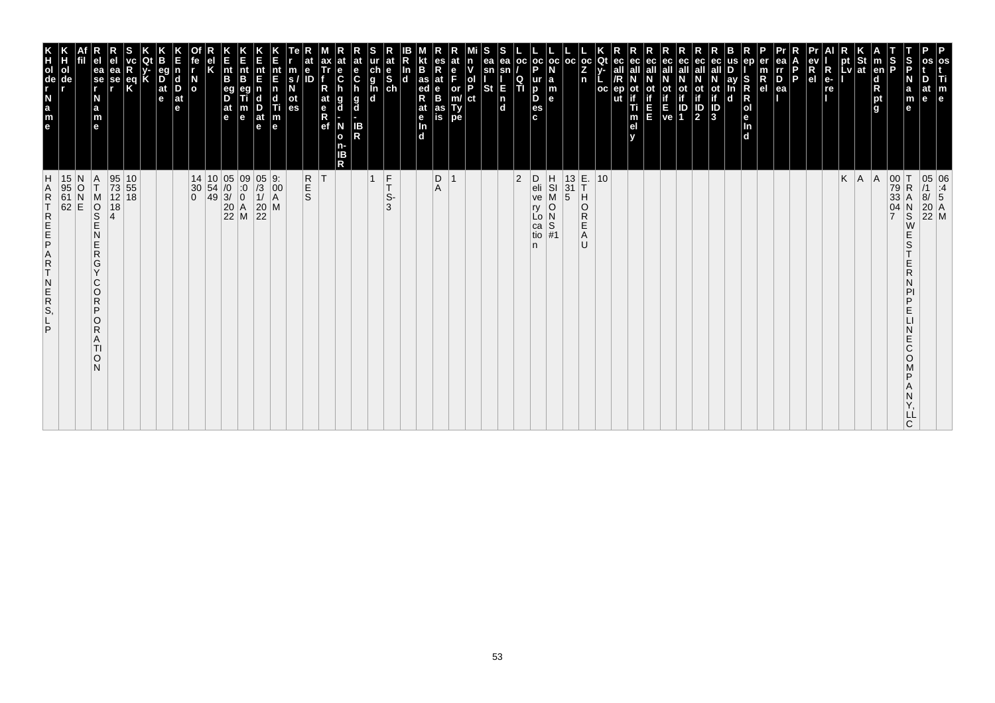| E<br>nt<br>B<br>pt<br>pt St<br>Lv ∣at<br>$oc$   $oc$<br> oc<br>Qt<br>at<br>e<br>S<br>ch<br>$_{\rm oc}$<br>ea<br><b>OC</b><br>ec<br>all<br>eс<br>ec<br>all<br>eс<br>m<br>$\begin{bmatrix} eV \\ R \\ el \end{bmatrix}$<br>$\frac{5}{5}$<br>p<br>$\frac{\ddot{c}}{g}$<br>$\frac{z}{n}$<br> en <br>P<br>$R_{e}$<br>$\frac{e}{C}$<br>all<br>ol<br>nt<br>B<br>ea<br>eg<br>nt<br>E<br>nt<br>sn<br>sn<br>ea<br>$\frac{m}{s}$<br>$R_{el}$<br>E<br>C<br>$\frac{D}{ea}$<br><b>P</b><br>se<br>r<br>N<br>o<br>$\frac{as}{ed}$<br>$\frac{\mathsf{d}}{\mathsf{R}}$<br>$\overline{D}$ <sub>at</sub><br>at<br>R<br>d<br><b>a</b><br>se<br>ay<br>P<br>D<br>П<br>re<br>h<br>St<br>E<br>$_{\rm B}^{\rm e}$<br>or<br>m/<br>Ty<br>pe<br>eg<br>D<br>$\mathbf n$<br>ep<br>ot<br>if<br>oс<br>οt<br>In<br>h<br>if<br>Ti<br><b>Control</b><br>Ve 1<br>$ $ at<br>ot<br>es<br>$\mathsf{n}$<br>$\mathbf{e}$<br>pt<br>N<br>at<br>e<br>Ref<br> ct<br>$\mathbf d$<br>$\mathbf d$<br>$\frac{g}{d}$<br>$\mathbf{e}$<br>e<br>g<br>m<br>е<br>$\frac{1}{2}$<br>$\frac{1}{2}$<br>$\frac{1}{2}$<br>$\frac{1}{2}$<br>$\frac{1}{2}$<br>$\frac{1}{2}$<br><br>$\frac{1}{2}$<br><br><br><br><br><br><br><br><br><br><br><br><br><br><br><br><br><br><br><br><br><br><br>$\mathbf d$<br>at<br>e<br>at<br>e <sub>In</sub><br>d<br>E<br>E<br>$\frac{1}{2}$<br>$\sqrt{3}$<br>$\frac{D}{at}$<br>e<br>l g<br>a<br>as<br>е<br>m<br>e<br>m<br>el<br>y<br>is<br>m<br>N<br>IB<br>R<br>In<br>e<br>e<br>ď<br>$\mathbf{o}$<br>n-<br>IB<br>R<br>E.<br>THO<br>$\begin{bmatrix} 9: \\ 00 \\ A \end{bmatrix}$<br>$_{\rm T}^{\rm F}$<br>$ 2\rangle$<br>$\begin{array}{c} 13 \\ 31 \\ 5 \end{array}$<br>$K \mid A$<br>95 10<br>73 55<br>12 18<br>$\begin{array}{c cc} 14 & 10 & 05 & 09 \\ 30 & 54 & /0 & :0 \\ 0 & 49 & 3/ & 0 \\ & & 20 & A \\ & & 22 & M \end{array}$<br>05 9:<br>/3 00<br>1/ A<br>20 M<br>22<br>R<br>S<br>S<br>$\vert$ 1<br>$\mathsf D$<br>H<br>SI<br>M<br>10<br>00 T<br>79 R<br>33 A<br>04 N<br>05 06<br>/1 :4<br>8/ 5<br>20 A<br>22 M<br> T <br>$\mathop{\mathsf{D}}_\mathsf{A}$<br> A <br>$\frac{15}{95}$<br>61<br>62<br>N<br>$\frac{A}{T}$<br>$\frac{1}{2}$<br>eli<br>M<br>O<br>S<br>E<br>S-<br>ve<br>18<br>O<br>3<br>$_\mathrm{S}^\mathrm{N}$<br>ry<br>$\overline{R}$<br>$\overline{N}$<br>$\overline{S}$<br>$\overline{N}$<br>$\overline{N}$<br>$\overline{S}$<br>$\overline{A}$<br>Lo<br>Ε<br>W<br>ca<br>N<br>Α<br>E<br>tio<br>E<br>S<br>U<br>n<br>$\mathsf{R}$<br>G<br>E<br>Y<br>R<br>C<br>N<br>$\circ$<br>PI<br>R<br>P<br>P<br>E<br>O<br>R<br>E<br>A<br>C<br>TI<br>$\circ$<br>O<br>N<br>P<br>Ν | m                                                                                                                             |               |
|--------------------------------------------------------------------------------------------------------------------------------------------------------------------------------------------------------------------------------------------------------------------------------------------------------------------------------------------------------------------------------------------------------------------------------------------------------------------------------------------------------------------------------------------------------------------------------------------------------------------------------------------------------------------------------------------------------------------------------------------------------------------------------------------------------------------------------------------------------------------------------------------------------------------------------------------------------------------------------------------------------------------------------------------------------------------------------------------------------------------------------------------------------------------------------------------------------------------------------------------------------------------------------------------------------------------------------------------------------------------------------------------------------------------------------------------------------------------------------------------------------------------------------------------------------------------------------------------------------------------------------------------------------------------------------------------------------------------------------------------------------------------------------------------------------------------------------------------------------------------------------------------------------------------------------------------------------------------------------------------------------------------------------------------------------------------------------------------------------------------------------------------------------------------------------------------------------------------------------------------------------------------------------------------------------------------------------------------------------------------------------------------------------------------------------------------------------------------------------------------------------------------------------------------------------------|-------------------------------------------------------------------------------------------------------------------------------|---------------|
|                                                                                                                                                                                                                                                                                                                                                                                                                                                                                                                                                                                                                                                                                                                                                                                                                                                                                                                                                                                                                                                                                                                                                                                                                                                                                                                                                                                                                                                                                                                                                                                                                                                                                                                                                                                                                                                                                                                                                                                                                                                                                                                                                                                                                                                                                                                                                                                                                                                                                                                                                              |                                                                                                                               |               |
|                                                                                                                                                                                                                                                                                                                                                                                                                                                                                                                                                                                                                                                                                                                                                                                                                                                                                                                                                                                                                                                                                                                                                                                                                                                                                                                                                                                                                                                                                                                                                                                                                                                                                                                                                                                                                                                                                                                                                                                                                                                                                                                                                                                                                                                                                                                                                                                                                                                                                                                                                              |                                                                                                                               | Y,<br>LĹ<br>C |
|                                                                                                                                                                                                                                                                                                                                                                                                                                                                                                                                                                                                                                                                                                                                                                                                                                                                                                                                                                                                                                                                                                                                                                                                                                                                                                                                                                                                                                                                                                                                                                                                                                                                                                                                                                                                                                                                                                                                                                                                                                                                                                                                                                                                                                                                                                                                                                                                                                                                                                                                                              |                                                                                                                               |               |
|                                                                                                                                                                                                                                                                                                                                                                                                                                                                                                                                                                                                                                                                                                                                                                                                                                                                                                                                                                                                                                                                                                                                                                                                                                                                                                                                                                                                                                                                                                                                                                                                                                                                                                                                                                                                                                                                                                                                                                                                                                                                                                                                                                                                                                                                                                                                                                                                                                                                                                                                                              |                                                                                                                               |               |
|                                                                                                                                                                                                                                                                                                                                                                                                                                                                                                                                                                                                                                                                                                                                                                                                                                                                                                                                                                                                                                                                                                                                                                                                                                                                                                                                                                                                                                                                                                                                                                                                                                                                                                                                                                                                                                                                                                                                                                                                                                                                                                                                                                                                                                                                                                                                                                                                                                                                                                                                                              |                                                                                                                               |               |
|                                                                                                                                                                                                                                                                                                                                                                                                                                                                                                                                                                                                                                                                                                                                                                                                                                                                                                                                                                                                                                                                                                                                                                                                                                                                                                                                                                                                                                                                                                                                                                                                                                                                                                                                                                                                                                                                                                                                                                                                                                                                                                                                                                                                                                                                                                                                                                                                                                                                                                                                                              |                                                                                                                               |               |
|                                                                                                                                                                                                                                                                                                                                                                                                                                                                                                                                                                                                                                                                                                                                                                                                                                                                                                                                                                                                                                                                                                                                                                                                                                                                                                                                                                                                                                                                                                                                                                                                                                                                                                                                                                                                                                                                                                                                                                                                                                                                                                                                                                                                                                                                                                                                                                                                                                                                                                                                                              |                                                                                                                               |               |
|                                                                                                                                                                                                                                                                                                                                                                                                                                                                                                                                                                                                                                                                                                                                                                                                                                                                                                                                                                                                                                                                                                                                                                                                                                                                                                                                                                                                                                                                                                                                                                                                                                                                                                                                                                                                                                                                                                                                                                                                                                                                                                                                                                                                                                                                                                                                                                                                                                                                                                                                                              |                                                                                                                               |               |
|                                                                                                                                                                                                                                                                                                                                                                                                                                                                                                                                                                                                                                                                                                                                                                                                                                                                                                                                                                                                                                                                                                                                                                                                                                                                                                                                                                                                                                                                                                                                                                                                                                                                                                                                                                                                                                                                                                                                                                                                                                                                                                                                                                                                                                                                                                                                                                                                                                                                                                                                                              |                                                                                                                               |               |
|                                                                                                                                                                                                                                                                                                                                                                                                                                                                                                                                                                                                                                                                                                                                                                                                                                                                                                                                                                                                                                                                                                                                                                                                                                                                                                                                                                                                                                                                                                                                                                                                                                                                                                                                                                                                                                                                                                                                                                                                                                                                                                                                                                                                                                                                                                                                                                                                                                                                                                                                                              |                                                                                                                               |               |
|                                                                                                                                                                                                                                                                                                                                                                                                                                                                                                                                                                                                                                                                                                                                                                                                                                                                                                                                                                                                                                                                                                                                                                                                                                                                                                                                                                                                                                                                                                                                                                                                                                                                                                                                                                                                                                                                                                                                                                                                                                                                                                                                                                                                                                                                                                                                                                                                                                                                                                                                                              |                                                                                                                               |               |
|                                                                                                                                                                                                                                                                                                                                                                                                                                                                                                                                                                                                                                                                                                                                                                                                                                                                                                                                                                                                                                                                                                                                                                                                                                                                                                                                                                                                                                                                                                                                                                                                                                                                                                                                                                                                                                                                                                                                                                                                                                                                                                                                                                                                                                                                                                                                                                                                                                                                                                                                                              |                                                                                                                               |               |
|                                                                                                                                                                                                                                                                                                                                                                                                                                                                                                                                                                                                                                                                                                                                                                                                                                                                                                                                                                                                                                                                                                                                                                                                                                                                                                                                                                                                                                                                                                                                                                                                                                                                                                                                                                                                                                                                                                                                                                                                                                                                                                                                                                                                                                                                                                                                                                                                                                                                                                                                                              |                                                                                                                               |               |
|                                                                                                                                                                                                                                                                                                                                                                                                                                                                                                                                                                                                                                                                                                                                                                                                                                                                                                                                                                                                                                                                                                                                                                                                                                                                                                                                                                                                                                                                                                                                                                                                                                                                                                                                                                                                                                                                                                                                                                                                                                                                                                                                                                                                                                                                                                                                                                                                                                                                                                                                                              |                                                                                                                               |               |
|                                                                                                                                                                                                                                                                                                                                                                                                                                                                                                                                                                                                                                                                                                                                                                                                                                                                                                                                                                                                                                                                                                                                                                                                                                                                                                                                                                                                                                                                                                                                                                                                                                                                                                                                                                                                                                                                                                                                                                                                                                                                                                                                                                                                                                                                                                                                                                                                                                                                                                                                                              |                                                                                                                               |               |
|                                                                                                                                                                                                                                                                                                                                                                                                                                                                                                                                                                                                                                                                                                                                                                                                                                                                                                                                                                                                                                                                                                                                                                                                                                                                                                                                                                                                                                                                                                                                                                                                                                                                                                                                                                                                                                                                                                                                                                                                                                                                                                                                                                                                                                                                                                                                                                                                                                                                                                                                                              |                                                                                                                               |               |
|                                                                                                                                                                                                                                                                                                                                                                                                                                                                                                                                                                                                                                                                                                                                                                                                                                                                                                                                                                                                                                                                                                                                                                                                                                                                                                                                                                                                                                                                                                                                                                                                                                                                                                                                                                                                                                                                                                                                                                                                                                                                                                                                                                                                                                                                                                                                                                                                                                                                                                                                                              |                                                                                                                               |               |
|                                                                                                                                                                                                                                                                                                                                                                                                                                                                                                                                                                                                                                                                                                                                                                                                                                                                                                                                                                                                                                                                                                                                                                                                                                                                                                                                                                                                                                                                                                                                                                                                                                                                                                                                                                                                                                                                                                                                                                                                                                                                                                                                                                                                                                                                                                                                                                                                                                                                                                                                                              |                                                                                                                               |               |
|                                                                                                                                                                                                                                                                                                                                                                                                                                                                                                                                                                                                                                                                                                                                                                                                                                                                                                                                                                                                                                                                                                                                                                                                                                                                                                                                                                                                                                                                                                                                                                                                                                                                                                                                                                                                                                                                                                                                                                                                                                                                                                                                                                                                                                                                                                                                                                                                                                                                                                                                                              |                                                                                                                               |               |
|                                                                                                                                                                                                                                                                                                                                                                                                                                                                                                                                                                                                                                                                                                                                                                                                                                                                                                                                                                                                                                                                                                                                                                                                                                                                                                                                                                                                                                                                                                                                                                                                                                                                                                                                                                                                                                                                                                                                                                                                                                                                                                                                                                                                                                                                                                                                                                                                                                                                                                                                                              |                                                                                                                               |               |
|                                                                                                                                                                                                                                                                                                                                                                                                                                                                                                                                                                                                                                                                                                                                                                                                                                                                                                                                                                                                                                                                                                                                                                                                                                                                                                                                                                                                                                                                                                                                                                                                                                                                                                                                                                                                                                                                                                                                                                                                                                                                                                                                                                                                                                                                                                                                                                                                                                                                                                                                                              |                                                                                                                               |               |
|                                                                                                                                                                                                                                                                                                                                                                                                                                                                                                                                                                                                                                                                                                                                                                                                                                                                                                                                                                                                                                                                                                                                                                                                                                                                                                                                                                                                                                                                                                                                                                                                                                                                                                                                                                                                                                                                                                                                                                                                                                                                                                                                                                                                                                                                                                                                                                                                                                                                                                                                                              |                                                                                                                               |               |
|                                                                                                                                                                                                                                                                                                                                                                                                                                                                                                                                                                                                                                                                                                                                                                                                                                                                                                                                                                                                                                                                                                                                                                                                                                                                                                                                                                                                                                                                                                                                                                                                                                                                                                                                                                                                                                                                                                                                                                                                                                                                                                                                                                                                                                                                                                                                                                                                                                                                                                                                                              |                                                                                                                               |               |
|                                                                                                                                                                                                                                                                                                                                                                                                                                                                                                                                                                                                                                                                                                                                                                                                                                                                                                                                                                                                                                                                                                                                                                                                                                                                                                                                                                                                                                                                                                                                                                                                                                                                                                                                                                                                                                                                                                                                                                                                                                                                                                                                                                                                                                                                                                                                                                                                                                                                                                                                                              |                                                                                                                               |               |
|                                                                                                                                                                                                                                                                                                                                                                                                                                                                                                                                                                                                                                                                                                                                                                                                                                                                                                                                                                                                                                                                                                                                                                                                                                                                                                                                                                                                                                                                                                                                                                                                                                                                                                                                                                                                                                                                                                                                                                                                                                                                                                                                                                                                                                                                                                                                                                                                                                                                                                                                                              |                                                                                                                               |               |
|                                                                                                                                                                                                                                                                                                                                                                                                                                                                                                                                                                                                                                                                                                                                                                                                                                                                                                                                                                                                                                                                                                                                                                                                                                                                                                                                                                                                                                                                                                                                                                                                                                                                                                                                                                                                                                                                                                                                                                                                                                                                                                                                                                                                                                                                                                                                                                                                                                                                                                                                                              |                                                                                                                               |               |
|                                                                                                                                                                                                                                                                                                                                                                                                                                                                                                                                                                                                                                                                                                                                                                                                                                                                                                                                                                                                                                                                                                                                                                                                                                                                                                                                                                                                                                                                                                                                                                                                                                                                                                                                                                                                                                                                                                                                                                                                                                                                                                                                                                                                                                                                                                                                                                                                                                                                                                                                                              |                                                                                                                               |               |
|                                                                                                                                                                                                                                                                                                                                                                                                                                                                                                                                                                                                                                                                                                                                                                                                                                                                                                                                                                                                                                                                                                                                                                                                                                                                                                                                                                                                                                                                                                                                                                                                                                                                                                                                                                                                                                                                                                                                                                                                                                                                                                                                                                                                                                                                                                                                                                                                                                                                                                                                                              |                                                                                                                               |               |
|                                                                                                                                                                                                                                                                                                                                                                                                                                                                                                                                                                                                                                                                                                                                                                                                                                                                                                                                                                                                                                                                                                                                                                                                                                                                                                                                                                                                                                                                                                                                                                                                                                                                                                                                                                                                                                                                                                                                                                                                                                                                                                                                                                                                                                                                                                                                                                                                                                                                                                                                                              |                                                                                                                               |               |
|                                                                                                                                                                                                                                                                                                                                                                                                                                                                                                                                                                                                                                                                                                                                                                                                                                                                                                                                                                                                                                                                                                                                                                                                                                                                                                                                                                                                                                                                                                                                                                                                                                                                                                                                                                                                                                                                                                                                                                                                                                                                                                                                                                                                                                                                                                                                                                                                                                                                                                                                                              |                                                                                                                               |               |
|                                                                                                                                                                                                                                                                                                                                                                                                                                                                                                                                                                                                                                                                                                                                                                                                                                                                                                                                                                                                                                                                                                                                                                                                                                                                                                                                                                                                                                                                                                                                                                                                                                                                                                                                                                                                                                                                                                                                                                                                                                                                                                                                                                                                                                                                                                                                                                                                                                                                                                                                                              |                                                                                                                               |               |
|                                                                                                                                                                                                                                                                                                                                                                                                                                                                                                                                                                                                                                                                                                                                                                                                                                                                                                                                                                                                                                                                                                                                                                                                                                                                                                                                                                                                                                                                                                                                                                                                                                                                                                                                                                                                                                                                                                                                                                                                                                                                                                                                                                                                                                                                                                                                                                                                                                                                                                                                                              |                                                                                                                               |               |
|                                                                                                                                                                                                                                                                                                                                                                                                                                                                                                                                                                                                                                                                                                                                                                                                                                                                                                                                                                                                                                                                                                                                                                                                                                                                                                                                                                                                                                                                                                                                                                                                                                                                                                                                                                                                                                                                                                                                                                                                                                                                                                                                                                                                                                                                                                                                                                                                                                                                                                                                                              |                                                                                                                               |               |
|                                                                                                                                                                                                                                                                                                                                                                                                                                                                                                                                                                                                                                                                                                                                                                                                                                                                                                                                                                                                                                                                                                                                                                                                                                                                                                                                                                                                                                                                                                                                                                                                                                                                                                                                                                                                                                                                                                                                                                                                                                                                                                                                                                                                                                                                                                                                                                                                                                                                                                                                                              |                                                                                                                               |               |
|                                                                                                                                                                                                                                                                                                                                                                                                                                                                                                                                                                                                                                                                                                                                                                                                                                                                                                                                                                                                                                                                                                                                                                                                                                                                                                                                                                                                                                                                                                                                                                                                                                                                                                                                                                                                                                                                                                                                                                                                                                                                                                                                                                                                                                                                                                                                                                                                                                                                                                                                                              |                                                                                                                               |               |
|                                                                                                                                                                                                                                                                                                                                                                                                                                                                                                                                                                                                                                                                                                                                                                                                                                                                                                                                                                                                                                                                                                                                                                                                                                                                                                                                                                                                                                                                                                                                                                                                                                                                                                                                                                                                                                                                                                                                                                                                                                                                                                                                                                                                                                                                                                                                                                                                                                                                                                                                                              |                                                                                                                               |               |
|                                                                                                                                                                                                                                                                                                                                                                                                                                                                                                                                                                                                                                                                                                                                                                                                                                                                                                                                                                                                                                                                                                                                                                                                                                                                                                                                                                                                                                                                                                                                                                                                                                                                                                                                                                                                                                                                                                                                                                                                                                                                                                                                                                                                                                                                                                                                                                                                                                                                                                                                                              |                                                                                                                               |               |
|                                                                                                                                                                                                                                                                                                                                                                                                                                                                                                                                                                                                                                                                                                                                                                                                                                                                                                                                                                                                                                                                                                                                                                                                                                                                                                                                                                                                                                                                                                                                                                                                                                                                                                                                                                                                                                                                                                                                                                                                                                                                                                                                                                                                                                                                                                                                                                                                                                                                                                                                                              |                                                                                                                               |               |
|                                                                                                                                                                                                                                                                                                                                                                                                                                                                                                                                                                                                                                                                                                                                                                                                                                                                                                                                                                                                                                                                                                                                                                                                                                                                                                                                                                                                                                                                                                                                                                                                                                                                                                                                                                                                                                                                                                                                                                                                                                                                                                                                                                                                                                                                                                                                                                                                                                                                                                                                                              |                                                                                                                               |               |
|                                                                                                                                                                                                                                                                                                                                                                                                                                                                                                                                                                                                                                                                                                                                                                                                                                                                                                                                                                                                                                                                                                                                                                                                                                                                                                                                                                                                                                                                                                                                                                                                                                                                                                                                                                                                                                                                                                                                                                                                                                                                                                                                                                                                                                                                                                                                                                                                                                                                                                                                                              |                                                                                                                               |               |
|                                                                                                                                                                                                                                                                                                                                                                                                                                                                                                                                                                                                                                                                                                                                                                                                                                                                                                                                                                                                                                                                                                                                                                                                                                                                                                                                                                                                                                                                                                                                                                                                                                                                                                                                                                                                                                                                                                                                                                                                                                                                                                                                                                                                                                                                                                                                                                                                                                                                                                                                                              |                                                                                                                               |               |
|                                                                                                                                                                                                                                                                                                                                                                                                                                                                                                                                                                                                                                                                                                                                                                                                                                                                                                                                                                                                                                                                                                                                                                                                                                                                                                                                                                                                                                                                                                                                                                                                                                                                                                                                                                                                                                                                                                                                                                                                                                                                                                                                                                                                                                                                                                                                                                                                                                                                                                                                                              |                                                                                                                               |               |
|                                                                                                                                                                                                                                                                                                                                                                                                                                                                                                                                                                                                                                                                                                                                                                                                                                                                                                                                                                                                                                                                                                                                                                                                                                                                                                                                                                                                                                                                                                                                                                                                                                                                                                                                                                                                                                                                                                                                                                                                                                                                                                                                                                                                                                                                                                                                                                                                                                                                                                                                                              |                                                                                                                               |               |
|                                                                                                                                                                                                                                                                                                                                                                                                                                                                                                                                                                                                                                                                                                                                                                                                                                                                                                                                                                                                                                                                                                                                                                                                                                                                                                                                                                                                                                                                                                                                                                                                                                                                                                                                                                                                                                                                                                                                                                                                                                                                                                                                                                                                                                                                                                                                                                                                                                                                                                                                                              |                                                                                                                               |               |
|                                                                                                                                                                                                                                                                                                                                                                                                                                                                                                                                                                                                                                                                                                                                                                                                                                                                                                                                                                                                                                                                                                                                                                                                                                                                                                                                                                                                                                                                                                                                                                                                                                                                                                                                                                                                                                                                                                                                                                                                                                                                                                                                                                                                                                                                                                                                                                                                                                                                                                                                                              |                                                                                                                               |               |
|                                                                                                                                                                                                                                                                                                                                                                                                                                                                                                                                                                                                                                                                                                                                                                                                                                                                                                                                                                                                                                                                                                                                                                                                                                                                                                                                                                                                                                                                                                                                                                                                                                                                                                                                                                                                                                                                                                                                                                                                                                                                                                                                                                                                                                                                                                                                                                                                                                                                                                                                                              |                                                                                                                               |               |
|                                                                                                                                                                                                                                                                                                                                                                                                                                                                                                                                                                                                                                                                                                                                                                                                                                                                                                                                                                                                                                                                                                                                                                                                                                                                                                                                                                                                                                                                                                                                                                                                                                                                                                                                                                                                                                                                                                                                                                                                                                                                                                                                                                                                                                                                                                                                                                                                                                                                                                                                                              |                                                                                                                               |               |
| H<br><b>ARTREEPART</b><br>$\overline{N}$<br>$R_{\rm S}$<br>P                                                                                                                                                                                                                                                                                                                                                                                                                                                                                                                                                                                                                                                                                                                                                                                                                                                                                                                                                                                                                                                                                                                                                                                                                                                                                                                                                                                                                                                                                                                                                                                                                                                                                                                                                                                                                                                                                                                                                                                                                                                                                                                                                                                                                                                                                                                                                                                                                                                                                                 | $\frac{K}{d}$ of $\pm \pi$<br>$\begin{array}{c} \n\cdot \\ \mathbf{N} \\ \mathbf{a} \\ \mathbf{m} \\ \mathbf{e}\n\end{array}$ |               |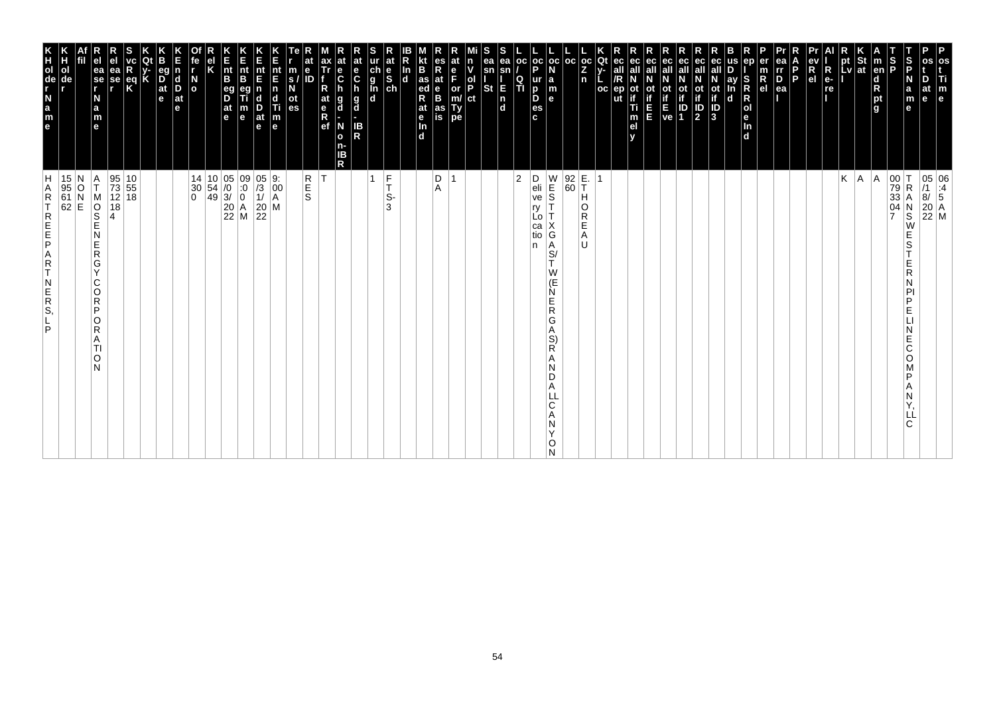| E<br>nt<br>B<br>$\overline{z}$ ot<br>$\overline{z}$<br>at<br>e<br>C<br>ur at<br>ch e<br>g S<br>in ch<br> oc oc oc <br>ea<br>r<br>D<br>ea<br>$\frac{St}{at}$<br>at<br>ea<br>sn<br>ec<br>ec<br>$\mathbf{m}_{\text{em}}$<br>$\frac{S}{P}$<br>$\frac{S}{P}$<br>es<br>ea<br> oc <br>ec<br>pt<br>Lv<br>fe<br>r<br>ax<br>Tr<br>at<br>at<br>ec<br>ec<br>all<br>ec<br>ep<br>os<br>er<br>m<br>R<br>el<br>ın<br>ev<br>R<br>$\mathbf e$<br>v<br>P<br>all<br>all<br>P<br>$\frac{d}{d e}$<br>$\vert_{\mathbf{B}}^{\mathsf{nt}}$<br>sn<br>all<br>all<br>all<br> R<br>all<br>D<br>ea<br>se<br>r<br>eg<br>nt<br>$\frac{e}{c}$<br>ea<br>$\frac{nt}{E}$<br><u>ln</u><br>m<br>$\overline{\mathsf{n}}$<br><b>PECTE</b><br>$\overline{\mathbf{d}}$<br>e <sub>l</sub><br>$\overrightarrow{D}$ <sub>at</sub><br>$\overline{\phantom{a}}$<br>E<br>ID<br>F.<br>$\begin{array}{c} \n\mathbf{g} \\ \mathbf{h} \\ \mathbf{d}\n\end{array}$<br>$\begin{array}{c} \nN \\ N \\ \text{ot} \\ \text{of} \\ \text{if} \\ D\n\end{array}$<br>P<br>$ e -$<br>N<br>$\begin{array}{c} \mathbf{d} \\ \mathbf{D} \\ \mathbf{a} \mathbf{t} \end{array}$<br>s/<br>N<br>/R<br>ight <sub>a</sub><br>$\frac{Q}{T}$<br>ay<br>In<br>d<br>S<br>R<br>R<br>R<br>se<br>$\frac{ \mathsf{p} }{ \mathsf{p} }$<br>$ $ ur<br>N<br>ot<br>if<br>E<br>ve<br>D<br>Req<br>la<br>E<br><b>St</b><br>a<br>m<br>e<br>at<br>eg<br>D<br>$\frac{1}{2}$<br>$\frac{1}{2}$<br>$\frac{1}{2}$<br>$\frac{1}{2}$<br>p<br>$\frac{ep}{ut}$<br>ot<br>if<br>re<br>R<br>$\mathsf{m}$<br>ot<br>if<br>h<br>ot<br>n<br>  OC<br>e<br>$ ct\rangle$<br>if.<br>$\mathbf{e}$<br>N<br>d<br>D.<br>ot<br>es<br>$\frac{\mathsf{n}}{\mathsf{d}}$<br>at<br>e <sub>R</sub><br>ef<br>g<br>d<br>g<br>d<br>l e<br> o <br>$\frac{at}{e}$<br>$\frac{D}{at}$<br>Ti<br>$\frac{1}{1}$<br>$\frac{a}{m}$<br>es<br>e<br>$\frac{\mathsf{m}}{\mathsf{e}}$<br>п<br>$\vert_{\ln}^{\text{e}}$<br>c.<br>m<br><b>IB</b><br>N<br>e<br>In<br>el<br>$\mathbf e$<br>$\overline{\mathsf{R}}$<br>$\overline{d}$<br>$\mathbf d$<br>$\mathbf{o}$<br>n-<br>IB<br>R<br>E.<br>T<br>$\begin{array}{c cc} 14 & 10 & 05 & 09 & 05 \\ 30 & 54 & /0 & \cdot 0 & /3 \\ 0 & 49 & 3/ & 0 & 1/ \\ 20 & A & 20 & \\ 22 & M & 22 \end{array}$<br>R<br>S<br>S<br>F<br>D<br>$\begin{array}{c} W \\ E \\ S \end{array}$<br>$\begin{array}{ c} 92 \\ 60 \end{array}$<br>Κ<br>$\begin{array}{c c} 00 & T \\ 79 & R \\ 33 & A \end{array}$<br>$\begin{array}{c c} 95 & 10 \\ 73 & 55 \\ 12 & 18 \end{array}$<br>$\begin{bmatrix} 9: \\ 00 \\ A \end{bmatrix}$<br>$ 2\rangle$<br>D<br>eli<br>ve<br> A <br> A<br>1<br>$\overline{1}$<br>15 N<br>95 O<br>61 N<br>62 E<br>Α<br>$\overline{1}$<br>$\mathbf{r}$<br> R<br>T<br>Α<br>S-<br>$\boldsymbol{\mathsf{A}}$<br>н<br>MOSE<br>04<br>18<br>M<br>N<br>S<br>W<br>Т<br>3<br>O<br>ry<br>R<br>$\overline{7}$<br>4<br>Lo<br>Е<br>Х<br>ca<br>G<br>E<br>N<br>Α<br>tio<br>S<br>E<br>l U<br>$\vert_{S}^{A}$<br>n<br>$\overline{R}$<br>G<br>T.<br>E<br>Υ<br>W<br>R<br>(E)<br>C<br>N<br>Ń<br>O<br>P<br>Е<br>$\mathsf R$<br>P<br>${\sf R}$<br>P<br>E.<br>G<br>O<br>R<br>Α<br>Ν<br>S)<br>E<br>A<br>R<br>C<br>TI<br>O<br>Α<br>O<br>N<br>N<br>D<br>D<br>Α<br>LL<br>C<br>Α<br>LL<br>С<br>N<br>Y<br>O<br>И | P<br>os<br>Ti<br>$\begin{bmatrix} \mathsf{m} \\ \mathsf{e} \end{bmatrix}$ |                                                                                                          |
|------------------------------------------------------------------------------------------------------------------------------------------------------------------------------------------------------------------------------------------------------------------------------------------------------------------------------------------------------------------------------------------------------------------------------------------------------------------------------------------------------------------------------------------------------------------------------------------------------------------------------------------------------------------------------------------------------------------------------------------------------------------------------------------------------------------------------------------------------------------------------------------------------------------------------------------------------------------------------------------------------------------------------------------------------------------------------------------------------------------------------------------------------------------------------------------------------------------------------------------------------------------------------------------------------------------------------------------------------------------------------------------------------------------------------------------------------------------------------------------------------------------------------------------------------------------------------------------------------------------------------------------------------------------------------------------------------------------------------------------------------------------------------------------------------------------------------------------------------------------------------------------------------------------------------------------------------------------------------------------------------------------------------------------------------------------------------------------------------------------------------------------------------------------------------------------------------------------------------------------------------------------------------------------------------------------------------------------------------------------------------------------------------------------------------------------------------------------------------------------------------------------------------------------------------------------------------------------------------------------------------------------------------------------------------------------------------------------------------------------------------------------------------------------------------------------------------------------------------------------------------------------------------------------------------------------------------------------------------------------------------------------------------------------------------------------------------------------------------------------------------------------------------------------------------------------|---------------------------------------------------------------------------|----------------------------------------------------------------------------------------------------------|
|                                                                                                                                                                                                                                                                                                                                                                                                                                                                                                                                                                                                                                                                                                                                                                                                                                                                                                                                                                                                                                                                                                                                                                                                                                                                                                                                                                                                                                                                                                                                                                                                                                                                                                                                                                                                                                                                                                                                                                                                                                                                                                                                                                                                                                                                                                                                                                                                                                                                                                                                                                                                                                                                                                                                                                                                                                                                                                                                                                                                                                                                                                                                                                                          |                                                                           | 05 06<br>/1 :4<br>8/ 5<br>20 A<br>22 M                                                                   |
|                                                                                                                                                                                                                                                                                                                                                                                                                                                                                                                                                                                                                                                                                                                                                                                                                                                                                                                                                                                                                                                                                                                                                                                                                                                                                                                                                                                                                                                                                                                                                                                                                                                                                                                                                                                                                                                                                                                                                                                                                                                                                                                                                                                                                                                                                                                                                                                                                                                                                                                                                                                                                                                                                                                                                                                                                                                                                                                                                                                                                                                                                                                                                                                          |                                                                           |                                                                                                          |
|                                                                                                                                                                                                                                                                                                                                                                                                                                                                                                                                                                                                                                                                                                                                                                                                                                                                                                                                                                                                                                                                                                                                                                                                                                                                                                                                                                                                                                                                                                                                                                                                                                                                                                                                                                                                                                                                                                                                                                                                                                                                                                                                                                                                                                                                                                                                                                                                                                                                                                                                                                                                                                                                                                                                                                                                                                                                                                                                                                                                                                                                                                                                                                                          |                                                                           |                                                                                                          |
|                                                                                                                                                                                                                                                                                                                                                                                                                                                                                                                                                                                                                                                                                                                                                                                                                                                                                                                                                                                                                                                                                                                                                                                                                                                                                                                                                                                                                                                                                                                                                                                                                                                                                                                                                                                                                                                                                                                                                                                                                                                                                                                                                                                                                                                                                                                                                                                                                                                                                                                                                                                                                                                                                                                                                                                                                                                                                                                                                                                                                                                                                                                                                                                          |                                                                           |                                                                                                          |
|                                                                                                                                                                                                                                                                                                                                                                                                                                                                                                                                                                                                                                                                                                                                                                                                                                                                                                                                                                                                                                                                                                                                                                                                                                                                                                                                                                                                                                                                                                                                                                                                                                                                                                                                                                                                                                                                                                                                                                                                                                                                                                                                                                                                                                                                                                                                                                                                                                                                                                                                                                                                                                                                                                                                                                                                                                                                                                                                                                                                                                                                                                                                                                                          |                                                                           |                                                                                                          |
|                                                                                                                                                                                                                                                                                                                                                                                                                                                                                                                                                                                                                                                                                                                                                                                                                                                                                                                                                                                                                                                                                                                                                                                                                                                                                                                                                                                                                                                                                                                                                                                                                                                                                                                                                                                                                                                                                                                                                                                                                                                                                                                                                                                                                                                                                                                                                                                                                                                                                                                                                                                                                                                                                                                                                                                                                                                                                                                                                                                                                                                                                                                                                                                          |                                                                           |                                                                                                          |
|                                                                                                                                                                                                                                                                                                                                                                                                                                                                                                                                                                                                                                                                                                                                                                                                                                                                                                                                                                                                                                                                                                                                                                                                                                                                                                                                                                                                                                                                                                                                                                                                                                                                                                                                                                                                                                                                                                                                                                                                                                                                                                                                                                                                                                                                                                                                                                                                                                                                                                                                                                                                                                                                                                                                                                                                                                                                                                                                                                                                                                                                                                                                                                                          |                                                                           |                                                                                                          |
|                                                                                                                                                                                                                                                                                                                                                                                                                                                                                                                                                                                                                                                                                                                                                                                                                                                                                                                                                                                                                                                                                                                                                                                                                                                                                                                                                                                                                                                                                                                                                                                                                                                                                                                                                                                                                                                                                                                                                                                                                                                                                                                                                                                                                                                                                                                                                                                                                                                                                                                                                                                                                                                                                                                                                                                                                                                                                                                                                                                                                                                                                                                                                                                          |                                                                           |                                                                                                          |
|                                                                                                                                                                                                                                                                                                                                                                                                                                                                                                                                                                                                                                                                                                                                                                                                                                                                                                                                                                                                                                                                                                                                                                                                                                                                                                                                                                                                                                                                                                                                                                                                                                                                                                                                                                                                                                                                                                                                                                                                                                                                                                                                                                                                                                                                                                                                                                                                                                                                                                                                                                                                                                                                                                                                                                                                                                                                                                                                                                                                                                                                                                                                                                                          |                                                                           |                                                                                                          |
|                                                                                                                                                                                                                                                                                                                                                                                                                                                                                                                                                                                                                                                                                                                                                                                                                                                                                                                                                                                                                                                                                                                                                                                                                                                                                                                                                                                                                                                                                                                                                                                                                                                                                                                                                                                                                                                                                                                                                                                                                                                                                                                                                                                                                                                                                                                                                                                                                                                                                                                                                                                                                                                                                                                                                                                                                                                                                                                                                                                                                                                                                                                                                                                          |                                                                           |                                                                                                          |
|                                                                                                                                                                                                                                                                                                                                                                                                                                                                                                                                                                                                                                                                                                                                                                                                                                                                                                                                                                                                                                                                                                                                                                                                                                                                                                                                                                                                                                                                                                                                                                                                                                                                                                                                                                                                                                                                                                                                                                                                                                                                                                                                                                                                                                                                                                                                                                                                                                                                                                                                                                                                                                                                                                                                                                                                                                                                                                                                                                                                                                                                                                                                                                                          |                                                                           |                                                                                                          |
|                                                                                                                                                                                                                                                                                                                                                                                                                                                                                                                                                                                                                                                                                                                                                                                                                                                                                                                                                                                                                                                                                                                                                                                                                                                                                                                                                                                                                                                                                                                                                                                                                                                                                                                                                                                                                                                                                                                                                                                                                                                                                                                                                                                                                                                                                                                                                                                                                                                                                                                                                                                                                                                                                                                                                                                                                                                                                                                                                                                                                                                                                                                                                                                          |                                                                           |                                                                                                          |
|                                                                                                                                                                                                                                                                                                                                                                                                                                                                                                                                                                                                                                                                                                                                                                                                                                                                                                                                                                                                                                                                                                                                                                                                                                                                                                                                                                                                                                                                                                                                                                                                                                                                                                                                                                                                                                                                                                                                                                                                                                                                                                                                                                                                                                                                                                                                                                                                                                                                                                                                                                                                                                                                                                                                                                                                                                                                                                                                                                                                                                                                                                                                                                                          |                                                                           |                                                                                                          |
|                                                                                                                                                                                                                                                                                                                                                                                                                                                                                                                                                                                                                                                                                                                                                                                                                                                                                                                                                                                                                                                                                                                                                                                                                                                                                                                                                                                                                                                                                                                                                                                                                                                                                                                                                                                                                                                                                                                                                                                                                                                                                                                                                                                                                                                                                                                                                                                                                                                                                                                                                                                                                                                                                                                                                                                                                                                                                                                                                                                                                                                                                                                                                                                          |                                                                           |                                                                                                          |
|                                                                                                                                                                                                                                                                                                                                                                                                                                                                                                                                                                                                                                                                                                                                                                                                                                                                                                                                                                                                                                                                                                                                                                                                                                                                                                                                                                                                                                                                                                                                                                                                                                                                                                                                                                                                                                                                                                                                                                                                                                                                                                                                                                                                                                                                                                                                                                                                                                                                                                                                                                                                                                                                                                                                                                                                                                                                                                                                                                                                                                                                                                                                                                                          |                                                                           |                                                                                                          |
|                                                                                                                                                                                                                                                                                                                                                                                                                                                                                                                                                                                                                                                                                                                                                                                                                                                                                                                                                                                                                                                                                                                                                                                                                                                                                                                                                                                                                                                                                                                                                                                                                                                                                                                                                                                                                                                                                                                                                                                                                                                                                                                                                                                                                                                                                                                                                                                                                                                                                                                                                                                                                                                                                                                                                                                                                                                                                                                                                                                                                                                                                                                                                                                          |                                                                           |                                                                                                          |
|                                                                                                                                                                                                                                                                                                                                                                                                                                                                                                                                                                                                                                                                                                                                                                                                                                                                                                                                                                                                                                                                                                                                                                                                                                                                                                                                                                                                                                                                                                                                                                                                                                                                                                                                                                                                                                                                                                                                                                                                                                                                                                                                                                                                                                                                                                                                                                                                                                                                                                                                                                                                                                                                                                                                                                                                                                                                                                                                                                                                                                                                                                                                                                                          |                                                                           |                                                                                                          |
|                                                                                                                                                                                                                                                                                                                                                                                                                                                                                                                                                                                                                                                                                                                                                                                                                                                                                                                                                                                                                                                                                                                                                                                                                                                                                                                                                                                                                                                                                                                                                                                                                                                                                                                                                                                                                                                                                                                                                                                                                                                                                                                                                                                                                                                                                                                                                                                                                                                                                                                                                                                                                                                                                                                                                                                                                                                                                                                                                                                                                                                                                                                                                                                          |                                                                           |                                                                                                          |
|                                                                                                                                                                                                                                                                                                                                                                                                                                                                                                                                                                                                                                                                                                                                                                                                                                                                                                                                                                                                                                                                                                                                                                                                                                                                                                                                                                                                                                                                                                                                                                                                                                                                                                                                                                                                                                                                                                                                                                                                                                                                                                                                                                                                                                                                                                                                                                                                                                                                                                                                                                                                                                                                                                                                                                                                                                                                                                                                                                                                                                                                                                                                                                                          |                                                                           |                                                                                                          |
|                                                                                                                                                                                                                                                                                                                                                                                                                                                                                                                                                                                                                                                                                                                                                                                                                                                                                                                                                                                                                                                                                                                                                                                                                                                                                                                                                                                                                                                                                                                                                                                                                                                                                                                                                                                                                                                                                                                                                                                                                                                                                                                                                                                                                                                                                                                                                                                                                                                                                                                                                                                                                                                                                                                                                                                                                                                                                                                                                                                                                                                                                                                                                                                          |                                                                           |                                                                                                          |
|                                                                                                                                                                                                                                                                                                                                                                                                                                                                                                                                                                                                                                                                                                                                                                                                                                                                                                                                                                                                                                                                                                                                                                                                                                                                                                                                                                                                                                                                                                                                                                                                                                                                                                                                                                                                                                                                                                                                                                                                                                                                                                                                                                                                                                                                                                                                                                                                                                                                                                                                                                                                                                                                                                                                                                                                                                                                                                                                                                                                                                                                                                                                                                                          |                                                                           |                                                                                                          |
|                                                                                                                                                                                                                                                                                                                                                                                                                                                                                                                                                                                                                                                                                                                                                                                                                                                                                                                                                                                                                                                                                                                                                                                                                                                                                                                                                                                                                                                                                                                                                                                                                                                                                                                                                                                                                                                                                                                                                                                                                                                                                                                                                                                                                                                                                                                                                                                                                                                                                                                                                                                                                                                                                                                                                                                                                                                                                                                                                                                                                                                                                                                                                                                          |                                                                           |                                                                                                          |
|                                                                                                                                                                                                                                                                                                                                                                                                                                                                                                                                                                                                                                                                                                                                                                                                                                                                                                                                                                                                                                                                                                                                                                                                                                                                                                                                                                                                                                                                                                                                                                                                                                                                                                                                                                                                                                                                                                                                                                                                                                                                                                                                                                                                                                                                                                                                                                                                                                                                                                                                                                                                                                                                                                                                                                                                                                                                                                                                                                                                                                                                                                                                                                                          |                                                                           |                                                                                                          |
|                                                                                                                                                                                                                                                                                                                                                                                                                                                                                                                                                                                                                                                                                                                                                                                                                                                                                                                                                                                                                                                                                                                                                                                                                                                                                                                                                                                                                                                                                                                                                                                                                                                                                                                                                                                                                                                                                                                                                                                                                                                                                                                                                                                                                                                                                                                                                                                                                                                                                                                                                                                                                                                                                                                                                                                                                                                                                                                                                                                                                                                                                                                                                                                          |                                                                           |                                                                                                          |
|                                                                                                                                                                                                                                                                                                                                                                                                                                                                                                                                                                                                                                                                                                                                                                                                                                                                                                                                                                                                                                                                                                                                                                                                                                                                                                                                                                                                                                                                                                                                                                                                                                                                                                                                                                                                                                                                                                                                                                                                                                                                                                                                                                                                                                                                                                                                                                                                                                                                                                                                                                                                                                                                                                                                                                                                                                                                                                                                                                                                                                                                                                                                                                                          |                                                                           |                                                                                                          |
|                                                                                                                                                                                                                                                                                                                                                                                                                                                                                                                                                                                                                                                                                                                                                                                                                                                                                                                                                                                                                                                                                                                                                                                                                                                                                                                                                                                                                                                                                                                                                                                                                                                                                                                                                                                                                                                                                                                                                                                                                                                                                                                                                                                                                                                                                                                                                                                                                                                                                                                                                                                                                                                                                                                                                                                                                                                                                                                                                                                                                                                                                                                                                                                          |                                                                           |                                                                                                          |
|                                                                                                                                                                                                                                                                                                                                                                                                                                                                                                                                                                                                                                                                                                                                                                                                                                                                                                                                                                                                                                                                                                                                                                                                                                                                                                                                                                                                                                                                                                                                                                                                                                                                                                                                                                                                                                                                                                                                                                                                                                                                                                                                                                                                                                                                                                                                                                                                                                                                                                                                                                                                                                                                                                                                                                                                                                                                                                                                                                                                                                                                                                                                                                                          |                                                                           |                                                                                                          |
|                                                                                                                                                                                                                                                                                                                                                                                                                                                                                                                                                                                                                                                                                                                                                                                                                                                                                                                                                                                                                                                                                                                                                                                                                                                                                                                                                                                                                                                                                                                                                                                                                                                                                                                                                                                                                                                                                                                                                                                                                                                                                                                                                                                                                                                                                                                                                                                                                                                                                                                                                                                                                                                                                                                                                                                                                                                                                                                                                                                                                                                                                                                                                                                          |                                                                           |                                                                                                          |
|                                                                                                                                                                                                                                                                                                                                                                                                                                                                                                                                                                                                                                                                                                                                                                                                                                                                                                                                                                                                                                                                                                                                                                                                                                                                                                                                                                                                                                                                                                                                                                                                                                                                                                                                                                                                                                                                                                                                                                                                                                                                                                                                                                                                                                                                                                                                                                                                                                                                                                                                                                                                                                                                                                                                                                                                                                                                                                                                                                                                                                                                                                                                                                                          |                                                                           |                                                                                                          |
|                                                                                                                                                                                                                                                                                                                                                                                                                                                                                                                                                                                                                                                                                                                                                                                                                                                                                                                                                                                                                                                                                                                                                                                                                                                                                                                                                                                                                                                                                                                                                                                                                                                                                                                                                                                                                                                                                                                                                                                                                                                                                                                                                                                                                                                                                                                                                                                                                                                                                                                                                                                                                                                                                                                                                                                                                                                                                                                                                                                                                                                                                                                                                                                          |                                                                           |                                                                                                          |
|                                                                                                                                                                                                                                                                                                                                                                                                                                                                                                                                                                                                                                                                                                                                                                                                                                                                                                                                                                                                                                                                                                                                                                                                                                                                                                                                                                                                                                                                                                                                                                                                                                                                                                                                                                                                                                                                                                                                                                                                                                                                                                                                                                                                                                                                                                                                                                                                                                                                                                                                                                                                                                                                                                                                                                                                                                                                                                                                                                                                                                                                                                                                                                                          |                                                                           |                                                                                                          |
|                                                                                                                                                                                                                                                                                                                                                                                                                                                                                                                                                                                                                                                                                                                                                                                                                                                                                                                                                                                                                                                                                                                                                                                                                                                                                                                                                                                                                                                                                                                                                                                                                                                                                                                                                                                                                                                                                                                                                                                                                                                                                                                                                                                                                                                                                                                                                                                                                                                                                                                                                                                                                                                                                                                                                                                                                                                                                                                                                                                                                                                                                                                                                                                          |                                                                           |                                                                                                          |
|                                                                                                                                                                                                                                                                                                                                                                                                                                                                                                                                                                                                                                                                                                                                                                                                                                                                                                                                                                                                                                                                                                                                                                                                                                                                                                                                                                                                                                                                                                                                                                                                                                                                                                                                                                                                                                                                                                                                                                                                                                                                                                                                                                                                                                                                                                                                                                                                                                                                                                                                                                                                                                                                                                                                                                                                                                                                                                                                                                                                                                                                                                                                                                                          |                                                                           |                                                                                                          |
|                                                                                                                                                                                                                                                                                                                                                                                                                                                                                                                                                                                                                                                                                                                                                                                                                                                                                                                                                                                                                                                                                                                                                                                                                                                                                                                                                                                                                                                                                                                                                                                                                                                                                                                                                                                                                                                                                                                                                                                                                                                                                                                                                                                                                                                                                                                                                                                                                                                                                                                                                                                                                                                                                                                                                                                                                                                                                                                                                                                                                                                                                                                                                                                          |                                                                           |                                                                                                          |
|                                                                                                                                                                                                                                                                                                                                                                                                                                                                                                                                                                                                                                                                                                                                                                                                                                                                                                                                                                                                                                                                                                                                                                                                                                                                                                                                                                                                                                                                                                                                                                                                                                                                                                                                                                                                                                                                                                                                                                                                                                                                                                                                                                                                                                                                                                                                                                                                                                                                                                                                                                                                                                                                                                                                                                                                                                                                                                                                                                                                                                                                                                                                                                                          |                                                                           |                                                                                                          |
|                                                                                                                                                                                                                                                                                                                                                                                                                                                                                                                                                                                                                                                                                                                                                                                                                                                                                                                                                                                                                                                                                                                                                                                                                                                                                                                                                                                                                                                                                                                                                                                                                                                                                                                                                                                                                                                                                                                                                                                                                                                                                                                                                                                                                                                                                                                                                                                                                                                                                                                                                                                                                                                                                                                                                                                                                                                                                                                                                                                                                                                                                                                                                                                          |                                                                           |                                                                                                          |
|                                                                                                                                                                                                                                                                                                                                                                                                                                                                                                                                                                                                                                                                                                                                                                                                                                                                                                                                                                                                                                                                                                                                                                                                                                                                                                                                                                                                                                                                                                                                                                                                                                                                                                                                                                                                                                                                                                                                                                                                                                                                                                                                                                                                                                                                                                                                                                                                                                                                                                                                                                                                                                                                                                                                                                                                                                                                                                                                                                                                                                                                                                                                                                                          |                                                                           |                                                                                                          |
|                                                                                                                                                                                                                                                                                                                                                                                                                                                                                                                                                                                                                                                                                                                                                                                                                                                                                                                                                                                                                                                                                                                                                                                                                                                                                                                                                                                                                                                                                                                                                                                                                                                                                                                                                                                                                                                                                                                                                                                                                                                                                                                                                                                                                                                                                                                                                                                                                                                                                                                                                                                                                                                                                                                                                                                                                                                                                                                                                                                                                                                                                                                                                                                          |                                                                           |                                                                                                          |
|                                                                                                                                                                                                                                                                                                                                                                                                                                                                                                                                                                                                                                                                                                                                                                                                                                                                                                                                                                                                                                                                                                                                                                                                                                                                                                                                                                                                                                                                                                                                                                                                                                                                                                                                                                                                                                                                                                                                                                                                                                                                                                                                                                                                                                                                                                                                                                                                                                                                                                                                                                                                                                                                                                                                                                                                                                                                                                                                                                                                                                                                                                                                                                                          |                                                                           |                                                                                                          |
|                                                                                                                                                                                                                                                                                                                                                                                                                                                                                                                                                                                                                                                                                                                                                                                                                                                                                                                                                                                                                                                                                                                                                                                                                                                                                                                                                                                                                                                                                                                                                                                                                                                                                                                                                                                                                                                                                                                                                                                                                                                                                                                                                                                                                                                                                                                                                                                                                                                                                                                                                                                                                                                                                                                                                                                                                                                                                                                                                                                                                                                                                                                                                                                          |                                                                           |                                                                                                          |
|                                                                                                                                                                                                                                                                                                                                                                                                                                                                                                                                                                                                                                                                                                                                                                                                                                                                                                                                                                                                                                                                                                                                                                                                                                                                                                                                                                                                                                                                                                                                                                                                                                                                                                                                                                                                                                                                                                                                                                                                                                                                                                                                                                                                                                                                                                                                                                                                                                                                                                                                                                                                                                                                                                                                                                                                                                                                                                                                                                                                                                                                                                                                                                                          |                                                                           |                                                                                                          |
|                                                                                                                                                                                                                                                                                                                                                                                                                                                                                                                                                                                                                                                                                                                                                                                                                                                                                                                                                                                                                                                                                                                                                                                                                                                                                                                                                                                                                                                                                                                                                                                                                                                                                                                                                                                                                                                                                                                                                                                                                                                                                                                                                                                                                                                                                                                                                                                                                                                                                                                                                                                                                                                                                                                                                                                                                                                                                                                                                                                                                                                                                                                                                                                          |                                                                           |                                                                                                          |
|                                                                                                                                                                                                                                                                                                                                                                                                                                                                                                                                                                                                                                                                                                                                                                                                                                                                                                                                                                                                                                                                                                                                                                                                                                                                                                                                                                                                                                                                                                                                                                                                                                                                                                                                                                                                                                                                                                                                                                                                                                                                                                                                                                                                                                                                                                                                                                                                                                                                                                                                                                                                                                                                                                                                                                                                                                                                                                                                                                                                                                                                                                                                                                                          |                                                                           |                                                                                                          |
|                                                                                                                                                                                                                                                                                                                                                                                                                                                                                                                                                                                                                                                                                                                                                                                                                                                                                                                                                                                                                                                                                                                                                                                                                                                                                                                                                                                                                                                                                                                                                                                                                                                                                                                                                                                                                                                                                                                                                                                                                                                                                                                                                                                                                                                                                                                                                                                                                                                                                                                                                                                                                                                                                                                                                                                                                                                                                                                                                                                                                                                                                                                                                                                          |                                                                           |                                                                                                          |
|                                                                                                                                                                                                                                                                                                                                                                                                                                                                                                                                                                                                                                                                                                                                                                                                                                                                                                                                                                                                                                                                                                                                                                                                                                                                                                                                                                                                                                                                                                                                                                                                                                                                                                                                                                                                                                                                                                                                                                                                                                                                                                                                                                                                                                                                                                                                                                                                                                                                                                                                                                                                                                                                                                                                                                                                                                                                                                                                                                                                                                                                                                                                                                                          |                                                                           |                                                                                                          |
|                                                                                                                                                                                                                                                                                                                                                                                                                                                                                                                                                                                                                                                                                                                                                                                                                                                                                                                                                                                                                                                                                                                                                                                                                                                                                                                                                                                                                                                                                                                                                                                                                                                                                                                                                                                                                                                                                                                                                                                                                                                                                                                                                                                                                                                                                                                                                                                                                                                                                                                                                                                                                                                                                                                                                                                                                                                                                                                                                                                                                                                                                                                                                                                          |                                                                           |                                                                                                          |
|                                                                                                                                                                                                                                                                                                                                                                                                                                                                                                                                                                                                                                                                                                                                                                                                                                                                                                                                                                                                                                                                                                                                                                                                                                                                                                                                                                                                                                                                                                                                                                                                                                                                                                                                                                                                                                                                                                                                                                                                                                                                                                                                                                                                                                                                                                                                                                                                                                                                                                                                                                                                                                                                                                                                                                                                                                                                                                                                                                                                                                                                                                                                                                                          | K<br>HOGLAB<br>Bange                                                      | $\overline{A}$<br>$\mathsf R$<br><b>TREEPART</b><br>$\begin{array}{c} N \\ E \\ R \\ S \end{array}$<br>P |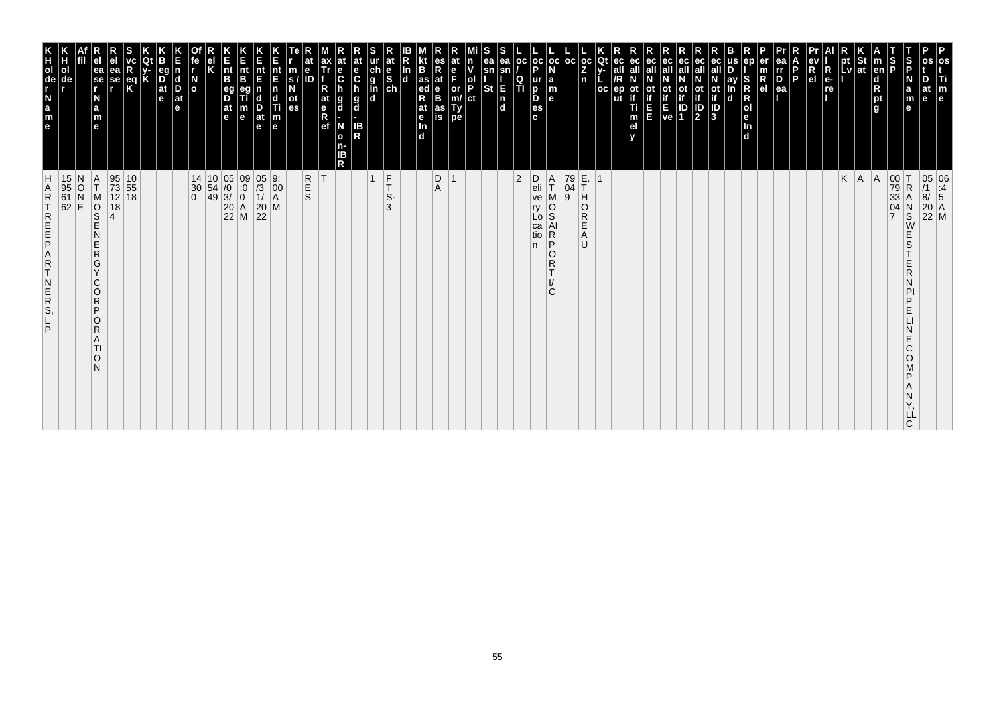| m                                                                                                                                                                                                                                                        |                                                                                                                                                      |
|----------------------------------------------------------------------------------------------------------------------------------------------------------------------------------------------------------------------------------------------------------|------------------------------------------------------------------------------------------------------------------------------------------------------|
| $\mathbf{e}$                                                                                                                                                                                                                                             | 05 06<br>/1 :4<br>8/ 5<br>20 A<br>22 M                                                                                                               |
| $\frac{5}{5}$<br>m<br>е<br>е                                                                                                                                                                                                                             | $_\mathrm{S}^\mathrm{N}$<br>W<br>E<br>S<br>E<br>R<br>N<br>PI<br>P<br>E<br>E<br>C<br>$\circ$<br>P<br>Ν<br>Y,<br>LĹ<br>C                               |
| Ъ<br>Р                                                                                                                                                                                                                                                   | 00 T<br>79 R<br>33 A<br>04 N                                                                                                                         |
| $\vert$ m<br>en<br>$\frac{\mathsf{d}}{\mathsf{R}}$<br>pt<br>l g                                                                                                                                                                                          | A                                                                                                                                                    |
| pt St<br>Lv ∣at                                                                                                                                                                                                                                          |                                                                                                                                                      |
| pt                                                                                                                                                                                                                                                       | $K \mid A$                                                                                                                                           |
| $R_{e}$<br>re                                                                                                                                                                                                                                            |                                                                                                                                                      |
| $\frac{ev}{R}$<br><b>P</b>                                                                                                                                                                                                                               |                                                                                                                                                      |
| $\frac{D}{ea}$                                                                                                                                                                                                                                           |                                                                                                                                                      |
| $R_{el}$                                                                                                                                                                                                                                                 |                                                                                                                                                      |
| S<br>O<br>O<br>O<br>O<br>O<br>O<br>O<br>O<br>O<br>O<br>O<br>O<br>I<br>O<br>I<br>I<br>I<br>I<br>0<br>O<br>O<br>I<br>I<br>In<br>ď                                                                                                                          |                                                                                                                                                      |
| ay<br>In<br>$\mathbf d$                                                                                                                                                                                                                                  |                                                                                                                                                      |
| ot<br>$\mathbb{F}$                                                                                                                                                                                                                                       |                                                                                                                                                      |
| eс<br>ot<br>if<br>$\frac{1}{2}$                                                                                                                                                                                                                          |                                                                                                                                                      |
| <b>Control</b><br>Ve 1                                                                                                                                                                                                                                   |                                                                                                                                                      |
| ec<br>all                                                                                                                                                                                                                                                |                                                                                                                                                      |
| ec<br>all<br>οt<br>E<br>E                                                                                                                                                                                                                                |                                                                                                                                                      |
| eс<br>all<br>ep<br>if<br>Ti<br>$\frac{m}{e}$                                                                                                                                                                                                             |                                                                                                                                                      |
| Qt<br><b>oc</b>                                                                                                                                                                                                                                          |                                                                                                                                                      |
| $\begin{bmatrix} \text{oc} \\ \text{Z} \\ \text{n} \end{bmatrix}$                                                                                                                                                                                        | $E_T$<br>Ĥ<br>$\frac{0}{R}$<br>Ε<br>Α<br>U                                                                                                           |
| $oc$   $oc$                                                                                                                                                                                                                                              | $\begin{bmatrix} 79 \\ 04 \\ 9 \end{bmatrix}$                                                                                                        |
| a<br>m<br>e                                                                                                                                                                                                                                              | $\frac{A}{T}$<br>М<br>O<br>S<br>A<br>R<br>P<br>O<br>${\sf R}$<br>C                                                                                   |
| $\overline{\mathbf{0}}$<br>P<br>c g D a c                                                                                                                                                                                                                | $\mathsf D$<br>eli<br>ve<br>ry<br>Lo<br>ca<br>tio<br>n.                                                                                              |
| ea<br><b>OC</b><br>sn<br>П                                                                                                                                                                                                                               | $ 2\rangle$                                                                                                                                          |
| sn<br>St<br>E<br>$\mathsf{n}$<br>$\mathbf{d}$                                                                                                                                                                                                            |                                                                                                                                                      |
| ol<br> P<br> ct                                                                                                                                                                                                                                          |                                                                                                                                                      |
| Е<br>or<br>m/<br>Ty<br>pe                                                                                                                                                                                                                                |                                                                                                                                                      |
| at<br>$_{\rm B}^{\rm e}$<br>as<br>is                                                                                                                                                                                                                     | $\mathop{\mathsf{D}}_\mathsf{A}$                                                                                                                     |
| $\frac{1}{\text{ed}}$<br>at<br>e <sub>In</sub><br>d                                                                                                                                                                                                      |                                                                                                                                                      |
| at<br>e<br>S<br>ch                                                                                                                                                                                                                                       | $_{\rm T}^{\rm F}$<br>S-<br>3                                                                                                                        |
| ur<br>g<br>d<br>d<br>d                                                                                                                                                                                                                                   | $\vert$ 1                                                                                                                                            |
| C<br>g<br>$\overline{\mathbf{d}}$<br>IB<br>R                                                                                                                                                                                                             |                                                                                                                                                      |
| at<br>e<br>C<br>h<br>$\frac{g}{d}$<br>N<br>$\mathbf{o}$<br>n-<br>IB<br>R                                                                                                                                                                                 |                                                                                                                                                      |
| ax<br>Tr<br>at<br>e<br>Ref                                                                                                                                                                                                                               | T                                                                                                                                                    |
| m<br>S<br>N<br>ot<br>es                                                                                                                                                                                                                                  | R<br>S<br>S                                                                                                                                          |
| nt<br>E<br>$\mathbf n$<br>$\mathbf d$<br>$\frac{1}{2}$<br>$\frac{1}{2}$<br>$\frac{1}{2}$<br>$\frac{1}{2}$<br>$\frac{1}{2}$<br>$\frac{1}{2}$<br><br>$\frac{1}{2}$<br><br><br><br><br><br><br><br><br><br><br><br><br><br><br><br><br><br><br><br><br><br> | $\begin{bmatrix} 9: \\ 00 \\ A \end{bmatrix}$                                                                                                        |
| nt<br>E<br>$\frac{D}{at}$<br>e                                                                                                                                                                                                                           | 05 9:<br>/3 00<br>1/ A<br>20 M<br>22                                                                                                                 |
| n<br>B<br>B<br>B<br>m<br>e                                                                                                                                                                                                                               | $\begin{array}{c cc} 14 & 10 & 05 & 09 \\ 30 & 54 & /0 & :0 \\ 0 & 49 & 3/ & 0 \\ & & 20 & A \\ & & 22 & M \end{array}$                              |
| nt<br>B<br>eg<br>D<br>at<br>e                                                                                                                                                                                                                            |                                                                                                                                                      |
| N<br>o                                                                                                                                                                                                                                                   |                                                                                                                                                      |
| $\mathbf d$<br>D<br>$ $ at<br>e                                                                                                                                                                                                                          |                                                                                                                                                      |
| eg<br>$\overline{D}$ <sub>at</sub><br>e                                                                                                                                                                                                                  |                                                                                                                                                      |
|                                                                                                                                                                                                                                                          |                                                                                                                                                      |
| R                                                                                                                                                                                                                                                        | 95 10<br>73 55<br>12 18                                                                                                                              |
| ea<br>se                                                                                                                                                                                                                                                 | 18<br>$\overline{A}$                                                                                                                                 |
| ea<br>se<br>r<br>N<br>a<br>m<br>e                                                                                                                                                                                                                        | N<br>$\frac{A}{T}$<br>$\frac{1}{2}$<br>M<br>O<br>S<br>E<br>N<br>E<br>$\mathsf{R}$<br>G<br>Y<br>C<br>$\circ$<br>R<br>P<br>O<br>R<br>A<br>TI<br>O<br>N |
| ol                                                                                                                                                                                                                                                       | $\frac{15}{95}$<br>61<br>62                                                                                                                          |
| K<br>C<br>C<br>E<br>A<br>G<br>E<br>A<br>G<br>C<br>G<br>C<br>G<br>G<br>C<br>G<br>C<br>C<br>D<br>C<br>D<br>C<br>C<br>C<br>C<br><br>C<br><br>C<br><br>C<br>C<br>C<br>C<br>C<br><br>C<br><br>C<br><br><br>$\frac{1}{a}$<br>$\frac{a}{e}$                     | H<br><b>ARTREEPART</b><br>$\overline{N}$<br>$R_{\rm S}$<br>P                                                                                         |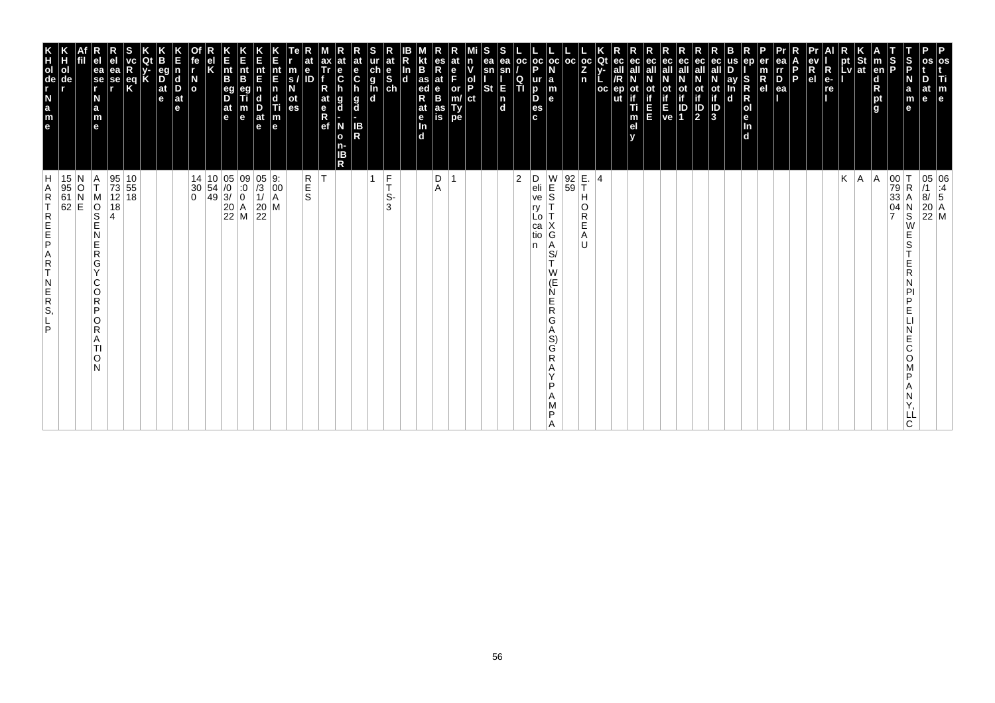| os<br>Ti<br>$\mathbf{m}_{\mathbf{e}}$                                                                                                   |                                                                                                                                                                                                                       |
|-----------------------------------------------------------------------------------------------------------------------------------------|-----------------------------------------------------------------------------------------------------------------------------------------------------------------------------------------------------------------------|
| os<br>D<br>at<br>le                                                                                                                     | $\begin{array}{ c c } \hline 05 & 06 \\ \hline \end{array} \begin{array}{ c c } \hline 11 & 4 \\ \hline 8/ & 5 \end{array}$<br>$\begin{array}{ c c }\n 20 & A \\  22 & M\n\end{array}$                                |
| S<br>P<br>N<br>a<br>m<br>е                                                                                                              | $\mathsf R$<br>N<br>$\overline{\mathbf{s}}$<br>W<br>E<br>S<br>E<br>R<br>N<br>PI<br>P<br>E<br>Ε<br>C<br>O<br>P<br>Α<br>N<br>LL<br>C.                                                                                   |
| S<br>P                                                                                                                                  | 00<br>79<br>33<br>04<br>7                                                                                                                                                                                             |
| m<br>  <sub>en</sub><br>$\frac{d}{R}$ pt<br>g                                                                                           | A                                                                                                                                                                                                                     |
| <b>St</b><br>at                                                                                                                         | A                                                                                                                                                                                                                     |
| <b>LV</b>                                                                                                                               | K                                                                                                                                                                                                                     |
| R<br>e-<br>re<br>.                                                                                                                      |                                                                                                                                                                                                                       |
| ev<br>R<br>el                                                                                                                           |                                                                                                                                                                                                                       |
| l P                                                                                                                                     |                                                                                                                                                                                                                       |
| ea<br>$\frac{rr}{D}$<br>ea                                                                                                              |                                                                                                                                                                                                                       |
| er<br>$\frac{m}{R}$                                                                                                                     |                                                                                                                                                                                                                       |
| en<br>S<br>Ř<br>$\mathsf R$<br> o <br>le.<br>$\frac{\ln{}}{\ln{}}$                                                                      |                                                                                                                                                                                                                       |
| us<br>D<br>ау<br>In<br>d                                                                                                                |                                                                                                                                                                                                                       |
| ot<br>if<br>ID<br>3                                                                                                                     |                                                                                                                                                                                                                       |
| ec<br>eс<br>οt<br>$\mathbb{P}_2$                                                                                                        |                                                                                                                                                                                                                       |
| ec<br>$\begin{array}{c} \text{if} \\ \text{E} \\ \text{ve} \end{array} \begin{array}{c} \text{if} \\ \text{ID} \\ \text{1} \end{array}$ |                                                                                                                                                                                                                       |
| ec<br>all<br>П<br>E                                                                                                                     |                                                                                                                                                                                                                       |
| ec<br>ot<br>if<br>Ti<br>m<br>el<br>v                                                                                                    |                                                                                                                                                                                                                       |
| ec<br>all<br>ep                                                                                                                         |                                                                                                                                                                                                                       |
| Qt<br>$V -$<br><b>OC</b>                                                                                                                | $\overline{4}$                                                                                                                                                                                                        |
| $\frac{1}{2}$<br>n                                                                                                                      | E.<br>T<br>Η<br>O<br>R<br>E<br>Α<br>U                                                                                                                                                                                 |
| $_{\rm oc}$<br>l oc<br>N<br>$\begin{array}{c} \mathsf{a} \\ \mathsf{m} \\ \mathsf{e} \end{array}$                                       | $\begin{array}{ c c }\n 92 \\  59\n\end{array}$<br>$\frac{W}{S}$<br>G<br>Α<br>$\overline{\mathsf{s}}$ /<br>T.<br>W<br>(E<br>Ń<br>Е<br>R<br>G<br>Α<br>S)<br>G<br>$\mathsf{R}$<br>Α<br>$\checkmark$<br>P<br>A<br>M<br>P |
| $\frac{1}{P}$<br>o<br><sub>p</sub><br><sub>c</sub><br>c                                                                                 | D<br>eli<br>ve<br>ry<br>Lo<br>са<br>tio<br>n                                                                                                                                                                          |
| oc<br>$\frac{Q}{T}$                                                                                                                     | $\overline{2}$                                                                                                                                                                                                        |
| S<br>S<br>ea<br>ea<br>sn<br>sn<br><b>St</b><br>E<br>$\begin{bmatrix} n \\ d \end{bmatrix}$                                              |                                                                                                                                                                                                                       |
| ٧<br>ol<br>P<br>ct                                                                                                                      |                                                                                                                                                                                                                       |
| e<br>F<br>or<br>m/<br>Type                                                                                                              |                                                                                                                                                                                                                       |
| R<br>at<br>$_{\rm B}^{\rm e}$<br>as<br>is                                                                                               | $_{\rm A}^{\rm D}$                                                                                                                                                                                                    |
| B<br>$\frac{1}{\text{ed}}$<br>R<br>at<br>e <sub>In</sub><br>d                                                                           |                                                                                                                                                                                                                       |
| In<br>$\frac{e}{sh}$<br>$\mathbf d$                                                                                                     | F<br>Ť.<br>S-<br>3                                                                                                                                                                                                    |
| ch<br>g<br>l<br>d<br>d                                                                                                                  | 1                                                                                                                                                                                                                     |
| $\mathbf{e}$<br>$\mathbf c$<br>n<br>g<br>d<br>IB<br>R                                                                                   |                                                                                                                                                                                                                       |
| $\frac{e}{C}$<br>g<br>d<br>N<br>$\mathbf{o}$<br>n-<br>IΒ<br>R                                                                           |                                                                                                                                                                                                                       |
| ax<br>Tr<br>R<br>at<br>e <sub>R</sub><br>ef                                                                                             | lT.                                                                                                                                                                                                                   |
| e<br>$\frac{m}{s}$<br>Б<br>ot<br>es                                                                                                     | $R$ <sub>S</sub>                                                                                                                                                                                                      |
| nt<br>E<br> n <br>$\begin{array}{c}\n\mathbf{d} \\ \mathbf{T}i \\ \mathbf{m} \\ \mathbf{e}\n\end{array}$                                | $\begin{bmatrix} 9: \\ 00 \\ A \end{bmatrix}$                                                                                                                                                                         |
| Ε<br>nt<br>E<br>D<br>at<br>e                                                                                                            | $\begin{array}{c} 05 \\ 73 \\ 1 \end{array}$<br>$\begin{array}{ c c }\n 20 & M \\  22 & \n\end{array}$                                                                                                                |
| K<br>Ent<br>B<br>m<br>e                                                                                                                 | $\begin{array}{ c c c c }\n10 & 05 & 09 \\ 54 & /0 & 0 \\ 49 & 3/ & 0\n\end{array}$<br>$\begin{bmatrix} 20 \\ 22 \\ M \end{bmatrix}$ M                                                                                |
| $\vert_{\mathsf{B}}^{\mathsf{nt}}$<br>eg<br>D<br>$\frac{at}{e}$                                                                         |                                                                                                                                                                                                                       |
| κ                                                                                                                                       |                                                                                                                                                                                                                       |
| fe<br>$\frac{N}{\alpha}$                                                                                                                | 14<br>30<br>$\mathbf 0$                                                                                                                                                                                               |
| d<br>D<br>$ $ at<br>e                                                                                                                   |                                                                                                                                                                                                                       |
| eg<br>$\frac{D}{at}$<br>e                                                                                                               |                                                                                                                                                                                                                       |
| $\frac{eq}{k}$                                                                                                                          |                                                                                                                                                                                                                       |
| ea<br>se<br>r                                                                                                                           | $\begin{array}{ c c }\n10 \\ 55\n\end{array}$<br>95<br>73<br>12 18<br>18<br>4                                                                                                                                         |
| ea<br>se<br>r<br>N<br>a<br>m<br>e                                                                                                       | Α<br>T<br>M<br>$\overline{\frac{1}{2}}$<br>N<br>E<br>$\mathsf R$<br>G<br>Y<br>C<br>O<br>$\overline{R}$<br>P<br>O<br>R<br>A<br>ΤI<br>O<br>N                                                                            |
|                                                                                                                                         | 15 N<br>95 O<br>61 N<br>62 E                                                                                                                                                                                          |
| Н<br>ol<br>de                                                                                                                           |                                                                                                                                                                                                                       |
| e a z - g o H K                                                                                                                         | H<br>A<br>$\mathsf R$<br>T<br>REFE<br>A<br>R<br>T<br>$\begin{array}{c} N \\ E \\ R \\ S \end{array}$<br>P                                                                                                             |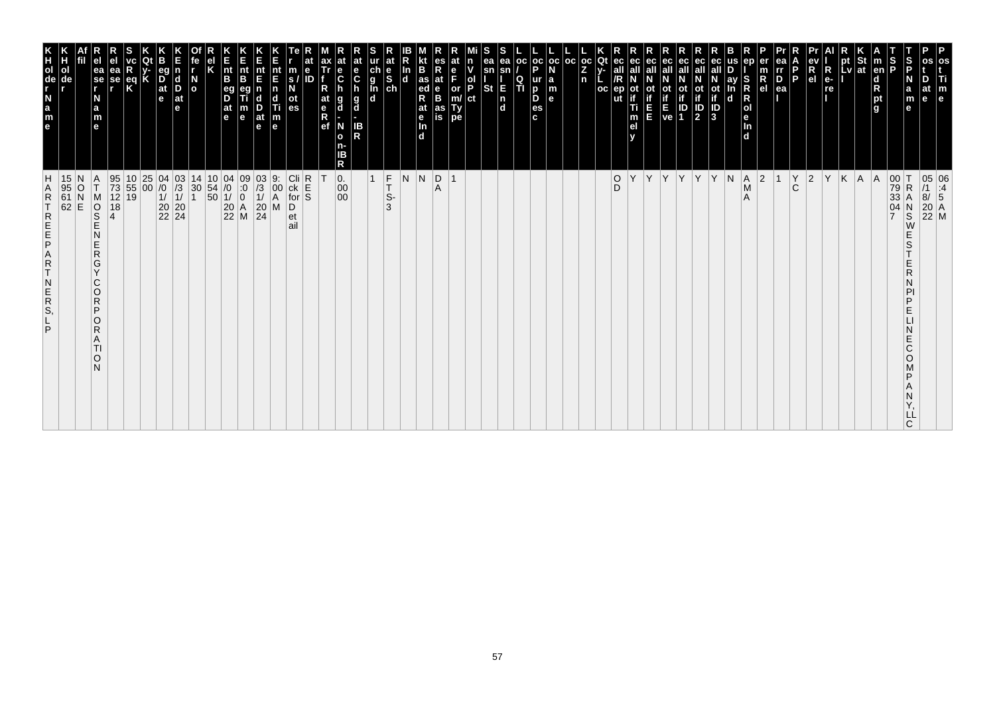| m<br>$\mathbf e$                                                                                                 |                                                                                                                                                                                                                           |
|------------------------------------------------------------------------------------------------------------------|---------------------------------------------------------------------------------------------------------------------------------------------------------------------------------------------------------------------------|
| le                                                                                                               | 05 06<br>/1 :4<br>8/ 5<br>20 A<br>22 M                                                                                                                                                                                    |
| $\frac{5}{5}$<br>m<br>е                                                                                          | $\begin{array}{c c} 00 & T \\ 79 & R \\ 33 & A \end{array}$<br>$_{\rm A}^{\rm R}$<br>$\begin{array}{c}\nN \\ S \\ W\n\end{array}$<br>E<br>S<br>E<br>R<br>N<br>PI<br>P<br>E<br>N<br>E<br>C<br>O<br>P<br>Ν<br>Y,<br>LĹ<br>C |
| р<br>Р                                                                                                           | 04                                                                                                                                                                                                                        |
| en <br>$\frac{\mathsf{d}}{\mathsf{R}}$<br>pt<br>g                                                                | A                                                                                                                                                                                                                         |
| א<br>pt<br>pt St<br>Lv at                                                                                        | $K$ $A$                                                                                                                                                                                                                   |
| $R_{e}$<br>re                                                                                                    | Y                                                                                                                                                                                                                         |
| $\begin{array}{c}\n\mathbf{ev} \\ \mathbf{R} \\ \mathbf{el}\n\end{array}$                                        | $ 2\rangle$                                                                                                                                                                                                               |
| P<br>l P                                                                                                         | $\check{C}$                                                                                                                                                                                                               |
| $\overline{P}_{ea}$                                                                                              | $\vert$ 1                                                                                                                                                                                                                 |
| $\frac{m}{R}$                                                                                                    | 2                                                                                                                                                                                                                         |
|                                                                                                                  | $\begin{bmatrix} A \\ M \\ A \end{bmatrix}$                                                                                                                                                                               |
| ay<br>$\mathbf d$                                                                                                | N                                                                                                                                                                                                                         |
| $\frac{1}{10}$<br>$\frac{1}{10}$<br>$\frac{1}{3}$                                                                | Y                                                                                                                                                                                                                         |
| ec<br>ot<br>if<br>2                                                                                              | Y                                                                                                                                                                                                                         |
| $\begin{array}{ c c }\nE & ID \\ ve & 1\n\end{array}$                                                            | Y.                                                                                                                                                                                                                        |
| ec<br>all                                                                                                        | Y                                                                                                                                                                                                                         |
| ec<br>E<br>E                                                                                                     | Υ                                                                                                                                                                                                                         |
| m<br>e <sub>l</sub>                                                                                              | Υ                                                                                                                                                                                                                         |
| ec<br>all<br>ut                                                                                                  | $_{\rm D}^{\rm O}$                                                                                                                                                                                                        |
| Qt<br>$\frac{1}{2}$<br>n<br>oc                                                                                   |                                                                                                                                                                                                                           |
| $_{\rm oc}$                                                                                                      |                                                                                                                                                                                                                           |
| $\frac{1}{N}$<br> a<br> m<br> e                                                                                  |                                                                                                                                                                                                                           |
| $\frac{1}{P}$<br>$\frac{p}{es}$<br>$\mathbf{c}$                                                                  |                                                                                                                                                                                                                           |
| $_{\rm oc}$<br>ea<br>Q<br>π                                                                                      |                                                                                                                                                                                                                           |
| sn<br>sn<br><b>St</b><br>E<br>n<br>d                                                                             |                                                                                                                                                                                                                           |
| P.<br> ct                                                                                                        |                                                                                                                                                                                                                           |
| or<br>m/<br>Ty<br>pe                                                                                             | 1                                                                                                                                                                                                                         |
| at<br>$\frac{e}{B}$<br>as<br>is                                                                                  | $\overline{R}$                                                                                                                                                                                                            |
| B<br>as<br>ed<br>R<br>at<br>e<br>In<br>d                                                                         | $\overline{\mathsf{N}}$                                                                                                                                                                                                   |
| In<br>d                                                                                                          | Ν                                                                                                                                                                                                                         |
| ur<br>d<br>l<br>d<br>d<br>d<br>$\frac{e}{ch}$                                                                    | F<br>T<br>S-<br>3                                                                                                                                                                                                         |
| $rac{e}{c}$<br>h<br>g<br>d<br>IB<br>R                                                                            | $\mathbf{1}$                                                                                                                                                                                                              |
| $\frac{e}{C}$<br>g<br>d<br>N<br>$\mathbf{o}$<br>n-<br>IΒ<br>R                                                    | $\begin{vmatrix} 0. & 0 \\ 0.0 & 0 \\ 0.0 & 0 \end{vmatrix}$                                                                                                                                                              |
| at<br>$R$ ef                                                                                                     |                                                                                                                                                                                                                           |
| ID                                                                                                               | R<br>S<br>S                                                                                                                                                                                                               |
| m<br>s<br>N<br>$\frac{at}{es}$                                                                                   | $\begin{array}{c} \hline \text{Cli} \\ \text{ck} \\ \text{for} \end{array}$<br>$\overline{D}$ <sub>et</sub><br>ail                                                                                                        |
| nt<br>E<br>n<br>$\begin{array}{c}\n\mathbf{d} \\ \mathbf{T} \mathbf{i} \\ \mathbf{m} \\ \mathbf{e}\n\end{array}$ | 9:<br>00<br>A<br>M                                                                                                                                                                                                        |
| nt<br>E<br>B<br>n<br>$\frac{D}{at}$<br>m                                                                         | $\begin{array}{c} 03 \\ 73 \\ 11 \\ 20 \\ 24 \end{array}$                                                                                                                                                                 |
| E<br>nt<br>B<br>$\mathbf{B}^{\text{eq}}$<br>at<br>e<br>e                                                         |                                                                                                                                                                                                                           |
|                                                                                                                  | $\begin{array}{c c} 10 & 04 & 09 \\ 54 & /0 & :0 \\ 50 & 1/ & 0 \\ 20 & A & 22 \\ \hline \end{array}$                                                                                                                     |
| $\frac{N}{\sigma}$                                                                                               | 14<br>$\begin{vmatrix} 30 \\ 1 \end{vmatrix}$                                                                                                                                                                             |
| $\frac{\mathsf{d}}{\mathsf{D}}$<br>$ $ at<br>е                                                                   | $\begin{array}{c} 04 & 03 \\ 70 & 73 \\ 11 & 11 \\ 20 & 20 \\ 22 & 24 \end{array}$                                                                                                                                        |
| eg<br>D <sub>at</sub><br>e                                                                                       |                                                                                                                                                                                                                           |
| eq<br>K                                                                                                          | $\begin{array}{c} 25 \\ 00 \end{array}$<br>$\frac{10}{55}$<br>19                                                                                                                                                          |
| ea<br>se<br>r                                                                                                    | 95<br>73<br>12<br>18<br>4                                                                                                                                                                                                 |
| ea<br>se<br>r<br>N<br>a<br>m<br>e                                                                                | $\frac{A}{T}$<br>MOND<br>N<br>$rac{E}{R}$<br>G<br>Y<br>$\mathsf{C}$<br>$\circ$<br>R<br>P<br>O<br>R<br>A<br>TI<br>O<br>N                                                                                                   |
|                                                                                                                  | Ν<br>$\overline{C}$                                                                                                                                                                                                       |
| ol<br>de                                                                                                         | 15<br>$\begin{bmatrix} 95 \\ 61 \\ 62 \end{bmatrix}$                                                                                                                                                                      |
| e a z d e E                                                                                                      | <b>ARTREEPART</b><br>$\begin{array}{c}\nN \\ R \\ S\n\end{array}$<br>P                                                                                                                                                    |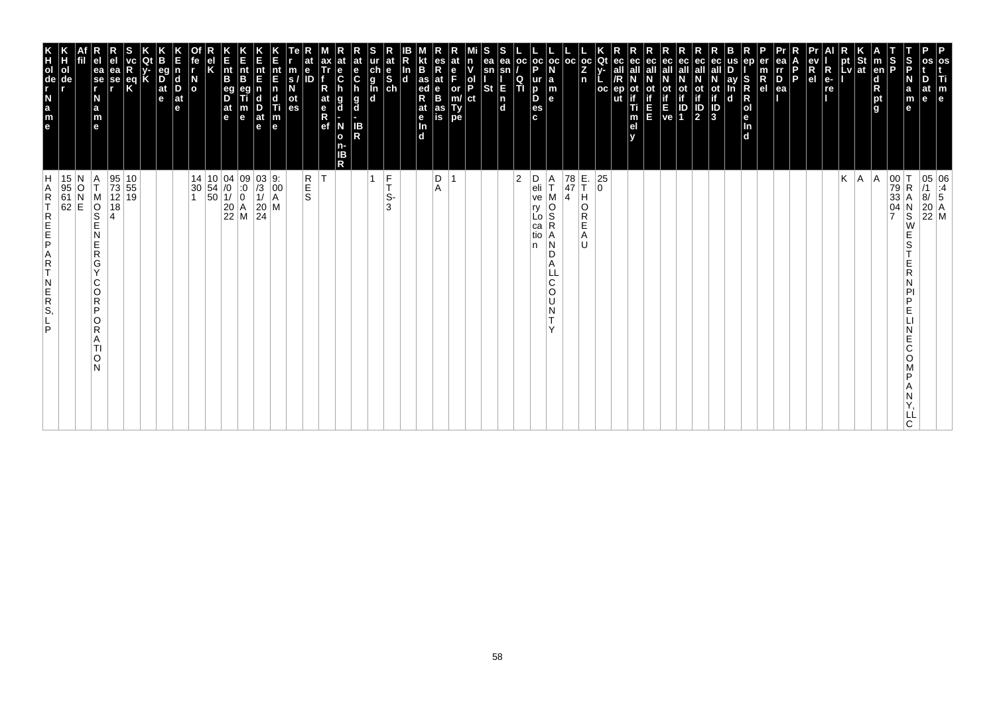| P<br>os<br>Ti<br>m<br>$\vert$ e                                                                                             |                                                                                                                                                                                 |
|-----------------------------------------------------------------------------------------------------------------------------|---------------------------------------------------------------------------------------------------------------------------------------------------------------------------------|
| at<br>e                                                                                                                     | $\begin{array}{ c c } \hline 05 & 06 \\ \hline \end{array} \begin{array}{ c c } \hline 11 & 06 \\ \hline 8/ & 5 \end{array}$<br>$\begin{bmatrix} 20 \\ 22 \\ M \end{bmatrix}$ M |
| S<br>P<br>N<br>$\mathbf a$<br>m<br>e                                                                                        | R<br>Α<br>$_\mathrm{S}^\mathrm{N}$<br>W<br>E<br>S<br>E<br>R<br>P<br>D<br>E<br>E<br>С<br>O<br>D<br>ᄔ<br>C                                                                        |
| S<br> P                                                                                                                     | $\begin{array}{c c} 00 & T \\ 79 & R \\ 33 & A \end{array}$<br>$\frac{04}{7}$                                                                                                   |
| St<br><b>Ten</b><br>$\begin{array}{c}\n\mathbf{d} \\ \mathbf{R} \\ \mathbf{p}\mathbf{t} \\ \mathbf{g}\n\end{array}$         | A                                                                                                                                                                               |
| pt<br>Lv<br> at                                                                                                             | K<br> A                                                                                                                                                                         |
| $R_{e}$<br>re                                                                                                               |                                                                                                                                                                                 |
| R<br>e <sub>1</sub>                                                                                                         |                                                                                                                                                                                 |
| P.                                                                                                                          |                                                                                                                                                                                 |
| ea<br>rr<br>$\overline{P}_{ea}$                                                                                             |                                                                                                                                                                                 |
| er<br>$\overline{R}$ el                                                                                                     |                                                                                                                                                                                 |
| en<br>S<br>R<br>R<br>O<br>e<br>In<br>d                                                                                      |                                                                                                                                                                                 |
| ay<br>n<br>$\mathbf d$                                                                                                      |                                                                                                                                                                                 |
| ot<br>if<br>$\frac{1}{3}$                                                                                                   |                                                                                                                                                                                 |
| ec<br>all<br>ec<br>ot<br>if<br>οt<br>$\frac{1}{2}$<br>ID<br>1                                                               |                                                                                                                                                                                 |
| ot<br>Time<br>Ve                                                                                                            |                                                                                                                                                                                 |
| ec<br>all<br>ш                                                                                                              |                                                                                                                                                                                 |
| ec<br>οt<br>Ti<br>m<br>el                                                                                                   |                                                                                                                                                                                 |
| ut                                                                                                                          |                                                                                                                                                                                 |
| Qt<br>$_{\rm oc}$                                                                                                           | 25<br>$\overline{0}$                                                                                                                                                            |
| l oc<br>$\frac{OC}{Z}$<br>n                                                                                                 | E.<br>T<br>78<br>47<br>н<br>O<br>R<br>Е<br>A<br>IJ                                                                                                                              |
| la<br>m<br>le.                                                                                                              | Α<br>T<br>$\overline{4}$<br>O<br>S<br>R<br>Α<br>N<br>D<br>A<br>C<br>O<br>U<br>N<br>$\checkmark$                                                                                 |
| $ oc $ oc<br>Þ<br>ur<br>D<br>D<br>es<br>c.                                                                                  | D<br>eli<br>ve<br>ry<br>Lo<br>ca<br>tio<br>n                                                                                                                                    |
| <b>OC</b><br>$\frac{Q}{T}$                                                                                                  | $\overline{2}$                                                                                                                                                                  |
| ea<br>ea<br>sn<br>sn<br>E<br>St<br>$\begin{bmatrix} n \\ d \end{bmatrix}$                                                   |                                                                                                                                                                                 |
| n<br>ol<br>P<br>ct                                                                                                          |                                                                                                                                                                                 |
| e<br>F<br>or<br>m/<br>Ty<br>pe                                                                                              | $\overline{ }$                                                                                                                                                                  |
| es<br>Rat<br>B<br>as<br>is                                                                                                  | D<br>A                                                                                                                                                                          |
| B<br>$\frac{1}{4}$ as<br>R<br>at<br>$\frac{e}{\ln}$<br>$\overline{d}$                                                       |                                                                                                                                                                                 |
| In<br>$\overline{\mathbf{d}}$                                                                                               |                                                                                                                                                                                 |
| at<br>$\begin{array}{c} \n\text{ur} \\ \n\text{ch} \\ \n\text{g} \\ \n\text{In} \\ \n\text{ch} \\ \n\text{d} \n\end{array}$ | $\frac{F}{T}$<br>$\mathbf{1}$<br>S-<br>3                                                                                                                                        |
| at<br>e<br>C<br>$\frac{g}{d}$<br>IB<br>R                                                                                    |                                                                                                                                                                                 |
| $\frac{e}{C}$<br>g<br>d<br>N<br>o<br>n-<br>ΙB<br>R                                                                          |                                                                                                                                                                                 |
| ax<br>Tr<br>R<br>at<br>$\frac{e}{R}$                                                                                        | İΤ                                                                                                                                                                              |
| $\mathbf e$<br>m<br>ID<br>S.<br>οt<br>es                                                                                    | R<br>S<br>S                                                                                                                                                                     |
| nt<br>E<br>$\overline{p}$<br>c<br>Ti<br>$\vert_{\mathsf{e}}^{\mathsf{m}}$                                                   |                                                                                                                                                                                 |
| nt<br>E<br>$\frac{D}{at}$<br>$\mathbf e$                                                                                    | $\begin{vmatrix} 03 & 9: \\ /3 & 00 \\ 1/ & A \end{vmatrix}$<br>$\begin{vmatrix} 20 \\ 24 \end{vmatrix}$ M                                                                      |
| n<br>Ent<br>B<br>m<br>$\mathbf e$                                                                                           | $\begin{array}{ c c c c c }\n 14 & 10 & 04 & 09 \\  30 & 54 & 0 & 0 \\  1 & 50 & 1/ & 0\n\end{array}$<br>$\begin{array}{ c c }\n 20 & A \\  22 & M\n\end{array}$                |
| $\vert_{\mathsf{B}}^{\mathsf{nt}}$<br>eg<br>D<br> at<br>$\vert$ e                                                           |                                                                                                                                                                                 |
|                                                                                                                             |                                                                                                                                                                                 |
| $\overline{a}$                                                                                                              |                                                                                                                                                                                 |
| eq<br>$\frac{D}{at}$<br>l d<br>D<br>$ $ at<br>e<br>e                                                                        |                                                                                                                                                                                 |
| Κ                                                                                                                           |                                                                                                                                                                                 |
| $\frac{eq}{K}$                                                                                                              | $\begin{array}{ c c }\n10 \\ 55\n\end{array}$<br>12 19                                                                                                                          |
| ea<br>se<br>r                                                                                                               | 95<br>73<br>18                                                                                                                                                                  |
| ea<br>se<br>r<br>N<br>a<br>m<br>e                                                                                           | Α<br>T<br>M<br>$\overline{\frac{1}{2}}$<br>N<br>E<br>$\mathsf R$<br>G<br>$\vee$<br>C<br>O<br>$\mathsf R$<br>P<br>O<br>R<br>A<br>TI<br>O<br>N                                    |
| ol<br>de                                                                                                                    | 15 N<br>95 O<br>61 N<br>62 E                                                                                                                                                    |
| e a z - g o H K                                                                                                             | H<br>Α<br>$\mathsf R$<br>T<br>REFE<br>$\begin{array}{c} A \\ R \\ T \end{array}$<br>$\begin{array}{c} N \\ E \\ R \\ S \end{array}$<br>P                                        |
|                                                                                                                             |                                                                                                                                                                                 |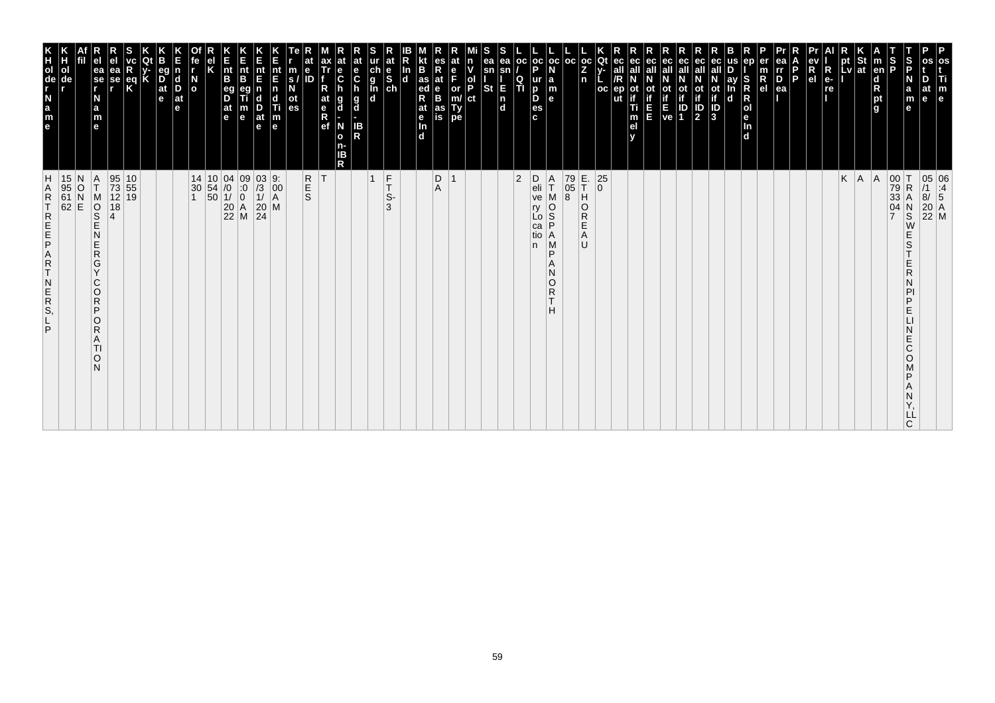| m<br>$\mathbf e$                                                                                                                                                 |                                                                                                                                     |
|------------------------------------------------------------------------------------------------------------------------------------------------------------------|-------------------------------------------------------------------------------------------------------------------------------------|
| at<br>le                                                                                                                                                         | 05 06<br>/1 :4<br>8/ 5<br>20 A<br>22 M                                                                                              |
| ∣S<br>IP<br>a<br>m<br>е                                                                                                                                          | $\begin{array}{c}\nN \\ S \\ W\n\end{array}$<br>E<br>S<br>E<br>R<br>Ν<br>PI<br>P<br>E<br>N<br>E<br>C<br>O<br>Μ<br>P<br>Α<br>Ν<br>Υ, |
| S<br>P                                                                                                                                                           | 00 T<br>79 R<br>33 A<br>04 N                                                                                                        |
| en <br>$\frac{\mathsf{d}}{\mathsf{R}}$<br>pt<br>g                                                                                                                | A                                                                                                                                   |
| $\frac{1}{2}$ St<br>Lv at                                                                                                                                        | $K \mid A$                                                                                                                          |
| к<br>pt                                                                                                                                                          |                                                                                                                                     |
| $\begin{array}{c}\n\mathbf{ev} \\ \mathbf{R} \\ \mathbf{el}\n\end{array}$<br>$R_{e}$<br>re                                                                       |                                                                                                                                     |
| Б<br>Þ                                                                                                                                                           |                                                                                                                                     |
| $\overline{P}_{ea}$                                                                                                                                              |                                                                                                                                     |
| $\frac{m}{R}$                                                                                                                                                    |                                                                                                                                     |
| SRR<br>Dend                                                                                                                                                      |                                                                                                                                     |
| ay<br>$\mathbf d$                                                                                                                                                |                                                                                                                                     |
| ec<br>all<br>ot<br>if<br>ID<br>3                                                                                                                                 |                                                                                                                                     |
| ec<br>$\frac{\text{ot}}{\text{1}}$                                                                                                                               |                                                                                                                                     |
| <b>E</b> P                                                                                                                                                       |                                                                                                                                     |
| ec<br>all<br>ot                                                                                                                                                  |                                                                                                                                     |
| ec<br>ot<br>Ξ                                                                                                                                                    |                                                                                                                                     |
| ec<br>m<br>e <sub>l</sub>                                                                                                                                        |                                                                                                                                     |
| Qt<br>ec<br>all<br>/R<br>ep<br>oc<br>ut                                                                                                                          | $\begin{array}{c} 25 \\ 0 \end{array}$                                                                                              |
| $\frac{1}{2}$<br>n                                                                                                                                               | E.<br>T<br>$\overline{a}$<br>$\overline{\mathsf{R}}$<br>Ε<br>A<br>U                                                                 |
| oc                                                                                                                                                               | 79<br>05<br>8                                                                                                                       |
| oc<br><b>a</b><br><b>a</b><br><b>a</b><br><b>a</b>                                                                                                               | A<br>T<br>MOS<br>P<br>$\mathop{\mathsf{A}}\limits_{\mathsf{M}}$<br>P<br>Α<br>N<br>O<br>$R$ T<br>н                                   |
| $_{\rm oc}$<br>$\frac{1}{P}$<br>$\frac{Q}{T}$<br>$\frac{p}{\text{es}}$<br>$\mathbf{c}$                                                                           | D<br>eli<br>ve<br>ry<br>Lo<br>ca<br>tio<br>n                                                                                        |
| ea<br>sn<br>E<br>n<br>d                                                                                                                                          | 2                                                                                                                                   |
| sn<br><b>St</b>                                                                                                                                                  |                                                                                                                                     |
| lol<br>IP<br>ct                                                                                                                                                  |                                                                                                                                     |
| or<br>m/<br>Ty<br>pe                                                                                                                                             |                                                                                                                                     |
| at<br>$\frac{e}{B}$<br>as<br>is                                                                                                                                  | $\begin{array}{c} \mathsf{D} \\ \mathsf{A} \end{array}$                                                                             |
| B<br>as ed<br>Rat e<br>In d                                                                                                                                      |                                                                                                                                     |
| $\frac{e}{sh}$<br>In<br>$\mathbf d$                                                                                                                              | $F_T$<br>S-<br>3                                                                                                                    |
| ur<br>g<br>g<br>d<br>d                                                                                                                                           | $\mathbf{1}$                                                                                                                        |
| at<br>e<br>C<br>h<br>g<br>d<br>IB<br>R                                                                                                                           |                                                                                                                                     |
| $\frac{e}{C}$<br>g<br>d<br>N<br>$\bullet$<br>n-<br>ΙB<br>$\mathsf{R}$                                                                                            |                                                                                                                                     |
| ax<br>Tr<br>R<br>at<br>$R$ ef                                                                                                                                    | T                                                                                                                                   |
| e<br>m<br>ID<br>s<br>N<br>$\frac{at}{es}$                                                                                                                        | R<br>S<br>S                                                                                                                         |
| $\begin{array}{c} \mathbf{nt} \\ \mathbf{E} \\ \mathbf{n} \end{array}$<br>$\begin{array}{c}\n\mathbf{d} \\ \mathbf{Ti} \\ \mathbf{m} \\ \mathbf{e}\n\end{array}$ |                                                                                                                                     |
| nt<br>E<br>n<br>$\frac{D}{at}$                                                                                                                                   | $\begin{array}{c} 03 & 9: \\ /3 & 00 \\ 1/ & A \\ 20 & M \\ 24 & \end{array}$                                                       |
| E<br>B<br>m<br>e                                                                                                                                                 | $\begin{array}{c cc} 10 & 04 & 09 \\ 54 & /0 & 0 \\ 50 & 1/ & 0 \\ 20 & A & 22 \\ 22 & M & \end{array}$                             |
| h<br>Int<br>B<br>eg<br>D<br>at<br>e                                                                                                                              |                                                                                                                                     |
| el<br>K                                                                                                                                                          |                                                                                                                                     |
| $\frac{N}{\sigma}$                                                                                                                                               | 14<br>$\begin{array}{c} 30 \\ 1 \end{array}$                                                                                        |
| $\begin{array}{c} \mathsf{d} \\ \mathsf{D} \end{array}$<br>at<br>е                                                                                               |                                                                                                                                     |
| В<br>eg<br>$\overline{D}$ at $\overline{e}$                                                                                                                      |                                                                                                                                     |
| eq<br>K                                                                                                                                                          | $\frac{10}{55}$<br>19                                                                                                               |
| ea<br>se<br>r                                                                                                                                                    | 95<br>73<br>12<br>18<br>4                                                                                                           |
| ea<br>se<br>r<br>N<br>a<br>m<br>e                                                                                                                                | $\frac{A}{T}$<br>MOND<br>N<br>Ε<br>$\overline{\mathsf{R}}$<br>G<br>Y<br>C<br>$\circ$<br>R<br>P<br>O<br>R<br>A<br>TI<br>O<br>N       |
|                                                                                                                                                                  | $\begin{array}{c c} 15 & N \\ 95 & O \\ 61 & N \\ 62 & E \end{array}$                                                               |
| ol<br>de                                                                                                                                                         |                                                                                                                                     |
| e a z d e E                                                                                                                                                      | <b>HARTREEPART</b><br>$\begin{array}{c}\nN \\ R \\ S\n\end{array}$<br>P                                                             |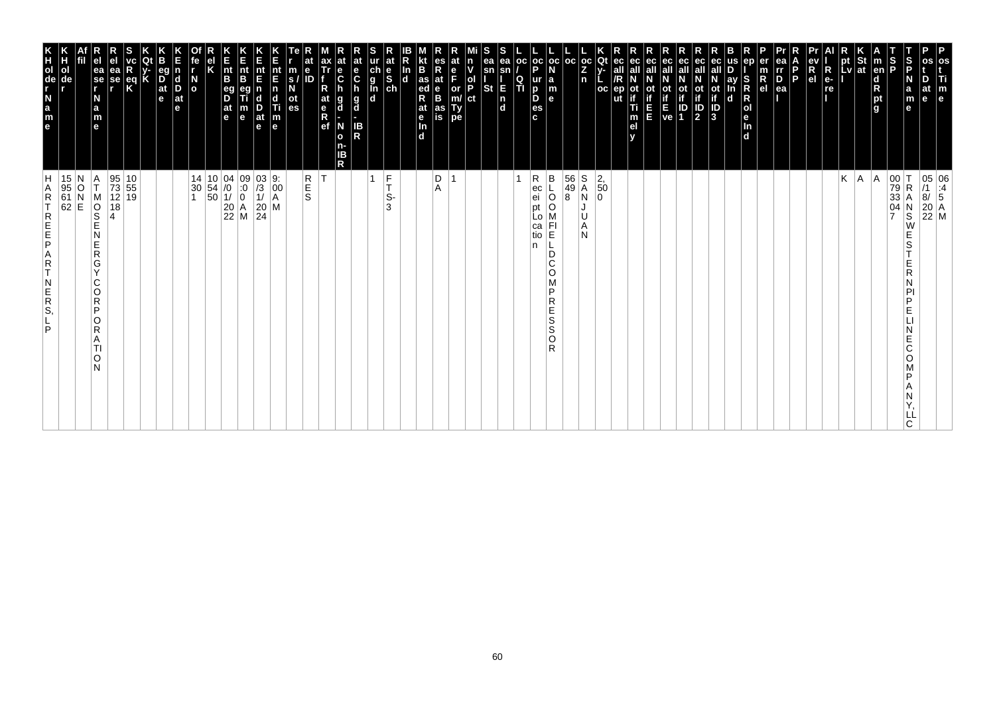| os<br>Ti<br>$\mathbf{m}_{\mathbf{e}}$                                                                            |                                                                                                                                                                                |
|------------------------------------------------------------------------------------------------------------------|--------------------------------------------------------------------------------------------------------------------------------------------------------------------------------|
| D<br>at                                                                                                          | $\begin{array}{ c c } \hline 05 & 06 \\ \hline \end{array} \begin{array}{ c c } \hline 11 & 4 \\ \hline 8/ & 5 \end{array}$<br>$\begin{bmatrix} 20 \\ 22 \\ M \end{bmatrix}$ M |
| S<br>P<br>N<br>a<br>m<br>le<br>е                                                                                 | $\mathsf R$<br>N<br>$\overline{\mathbf{s}}$<br>W<br>E<br>S<br>E<br>R<br>N<br>PI<br>P<br>E<br>Ε<br>C<br>O<br>P<br>Α<br>N<br>LL<br>C.                                            |
| S<br>P                                                                                                           | $\begin{vmatrix} 00 \\ 79 \\ 33 \end{vmatrix}$<br>$\frac{04}{7}$                                                                                                               |
| m<br> en <br>$\frac{d}{R}$ pt<br>g                                                                               | A                                                                                                                                                                              |
| St<br>at                                                                                                         | A                                                                                                                                                                              |
| <b>LV</b>                                                                                                        | K                                                                                                                                                                              |
| R<br>e-<br>re<br>.                                                                                               |                                                                                                                                                                                |
| e٧<br>$R_{el}$                                                                                                   |                                                                                                                                                                                |
| l P                                                                                                              |                                                                                                                                                                                |
| ea<br>rr<br>0<br>ea                                                                                              |                                                                                                                                                                                |
| er<br>m<br>$R_{el}$                                                                                              |                                                                                                                                                                                |
| en<br>S<br>Ŕ<br>$\mathsf R$<br> o <br>le.<br>In<br>$\overline{d}$                                                |                                                                                                                                                                                |
| us<br>ay<br>In<br>d                                                                                              |                                                                                                                                                                                |
| ot<br>if<br>ID<br>3                                                                                              |                                                                                                                                                                                |
| eс<br>$\mathbb{P}_2$                                                                                             |                                                                                                                                                                                |
| ec<br>οt<br>if<br>E ID<br>ve 1                                                                                   |                                                                                                                                                                                |
| ec                                                                                                               |                                                                                                                                                                                |
| ec<br>all<br>E                                                                                                   |                                                                                                                                                                                |
| ec<br>οt<br>Ti<br>m<br>el<br>v                                                                                   |                                                                                                                                                                                |
| Qt<br>ec<br>$V -$<br><b>OC</b><br>ep                                                                             | $\left  \frac{2}{50} \right $<br>$\Omega$                                                                                                                                      |
| $\frac{1}{2}$<br>n                                                                                               | $\begin{array}{c} S \\ A \\ N \end{array}$<br>U<br>Α<br>N                                                                                                                      |
| l oc                                                                                                             | $\begin{array}{ c c }\n 56 \\  49\n \end{array}$<br>8                                                                                                                          |
| $_{\rm oc}$<br>N<br>$\begin{array}{c} \mathsf{a} \\ \mathsf{m} \\ \mathsf{e} \end{array}$                        | $\sf B$<br>$\circ$<br>FI<br>E<br>D<br>C<br>O<br>M<br>P<br>R<br>Е<br>$\frac{S}{S}$<br>O<br>R                                                                                    |
| $\frac{1}{P}$<br>o<br><sub>p</sub><br><sub>c</sub><br>c                                                          | R<br>ec<br>ei<br>рt<br>Lo<br>са<br>tio<br>n                                                                                                                                    |
| oc<br>Q<br>ΙTΙ                                                                                                   |                                                                                                                                                                                |
| s<br>ea<br>ea<br>sn<br>sn<br><b>St</b><br>E<br>$\begin{bmatrix} n \\ d \end{bmatrix}$                            |                                                                                                                                                                                |
| ol<br>P<br>ct                                                                                                    |                                                                                                                                                                                |
| $\frac{e}{F}$<br>or<br>m/<br>Type                                                                                |                                                                                                                                                                                |
| R<br>at<br>$_{\rm B}^{\rm e}$<br>as<br>is                                                                        | $_{\rm A}^{\rm D}$                                                                                                                                                             |
| B<br>$\frac{1}{\text{ed}}$<br>R<br>at<br>e <sub>In</sub><br>d                                                    |                                                                                                                                                                                |
| In<br>$\overline{d}$                                                                                             |                                                                                                                                                                                |
| $\frac{c}{g}$<br>$\frac{d}{g}$<br>$\frac{e}{sh}$                                                                 | $\frac{F}{T}$<br>1<br>S-<br>3                                                                                                                                                  |
| $\mathbf{e}$<br>$\mathbf c$<br>g<br>d<br>IB<br>R                                                                 |                                                                                                                                                                                |
| $\frac{e}{C}$<br>g<br>d<br>N<br>$\mathbf{o}$<br>n-<br>IΒ<br>R                                                    |                                                                                                                                                                                |
| ax<br>Tr<br>R<br>at<br>e <sub>R</sub><br>ef                                                                      | lT.                                                                                                                                                                            |
| e<br>m<br>$\mathbf{s}$<br>ot<br>es                                                                               | R<br>E<br>S                                                                                                                                                                    |
| nt<br>E<br>$\mathbf n$<br>$\begin{array}{c}\n\mathbf{d} \\ \mathbf{Ti} \\ \mathbf{m} \\ \mathbf{e}\n\end{array}$ | $\begin{bmatrix} 9: \\ 00 \\ A \end{bmatrix}$                                                                                                                                  |
| Е<br>nt<br>E<br>D<br>at<br>e                                                                                     | $\begin{vmatrix} 03 \\ 13 \\ 1 \end{vmatrix}$<br>$\left \begin{array}{c} 20 \\ 24 \end{array}\right $ M                                                                        |
| K<br>Ent<br>B<br>m<br>e                                                                                          | $\begin{array}{c c} 14 & 10 & 04 & 09 \\ 30 & 54 & /0 & :0 \\ 1 & 50 & 1/ & 0 \\ & 20 & A \\ & 22 & M \end{array}$                                                             |
| $\vert_{\mathsf{B}}^{\mathsf{nt}}$<br>eg<br>D<br>$\frac{at}{e}$                                                  |                                                                                                                                                                                |
| κ                                                                                                                |                                                                                                                                                                                |
| fe<br>$\frac{N}{2}$                                                                                              |                                                                                                                                                                                |
| d<br>D<br>$ $ at<br>e                                                                                            |                                                                                                                                                                                |
| eq<br>$\overline{D}$ <sub>at</sub><br>e                                                                          |                                                                                                                                                                                |
|                                                                                                                  |                                                                                                                                                                                |
| ea<br>se<br>r<br>$\frac{eq}{K}$                                                                                  | $\begin{array}{ c c }\n10 \\ 55\n\end{array}$<br>95<br>73<br>12 19<br>18                                                                                                       |
| ea<br>se<br>r<br>N<br>a<br>m<br>e                                                                                | Α<br>T<br>M<br>$\overline{\frac{1}{2}}$<br>4<br>N<br>E<br>$\mathsf R$<br>G<br>Y<br>C<br>O<br>$\overline{R}$<br>P<br>O<br>R<br>A<br>ΤI<br>O<br>N                                |
|                                                                                                                  |                                                                                                                                                                                |
| ol<br>de                                                                                                         | 15 N<br>95 O<br>61 N<br>62 E                                                                                                                                                   |
| e a z - g o H K                                                                                                  | H<br>A<br>$\mathsf R$<br>T<br>REFE<br>A<br>R<br>T<br>$\begin{array}{c} N \\ E \\ R \\ S \end{array}$<br>P                                                                      |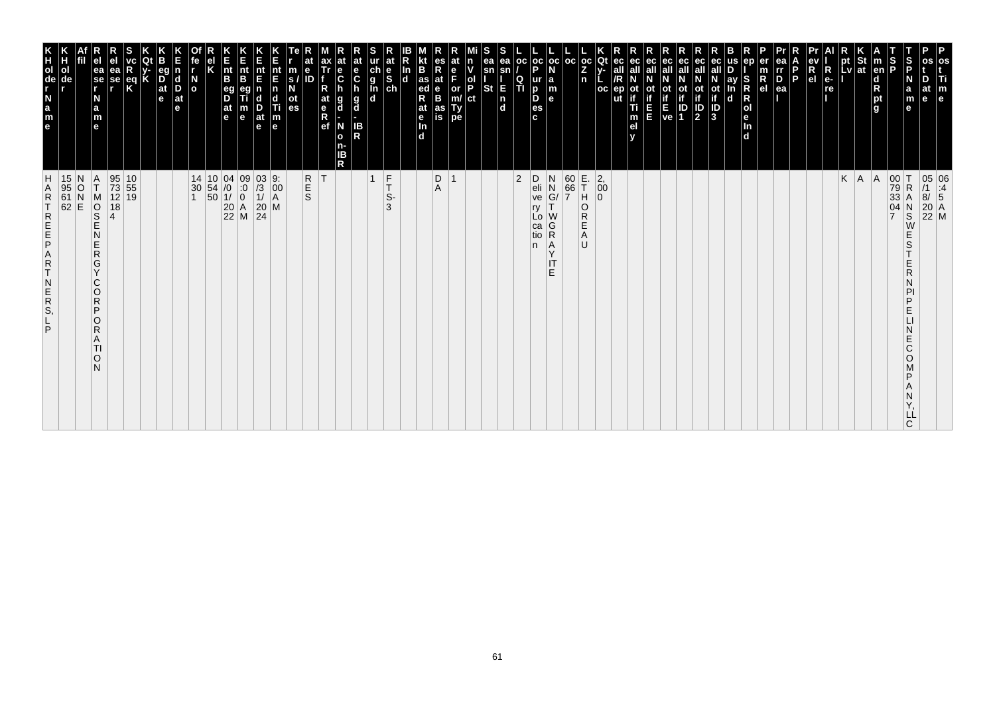| m<br>$\mathbf e$                                                                                                                                                 |                                                                                                                                     |
|------------------------------------------------------------------------------------------------------------------------------------------------------------------|-------------------------------------------------------------------------------------------------------------------------------------|
| at<br>le                                                                                                                                                         | 05 06<br>/1 :4<br>8/ 5<br>20 A<br>22 M                                                                                              |
| ∣S<br>IP<br>a<br>m<br>е                                                                                                                                          | $\begin{array}{c}\nN \\ S \\ W\n\end{array}$<br>E<br>S<br>E<br>R<br>Ν<br>PI<br>P<br>E<br>N<br>E<br>C<br>O<br>Μ<br>P<br>Α<br>Ν<br>Υ, |
| S<br>P                                                                                                                                                           | 00 T<br>79 R<br>33 A<br>04 N                                                                                                        |
| en <br>$\frac{\mathsf{d}}{\mathsf{R}}$<br>pt<br>g                                                                                                                | A                                                                                                                                   |
| $\frac{1}{2}$ St<br>Lv at                                                                                                                                        | $K \mid A$                                                                                                                          |
| к<br>pt                                                                                                                                                          |                                                                                                                                     |
| $\begin{array}{c} eV \\ R \\ eI \end{array}$<br>$R_{e}$<br>re                                                                                                    |                                                                                                                                     |
| Б<br>Þ                                                                                                                                                           |                                                                                                                                     |
| $\overline{P}_{ea}$                                                                                                                                              |                                                                                                                                     |
| $\frac{m}{R}$                                                                                                                                                    |                                                                                                                                     |
| SRR<br>Dend                                                                                                                                                      |                                                                                                                                     |
| ay<br>$\mathbf d$                                                                                                                                                |                                                                                                                                     |
| ec<br>all<br>$\frac{1}{10}$<br>$\frac{1}{10}$                                                                                                                    |                                                                                                                                     |
| ec<br>ot<br>if<br>$\frac{1}{2}$                                                                                                                                  |                                                                                                                                     |
| <b>E</b> P                                                                                                                                                       |                                                                                                                                     |
| ec<br>all                                                                                                                                                        |                                                                                                                                     |
| ec<br>ot<br>Ξ                                                                                                                                                    |                                                                                                                                     |
| ec<br>m<br>e <sub>l</sub>                                                                                                                                        |                                                                                                                                     |
| Qt<br>ec<br>all<br>/R<br>ep<br>oc<br>ut                                                                                                                          | $\begin{vmatrix} 2 \\ 0 \\ 0 \end{vmatrix}$                                                                                         |
| $\frac{1}{2}$<br>n                                                                                                                                               | E.<br>T<br>$\overline{a}$<br>$\overline{\mathsf{R}}$<br>E<br>A<br>U                                                                 |
| $_{\rm oc}$                                                                                                                                                      | $\begin{array}{ c } \hline 60 \\ \hline 66 \\ \hline 7 \\ \hline \end{array}$                                                       |
| oc<br><b>a</b><br><b>a</b><br><b>a</b><br><b>a</b>                                                                                                               | N<br>N<br>G/<br>T<br>WGRAY<br>$\mathsf{I}\mathsf{T}$<br>E.                                                                          |
| $_{\rm oc}$<br>$\frac{1}{P}$<br>$\frac{Q}{T}$<br>$\frac{p}{\text{es}}$<br>$\mathbf{c}$                                                                           | D<br>eli<br>ve<br>ry<br>Lo<br>ca<br>tio<br>n                                                                                        |
| ea<br>sn<br>E<br>n<br>d                                                                                                                                          | 2                                                                                                                                   |
| sn<br><b>St</b>                                                                                                                                                  |                                                                                                                                     |
| lol<br>IP<br>ct                                                                                                                                                  |                                                                                                                                     |
| or<br>m/<br>Ty<br>pe                                                                                                                                             |                                                                                                                                     |
| at<br>$_{\rm B}^{\rm e}$<br>as<br>is                                                                                                                             | $\begin{array}{c} \mathsf{D} \\ \mathsf{A} \end{array}$                                                                             |
| B<br>as ed<br>Rat e<br>In d                                                                                                                                      |                                                                                                                                     |
| $\frac{e}{ch}$<br>In<br>d                                                                                                                                        | $F_T$<br>S-<br>3                                                                                                                    |
| ur<br>g<br>g<br>d<br>d                                                                                                                                           | $\mathbf{1}$                                                                                                                        |
| $rac{e}{c}$<br>h<br>g<br>d<br>IB<br>R                                                                                                                            |                                                                                                                                     |
| $\frac{e}{C}$<br>g<br>d<br>N<br>$\mathbf{o}$<br>n-<br>ΙB<br>$\mathsf{R}$                                                                                         |                                                                                                                                     |
| ax<br>Tr<br>at<br>$R$ ef                                                                                                                                         | T                                                                                                                                   |
| e<br>m<br>ID<br>s<br>N<br>$\frac{at}{es}$                                                                                                                        | R<br>S<br>S                                                                                                                         |
| $\begin{array}{c} \mathbf{nt} \\ \mathbf{E} \\ \mathbf{n} \end{array}$<br>$\begin{array}{c}\n\mathbf{d} \\ \mathbf{T}i \\ \mathbf{m} \\ \mathbf{e}\n\end{array}$ |                                                                                                                                     |
| nt<br>E<br>n<br>$\frac{D}{at}$                                                                                                                                   | $\begin{array}{c} 03 & 9: \\ /3 & 00 \\ 1/ & A \\ 20 & M \\ 24 & \end{array}$                                                       |
| E<br>B<br>m<br>e                                                                                                                                                 | $\begin{array}{c c} 04 & 09 \\ \hline 10 & 0 \\ 11 & 0 \\ 20 & A \\ 22 & M \end{array}$                                             |
| h<br>Int<br>B<br>eg<br>D<br>at<br>e                                                                                                                              | $\begin{array}{ c c c }\n 10 & 04 \\  54 & /0 \\  50 & 1/ \\  \end{array}$                                                          |
| el<br>K                                                                                                                                                          |                                                                                                                                     |
| $\frac{N}{\sigma}$                                                                                                                                               | 14<br>$\begin{array}{c} 30 \\ 1 \end{array}$                                                                                        |
| eg<br>$\begin{array}{c} \mathsf{d} \\ \mathsf{D} \end{array}$<br>at<br>е                                                                                         |                                                                                                                                     |
| В<br>$\overline{D}$ at $\overline{e}$                                                                                                                            |                                                                                                                                     |
| eq<br>K                                                                                                                                                          | $\frac{10}{55}$<br>19                                                                                                               |
| ea<br>se<br>r                                                                                                                                                    | 95<br>73<br>12<br>18<br>4                                                                                                           |
| ea<br>se<br>r<br>N<br>a<br>m<br>e                                                                                                                                | $\frac{A}{T}$<br>MOND<br>N<br>Е<br>${\sf R}$<br>G<br>Y<br>C<br>$\circ$<br>R<br>P<br>O<br>R<br>A<br>TI<br>$\circ$<br>N               |
|                                                                                                                                                                  | $\begin{array}{c c} 15 & N \\ 95 & O \\ 61 & N \\ 62 & E \end{array}$                                                               |
| ol<br>de                                                                                                                                                         |                                                                                                                                     |
| e a z d e E                                                                                                                                                      | <b>HARTREEPART</b><br>$\begin{array}{c}\nN \\ R \\ S\n\end{array}$<br>P                                                             |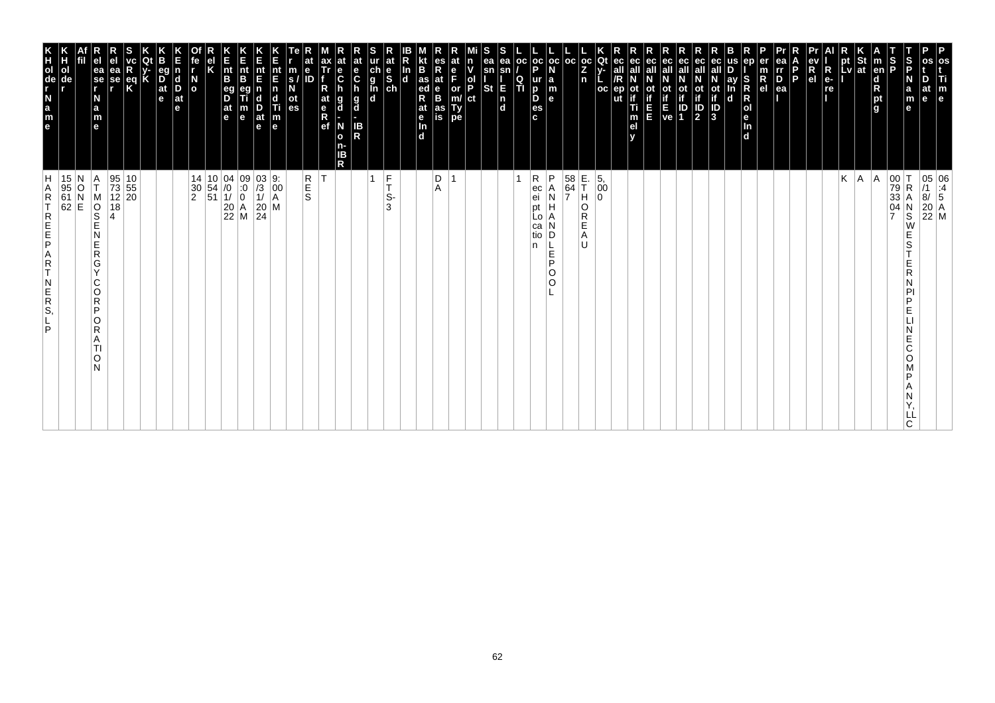| P<br>os<br>Ti<br>m<br>$\vert$ e                                                                                             |                                                                                                                                                                                 |
|-----------------------------------------------------------------------------------------------------------------------------|---------------------------------------------------------------------------------------------------------------------------------------------------------------------------------|
| at<br>e                                                                                                                     | $\begin{array}{ c c } \hline 05 & 06 \\ \hline \end{array} \begin{array}{ c c } \hline 11 & 06 \\ \hline 8/ & 5 \end{array}$<br>$\begin{bmatrix} 20 \\ 22 \\ M \end{bmatrix}$ M |
| S<br>P<br>N<br>$\mathbf a$<br>m<br>e                                                                                        | $\begin{array}{c c} 00 & T \\ 79 & R \\ 33 & A \end{array}$<br>R<br>Α<br>$_\mathrm{S}^\mathrm{N}$<br>W<br>E<br>S<br>E<br>R<br>P<br>D<br>E<br>E<br>С<br>O<br>D<br>ᄔ<br>C         |
| S<br>P<br><b>Ten</b><br>$\begin{array}{c}\n\mathbf{d} \\ \mathbf{R} \\ \mathbf{p}\mathbf{t} \\ \mathbf{g}\n\end{array}$     | $\frac{04}{7}$                                                                                                                                                                  |
| St<br> at                                                                                                                   | A <br> A                                                                                                                                                                        |
| pt<br>Lv                                                                                                                    | K                                                                                                                                                                               |
| $R_{e}$<br>re                                                                                                               |                                                                                                                                                                                 |
| R<br>e <sub>1</sub>                                                                                                         |                                                                                                                                                                                 |
| P.                                                                                                                          |                                                                                                                                                                                 |
| ea<br>III<br>$\overline{P}_{ea}$                                                                                            |                                                                                                                                                                                 |
| en<br>R<br>el                                                                                                               |                                                                                                                                                                                 |
| S<br>ay<br>R<br>R<br>O<br>e<br>In<br>d<br>n<br>$\mathbf d$                                                                  |                                                                                                                                                                                 |
| ot<br>if<br>$\overline{\frac{1}{3}}$                                                                                        |                                                                                                                                                                                 |
| ec<br>all<br>ot<br>if<br>$\frac{1}{2}$                                                                                      |                                                                                                                                                                                 |
| ec<br>οt<br>ID<br>1                                                                                                         |                                                                                                                                                                                 |
| ot<br>Time<br>Ve                                                                                                            |                                                                                                                                                                                 |
| ec<br>ш                                                                                                                     |                                                                                                                                                                                 |
| ec<br>οt<br>Ti<br>m<br>el                                                                                                   |                                                                                                                                                                                 |
| ut                                                                                                                          |                                                                                                                                                                                 |
| Qt<br>$_{\rm oc}$<br>Ż<br>n<br>$_{\rm oc}$                                                                                  | E.<br>T<br>$\left  \begin{smallmatrix} 5 \\ 0 \\ 0 \end{smallmatrix} \right $<br>Н<br>0<br>O<br>R<br>Е<br>A<br>IJ                                                               |
| l oc                                                                                                                        | $\begin{array}{ c } 58 \\ 64 \\ 7 \end{array}$                                                                                                                                  |
| oc oc <br>l a<br>m<br>le.                                                                                                   | P<br>Α<br>Ν<br>Н<br>A<br>D<br>L.<br>E<br>P<br>O<br>$\circ$                                                                                                                      |
| p<br>ur<br>D<br>D<br>es<br>c.                                                                                               | R<br>ec<br>ei<br>pt<br>LO<br>са<br>tio<br>n                                                                                                                                     |
| ea<br><b>OC</b><br>sn<br>$\frac{Q}{T}$<br>E<br>$\begin{bmatrix} n \\ d \end{bmatrix}$                                       |                                                                                                                                                                                 |
| ea<br>sn<br>St                                                                                                              |                                                                                                                                                                                 |
| ol<br>P<br>ct                                                                                                               |                                                                                                                                                                                 |
| e<br>F<br>or<br>m/<br>Ty<br>pe                                                                                              | $\overline{ }$                                                                                                                                                                  |
| es<br>Rat<br>B<br>as<br>is                                                                                                  | D<br>A                                                                                                                                                                          |
| B<br>as<br>ed<br>R<br>at<br>$\frac{e}{\ln}$<br>$\overline{d}$                                                               |                                                                                                                                                                                 |
| In<br><b>d</b>                                                                                                              |                                                                                                                                                                                 |
| at<br>$\begin{array}{c} \n\text{ur} \\ \n\text{ch} \\ \n\text{g} \\ \n\text{In} \\ \n\text{ch} \\ \n\text{d} \n\end{array}$ | $\frac{F}{T}$<br>$\mathbf{1}$<br>S-<br>3                                                                                                                                        |
| at<br>e<br>C<br>$\frac{g}{d}$<br>IB<br>R                                                                                    |                                                                                                                                                                                 |
| $\frac{e}{C}$<br>g<br>d<br>N<br>o<br>n-<br>ΙB<br>R                                                                          |                                                                                                                                                                                 |
| at<br>$\frac{e}{R}$                                                                                                         | İΤ                                                                                                                                                                              |
| $\mathbf e$<br>m<br>ID<br>S.<br>οt<br>es                                                                                    | R<br>S<br>S                                                                                                                                                                     |
| nt<br>E<br>$\overline{p}$<br>c<br>Ш<br>$\vert_{\mathsf{e}}^{\mathsf{m}}$                                                    | M                                                                                                                                                                               |
| nt<br>E<br>$\frac{D}{at}$<br>$\mathbf e$                                                                                    | $\begin{array}{ c c }\n 03 & 9: \\  \hline\n 73 & 00 \\  1/ & A\n\end{array}$<br>$\left  \frac{20}{24} \right $                                                                 |
| n<br>Ent<br>B<br>m<br>$\mathbf e$                                                                                           | $\begin{array}{c cc} 14 & 10 & 04 & 09 \\ 30 & 54 & /0 & :0 \\ 2 & 51 & 1/ & 0 \\ & 20 & A \\ & 22 & M \end{array}$                                                             |
| $\vert_{\mathsf{B}}^{\mathsf{nt}}$<br>eg<br>D<br> at<br>$\vert$ e                                                           |                                                                                                                                                                                 |
|                                                                                                                             |                                                                                                                                                                                 |
| $\overline{a}$                                                                                                              |                                                                                                                                                                                 |
| l d<br>D<br>$ $ at<br>e                                                                                                     |                                                                                                                                                                                 |
| eq<br>$\frac{D}{at}$<br>e                                                                                                   |                                                                                                                                                                                 |
| Κ<br>$\frac{eq}{K}$                                                                                                         | $\begin{array}{ c c }\n10 \\ 55\n\end{array}$                                                                                                                                   |
| ea<br>se<br>r                                                                                                               | 95<br>73<br>12 20<br>18                                                                                                                                                         |
| ea<br>se<br>r<br>N<br>a<br>m<br>e                                                                                           | Α<br>T<br>M<br>$\overline{\frac{1}{2}}$<br>N<br>E<br>$\mathsf R$<br>G<br>$\vee$<br>C<br>O<br>$\mathsf R$<br>P<br>O<br>R<br>A<br>TI<br>O<br>N                                    |
|                                                                                                                             | 15 N<br>95 O<br>61 N<br>62 E                                                                                                                                                    |
| ol<br>de                                                                                                                    |                                                                                                                                                                                 |
| e a z - g o H K                                                                                                             | H<br>Α<br>$\mathsf R$<br>T<br>REFE<br>A<br>R<br>T<br>$\begin{array}{c} N \\ E \\ R \\ S \end{array}$<br>P                                                                       |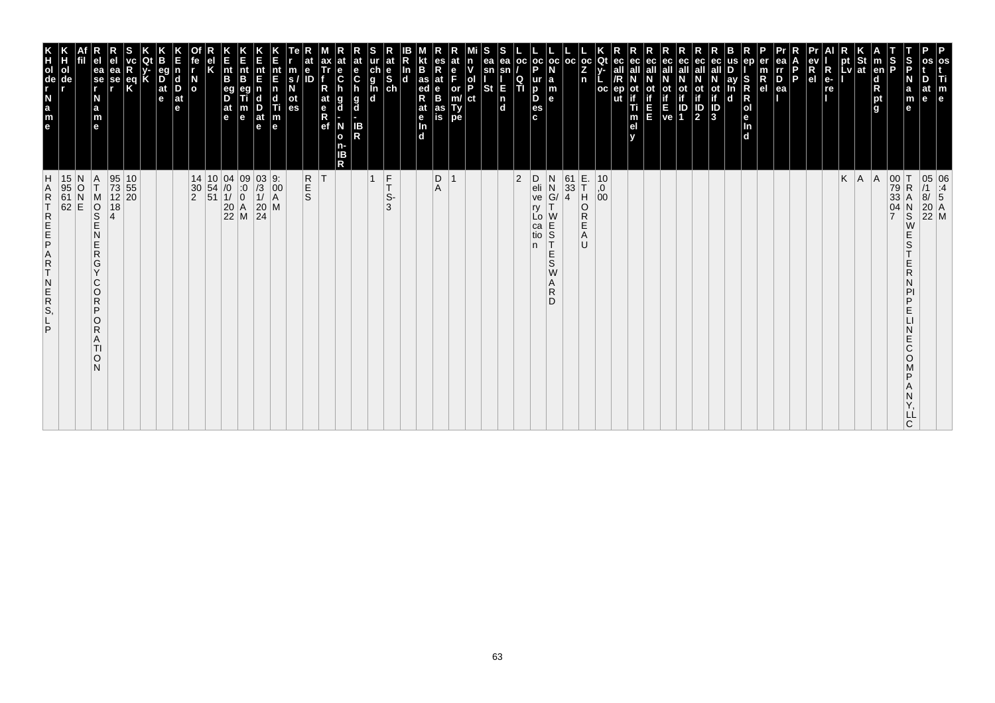| m<br>$\mathbf{e}$                                                                                                                                                                                                                                    |                                                                                                                                                                        |
|------------------------------------------------------------------------------------------------------------------------------------------------------------------------------------------------------------------------------------------------------|------------------------------------------------------------------------------------------------------------------------------------------------------------------------|
|                                                                                                                                                                                                                                                      | 05 06<br>/1 :4<br>8/ 5<br>20 A<br>22 M                                                                                                                                 |
| $\frac{5}{5}$<br>m<br>е<br>е                                                                                                                                                                                                                         | $_\mathrm{S}^\mathrm{N}$<br>W<br>E<br>S<br>E<br>R<br>N<br>PI<br>P<br>E<br>N<br>E<br>C<br>$\circ$<br>P<br>Α<br>Ν<br>Y,<br>LĹ<br>C                                       |
| š                                                                                                                                                                                                                                                    | 00 T<br>79 R<br>33 A<br>04 N                                                                                                                                           |
| m<br> en <br>$\frac{\mathsf{d}}{\mathsf{R}}$<br>pt<br>l g                                                                                                                                                                                            | A                                                                                                                                                                      |
| pt St<br>Lv ∣at                                                                                                                                                                                                                                      | $K \mid A$                                                                                                                                                             |
| pt                                                                                                                                                                                                                                                   |                                                                                                                                                                        |
| $R_{e}$<br>re                                                                                                                                                                                                                                        |                                                                                                                                                                        |
| $\frac{ev}{R}$                                                                                                                                                                                                                                       |                                                                                                                                                                        |
| $\frac{D}{ea}$<br><b>P</b>                                                                                                                                                                                                                           |                                                                                                                                                                        |
| $R_{el}$                                                                                                                                                                                                                                             |                                                                                                                                                                        |
| S<br>O<br>O<br>O<br>O<br>O<br>O<br>O<br>O<br>O<br>O<br>O<br>O<br>I<br>O<br>I<br>I<br>I<br>I<br>0<br>O<br>O<br>I<br>I<br>In<br>d                                                                                                                      |                                                                                                                                                                        |
| ay<br>In<br>$\mathbf d$                                                                                                                                                                                                                              |                                                                                                                                                                        |
| $\sqrt{3}$                                                                                                                                                                                                                                           |                                                                                                                                                                        |
| eс<br>ot<br>if<br>$\frac{1}{2}$                                                                                                                                                                                                                      |                                                                                                                                                                        |
| <b>Control</b><br>Ve 1                                                                                                                                                                                                                               |                                                                                                                                                                        |
| ec<br>all                                                                                                                                                                                                                                            |                                                                                                                                                                        |
| ec<br>all<br>οt<br>E<br>E                                                                                                                                                                                                                            |                                                                                                                                                                        |
| eс<br>all<br>ep<br>if<br>Ti<br>m<br>el<br>y                                                                                                                                                                                                          |                                                                                                                                                                        |
| Qt<br>oс                                                                                                                                                                                                                                             | $^{10}_{,0}$<br>$^{0}_{00}$                                                                                                                                            |
| oc<br>$\frac{z}{n}$                                                                                                                                                                                                                                  | E-<br>TH<br>OR<br>E<br>A<br>U                                                                                                                                          |
| $oc$   $oc$                                                                                                                                                                                                                                          | $\begin{array}{c} 61 \\ 33 \\ 4 \end{array}$                                                                                                                           |
| $_{\rm oc}$<br>P<br><b>a</b><br>$\mathbf{e}$                                                                                                                                                                                                         | $\mathsf D$<br>$\begin{array}{c} N \\ N \\ G / \\ \tau \end{array}$<br>eli<br>ve<br>ry<br>W<br>Lo<br>E<br>S<br>T<br>ca<br>tio<br>n.<br>$rac{E}{S}$<br>W<br>Α<br>R<br>D |
| <b>OC</b><br>п                                                                                                                                                                                                                                       | $ 2\rangle$                                                                                                                                                            |
| ea<br>sn<br>E<br>$\mathsf{n}$<br>$\mathbf{d}$                                                                                                                                                                                                        |                                                                                                                                                                        |
| sn<br>St                                                                                                                                                                                                                                             |                                                                                                                                                                        |
| P<br>$\frac{or}{m}$<br> ct<br>Ty<br>pe                                                                                                                                                                                                               |                                                                                                                                                                        |
| at<br>$_{\rm B}^{\rm e}$<br>as<br>is                                                                                                                                                                                                                 | $\mathop{\mathsf{D}}_\mathsf{A}$                                                                                                                                       |
| $\frac{as}{ed}$<br>at<br>e <sub>In</sub><br>d                                                                                                                                                                                                        |                                                                                                                                                                        |
|                                                                                                                                                                                                                                                      |                                                                                                                                                                        |
| at<br>e<br>S<br>ch<br>$\frac{\ddot{c}}{g}$<br>h                                                                                                                                                                                                      | $_{\rm T}^{\rm F}$<br>$\vert$ 1<br>S-<br>3                                                                                                                             |
| C<br>g<br>IB<br>R                                                                                                                                                                                                                                    |                                                                                                                                                                        |
| $\frac{e}{C}$<br>h<br>$\frac{g}{d}$<br>N<br>$\mathbf{o}$<br>n-<br>IB<br>R                                                                                                                                                                            |                                                                                                                                                                        |
| ax<br>Tr<br>at<br>e <sub>R</sub><br>ef                                                                                                                                                                                                               |                                                                                                                                                                        |
| $\frac{m}{s}$<br>ot<br>es                                                                                                                                                                                                                            | R<br>S<br>S                                                                                                                                                            |
| nt<br>E<br>$\mathbf n$<br>$\mathbf d$<br>$\frac{1}{2}$<br>$\frac{1}{2}$<br>$\frac{1}{2}$<br>$\frac{1}{2}$<br>$\frac{1}{2}$<br>$\frac{1}{2}$<br><br>$\frac{1}{2}$<br><br><br><br><br><br><br><br><br><br><br><br><br><br><br><br><br><br><br><br><br> | $\begin{bmatrix} 9: \\ 00 \\ A \end{bmatrix}$<br>$\overline{\mathsf{M}}$                                                                                               |
| nt<br>E<br>$\frac{D}{at}$<br>e                                                                                                                                                                                                                       | $\begin{array}{c} 03 \\ 73 \\ 11 \\ 20 \\ 24 \end{array}$                                                                                                              |
| E<br>nt<br>B<br>m<br>e                                                                                                                                                                                                                               |                                                                                                                                                                        |
| nt<br>B<br>eg<br>D<br>at<br>e                                                                                                                                                                                                                        | $\begin{array}{c cc} 10 & 04 & 09 \\ 54 & /0 & 0 \\ 51 & 1/ & 0 \\ 20 & A \\ 22 & M \end{array}$                                                                       |
| N<br>o                                                                                                                                                                                                                                               | 14<br>$\frac{30}{2}$                                                                                                                                                   |
| d<br>D<br>$ $ at<br>e                                                                                                                                                                                                                                |                                                                                                                                                                        |
| eg<br>$\overline{D}$ <sub>at</sub><br>e                                                                                                                                                                                                              |                                                                                                                                                                        |
| R                                                                                                                                                                                                                                                    | $\begin{array}{c} 10 \\ 55 \\ 20 \end{array}$                                                                                                                          |
| ea<br>se                                                                                                                                                                                                                                             | 95<br>73<br>12<br>18<br>$\overline{A}$                                                                                                                                 |
| ea<br>se<br>r<br>N<br>a<br>m<br>e                                                                                                                                                                                                                    | $\frac{A}{T}$<br>M<br>O<br>S<br>E<br>N<br>E<br>$\mathsf{R}$<br>G<br>Y<br>C<br>$\circ$<br>R<br>P<br>O<br>R<br>A<br>TI<br>O<br>N                                         |
|                                                                                                                                                                                                                                                      | N<br>$\circ$<br>$\overline{N}$<br>E                                                                                                                                    |
| ol                                                                                                                                                                                                                                                   | $\frac{15}{95}$<br>61<br>62                                                                                                                                            |
| K<br>C<br>C<br>E<br>A<br>G<br>E<br>A<br>G<br>C<br>G<br>C<br>G<br>G<br>C<br>G<br>C<br>C<br>D<br>C<br>D<br>C<br>C<br>C<br>C<br><br>C<br><br>C<br><br>C<br>C<br>C<br>C<br>C<br><br>C<br><br>C<br><br><br>$\frac{1}{a}$<br>$\frac{a}{e}$                 | H<br><b>ARTREEPART</b><br>$\overline{N}$<br>E<br>S,<br>P                                                                                                               |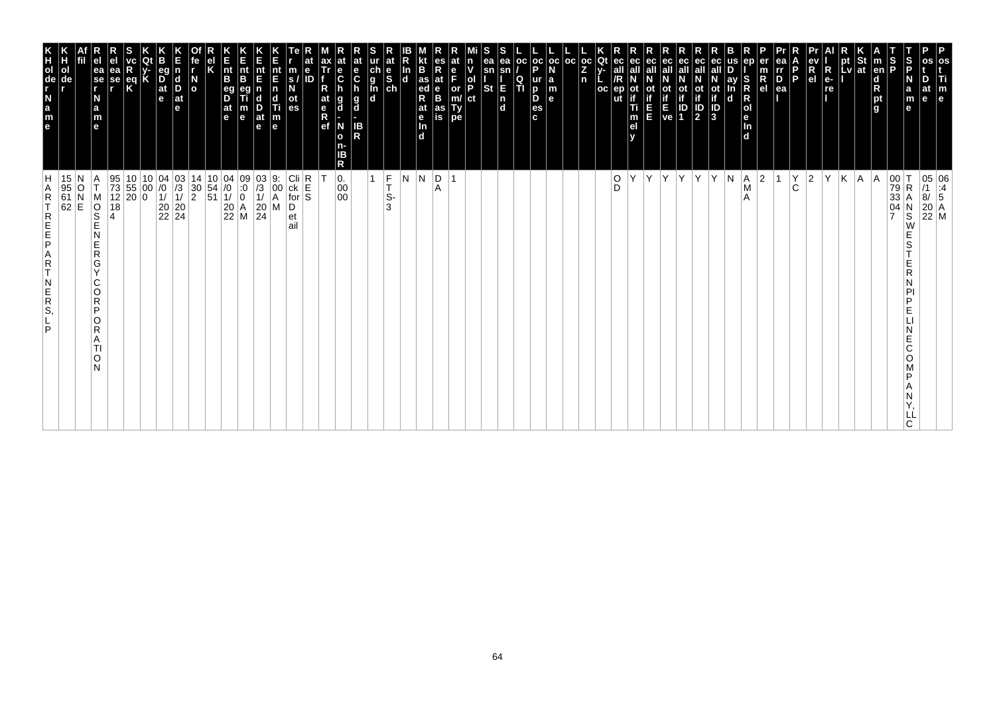| P<br>os<br>Τi<br>m<br>le                                                                                          |                                                                                                                                                                                                                                                                                                                                                                                                                    |
|-------------------------------------------------------------------------------------------------------------------|--------------------------------------------------------------------------------------------------------------------------------------------------------------------------------------------------------------------------------------------------------------------------------------------------------------------------------------------------------------------------------------------------------------------|
| at<br>e                                                                                                           | $\begin{array}{ c c c } \hline 05 & 06 \\ \hline /1 & .4 \\ 8/ & 5 \\ \hline \end{array}$<br>$\begin{array}{ c c }\n 20 & A \\  22 & M\n\end{array}$                                                                                                                                                                                                                                                               |
| S<br>P<br>N<br>a<br>m<br>e                                                                                        | $\begin{array}{ c c }\n 00 & T \\  79 & R \\  33 & A\n\end{array}$<br>R<br>04<br>$_\mathrm{S}^\mathrm{N}$<br>W<br>S<br>D<br>E<br>E<br>Ć<br>O<br>ח<br>C                                                                                                                                                                                                                                                             |
| S<br>P<br><b>Ten</b><br>$\frac{1}{2}$                                                                             | A<br>$\overline{ }$                                                                                                                                                                                                                                                                                                                                                                                                |
| St<br> at                                                                                                         | A                                                                                                                                                                                                                                                                                                                                                                                                                  |
| pt<br>Lv                                                                                                          | K                                                                                                                                                                                                                                                                                                                                                                                                                  |
| $R$ e-re                                                                                                          | İΥ                                                                                                                                                                                                                                                                                                                                                                                                                 |
| R<br>e <sub>l</sub>                                                                                               | $\vert$ 2                                                                                                                                                                                                                                                                                                                                                                                                          |
| P.                                                                                                                | $\rm \stackrel{Y}{C}$                                                                                                                                                                                                                                                                                                                                                                                              |
| ea<br>rr<br>$\overline{P}_{ea}$                                                                                   |                                                                                                                                                                                                                                                                                                                                                                                                                    |
| R<br>el                                                                                                           | 2                                                                                                                                                                                                                                                                                                                                                                                                                  |
| S<br><b>RNO</b><br>Bep<br>l d                                                                                     | A <br>M<br>A                                                                                                                                                                                                                                                                                                                                                                                                       |
| ay<br>d                                                                                                           | N                                                                                                                                                                                                                                                                                                                                                                                                                  |
| ot<br>if<br>ID<br>3                                                                                               | Y                                                                                                                                                                                                                                                                                                                                                                                                                  |
| ec<br>all<br>ot<br>if<br>$\frac{1}{2}$                                                                            | İΥ.                                                                                                                                                                                                                                                                                                                                                                                                                |
| οt<br>ID<br>1                                                                                                     |                                                                                                                                                                                                                                                                                                                                                                                                                    |
| ot<br>Time<br>Ve                                                                                                  | Y Y                                                                                                                                                                                                                                                                                                                                                                                                                |
| ec<br>п                                                                                                           | İΥ.                                                                                                                                                                                                                                                                                                                                                                                                                |
| οt<br>Ti<br>m<br>el                                                                                               | Υ                                                                                                                                                                                                                                                                                                                                                                                                                  |
| ut                                                                                                                | $_{\rm D}^{\rm O}$                                                                                                                                                                                                                                                                                                                                                                                                 |
| $_{\rm oc}$<br>Qt<br>Z.<br>n<br>$_{\rm oc}$                                                                       |                                                                                                                                                                                                                                                                                                                                                                                                                    |
| l oc                                                                                                              |                                                                                                                                                                                                                                                                                                                                                                                                                    |
| oc oc <br>la<br>m<br>le.                                                                                          |                                                                                                                                                                                                                                                                                                                                                                                                                    |
| p<br>ur<br>D<br>D<br>es<br>c.                                                                                     |                                                                                                                                                                                                                                                                                                                                                                                                                    |
| ea<br>l oc<br>sn<br>$\frac{Q}{T}$<br>E<br>$\frac{\mathsf{n}}{\mathsf{d}}$                                         |                                                                                                                                                                                                                                                                                                                                                                                                                    |
| ea<br>sn<br><b>St</b>                                                                                             |                                                                                                                                                                                                                                                                                                                                                                                                                    |
| ol<br>P<br> ct                                                                                                    |                                                                                                                                                                                                                                                                                                                                                                                                                    |
| e<br>F<br>or<br>m/<br>Ty<br>pe                                                                                    | $\overline{1}$                                                                                                                                                                                                                                                                                                                                                                                                     |
| es<br>Rate<br>B<br>as<br>is                                                                                       | D <br>Α                                                                                                                                                                                                                                                                                                                                                                                                            |
| B<br>$\frac{1}{4}$ as<br>R<br>at<br>$\frac{e}{\ln}$<br><b>Id</b>                                                  | N.                                                                                                                                                                                                                                                                                                                                                                                                                 |
| In<br>$\overline{\mathbf{d}}$                                                                                     | IN.                                                                                                                                                                                                                                                                                                                                                                                                                |
| at<br>$\begin{array}{c}\n\mathbf{a} \\ \mathbf{b} \\ \mathbf{c} \\ \mathbf{b} \\ \mathbf{d}\n\end{array}$         | $\frac{F}{T}$<br>$\mathbf{1}$<br>S-<br>3                                                                                                                                                                                                                                                                                                                                                                           |
| at<br>e<br>C<br>$\frac{g}{d}$<br>IB<br>R                                                                          |                                                                                                                                                                                                                                                                                                                                                                                                                    |
| $\frac{e}{C}$<br>g<br>d<br>N<br>$\mathbf{o}$<br>ΙB<br>R                                                           | 0.<br>00<br>$00\,$                                                                                                                                                                                                                                                                                                                                                                                                 |
| at<br>$\frac{e}{R}$                                                                                               |                                                                                                                                                                                                                                                                                                                                                                                                                    |
| $\ddot{\textbf{e}}$<br>ID                                                                                         | $\begin{array}{c}\n\text{Cli}\n\text{ck}\n\text{E}\n\text{for}\n\end{array}$                                                                                                                                                                                                                                                                                                                                       |
| m<br>s.<br>οt<br>es                                                                                               | D<br>et<br>ail                                                                                                                                                                                                                                                                                                                                                                                                     |
| nt<br>F<br>nt<br>E<br>n<br>c<br>Ti<br>$\left  \begin{smallmatrix} \text{m} \\ \text{e} \end{smallmatrix} \right $ | $\begin{array}{c} 03 \\ /3 \\ 1 \end{array}$<br>9.<br>00<br>$\overline{A}$<br>M                                                                                                                                                                                                                                                                                                                                    |
| $rac{E}{n}$<br>B<br>$\frac{D}{at}$<br>m<br>$\mathbf e$<br>le.                                                     | 09<br>$\ddot{.}0$<br>$\overline{\mathbf{0}}$<br>$\begin{array}{c} 20 \\ 24 \end{array}$                                                                                                                                                                                                                                                                                                                            |
| $\vert_{\mathsf{B}}^{\mathsf{nt}}$<br>$\overline{\mathsf{D}}^{\mathsf{eg}}$<br> at<br>$\vert$ e                   | $\left  \begin{smallmatrix} 0 & 4 \\ 7 & 0 \\ 0 & 0 \\ 0 & 0 \\ 0 & 0 \\ 0 & 0 \\ 0 & 0 \\ 0 & 0 & 0 \\ 0 & 0 & 0 \\ 0 & 0 & 0 \\ 0 & 0 & 0 \\ 0 & 0 & 0 \\ 0 & 0 & 0 & 0 \\ 0 & 0 & 0 & 0 \\ 0 & 0 & 0 & 0 \\ 0 & 0 & 0 & 0 & 0 \\ 0 & 0 & 0 & 0 & 0 \\ 0 & 0 & 0 & 0 & 0 \\ 0 & 0 & 0 & 0 & 0 & 0 \\ 0 & 0 & 0 & 0 & 0 & 0 \\ 0 & 0 & $<br>$\sqrt{1}$<br>$\begin{array}{ c c }\n 20 & A \\  22 & M\n\end{array}$ |
|                                                                                                                   | $\begin{array}{c} 10 \\ 54 \\ 51 \end{array}$                                                                                                                                                                                                                                                                                                                                                                      |
| $\overline{a}$                                                                                                    | 14<br>$_2^{30}$                                                                                                                                                                                                                                                                                                                                                                                                    |
| $\begin{array}{c} \mathsf{d} \\ \mathsf{D} \end{array}$<br>$ $ at<br>e                                            | $\begin{vmatrix} 03 \\ 73 \\ 1 \end{vmatrix}$<br>$\begin{array}{ c c }\n 20 & 20 \\  22 & 24\n \end{array}$                                                                                                                                                                                                                                                                                                        |
| eq<br>$\frac{D}{at}$<br>$\mathbf e$                                                                               | $\begin{array}{c} 04 \\ 70 \\ 1 \end{array}$                                                                                                                                                                                                                                                                                                                                                                       |
| Κ                                                                                                                 | $\begin{array}{c c} 10 & 10 \\ 55 & 00 \\ 20 & 0 \end{array}$<br>10<br> 00                                                                                                                                                                                                                                                                                                                                         |
| ea<br>se<br>r<br>$\frac{eq}{K}$                                                                                   | $\frac{95}{73}$<br>12<br>18                                                                                                                                                                                                                                                                                                                                                                                        |
| ea<br>se<br>r<br>N<br>a<br>m<br>e                                                                                 | T<br>M<br>OOS<br>4<br>N<br>E<br>$\mathsf R$<br>G<br>$\vee$<br>C<br>O<br>$\mathsf{R}$<br>P<br>O<br>R<br>A<br>TI<br>O<br>N                                                                                                                                                                                                                                                                                           |
|                                                                                                                   |                                                                                                                                                                                                                                                                                                                                                                                                                    |
| ol<br>de                                                                                                          | 15<br>$\begin{array}{c c} 95 & O \\ 61 & N \\ 62 & E \end{array}$                                                                                                                                                                                                                                                                                                                                                  |
| KH <sub>OL</sub><br>T <sub>de</sub>                                                                               | Н<br>A<br>$\mathsf R$<br>REFE<br>$R$<br>T<br>$\overline{R}$<br>S,<br>P                                                                                                                                                                                                                                                                                                                                             |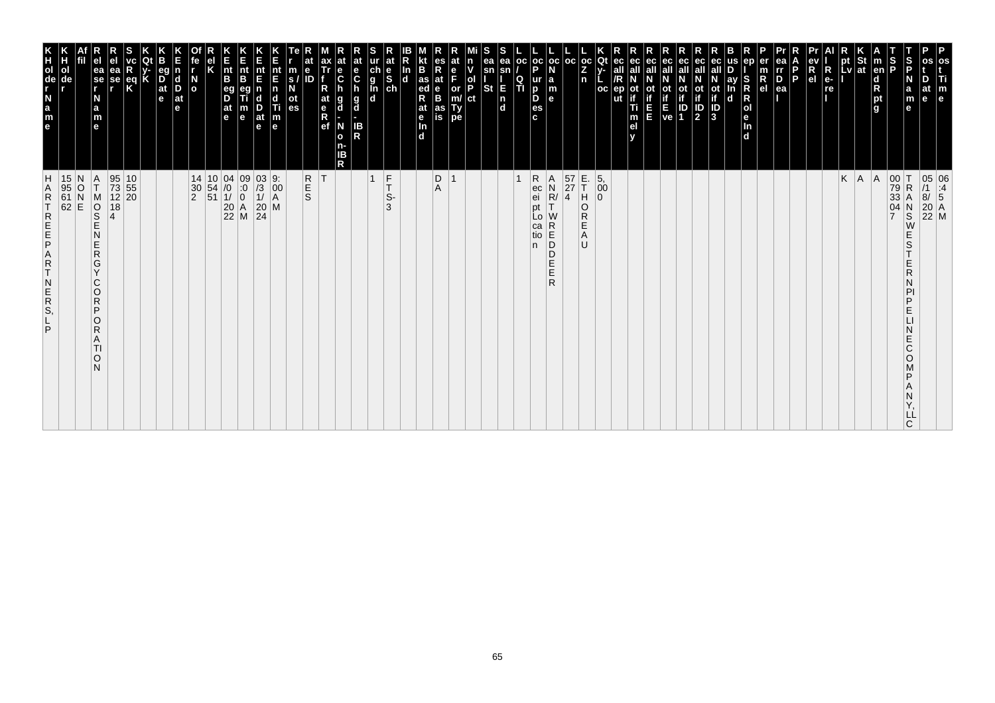| m<br>e                                                                                                                                                                                                                                                   |                                                                                                                                                                          |
|----------------------------------------------------------------------------------------------------------------------------------------------------------------------------------------------------------------------------------------------------------|--------------------------------------------------------------------------------------------------------------------------------------------------------------------------|
|                                                                                                                                                                                                                                                          | 05 06<br>/1 :4<br>8/ 5<br>20 A<br>22 M                                                                                                                                   |
| $\frac{5}{5}$<br>m<br>е<br>е                                                                                                                                                                                                                             | $_\mathrm{S}^\mathrm{N}$<br>W<br>E<br>S<br>E<br>R<br>N<br>PI<br>P<br>E<br>N<br>E<br>C<br>$\circ$<br>P<br>Α<br>Ν<br>Y,<br>LĹ<br>C                                         |
| Ъ<br>Р                                                                                                                                                                                                                                                   | 00 T<br>79 R<br>33 A<br>04 N                                                                                                                                             |
| $\vert$ m<br>en<br>$\frac{\mathsf{d}}{\mathsf{R}}$<br>pt<br>l g                                                                                                                                                                                          | A                                                                                                                                                                        |
| pt St<br>Lv ∣at                                                                                                                                                                                                                                          | $K \mid A$                                                                                                                                                               |
| pt                                                                                                                                                                                                                                                       |                                                                                                                                                                          |
| $R_{e}$<br>re                                                                                                                                                                                                                                            |                                                                                                                                                                          |
| $\frac{ev}{R}$                                                                                                                                                                                                                                           |                                                                                                                                                                          |
| $\frac{D}{ea}$<br><b>P</b>                                                                                                                                                                                                                               |                                                                                                                                                                          |
| $R_{el}$                                                                                                                                                                                                                                                 |                                                                                                                                                                          |
| In<br>d                                                                                                                                                                                                                                                  |                                                                                                                                                                          |
| ay<br>In<br>$\mathbf d$                                                                                                                                                                                                                                  |                                                                                                                                                                          |
| ot<br>$\sqrt{3}$                                                                                                                                                                                                                                         |                                                                                                                                                                          |
| eс<br>ot<br>if<br>$\frac{1}{2}$                                                                                                                                                                                                                          |                                                                                                                                                                          |
| <b>Control</b><br>Ve 1                                                                                                                                                                                                                                   |                                                                                                                                                                          |
| ec<br>all                                                                                                                                                                                                                                                |                                                                                                                                                                          |
| ec<br>all<br>οt<br>E<br>E                                                                                                                                                                                                                                |                                                                                                                                                                          |
| eс<br>all<br>ep<br>if<br>Ti<br>m<br>el<br>y                                                                                                                                                                                                              |                                                                                                                                                                          |
| Qt<br><b>oc</b>                                                                                                                                                                                                                                          | $\begin{matrix} 5, \\00\\0 \end{matrix}$                                                                                                                                 |
| $\begin{bmatrix} \text{oc} \\ \text{Z} \\ \text{n} \end{bmatrix}$                                                                                                                                                                                        | E.<br>T<br>$\overline{a}$<br>$\overline{R}$<br>E<br>A<br>U                                                                                                               |
| $oc$   $oc$                                                                                                                                                                                                                                              | $\begin{array}{ c }\n57 \\ 27 \\ 4\n\end{array}$                                                                                                                         |
| <b>a</b><br>$\mathbf{e}$                                                                                                                                                                                                                                 | $\begin{array}{c}\nA \\ N \\ R\n\end{array}$<br>W<br>$\begin{array}{c} R \\ R \\ D \end{array}$<br>D<br>E<br>Е<br>R                                                      |
| $_{\rm oc}$<br><b>OC</b><br>P<br>П                                                                                                                                                                                                                       | ${\sf R}$<br>$\overline{1}$<br>ec<br>ei<br>pt<br>Lo<br>ca<br>tio<br>n.                                                                                                   |
| ea<br>sn<br>E<br>$\overline{\mathsf{n}}$<br>$\mathbf d$                                                                                                                                                                                                  |                                                                                                                                                                          |
| sn<br>St                                                                                                                                                                                                                                                 |                                                                                                                                                                          |
| ol<br> P<br> ct                                                                                                                                                                                                                                          |                                                                                                                                                                          |
| Е<br>$\frac{or}{m}$<br>Ty<br>pe                                                                                                                                                                                                                          |                                                                                                                                                                          |
| at<br>$_{\rm B}^{\rm e}$<br>as<br>is                                                                                                                                                                                                                     | $\mathop{\mathsf{D}}_\mathsf{A}$                                                                                                                                         |
| $\frac{as}{ed}$<br>at<br>e <sub>In</sub><br>d                                                                                                                                                                                                            |                                                                                                                                                                          |
| at<br>e<br>S<br>ch                                                                                                                                                                                                                                       | $_{\rm T}^{\rm F}$<br>S-<br>3                                                                                                                                            |
| $\frac{\ddot{c}}{g}$<br>h                                                                                                                                                                                                                                | $\vert$ 1                                                                                                                                                                |
| C<br>g<br>IB<br>R                                                                                                                                                                                                                                        |                                                                                                                                                                          |
| ax<br>Tr<br>$\frac{e}{C}$<br>h<br>$\frac{g}{d}$<br>N<br>$\mathbf{o}$<br>n-<br>IB<br>R                                                                                                                                                                    |                                                                                                                                                                          |
| at<br>e<br>Ref                                                                                                                                                                                                                                           | R<br>S<br>S<br> T                                                                                                                                                        |
| $\frac{m}{s}$<br>ot<br>es                                                                                                                                                                                                                                |                                                                                                                                                                          |
| nt<br>E<br>$\mathbf n$<br>$\mathbf d$<br>$\frac{1}{2}$<br>$\frac{1}{2}$<br>$\frac{1}{2}$<br>$\frac{1}{2}$<br>$\frac{1}{2}$<br>$\frac{1}{2}$<br><br>$\frac{1}{2}$<br><br><br><br><br><br><br><br><br><br><br><br><br><br><br><br><br><br><br><br><br><br> | $\begin{bmatrix} 9: \\ 00 \\ A \end{bmatrix}$<br>$\overline{\mathsf{M}}$                                                                                                 |
| nt<br>E<br>$\frac{D}{at}$<br>e                                                                                                                                                                                                                           | $\begin{array}{c} 03 \\ 73 \\ 11 \\ 20 \\ 24 \end{array}$                                                                                                                |
| n<br>B<br>B<br>B<br>m<br>e                                                                                                                                                                                                                               | $\begin{array}{c cc} 10 & 04 & 09 \\ 54 & /0 & 0 \\ 51 & 1/ & 0 \\ 20 & A \\ 22 & M \end{array}$                                                                         |
| nt<br>B<br>eg<br>D<br>at<br>e                                                                                                                                                                                                                            |                                                                                                                                                                          |
| N<br>o                                                                                                                                                                                                                                                   | 14<br>$\frac{30}{2}$                                                                                                                                                     |
| $\mathbf d$<br>D<br>$ $ at<br>e                                                                                                                                                                                                                          |                                                                                                                                                                          |
| eg<br>$\overline{D}$ <sub>at</sub><br>e                                                                                                                                                                                                                  |                                                                                                                                                                          |
|                                                                                                                                                                                                                                                          |                                                                                                                                                                          |
| R<br>se                                                                                                                                                                                                                                                  | $\begin{array}{c} 10 \\ 55 \\ 20 \end{array}$                                                                                                                            |
| ea<br>se<br>r<br>ea<br>N<br>a<br>m<br>$\mathbf{e}$                                                                                                                                                                                                       | 95<br>73<br>12<br>$\frac{A}{T}$<br>M<br>O<br>S<br>E<br>18<br>$\overline{A}$<br>N<br>E<br>$\mathsf{R}$<br>G<br>Y<br>C<br>$\circ$<br>R<br>P<br>O<br>R<br>A<br>TI<br>O<br>N |
|                                                                                                                                                                                                                                                          | N<br>$\circ$<br>$\overline{N}$<br>E                                                                                                                                      |
| ol                                                                                                                                                                                                                                                       | $\frac{15}{95}$<br>61<br>62                                                                                                                                              |
| K<br>C<br>C<br>E<br>A<br>G<br>E<br>A<br>G<br>C<br>G<br>C<br>G<br>G<br>C<br>G<br>C<br>C<br>D<br>C<br>D<br>C<br>C<br>C<br>C<br><br>C<br><br>C<br><br>C<br>C<br>C<br>C<br>C<br><br>C<br><br>C<br><br><br>$\frac{1}{a}$<br>$\frac{a}{e}$                     | H<br><b>ARTREEPART</b><br>$\overline{N}$<br>$R_{\rm S}$<br>P                                                                                                             |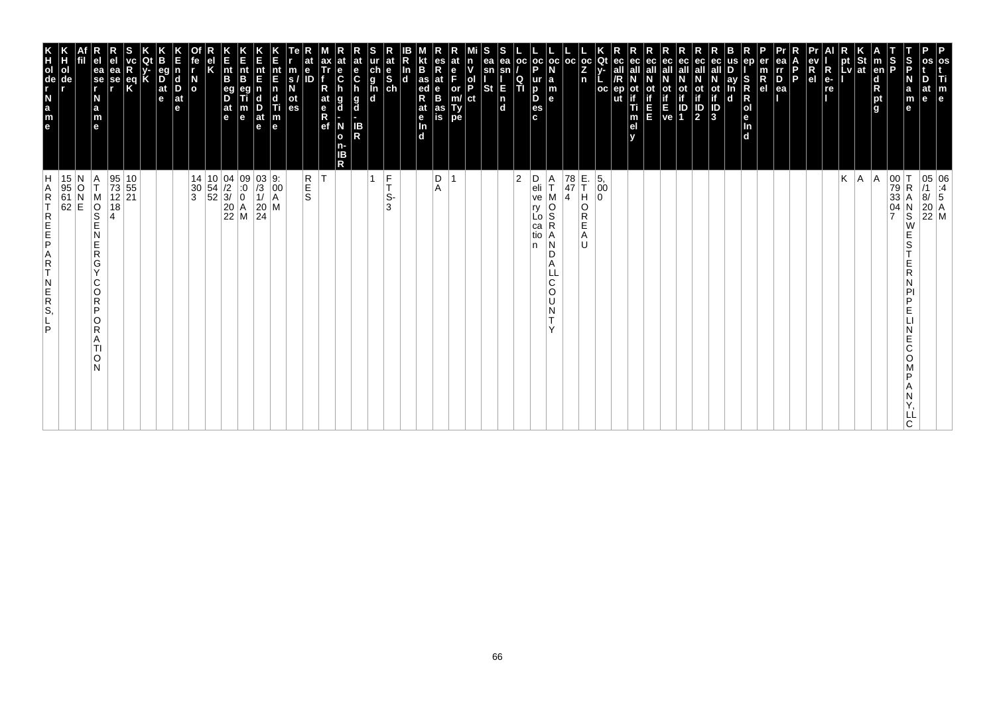| os<br>Ti<br>$\mathbf{m}_{\mathbf{e}}$                                                                            |                                                                                                                                                                                        |
|------------------------------------------------------------------------------------------------------------------|----------------------------------------------------------------------------------------------------------------------------------------------------------------------------------------|
| D<br>at<br>le                                                                                                    | $\begin{array}{ c c } \hline 05 & 06 \\ \hline \end{array} \begin{array}{ c c } \hline 11 & 4 \\ \hline 8/ & 5 \end{array}$<br>$\begin{array}{ c c }\n 20 & A \\  22 & M\n\end{array}$ |
| S<br>P<br>N<br>a<br>m<br>е                                                                                       | $\mathsf R$<br>N<br>$\overline{\mathbf{s}}$<br>W<br>E<br>S<br>E<br>R<br>N<br>PI<br>P<br>E<br>Ε<br>C<br>O<br>P<br>Α<br>N<br>LL<br>C.                                                    |
| S<br>P                                                                                                           | $\begin{vmatrix} 00 \\ 79 \\ 33 \end{vmatrix}$<br>$\frac{04}{7}$                                                                                                                       |
| m<br> en <br>$\frac{d}{R}$ pt<br>g                                                                               | A                                                                                                                                                                                      |
| St<br>at                                                                                                         | A                                                                                                                                                                                      |
| <b>LV</b>                                                                                                        | K                                                                                                                                                                                      |
| R<br>e-<br>re<br>.                                                                                               |                                                                                                                                                                                        |
| ev<br>R<br>el                                                                                                    |                                                                                                                                                                                        |
| l P                                                                                                              |                                                                                                                                                                                        |
| ea<br>$\frac{rr}{D}$<br>ea                                                                                       |                                                                                                                                                                                        |
| er<br>m<br>$R_{el}$                                                                                              |                                                                                                                                                                                        |
| en<br>S<br>Ŕ<br>$\mathsf R$<br> o <br>le.<br>In<br>$\overline{d}$                                                |                                                                                                                                                                                        |
| ay<br>In<br>d                                                                                                    |                                                                                                                                                                                        |
| ot<br>if<br>ID<br>3                                                                                              |                                                                                                                                                                                        |
| eс<br>$\frac{1}{2}$                                                                                              |                                                                                                                                                                                        |
| ec<br>οt                                                                                                         |                                                                                                                                                                                        |
| ec<br>if<br>E ID<br>ve 1                                                                                         |                                                                                                                                                                                        |
| ec<br>all<br>E                                                                                                   |                                                                                                                                                                                        |
| ec<br>οt<br>Ti<br>m<br>el<br>v                                                                                   |                                                                                                                                                                                        |
| ec<br>ep                                                                                                         |                                                                                                                                                                                        |
| Qt<br>$V -$<br><b>OC</b>                                                                                         | 5,<br>00<br>$\Omega$                                                                                                                                                                   |
| $\frac{1}{2}$<br>l oc<br>n                                                                                       | E.<br>T<br>H<br>78<br>47<br>O<br>R<br>E<br>Α<br>U                                                                                                                                      |
| $_{\rm oc}$<br>N<br>$\begin{array}{c} \mathsf{a} \\ \mathsf{m} \\ \mathsf{e} \end{array}$                        | Α<br>T.<br>4<br>м<br>o<br>S<br>R<br>Α<br>N<br>D<br>A<br>C<br>$\circ$<br>U<br>N<br>т<br>$\checkmark$                                                                                    |
| $\frac{1}{P}$<br>o<br><sub>p</sub><br><sub>c</sub><br>c                                                          | D<br>eli<br>ve<br>ry<br>Lo<br>са<br>tio<br>n                                                                                                                                           |
| oc<br>Q<br>ΙTΙ                                                                                                   | $\overline{2}$                                                                                                                                                                         |
| ea<br>ea<br>sn<br>sn<br><b>St</b><br>E<br>$\begin{bmatrix} n \\ d \end{bmatrix}$                                 |                                                                                                                                                                                        |
| s<br>ol<br>P<br>ct                                                                                               |                                                                                                                                                                                        |
| $\frac{e}{F}$<br>or<br>m/<br>Type                                                                                |                                                                                                                                                                                        |
| R<br>at<br>$_{\rm B}^{\rm e}$<br>as<br>is                                                                        | $_{\rm A}^{\rm D}$                                                                                                                                                                     |
| B<br>$\frac{1}{\text{ed}}$<br>R<br>at<br>e <sub>In</sub><br>d                                                    |                                                                                                                                                                                        |
| In<br>$\overline{d}$                                                                                             |                                                                                                                                                                                        |
| $\frac{e}{sh}$                                                                                                   | F<br>Ť.<br>S-<br>3                                                                                                                                                                     |
| $\frac{c}{g}$<br>$\frac{d}{g}$                                                                                   | 1                                                                                                                                                                                      |
| $\mathbf{e}$<br>$\mathbf c$<br>g<br>d<br>IB<br>R<br>N<br>n-<br>IΒ<br>R                                           |                                                                                                                                                                                        |
| ax<br>Tr<br>$\frac{e}{C}$<br>R<br>at<br>e <sub>R</sub><br>ef<br>g<br>d<br>$\mathbf{o}$                           | lT.                                                                                                                                                                                    |
| e                                                                                                                | R<br>E<br>S                                                                                                                                                                            |
| m<br>$\mathbf{s}$<br>ot<br>es                                                                                    |                                                                                                                                                                                        |
| nt<br>E<br>$\mathbf n$<br>$\begin{array}{c}\n\mathbf{d} \\ \mathbf{T}i \\ \mathbf{m} \\ \mathbf{e}\n\end{array}$ | $\begin{bmatrix} 9: \\ 00 \\ A \end{bmatrix}$                                                                                                                                          |
| Е<br>nt<br>E<br>D<br>at<br>e                                                                                     | $\begin{vmatrix} 03 \\ 7 \\ 1 \end{vmatrix}$<br>$\left \begin{array}{c} 20 \\ 24 \end{array}\right $ M                                                                                 |
| K<br>Ent<br>B<br>m<br>e                                                                                          | $\begin{array}{c c} 04 & 09 \\ /2 & 0 \\ 3/ & 0 \\ 20 & A \\ 22 & M \end{array}$                                                                                                       |
| $\vert_{\mathsf{B}}^{\mathsf{nt}}$<br>eg<br>D<br>$\frac{at}{e}$                                                  | $\begin{array}{ c c }\n 10 & 04 \\  54 & /2 \\  52 & 3\n \end{array}$                                                                                                                  |
| κ                                                                                                                |                                                                                                                                                                                        |
| fe<br>$\frac{N}{2}$                                                                                              | 14<br>30<br>$\mathbf{3}$                                                                                                                                                               |
| d<br>D<br>$ $ at<br>e                                                                                            |                                                                                                                                                                                        |
| eq<br>$\overline{D}$ <sub>at</sub><br>e                                                                          |                                                                                                                                                                                        |
|                                                                                                                  |                                                                                                                                                                                        |
| ea<br>se<br>r<br>$\frac{eq}{K}$                                                                                  | $\begin{array}{ c c }\n 10 \\  \hline\n 55\n \end{array}$<br>12 21<br>18                                                                                                               |
| ea<br>se<br>r<br>N<br>a<br>m                                                                                     | 95<br>73<br>M<br>$\overline{\frac{1}{2}}$<br>4<br>G<br>Y<br>O<br>O<br>R<br>A<br>ΤI<br>O<br>N                                                                                           |
| e                                                                                                                | Α<br>T<br>N<br>E<br>$\mathsf R$<br>C<br>$\mathsf R$<br>P                                                                                                                               |
| ol<br>de                                                                                                         | 15 N<br>95 O<br>61 N<br>62 E                                                                                                                                                           |
| e a z - g o H K                                                                                                  | H<br>A<br>$\mathsf R$<br>T<br>REFE<br>A<br>R<br>T<br>$\begin{array}{c} N \\ E \\ R \\ S \end{array}$<br>P                                                                              |
|                                                                                                                  |                                                                                                                                                                                        |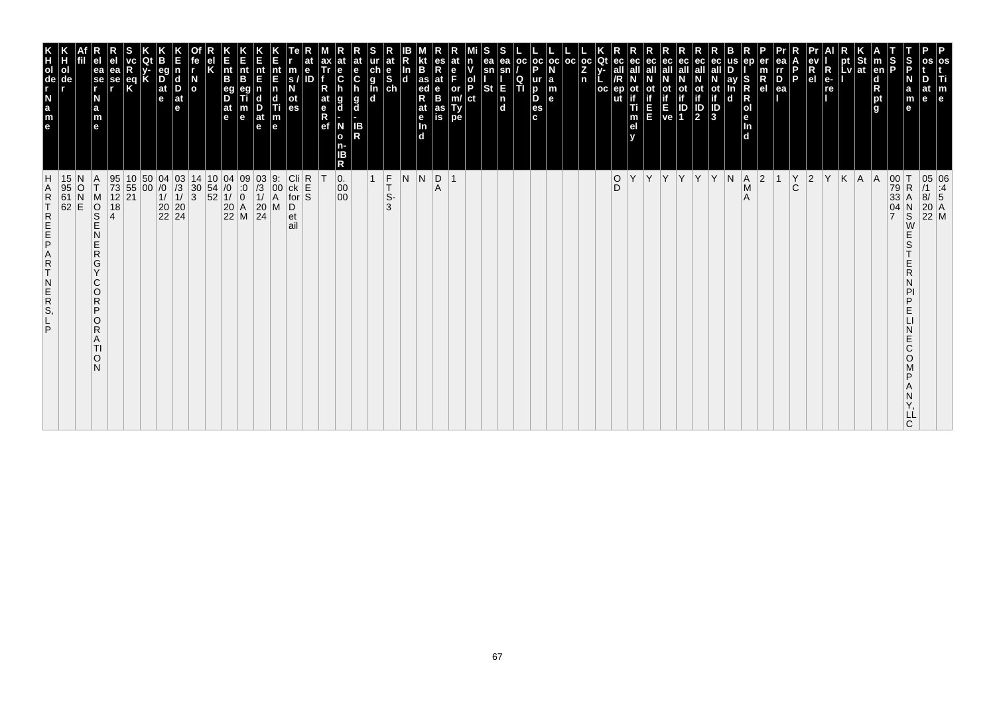| m<br>$\mathbf{e}$                                                                                                                                                                                    |                                                                                                                                        |
|------------------------------------------------------------------------------------------------------------------------------------------------------------------------------------------------------|----------------------------------------------------------------------------------------------------------------------------------------|
| le                                                                                                                                                                                                   | 05 06<br>/1 :4<br>8/ 5<br>20 A<br>22 M                                                                                                 |
| $\frac{5}{5}$<br>m<br>е                                                                                                                                                                              | $R_{A}$<br>$_\mathrm{S}^\mathrm{N}$<br>E<br>S<br>E<br>R<br>PI<br>P<br>E<br>N<br>E<br>C<br>O<br>P<br>Α<br>Ν<br>Y,<br>LĹ<br>$\mathsf{C}$ |
| Ρņ<br> en <br>$\frac{\mathsf{d}}{\mathsf{R}}$<br>pt<br>g                                                                                                                                             | 00<br>79<br>33<br>04                                                                                                                   |
|                                                                                                                                                                                                      | $A \mid A$                                                                                                                             |
| א<br>pt<br>pt St<br>Lv at                                                                                                                                                                            | K                                                                                                                                      |
| $R_{e}$<br>re                                                                                                                                                                                        | Y                                                                                                                                      |
| $\begin{array}{c}\n\mathbf{ev} \\ \mathbf{R} \\ \mathbf{el}\n\end{array}$<br>P                                                                                                                       | $\check{C}$<br>$ 2\rangle$                                                                                                             |
| $\overline{P}_{ea}$<br>l p                                                                                                                                                                           | $\vert$ 1                                                                                                                              |
| $\frac{m}{R}$                                                                                                                                                                                        | 2                                                                                                                                      |
| ln<br>d                                                                                                                                                                                              | $\vert A$<br>M<br>A                                                                                                                    |
| ay<br>d                                                                                                                                                                                              | N                                                                                                                                      |
| $\frac{1}{10}$<br>$\frac{1}{10}$<br>$\frac{1}{3}$                                                                                                                                                    | ΙY.                                                                                                                                    |
| ec<br>ot<br>if<br>2                                                                                                                                                                                  | Y                                                                                                                                      |
| $\begin{array}{ c c }\n\hline\nE & ID \\ ve & 1\n\end{array}$                                                                                                                                        | Y.                                                                                                                                     |
| ec<br>all                                                                                                                                                                                            | ΙY.                                                                                                                                    |
| ec<br>Е                                                                                                                                                                                              | Υ                                                                                                                                      |
| m<br>e <sub>l</sub>                                                                                                                                                                                  | Υ                                                                                                                                      |
| Qt<br>ec<br>all<br>oc<br>ut                                                                                                                                                                          | $_{\rm D}^{\rm O}$                                                                                                                     |
| $\frac{1}{2}$<br>n                                                                                                                                                                                   |                                                                                                                                        |
| $_{\rm oc}$                                                                                                                                                                                          |                                                                                                                                        |
| oc<br><b>a</b><br><b>a</b><br><b>a</b><br><b>a</b>                                                                                                                                                   |                                                                                                                                        |
| $_{\rm oc}$<br>$\frac{1}{P}$<br>Q<br>π<br>$\frac{p}{es}$<br>$\mathbf{c}$                                                                                                                             |                                                                                                                                        |
| ea<br>sn<br>E<br>n<br>d                                                                                                                                                                              |                                                                                                                                        |
| sn<br><b>St</b>                                                                                                                                                                                      |                                                                                                                                        |
| lol<br>IP<br>ct                                                                                                                                                                                      |                                                                                                                                        |
| at<br>or<br>m/<br>Ty<br>pe<br>as<br>is                                                                                                                                                               | $\mathbf{1}$                                                                                                                           |
| B<br>as<br>ed<br>R<br>at<br>e<br>In<br>d<br>$\frac{e}{B}$                                                                                                                                            | $\overline{\mathsf{N}}$<br>$\overline{R}$                                                                                              |
| In<br>$\mathbf d$                                                                                                                                                                                    | N                                                                                                                                      |
| $\frac{e}{sh}$                                                                                                                                                                                       | F<br>T<br>S-<br>3                                                                                                                      |
| ur<br>d<br>l<br>d<br>d<br>d<br>IB<br>R                                                                                                                                                               | $\mathbf{1}$                                                                                                                           |
| $rac{e}{c}$<br>$\frac{e}{C}$<br>h<br>g<br>d<br>g<br>d<br>N<br>$\mathbf{o}$<br>R                                                                                                                      | $\begin{matrix} 0.0000 \\ 0.0000 \\ 0.0000 \\ 0.0000 \\ 0.0000 \\ \end{matrix}$                                                        |
| at<br>e<br>Ref                                                                                                                                                                                       |                                                                                                                                        |
| ID                                                                                                                                                                                                   | R<br>S<br>S                                                                                                                            |
| m<br>s<br>N<br>$\frac{at}{es}$                                                                                                                                                                       | $\begin{array}{c} \hline \text{Cli} \\ \text{ck} \\ \text{for} \end{array}$<br>D<br>et<br>ail                                          |
| nt<br>E<br>n<br>$\begin{array}{c}\n\mathbf{d} \\ \hline\n\mathbf{Ti} \\ \mathbf{m}\n\end{array}$                                                                                                     | 9:<br>00<br>A<br>M                                                                                                                     |
| nt<br>F<br>B<br>n<br>$\frac{D}{at}$<br>e<br>$\mathbf{e}$                                                                                                                                             | $\begin{array}{c} 03 \\ 73 \\ 11 \\ 20 \\ 24 \end{array}$                                                                              |
| nt<br>B<br>eg<br>D<br>at<br>e                                                                                                                                                                        | $\begin{array}{c c} 10 & 04 & 09 \\ 54 & /0 & 0 \\ 52 & 1/ & 0 \\ 20 & A & 22 \\ 22 & M & \end{array}$                                 |
|                                                                                                                                                                                                      |                                                                                                                                        |
| $\frac{N}{\sigma}$                                                                                                                                                                                   | 14<br>$\left  \frac{30}{3} \right $                                                                                                    |
| $\frac{\mathsf{d}}{\mathsf{D}}$<br>$ $ at<br>е                                                                                                                                                       | $\begin{array}{c} 04 & 03 \\ 70 & 73 \\ 11 & 11 \\ 20 & 20 \\ 22 & 24 \end{array}$                                                     |
| eg<br>$\overline{D}$ at $\overline{e}$                                                                                                                                                               | $\begin{matrix} 50 \\ 00 \end{matrix}$                                                                                                 |
| eq<br>K                                                                                                                                                                                              | $\begin{array}{c} 10 \\ 55 \\ 21 \end{array}$                                                                                          |
| ea<br>se<br>r                                                                                                                                                                                        | 95<br>73<br>12<br>18                                                                                                                   |
| ea<br>se<br>r<br>N<br>a<br>m<br>e                                                                                                                                                                    | $\frac{A}{T}$<br>MOSE<br>N<br>E<br>$\mathsf{R}$<br>G<br>Y<br>C<br>$\circ$<br>$\mathsf{R}$<br>P<br>$\circ$<br>R<br>A<br>TI<br>O<br>N    |
| de                                                                                                                                                                                                   | 15<br>$\frac{95}{61}$<br>$\frac{0}{E}$                                                                                                 |
| H<br>O<br>O<br>O<br>T<br>O<br>O<br>O<br>D<br>O<br>D<br>O<br>D<br>D<br>D<br>D<br>D<br>D<br>$\Box$<br><br>$\Box$<br>$\mathsf{o}$<br>$\begin{array}{c} \n\cdot \\ \cdot \\ \cdot \\ \cdot\n\end{array}$ | RTREEPART<br>N<br>E<br>R<br>S,<br>P                                                                                                    |
|                                                                                                                                                                                                      | A                                                                                                                                      |